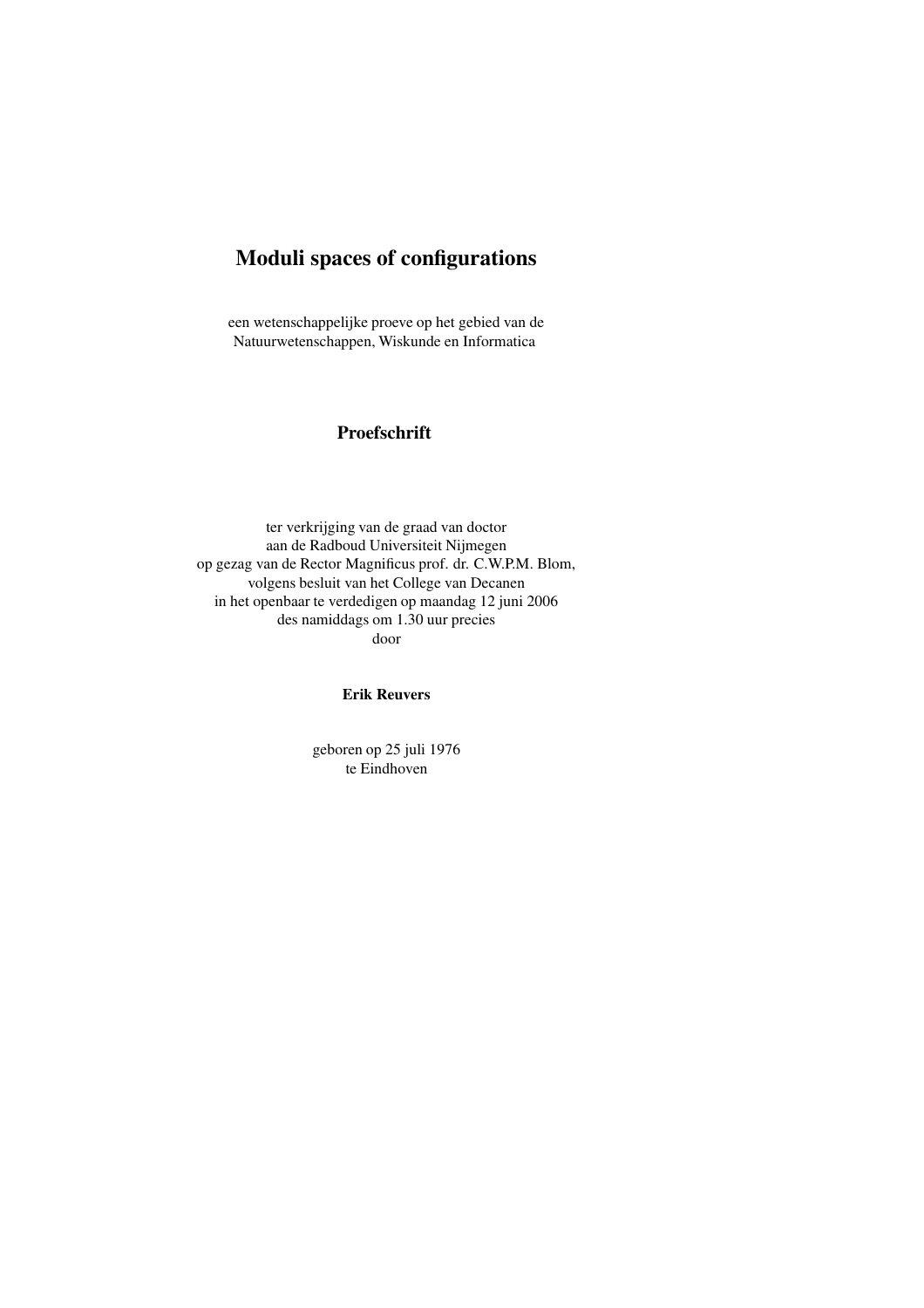# **Moduli spaces of configurations**

een wetenschappelijke proeve op het gebied van de Natuurwetenschappen, Wiskunde en Informatica

## **Proefschrift**

ter verkrijging van de graad van doctor aan de Radboud Universiteit Nijmegen op gezag van de Rector Magnificus prof. dr. C.W.P.M. Blom, volgens besluit van het College van Decanen in het openbaar te verdedigen op maandag 12 juni 2006 des namiddags om 1.30 uur precies door

### **Erik Reuvers**

geboren op 25 juli 1976 te Eindhoven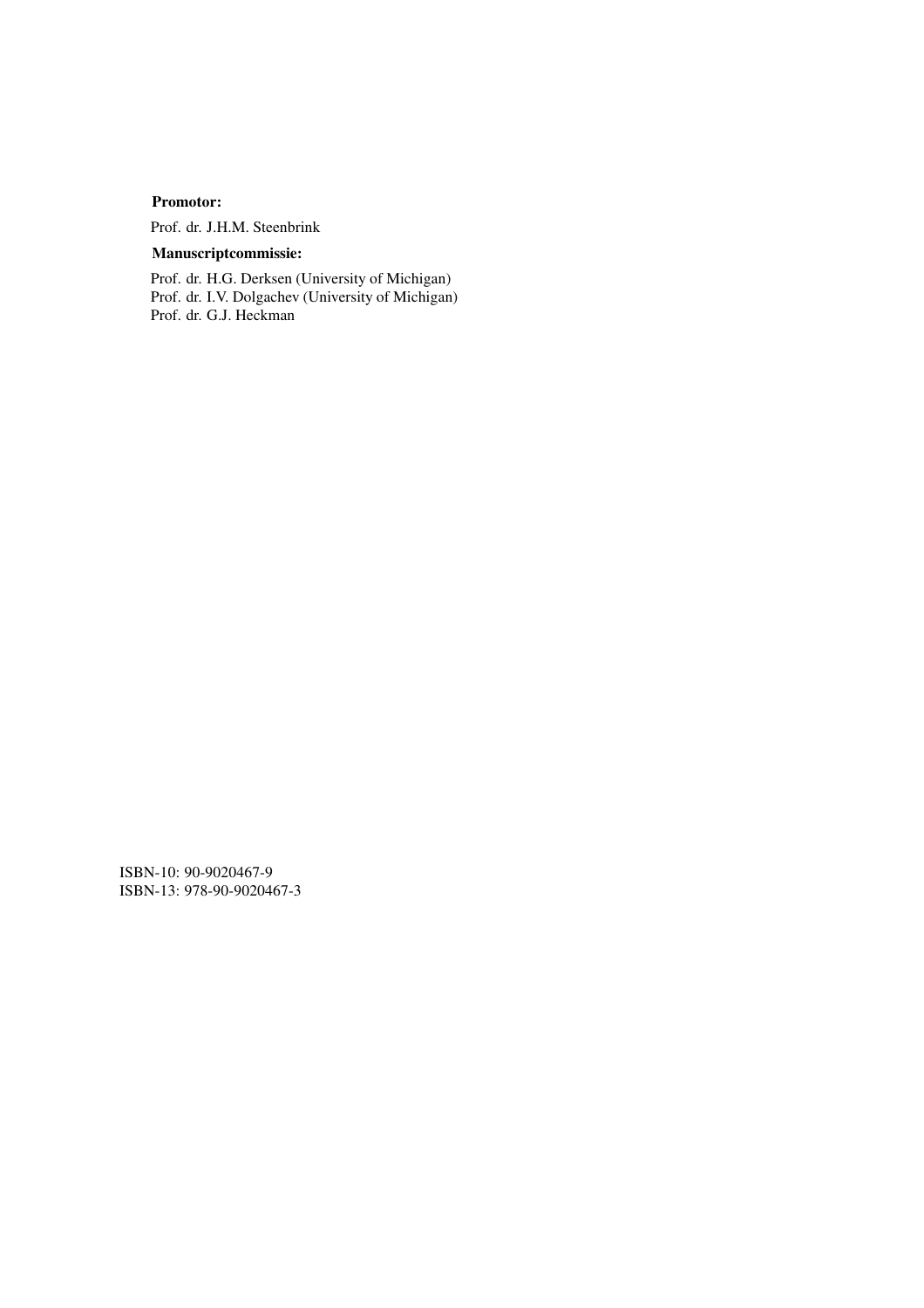### **Promotor:**

Prof. dr. J.H.M. Steenbrink

# **Manuscriptcommissie:**

Prof. dr. H.G. Derksen (University of Michigan) Prof. dr. I.V. Dolgachev (University of Michigan) Prof. dr. G.J. Heckman

ISBN-10: 90-9020467-9 ISBN-13: 978-90-9020467-3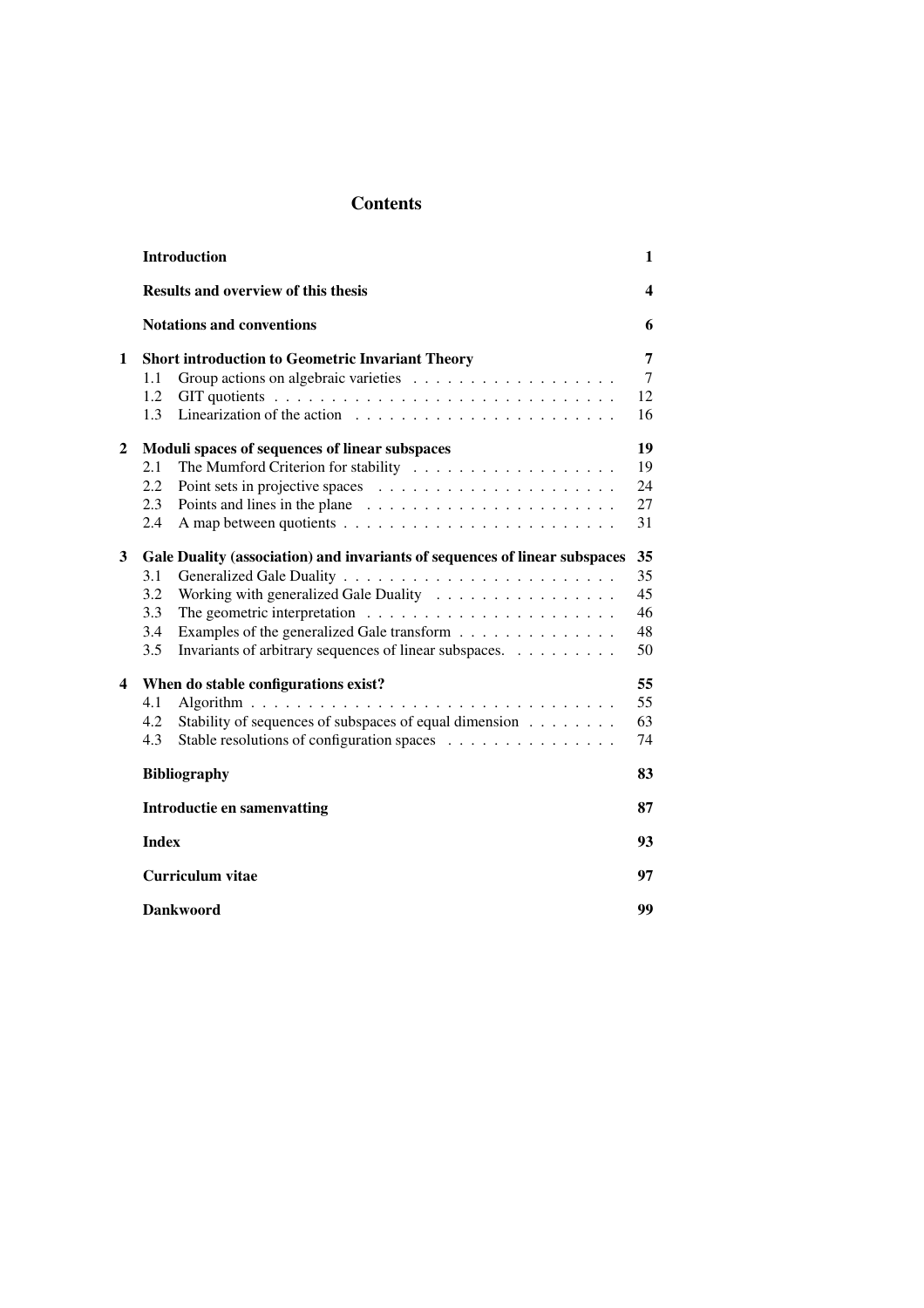# **Contents**

|              | <b>Introduction</b>                                                                    | 1              |  |  |  |  |  |  |  |  |  |
|--------------|----------------------------------------------------------------------------------------|----------------|--|--|--|--|--|--|--|--|--|
|              | <b>Results and overview of this thesis</b>                                             | 4              |  |  |  |  |  |  |  |  |  |
|              | <b>Notations and conventions</b>                                                       |                |  |  |  |  |  |  |  |  |  |
| 1            | <b>Short introduction to Geometric Invariant Theory</b>                                |                |  |  |  |  |  |  |  |  |  |
|              | 1.1                                                                                    | $\overline{7}$ |  |  |  |  |  |  |  |  |  |
|              | 1.2                                                                                    | 12             |  |  |  |  |  |  |  |  |  |
|              | Linearization of the action $\ldots \ldots \ldots \ldots \ldots \ldots \ldots$<br>1.3  | 16             |  |  |  |  |  |  |  |  |  |
| $\mathbf{2}$ | Moduli spaces of sequences of linear subspaces                                         | 19             |  |  |  |  |  |  |  |  |  |
|              | The Mumford Criterion for stability $\ldots \ldots \ldots \ldots \ldots \ldots$<br>2.1 | 19             |  |  |  |  |  |  |  |  |  |
|              | 2.2                                                                                    | 24             |  |  |  |  |  |  |  |  |  |
|              | 2.3                                                                                    | 27             |  |  |  |  |  |  |  |  |  |
|              | 2.4                                                                                    | 31             |  |  |  |  |  |  |  |  |  |
| 3            | Gale Duality (association) and invariants of sequences of linear subspaces             |                |  |  |  |  |  |  |  |  |  |
|              | 3.1                                                                                    | 35             |  |  |  |  |  |  |  |  |  |
|              | Working with generalized Gale Duality<br>3.2                                           | 45             |  |  |  |  |  |  |  |  |  |
|              | 3.3                                                                                    | 46             |  |  |  |  |  |  |  |  |  |
|              | Examples of the generalized Gale transform<br>3.4                                      | 48             |  |  |  |  |  |  |  |  |  |
|              | 3.5<br>Invariants of arbitrary sequences of linear subspaces.                          | 50             |  |  |  |  |  |  |  |  |  |
| 4            | When do stable configurations exist?                                                   | 55             |  |  |  |  |  |  |  |  |  |
|              | 4.1                                                                                    | 55             |  |  |  |  |  |  |  |  |  |
|              | Stability of sequences of subspaces of equal dimension<br>4.2                          | 63             |  |  |  |  |  |  |  |  |  |
|              | Stable resolutions of configuration spaces<br>4.3                                      | 74             |  |  |  |  |  |  |  |  |  |
|              | <b>Bibliography</b>                                                                    | 83             |  |  |  |  |  |  |  |  |  |
|              | <b>Introductie en samenvatting</b>                                                     | 87             |  |  |  |  |  |  |  |  |  |
|              | <b>Index</b>                                                                           |                |  |  |  |  |  |  |  |  |  |
|              | <b>Curriculum vitae</b>                                                                | 97             |  |  |  |  |  |  |  |  |  |
|              | <b>Dankwoord</b>                                                                       | 99             |  |  |  |  |  |  |  |  |  |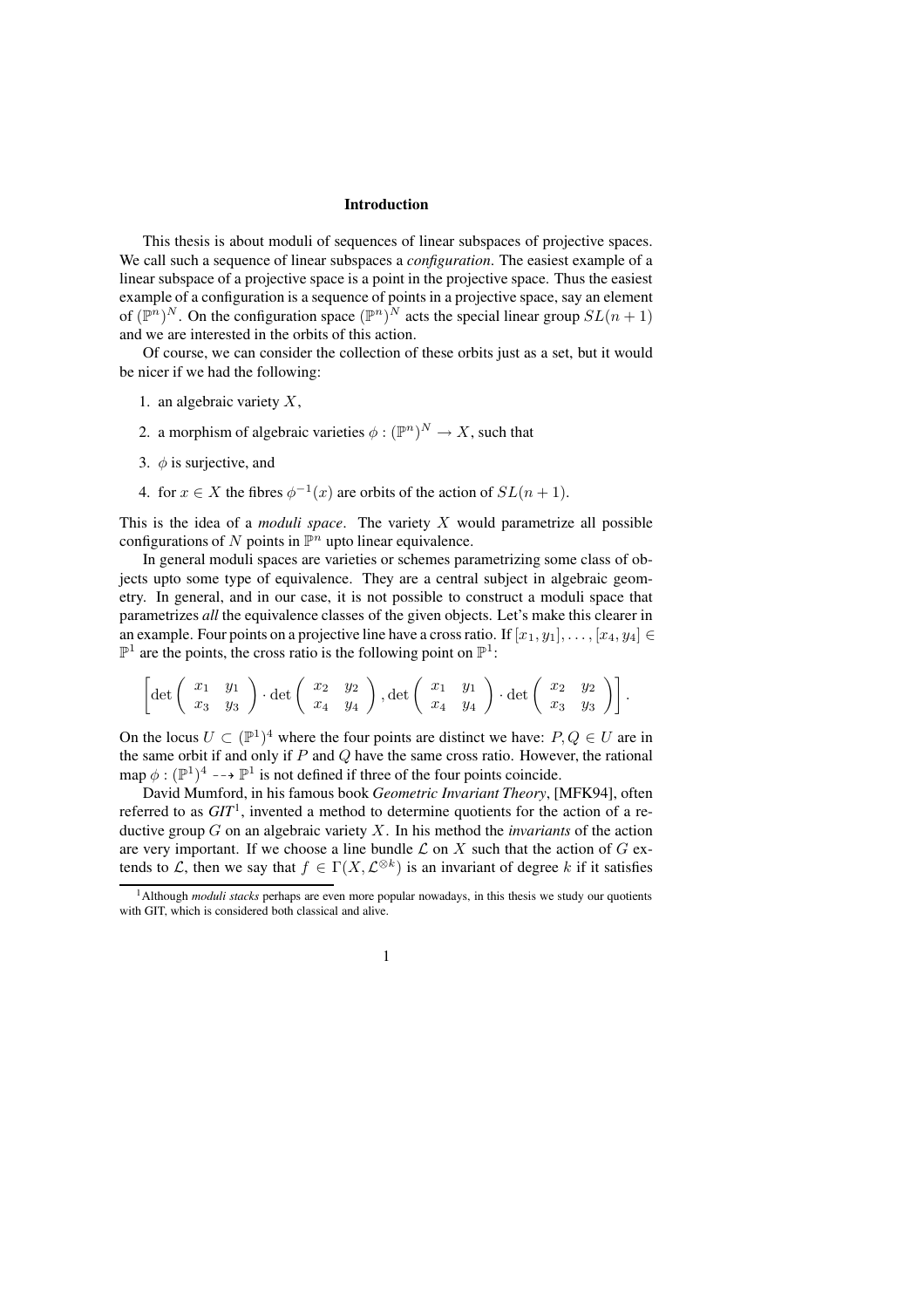#### **Introduction**

This thesis is about moduli of sequences of linear subspaces of projective spaces. We call such a sequence of linear subspaces a *configuration*. The easiest example of a linear subspace of a projective space is a point in the projective space. Thus the easiest example of a configuration is a sequence of points in a projective space, say an element of  $(\mathbb{P}^n)^N$ . On the configuration space  $(\mathbb{P}^n)^N$  acts the special linear group  $SL(n+1)$ and we are interested in the orbits of this action.

Of course, we can consider the collection of these orbits just as a set, but it would be nicer if we had the following:

- 1. an algebraic variety  $X$ ,
- 2. a morphism of algebraic varieties  $\phi : (\mathbb{P}^n)^N \to X$ , such that
- 3.  $\phi$  is surjective, and
- 4. for  $x \in X$  the fibres  $\phi^{-1}(x)$  are orbits of the action of  $SL(n+1)$ .

This is the idea of a *moduli space*. The variety X would parametrize all possible configurations of N points in  $\mathbb{P}^n$  upto linear equivalence.

In general moduli spaces are varieties or schemes parametrizing some class of objects upto some type of equivalence. They are a central subject in algebraic geometry. In general, and in our case, it is not possible to construct a moduli space that parametrizes *all* the equivalence classes of the given objects. Let's make this clearer in an example. Four points on a projective line have a cross ratio. If  $[x_1, y_1], \ldots, [x_4, y_4] \in$  $\mathbb{P}^1$  are the points, the cross ratio is the following point on  $\mathbb{P}^1$ :

$$
\left[\det\left(\begin{array}{cc} x_1 & y_1 \\ x_3 & y_3 \end{array}\right) \cdot \det\left(\begin{array}{cc} x_2 & y_2 \\ x_4 & y_4 \end{array}\right), \det\left(\begin{array}{cc} x_1 & y_1 \\ x_4 & y_4 \end{array}\right) \cdot \det\left(\begin{array}{cc} x_2 & y_2 \\ x_3 & y_3 \end{array}\right)\right].
$$

On the locus  $U \subset (\mathbb{P}^1)^4$  where the four points are distinct we have:  $P, Q \in U$  are in the same orbit if and only if  $P$  and  $Q$  have the same cross ratio. However, the rational map  $\phi : (\mathbb{P}^1)^4 \dashrightarrow \mathbb{P}^1$  is not defined if three of the four points coincide.

David Mumford, in his famous book *Geometric Invariant Theory*, [MFK94], often referred to as *GIT*<sup>1</sup> , invented a method to determine quotients for the action of a reductive group G on an algebraic variety X. In his method the *invariants* of the action are very important. If we choose a line bundle  $\mathcal L$  on X such that the action of G extends to L, then we say that  $f \in \Gamma(X, \mathcal{L}^{\otimes k})$  is an invariant of degree k if it satisfies

<sup>&</sup>lt;sup>1</sup>Although *moduli stacks* perhaps are even more popular nowadays, in this thesis we study our quotients with GIT, which is considered both classical and alive.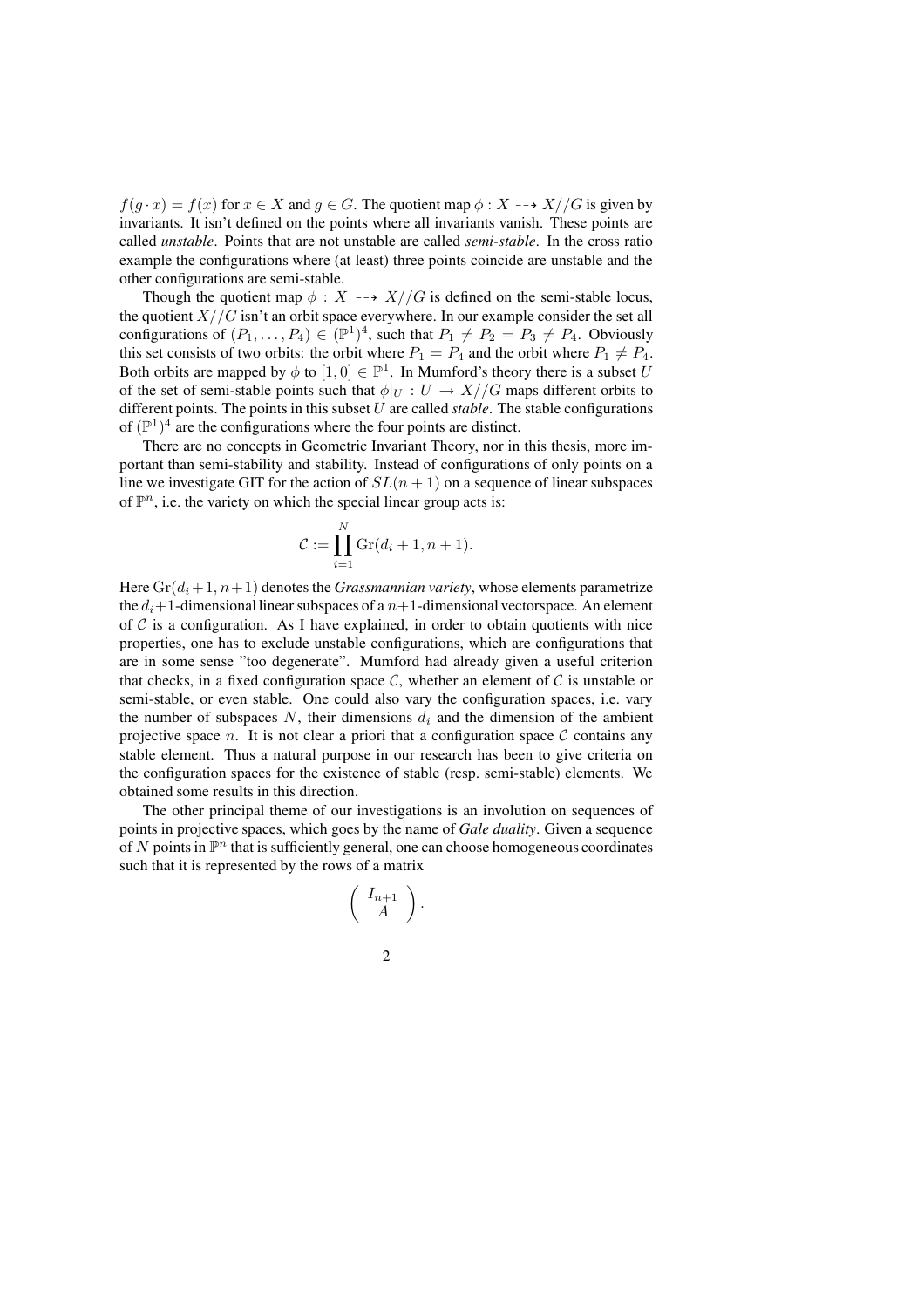$f(q \cdot x) = f(x)$  for  $x \in X$  and  $q \in G$ . The quotient map  $\phi: X \dashrightarrow X//G$  is given by invariants. It isn't defined on the points where all invariants vanish. These points are called *unstable*. Points that are not unstable are called *semi-stable*. In the cross ratio example the configurations where (at least) three points coincide are unstable and the other configurations are semi-stable.

Though the quotient map  $\phi : X \dashrightarrow X//G$  is defined on the semi-stable locus, the quotient  $X//G$  isn't an orbit space everywhere. In our example consider the set all configurations of  $(P_1, \ldots, P_4) \in (\mathbb{P}^1)^4$ , such that  $P_1 \neq P_2 = P_3 \neq P_4$ . Obviously this set consists of two orbits: the orbit where  $P_1 = P_4$  and the orbit where  $P_1 \neq P_4$ . Both orbits are mapped by  $\phi$  to  $[1, 0] \in \mathbb{P}^1$ . In Mumford's theory there is a subset U of the set of semi-stable points such that  $\phi|_U : U \to X//G$  maps different orbits to different points. The points in this subset U are called *stable*. The stable configurations of  $(\mathbb{P}^1)^4$  are the configurations where the four points are distinct.

There are no concepts in Geometric Invariant Theory, nor in this thesis, more important than semi-stability and stability. Instead of configurations of only points on a line we investigate GIT for the action of  $SL(n + 1)$  on a sequence of linear subspaces of  $\mathbb{P}^n$ , i.e. the variety on which the special linear group acts is:

$$
\mathcal{C} := \prod_{i=1}^N \mathrm{Gr}(d_i + 1, n + 1).
$$

Here  $Gr(d_i+1, n+1)$  denotes the *Grassmannian variety*, whose elements parametrize the  $d_i+1$ -dimensional linear subspaces of a  $n+1$ -dimensional vectorspace. An element of  $C$  is a configuration. As I have explained, in order to obtain quotients with nice properties, one has to exclude unstable configurations, which are configurations that are in some sense "too degenerate". Mumford had already given a useful criterion that checks, in a fixed configuration space  $\mathcal{C}$ , whether an element of  $\mathcal{C}$  is unstable or semi-stable, or even stable. One could also vary the configuration spaces, i.e. vary the number of subspaces  $N$ , their dimensions  $d_i$  and the dimension of the ambient projective space n. It is not clear a priori that a configuration space  $\mathcal C$  contains any stable element. Thus a natural purpose in our research has been to give criteria on the configuration spaces for the existence of stable (resp. semi-stable) elements. We obtained some results in this direction.

The other principal theme of our investigations is an involution on sequences of points in projective spaces, which goes by the name of *Gale duality*. Given a sequence of N points in  $\mathbb{P}^n$  that is sufficiently general, one can choose homogeneous coordinates such that it is represented by the rows of a matrix

$$
\left(\begin{array}{c} I_{n+1} \\ A \end{array}\right).
$$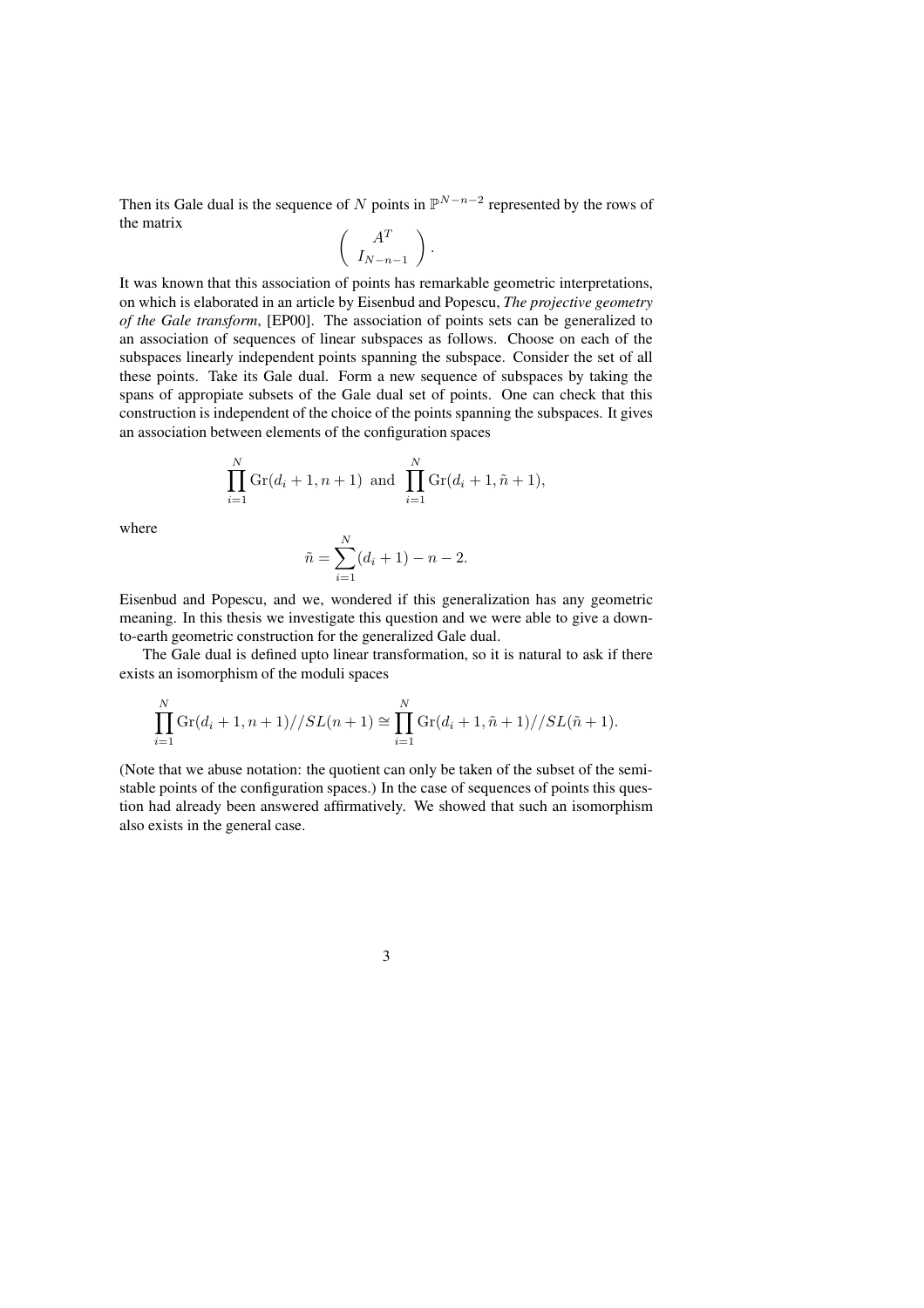Then its Gale dual is the sequence of N points in  $\mathbb{P}^{N-n-2}$  represented by the rows of the matrix

$$
\left(\begin{array}{c} A^T \\ I_{N-n-1} \end{array}\right).
$$

It was known that this association of points has remarkable geometric interpretations, on which is elaborated in an article by Eisenbud and Popescu, *The projective geometry of the Gale transform*, [EP00]. The association of points sets can be generalized to an association of sequences of linear subspaces as follows. Choose on each of the subspaces linearly independent points spanning the subspace. Consider the set of all these points. Take its Gale dual. Form a new sequence of subspaces by taking the spans of appropiate subsets of the Gale dual set of points. One can check that this construction is independent of the choice of the points spanning the subspaces. It gives an association between elements of the configuration spaces

$$
\prod_{i=1}^{N} \text{Gr}(d_i + 1, n + 1) \text{ and } \prod_{i=1}^{N} \text{Gr}(d_i + 1, \tilde{n} + 1),
$$

where

$$
\tilde{n} = \sum_{i=1}^{N} (d_i + 1) - n - 2.
$$

Eisenbud and Popescu, and we, wondered if this generalization has any geometric meaning. In this thesis we investigate this question and we were able to give a downto-earth geometric construction for the generalized Gale dual.

The Gale dual is defined upto linear transformation, so it is natural to ask if there exists an isomorphism of the moduli spaces

$$
\prod_{i=1}^{N} \text{Gr}(d_i + 1, n+1) // SL(n+1) \cong \prod_{i=1}^{N} \text{Gr}(d_i + 1, \tilde{n} + 1) // SL(\tilde{n} + 1).
$$

(Note that we abuse notation: the quotient can only be taken of the subset of the semistable points of the configuration spaces.) In the case of sequences of points this question had already been answered affirmatively. We showed that such an isomorphism also exists in the general case.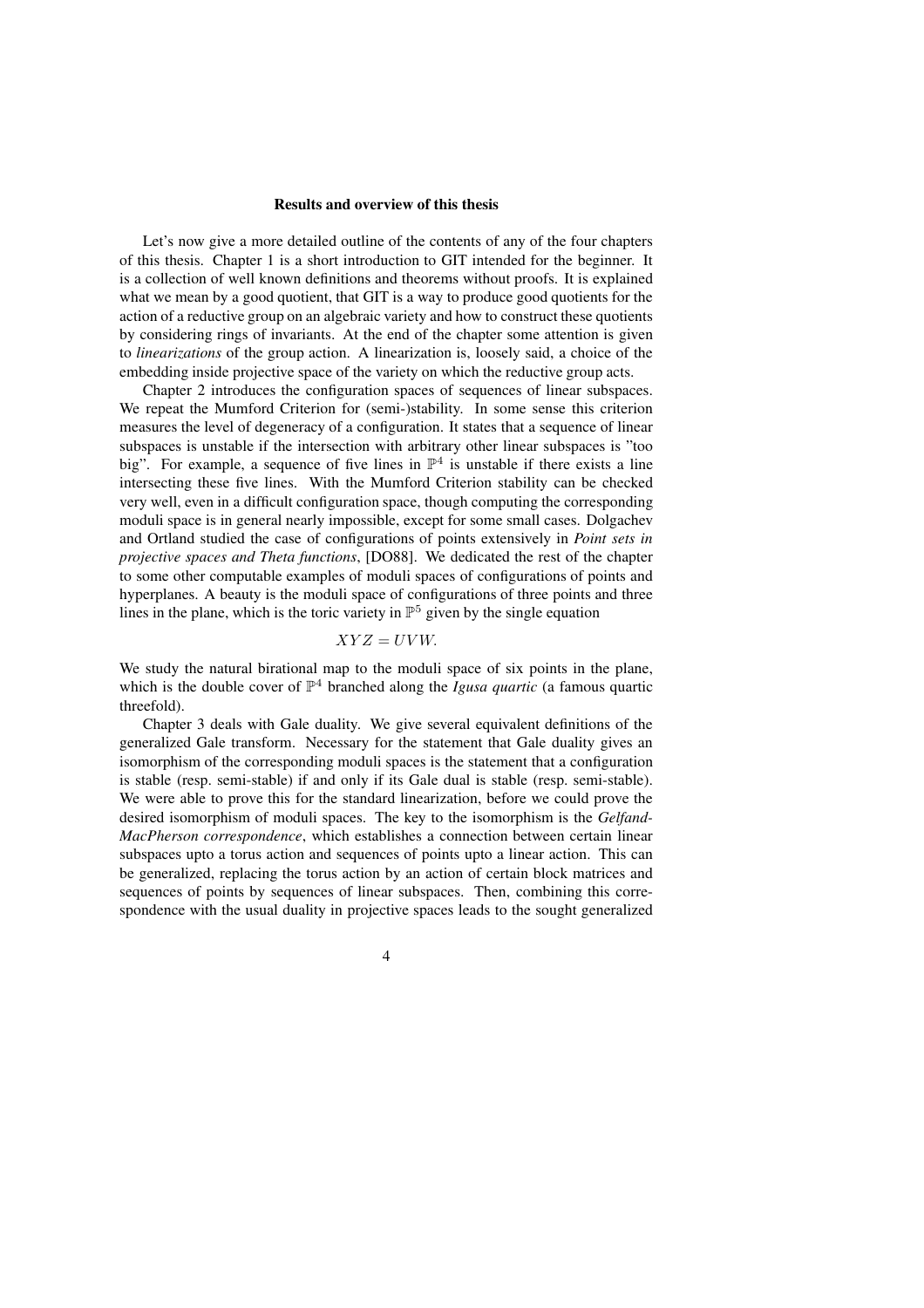#### **Results and overview of this thesis**

Let's now give a more detailed outline of the contents of any of the four chapters of this thesis. Chapter 1 is a short introduction to GIT intended for the beginner. It is a collection of well known definitions and theorems without proofs. It is explained what we mean by a good quotient, that GIT is a way to produce good quotients for the action of a reductive group on an algebraic variety and how to construct these quotients by considering rings of invariants. At the end of the chapter some attention is given to *linearizations* of the group action. A linearization is, loosely said, a choice of the embedding inside projective space of the variety on which the reductive group acts.

Chapter 2 introduces the configuration spaces of sequences of linear subspaces. We repeat the Mumford Criterion for (semi-)stability. In some sense this criterion measures the level of degeneracy of a configuration. It states that a sequence of linear subspaces is unstable if the intersection with arbitrary other linear subspaces is "too big". For example, a sequence of five lines in  $\mathbb{P}^4$  is unstable if there exists a line intersecting these five lines. With the Mumford Criterion stability can be checked very well, even in a difficult configuration space, though computing the corresponding moduli space is in general nearly impossible, except for some small cases. Dolgachev and Ortland studied the case of configurations of points extensively in *Point sets in projective spaces and Theta functions*, [DO88]. We dedicated the rest of the chapter to some other computable examples of moduli spaces of configurations of points and hyperplanes. A beauty is the moduli space of configurations of three points and three lines in the plane, which is the toric variety in  $\mathbb{P}^5$  given by the single equation

### $XYZ = UVW$ .

We study the natural birational map to the moduli space of six points in the plane, which is the double cover of  $\mathbb{P}^4$  branched along the *Igusa quartic* (a famous quartic threefold).

Chapter 3 deals with Gale duality. We give several equivalent definitions of the generalized Gale transform. Necessary for the statement that Gale duality gives an isomorphism of the corresponding moduli spaces is the statement that a configuration is stable (resp. semi-stable) if and only if its Gale dual is stable (resp. semi-stable). We were able to prove this for the standard linearization, before we could prove the desired isomorphism of moduli spaces. The key to the isomorphism is the *Gelfand-MacPherson correspondence*, which establishes a connection between certain linear subspaces upto a torus action and sequences of points upto a linear action. This can be generalized, replacing the torus action by an action of certain block matrices and sequences of points by sequences of linear subspaces. Then, combining this correspondence with the usual duality in projective spaces leads to the sought generalized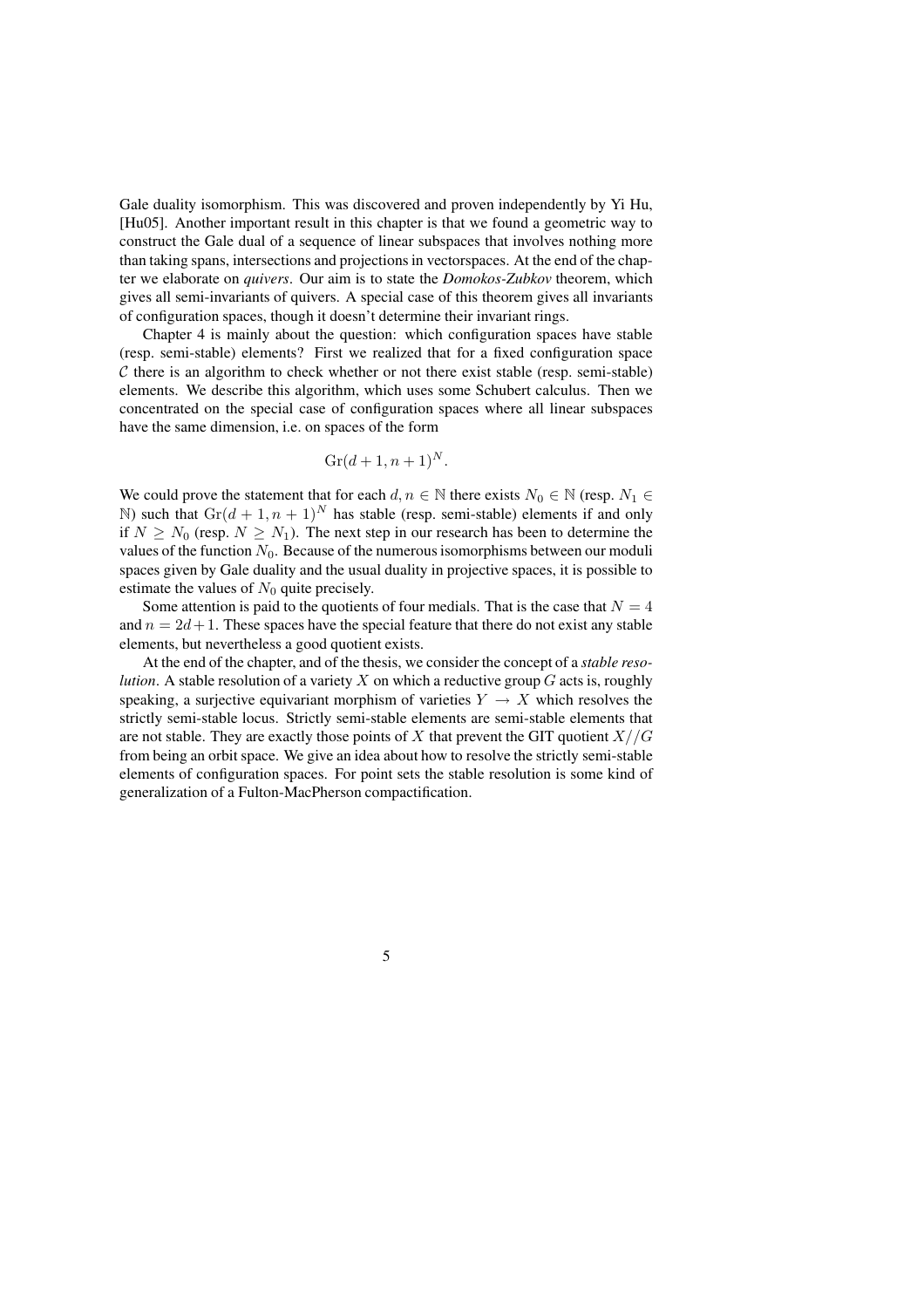Gale duality isomorphism. This was discovered and proven independently by Yi Hu, [Hu05]. Another important result in this chapter is that we found a geometric way to construct the Gale dual of a sequence of linear subspaces that involves nothing more than taking spans, intersections and projectionsin vectorspaces. At the end of the chapter we elaborate on *quivers*. Our aim is to state the *Domokos-Zubkov* theorem, which gives all semi-invariants of quivers. A special case of this theorem gives all invariants of configuration spaces, though it doesn't determine their invariant rings.

Chapter 4 is mainly about the question: which configuration spaces have stable (resp. semi-stable) elements? First we realized that for a fixed configuration space  $C$  there is an algorithm to check whether or not there exist stable (resp. semi-stable) elements. We describe this algorithm, which uses some Schubert calculus. Then we concentrated on the special case of configuration spaces where all linear subspaces have the same dimension, i.e. on spaces of the form

$$
Gr(d+1, n+1)^N.
$$

We could prove the statement that for each  $d, n \in \mathbb{N}$  there exists  $N_0 \in \mathbb{N}$  (resp.  $N_1 \in$ N) such that  $\text{Gr}(d + 1, n + 1)^N$  has stable (resp. semi-stable) elements if and only if  $N \ge N_0$  (resp.  $N \ge N_1$ ). The next step in our research has been to determine the values of the function  $N_0$ . Because of the numerous isomorphisms between our moduli spaces given by Gale duality and the usual duality in projective spaces, it is possible to estimate the values of  $N_0$  quite precisely.

Some attention is paid to the quotients of four medials. That is the case that  $N = 4$ and  $n = 2d + 1$ . These spaces have the special feature that there do not exist any stable elements, but nevertheless a good quotient exists.

At the end of the chapter, and of the thesis, we consider the concept of a *stable resolution*. A stable resolution of a variety X on which a reductive group  $G$  acts is, roughly speaking, a surjective equivariant morphism of varieties  $Y \to X$  which resolves the strictly semi-stable locus. Strictly semi-stable elements are semi-stable elements that are not stable. They are exactly those points of X that prevent the GIT quotient  $X//G$ from being an orbit space. We give an idea about how to resolve the strictly semi-stable elements of configuration spaces. For point sets the stable resolution is some kind of generalization of a Fulton-MacPherson compactification.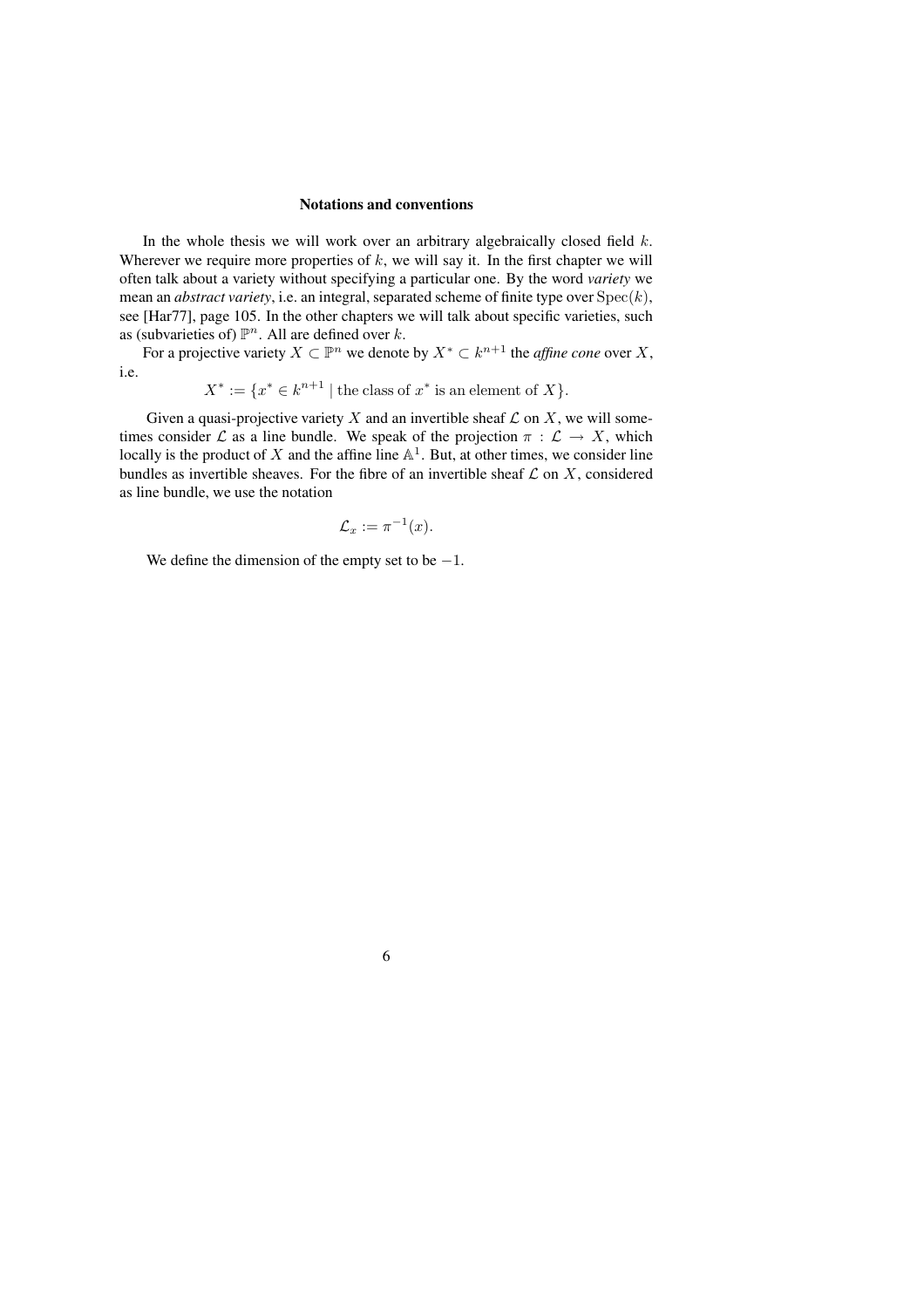### **Notations and conventions**

In the whole thesis we will work over an arbitrary algebraically closed field  $k$ . Wherever we require more properties of  $k$ , we will say it. In the first chapter we will often talk about a variety without specifying a particular one. By the word *variety* we mean an *abstract variety*, i.e. an integral, separated scheme of finite type over  $Spec(k)$ , see [Har77], page 105. In the other chapters we will talk about specific varieties, such as (subvarieties of)  $\mathbb{P}^n$ . All are defined over k.

For a projective variety  $X \subset \mathbb{P}^n$  we denote by  $X^* \subset k^{n+1}$  the *affine cone* over X, i.e.

$$
X^* := \{ x^* \in k^{n+1} \mid \text{the class of } x^* \text{ is an element of } X \}.
$$

Given a quasi-projective variety X and an invertible sheaf  $\mathcal L$  on X, we will sometimes consider L as a line bundle. We speak of the projection  $\pi : \mathcal{L} \to X$ , which locally is the product of X and the affine line  $\mathbb{A}^1$ . But, at other times, we consider line bundles as invertible sheaves. For the fibre of an invertible sheaf  $\mathcal L$  on  $X$ , considered as line bundle, we use the notation

$$
\mathcal{L}_x := \pi^{-1}(x).
$$

We define the dimension of the empty set to be  $-1$ .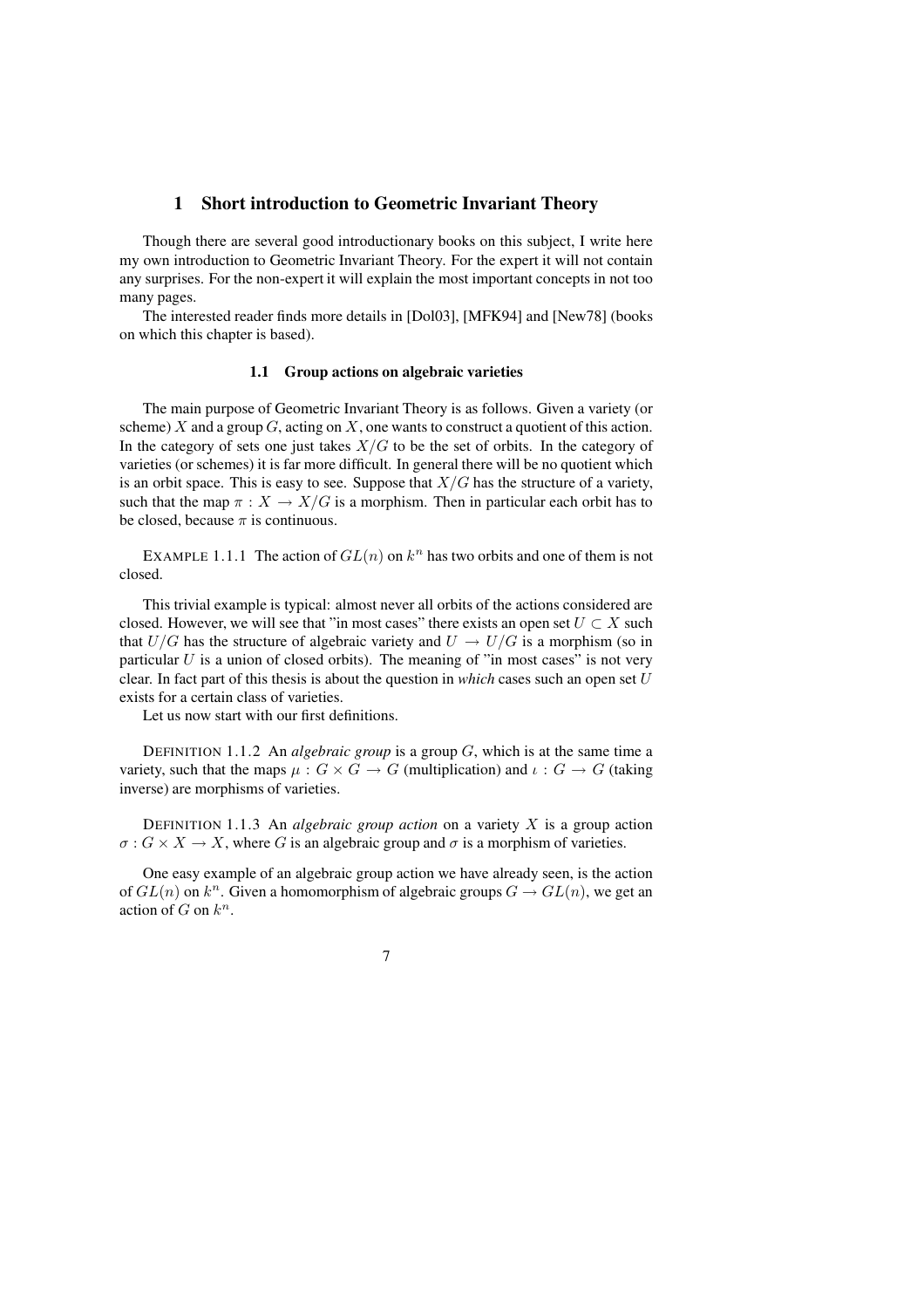### **1 Short introduction to Geometric Invariant Theory**

Though there are several good introductionary books on this subject, I write here my own introduction to Geometric Invariant Theory. For the expert it will not contain any surprises. For the non-expert it will explain the most important concepts in not too many pages.

The interested reader finds more details in [Dol03], [MFK94] and [New78] (books on which this chapter is based).

#### **1.1 Group actions on algebraic varieties**

The main purpose of Geometric Invariant Theory is as follows. Given a variety (or scheme) X and a group  $G$ , acting on X, one wants to construct a quotient of this action. In the category of sets one just takes  $X/G$  to be the set of orbits. In the category of varieties (or schemes) it is far more difficult. In general there will be no quotient which is an orbit space. This is easy to see. Suppose that  $X/G$  has the structure of a variety, such that the map  $\pi : X \to X/G$  is a morphism. Then in particular each orbit has to be closed, because  $\pi$  is continuous.

EXAMPLE 1.1.1 The action of  $GL(n)$  on  $k<sup>n</sup>$  has two orbits and one of them is not closed.

This trivial example is typical: almost never all orbits of the actions considered are closed. However, we will see that "in most cases" there exists an open set  $U \subset X$  such that  $U/G$  has the structure of algebraic variety and  $U \rightarrow U/G$  is a morphism (so in particular  $U$  is a union of closed orbits). The meaning of "in most cases" is not very clear. In fact part of this thesis is about the question in *which* cases such an open set U exists for a certain class of varieties.

Let us now start with our first definitions.

DEFINITION 1.1.2 An *algebraic group* is a group G, which is at the same time a variety, such that the maps  $\mu: G \times G \to G$  (multiplication) and  $\iota: G \to G$  (taking inverse) are morphisms of varieties.

DEFINITION 1.1.3 An *algebraic group action* on a variety X is a group action  $\sigma$ :  $G \times X \rightarrow X$ , where G is an algebraic group and  $\sigma$  is a morphism of varieties.

One easy example of an algebraic group action we have already seen, is the action of  $GL(n)$  on  $k^n$ . Given a homomorphism of algebraic groups  $G \to GL(n)$ , we get an action of  $G$  on  $k^n$ .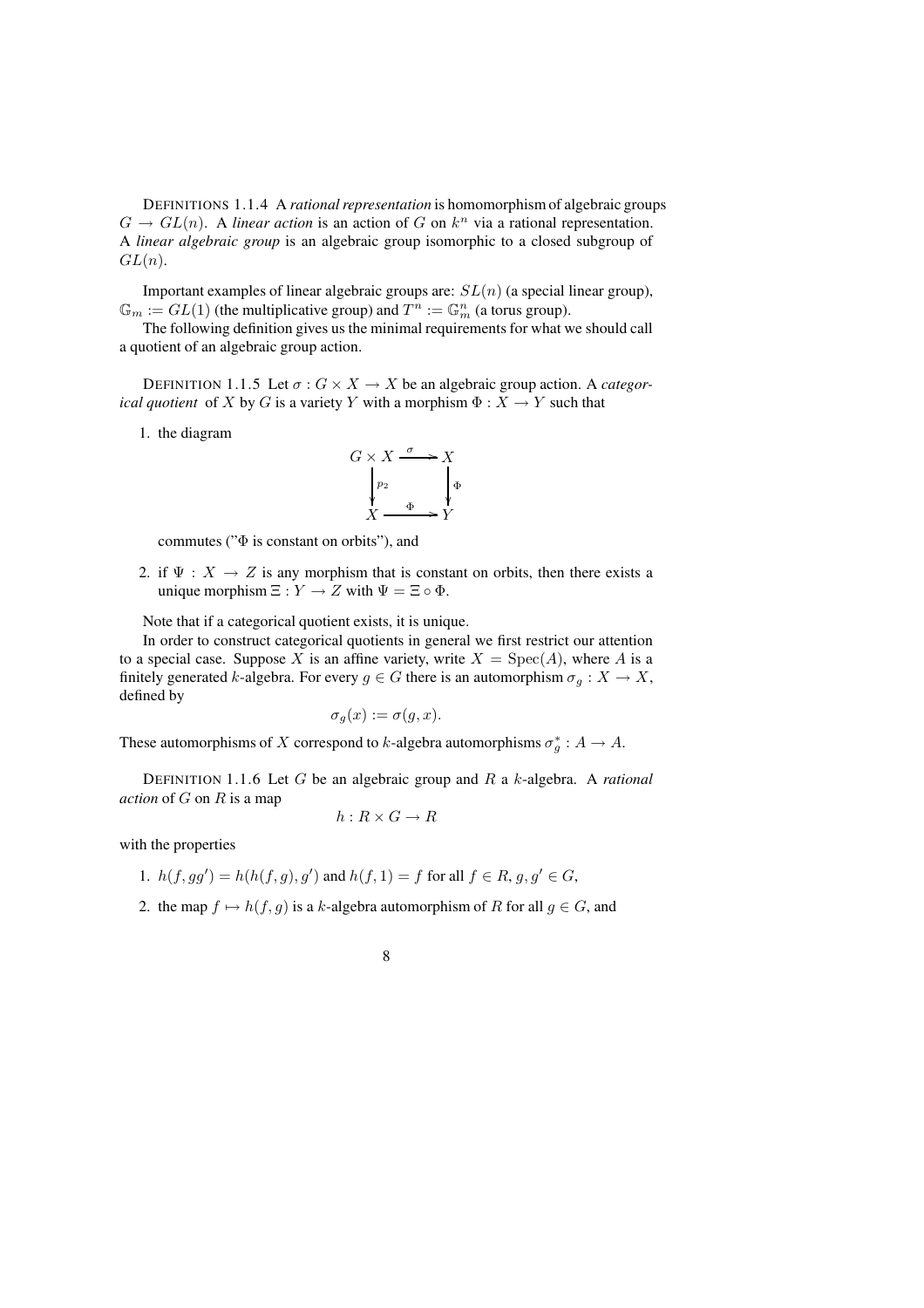DEFINITIONS 1.1.4 A *rational representation* is homomorphism of algebraic groups  $G \to GL(n)$ . A *linear action* is an action of G on  $k^n$  via a rational representation. A *linear algebraic group* is an algebraic group isomorphic to a closed subgroup of  $GL(n).$ 

Important examples of linear algebraic groups are:  $SL(n)$  (a special linear group),  $\mathbb{G}_m := GL(1)$  (the multiplicative group) and  $T^n := \mathbb{G}_m^n$  (a torus group).

The following definition gives us the minimal requirements for what we should call a quotient of an algebraic group action.

DEFINITION 1.1.5 Let  $\sigma$  :  $G \times X \to X$  be an algebraic group action. A *categorical quotient* of X by G is a variety Y with a morphism  $\Phi : X \to Y$  such that

1. the diagram



commutes ( $\forall \Phi$  is constant on orbits"), and

2. if  $\Psi : X \to Z$  is any morphism that is constant on orbits, then there exists a unique morphism  $\Xi : Y \to Z$  with  $\Psi = \Xi \circ \Phi$ .

Note that if a categorical quotient exists, it is unique.

In order to construct categorical quotients in general we first restrict our attention to a special case. Suppose X is an affine variety, write  $X = \text{Spec}(A)$ , where A is a finitely generated k-algebra. For every  $g \in G$  there is an automorphism  $\sigma_g : X \to X$ , defined by

$$
\sigma_g(x) := \sigma(g, x).
$$

These automorphisms of X correspond to k-algebra automorphisms  $\sigma_g^*: A \to A$ .

DEFINITION 1.1.6 Let G be an algebraic group and R a k-algebra. A *rational action* of G on R is a map

$$
h: R \times G \to R
$$

with the properties

- 1.  $h(f, gg') = h(h(f, g), g')$  and  $h(f, 1) = f$  for all  $f \in R$ ,  $g, g' \in G$ ,
- 2. the map  $f \mapsto h(f, g)$  is a k-algebra automorphism of R for all  $g \in G$ , and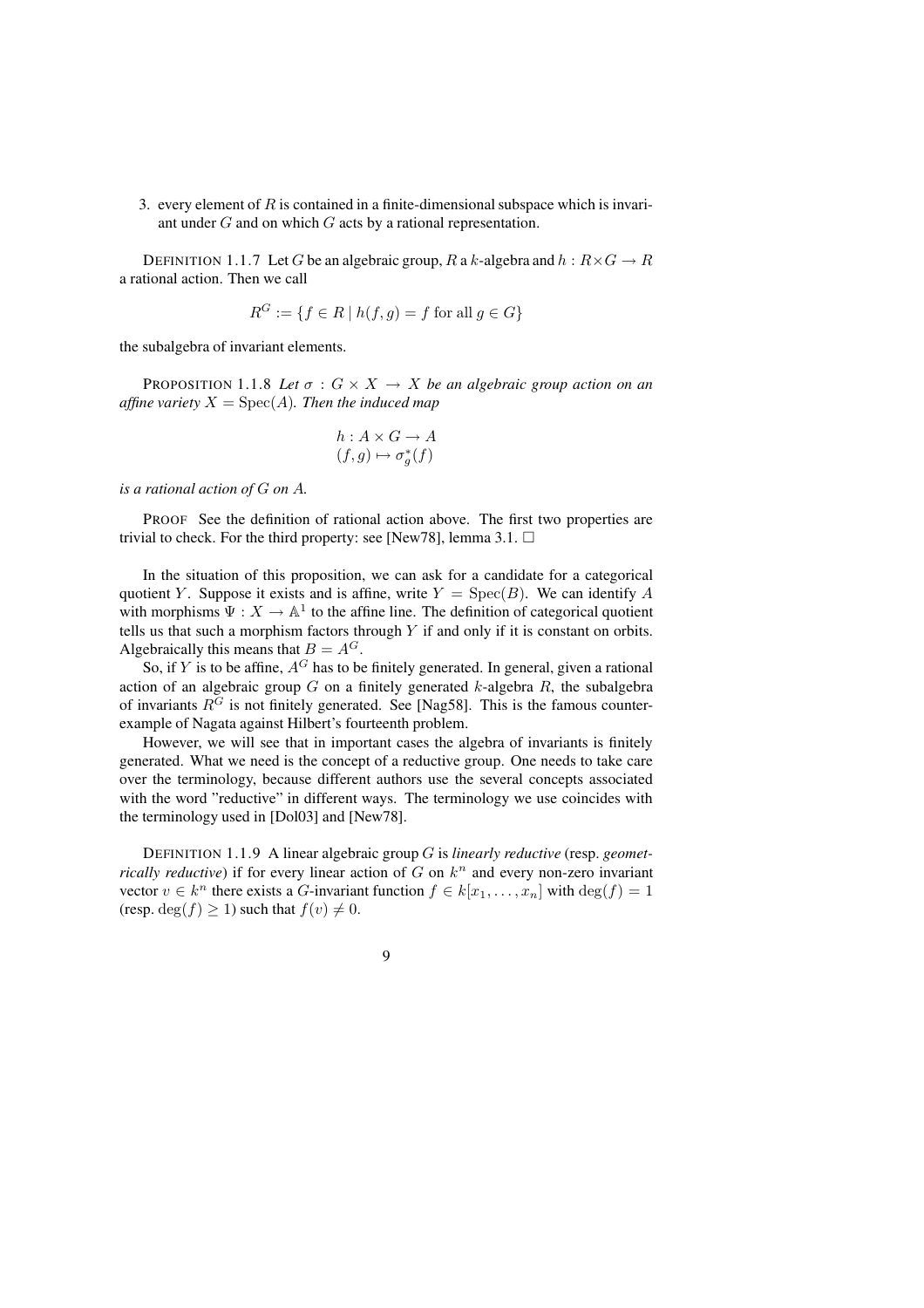3. every element of  $R$  is contained in a finite-dimensional subspace which is invariant under G and on which G acts by a rational representation.

DEFINITION 1.1.7 Let G be an algebraic group, R a k-algebra and  $h: R \times G \to R$ a rational action. Then we call

$$
R^G := \{ f \in R \mid h(f, g) = f \text{ for all } g \in G \}
$$

the subalgebra of invariant elements.

PROPOSITION 1.1.8 Let  $\sigma$  :  $G \times X \rightarrow X$  be an algebraic group action on an *affine variety*  $X = \text{Spec}(A)$ *. Then the induced map* 

$$
h: A \times G \to A
$$

$$
(f, g) \mapsto \sigma_g^*(f)
$$

*is a rational action of* G *on* A*.*

PROOF See the definition of rational action above. The first two properties are trivial to check. For the third property: see [New78], lemma 3.1.  $\Box$ 

In the situation of this proposition, we can ask for a candidate for a categorical quotient Y. Suppose it exists and is affine, write  $Y = \text{Spec}(B)$ . We can identify A with morphisms  $\Psi: X \to \mathbb{A}^1$  to the affine line. The definition of categorical quotient tells us that such a morphism factors through  $Y$  if and only if it is constant on orbits. Algebraically this means that  $B = A^G$ .

So, if Y is to be affine,  $A^G$  has to be finitely generated. In general, given a rational action of an algebraic group  $G$  on a finitely generated  $k$ -algebra  $R$ , the subalgebra of invariants  $R<sup>G</sup>$  is not finitely generated. See [Nag58]. This is the famous counterexample of Nagata against Hilbert's fourteenth problem.

However, we will see that in important cases the algebra of invariants is finitely generated. What we need is the concept of a reductive group. One needs to take care over the terminology, because different authors use the several concepts associated with the word "reductive" in different ways. The terminology we use coincides with the terminology used in [Dol03] and [New78].

DEFINITION 1.1.9 A linear algebraic group G is *linearly reductive* (resp. *geometrically reductive*) if for every linear action of  $G$  on  $k^n$  and every non-zero invariant vector  $v \in k^n$  there exists a G-invariant function  $f \in k[x_1, \ldots, x_n]$  with  $\deg(f) = 1$ (resp. deg( $f$ )  $\geq$  1) such that  $f(v) \neq 0$ .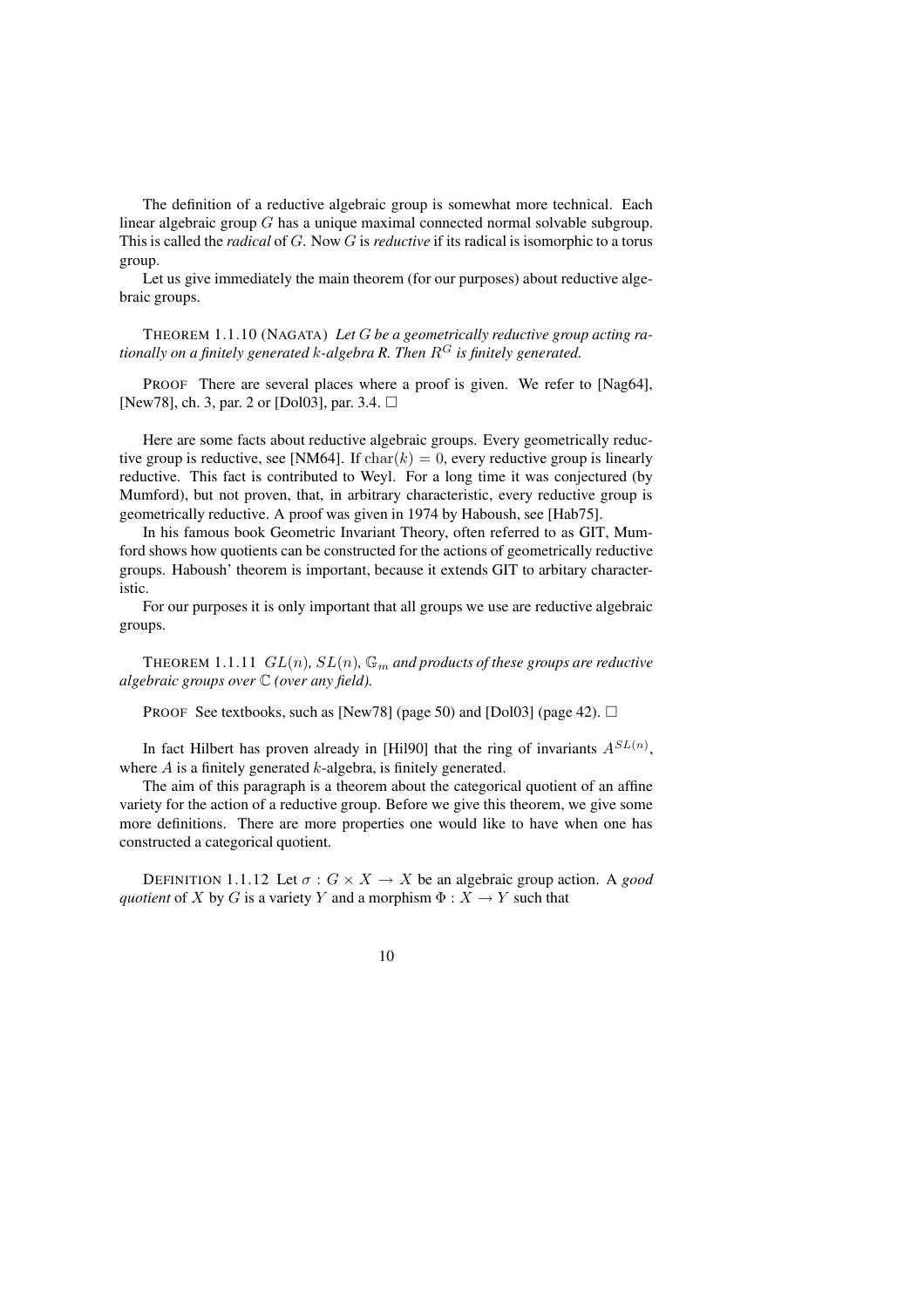The definition of a reductive algebraic group is somewhat more technical. Each linear algebraic group G has a unique maximal connected normal solvable subgroup. This is called the *radical* of G. Now G is *reductive* if its radical is isomorphic to a torus group.

Let us give immediately the main theorem (for our purposes) about reductive algebraic groups.

THEOREM 1.1.10 (NAGATA) *Let* G *be a geometrically reductive group acting rationally on a finitely generated* k*-algebra R. Then* R<sup>G</sup> *is finitely generated.*

PROOF There are several places where a proof is given. We refer to [Nag64], [New78], ch. 3, par. 2 or [Dol03], par. 3.4.  $\Box$ 

Here are some facts about reductive algebraic groups. Every geometrically reductive group is reductive, see [NM64]. If  $char(k) = 0$ , every reductive group is linearly reductive. This fact is contributed to Weyl. For a long time it was conjectured (by Mumford), but not proven, that, in arbitrary characteristic, every reductive group is geometrically reductive. A proof was given in 1974 by Haboush, see [Hab75].

In his famous book Geometric Invariant Theory, often referred to as GIT, Mumford shows how quotients can be constructed for the actions of geometrically reductive groups. Haboush' theorem is important, because it extends GIT to arbitary characteristic.

For our purposes it is only important that all groups we use are reductive algebraic groups.

THEOREM 1.1.11  $GL(n)$ ,  $SL(n)$ ,  $\mathbb{G}_m$  *and products of these groups are reductive algebraic groups over* C *(over any field).*

PROOF See textbooks, such as [New78] (page 50) and [Dol03] (page 42).  $\Box$ 

In fact Hilbert has proven already in [Hil90] that the ring of invariants  $A^{SL(n)}$ , where  $A$  is a finitely generated  $k$ -algebra, is finitely generated.

The aim of this paragraph is a theorem about the categorical quotient of an affine variety for the action of a reductive group. Before we give this theorem, we give some more definitions. There are more properties one would like to have when one has constructed a categorical quotient.

DEFINITION 1.1.12 Let  $\sigma$  :  $G \times X \to X$  be an algebraic group action. A *good quotient* of X by G is a variety Y and a morphism  $\Phi: X \to Y$  such that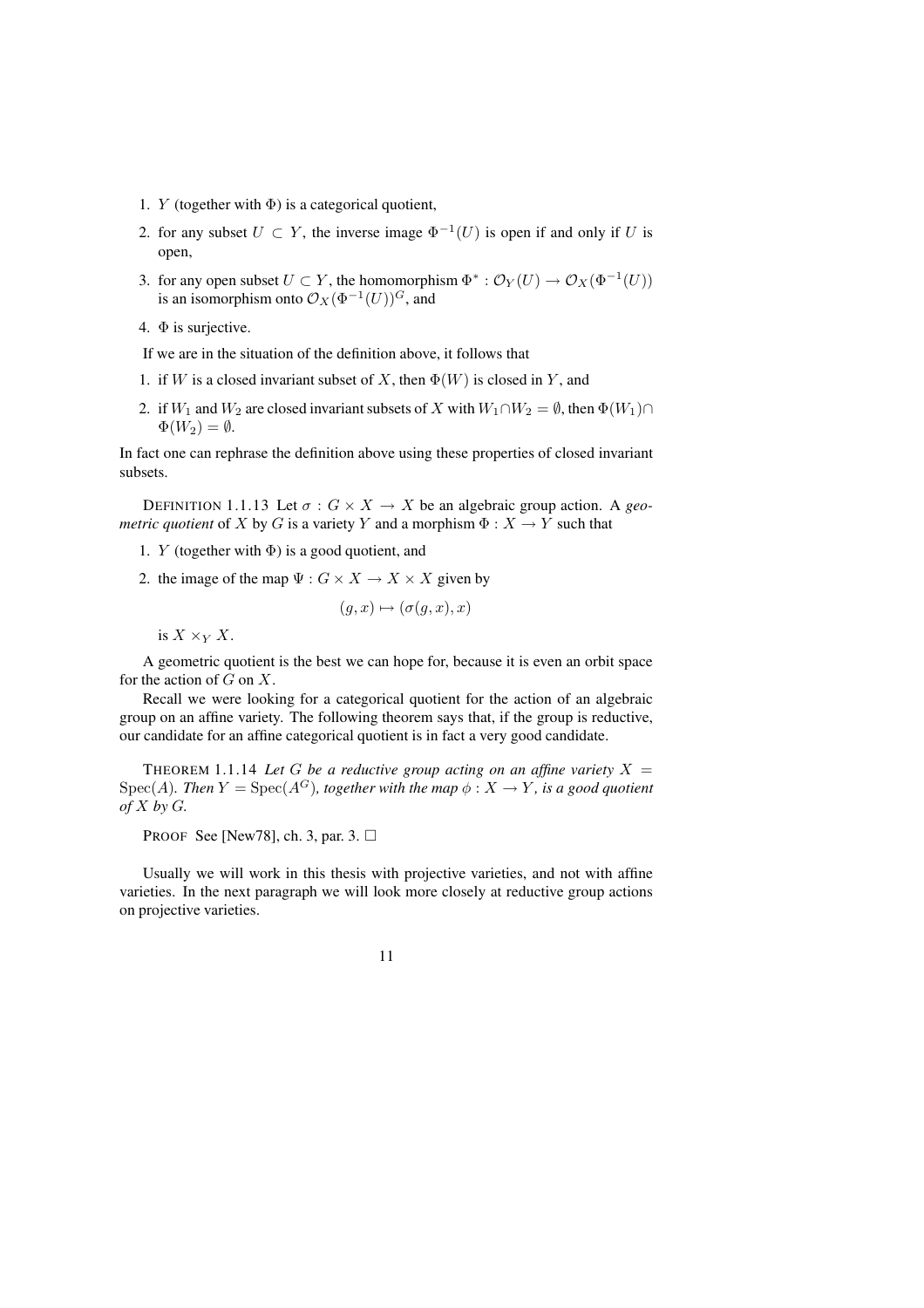- 1. Y (together with  $\Phi$ ) is a categorical quotient,
- 2. for any subset  $U \subset Y$ , the inverse image  $\Phi^{-1}(U)$  is open if and only if U is open,
- 3. for any open subset  $U \subset Y$ , the homomorphism  $\Phi^* : \mathcal{O}_Y(U) \to \mathcal{O}_X(\Phi^{-1}(U))$ is an isomorphism onto  $\mathcal{O}_X(\Phi^{-1}(U))^G$ , and
- 4.  $\Phi$  is surjective.

If we are in the situation of the definition above, it follows that

- 1. if W is a closed invariant subset of X, then  $\Phi(W)$  is closed in Y, and
- 2. if  $W_1$  and  $W_2$  are closed invariant subsets of X with  $W_1 \cap W_2 = \emptyset$ , then  $\Phi(W_1) \cap$  $\Phi(W_2) = \emptyset$ .

In fact one can rephrase the definition above using these properties of closed invariant subsets.

DEFINITION 1.1.13 Let  $\sigma$  :  $G \times X \to X$  be an algebraic group action. A *geometric quotient* of X by G is a variety Y and a morphism  $\Phi : X \to Y$  such that

- 1. Y (together with  $\Phi$ ) is a good quotient, and
- 2. the image of the map  $\Psi: G \times X \to X \times X$  given by

$$
(g, x) \mapsto (\sigma(g, x), x)
$$

is  $X \times_Y X$ .

A geometric quotient is the best we can hope for, because it is even an orbit space for the action of  $G$  on  $X$ .

Recall we were looking for a categorical quotient for the action of an algebraic group on an affine variety. The following theorem says that, if the group is reductive, our candidate for an affine categorical quotient is in fact a very good candidate.

THEOREM 1.1.14 Let G be a reductive group acting on an affine variety  $X =$ Spec(A). Then  $Y = \text{Spec}(A^G)$ , together with the map  $\phi : X \to Y$ , is a good quotient *of* X *by* G*.*

PROOF See [New78], ch. 3, par. 3.  $\square$ 

Usually we will work in this thesis with projective varieties, and not with affine varieties. In the next paragraph we will look more closely at reductive group actions on projective varieties.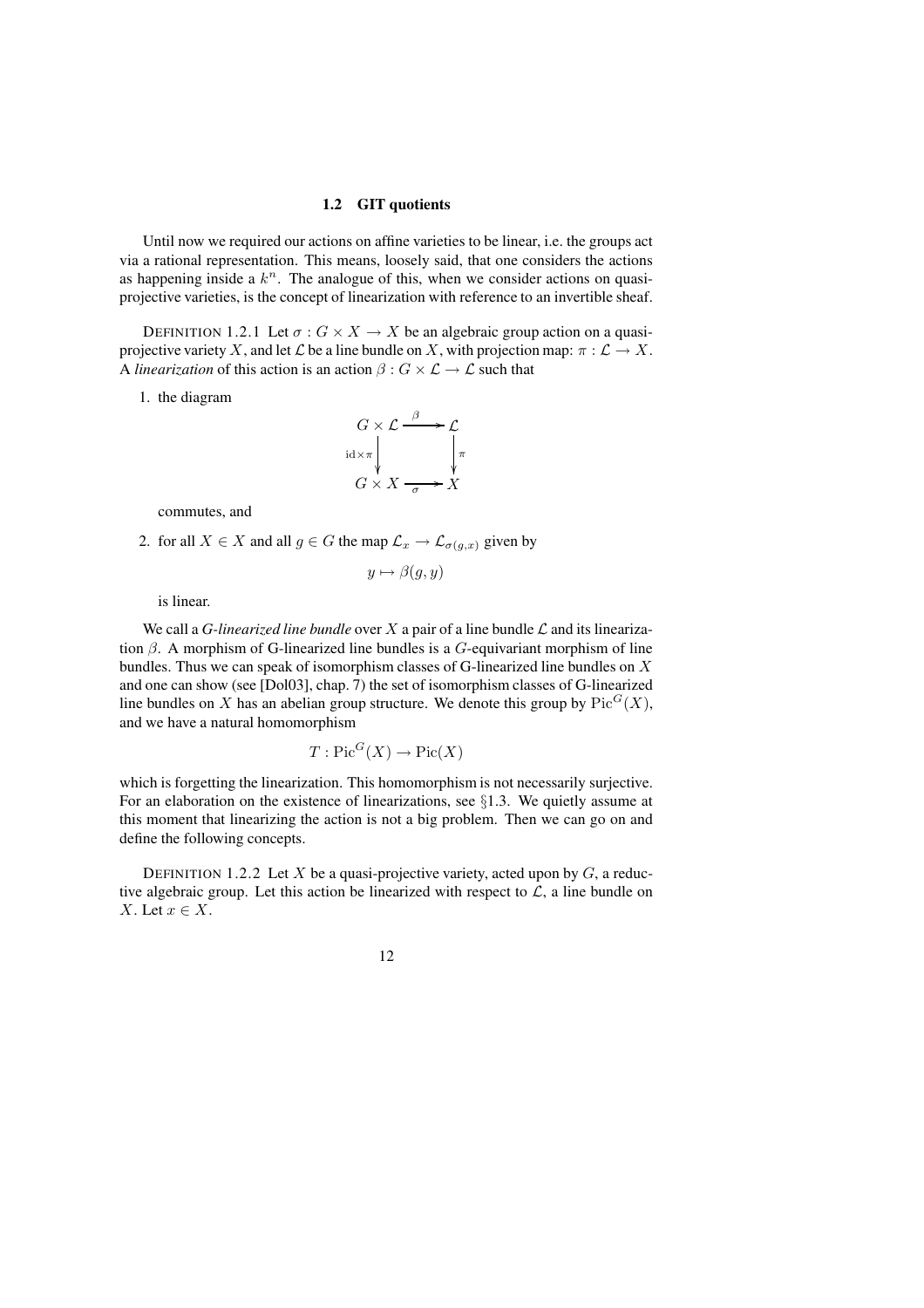#### **1.2 GIT quotients**

Until now we required our actions on affine varieties to be linear, i.e. the groups act via a rational representation. This means, loosely said, that one considers the actions as happening inside a  $k^n$ . The analogue of this, when we consider actions on quasiprojective varieties, is the concept of linearization with reference to an invertible sheaf.

DEFINITION 1.2.1 Let  $\sigma$ :  $G \times X \to X$  be an algebraic group action on a quasiprojective variety X, and let  $\mathcal L$  be a line bundle on X, with projection map:  $\pi : \mathcal L \to X$ . A *linearization* of this action is an action  $\beta$  :  $G \times \mathcal{L} \rightarrow \mathcal{L}$  such that

1. the diagram



commutes, and

2. for all  $X \in X$  and all  $g \in G$  the map  $\mathcal{L}_x \to \mathcal{L}_{\sigma(g,x)}$  given by

$$
y \mapsto \beta(g, y)
$$

is linear.

We call a *G-linearized line bundle* over X a pair of a line bundle  $\mathcal L$  and its linearization  $\beta$ . A morphism of G-linearized line bundles is a G-equivariant morphism of line bundles. Thus we can speak of isomorphism classes of G-linearized line bundles on X and one can show (see [Dol03], chap. 7) the set of isomorphism classes of G-linearized line bundles on X has an abelian group structure. We denote this group by  $Pic^G(X)$ , and we have a natural homomorphism

$$
T: \mathrm{Pic}^G(X) \to \mathrm{Pic}(X)
$$

which is forgetting the linearization. This homomorphism is not necessarily surjective. For an elaboration on the existence of linearizations, see  $\S1.3$ . We quietly assume at this moment that linearizing the action is not a big problem. Then we can go on and define the following concepts.

DEFINITION 1.2.2 Let X be a quasi-projective variety, acted upon by  $G$ , a reductive algebraic group. Let this action be linearized with respect to  $\mathcal{L}$ , a line bundle on X. Let  $x \in X$ .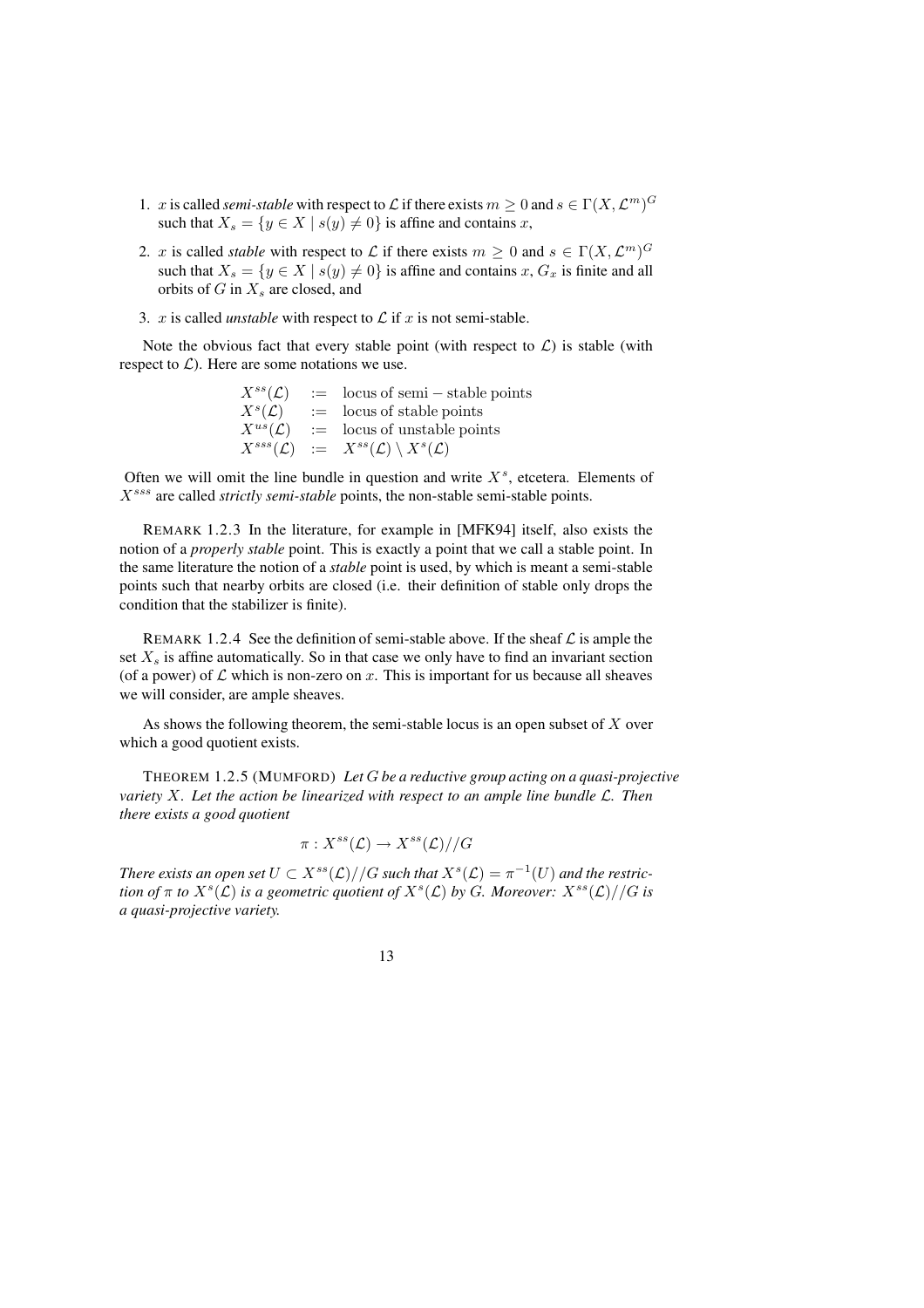- 1. x is called *semi-stable* with respect to L if there exists  $m \geq 0$  and  $s \in \Gamma(X, \mathcal{L}^m)^G$ such that  $X_s = \{y \in X \mid s(y) \neq 0\}$  is affine and contains x,
- 2. x is called *stable* with respect to L if there exists  $m \geq 0$  and  $s \in \Gamma(X, \mathcal{L}^m)^G$ such that  $X_s = \{y \in X \mid s(y) \neq 0\}$  is affine and contains x,  $G_x$  is finite and all orbits of  $G$  in  $X_s$  are closed, and
- 3. x is called *unstable* with respect to  $\mathcal L$  if x is not semi-stable.

Note the obvious fact that every stable point (with respect to  $\mathcal{L}$ ) is stable (with respect to  $\mathcal{L}$ ). Here are some notations we use.

| $X^{ss}(\mathcal{L})$  | $:=$ locus of semi – stable points                        |
|------------------------|-----------------------------------------------------------|
| $X^s(\mathcal{L})$     | $:=$ locus of stable points                               |
| $X^{us}(\mathcal{L})$  | $\equiv$ locus of unstable points                         |
| $X^{sss}(\mathcal{L})$ | $\ := \ X^{ss}(\mathcal{L}) \setminus X^{s}(\mathcal{L})$ |

Often we will omit the line bundle in question and write  $X<sup>s</sup>$ , etcetera. Elements of Xsss are called *strictly semi-stable* points, the non-stable semi-stable points.

REMARK 1.2.3 In the literature, for example in [MFK94] itself, also exists the notion of a *properly stable* point. This is exactly a point that we call a stable point. In the same literature the notion of a *stable* point is used, by which is meant a semi-stable points such that nearby orbits are closed (i.e. their definition of stable only drops the condition that the stabilizer is finite).

REMARK 1.2.4 See the definition of semi-stable above. If the sheaf  $\mathcal L$  is ample the set  $X_s$  is affine automatically. So in that case we only have to find an invariant section (of a power) of  $\mathcal L$  which is non-zero on x. This is important for us because all sheaves we will consider, are ample sheaves.

As shows the following theorem, the semi-stable locus is an open subset of  $X$  over which a good quotient exists.

THEOREM 1.2.5 (MUMFORD) *Let* G *be a reductive group acting on a quasi-projective variety* X*. Let the action be linearized with respect to an ample line bundle* L*. Then there exists a good quotient*

$$
\pi: X^{ss}(\mathcal{L}) \to X^{ss}(\mathcal{L})//G
$$

*There exists an open set*  $U \subset X^{ss}(\mathcal{L})//G$  *such that*  $X^{s}(\mathcal{L}) = \pi^{-1}(U)$  *and the restriction of*  $\pi$  *to*  $X^s(\mathcal{L})$  *is a geometric quotient of*  $X^s(\mathcal{L})$  *by G. Moreover:*  $X^{ss}(\mathcal{L})//G$  *is a quasi-projective variety.*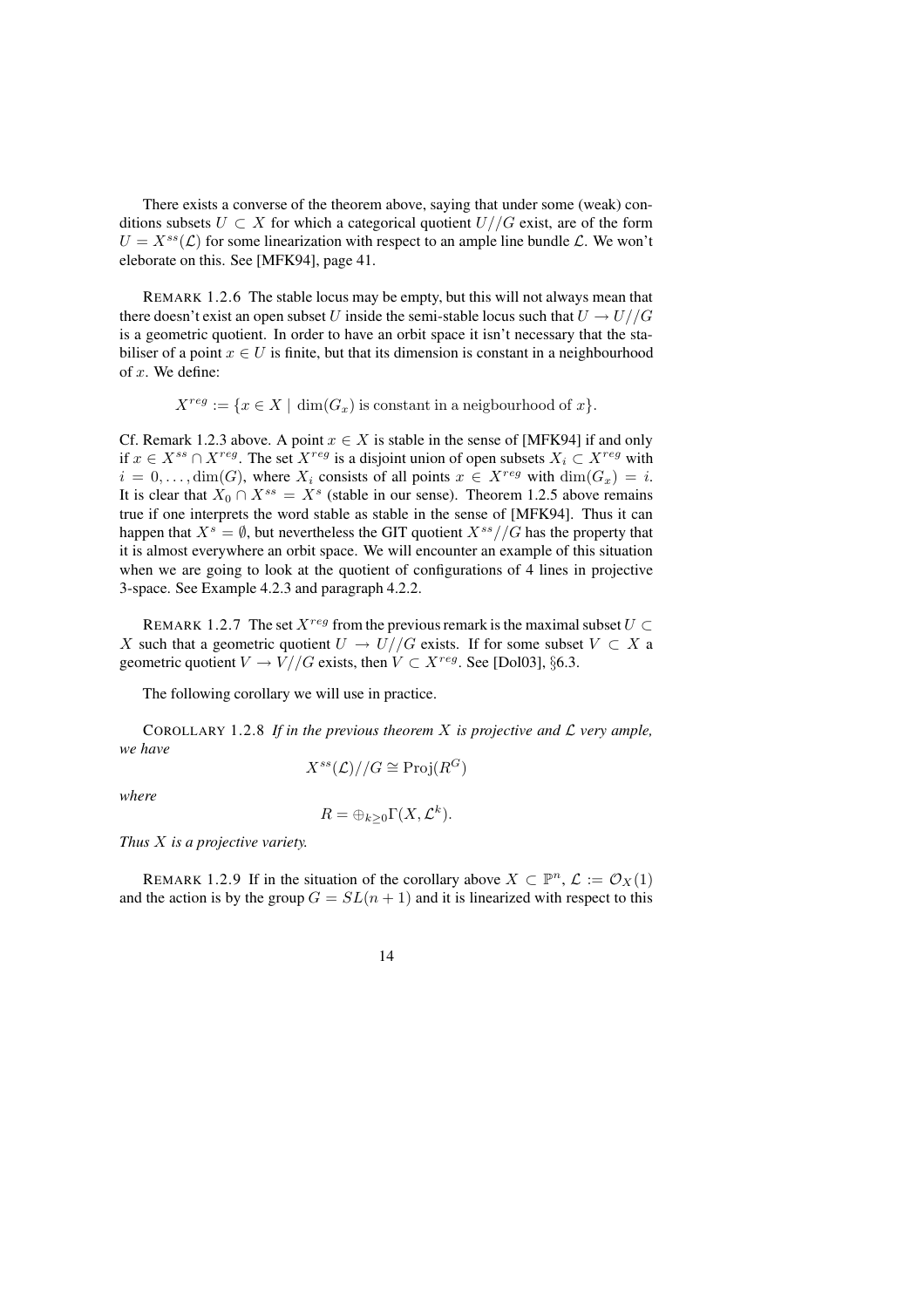There exists a converse of the theorem above, saying that under some (weak) conditions subsets  $U \subset X$  for which a categorical quotient  $U//G$  exist, are of the form  $U = X^{ss}(\mathcal{L})$  for some linearization with respect to an ample line bundle  $\mathcal{L}$ . We won't eleborate on this. See [MFK94], page 41.

REMARK 1.2.6 The stable locus may be empty, but this will not always mean that there doesn't exist an open subset U inside the semi-stable locus such that  $U \rightarrow U//G$ is a geometric quotient. In order to have an orbit space it isn't necessary that the stabiliser of a point  $x \in U$  is finite, but that its dimension is constant in a neighbourhood of  $x$ . We define:

$$
X^{reg} := \{ x \in X \mid \dim(G_x) \text{ is constant in a neighbourhood of } x \}.
$$

Cf. Remark 1.2.3 above. A point  $x \in X$  is stable in the sense of [MFK94] if and only if  $x \in X^{ss} \cap X^{reg}$ . The set  $X^{reg}$  is a disjoint union of open subsets  $X_i \subset X^{reg}$  with  $i = 0, \ldots, \dim(G)$ , where  $X_i$  consists of all points  $x \in X^{reg}$  with  $\dim(G_x) = i$ . It is clear that  $X_0 \cap X^{ss} = X^s$  (stable in our sense). Theorem 1.2.5 above remains true if one interprets the word stable as stable in the sense of [MFK94]. Thus it can happen that  $X^s = \emptyset$ , but nevertheless the GIT quotient  $X^{ss}/\mathcal{G}$  has the property that it is almost everywhere an orbit space. We will encounter an example of this situation when we are going to look at the quotient of configurations of 4 lines in projective 3-space. See Example 4.2.3 and paragraph 4.2.2.

REMARK 1.2.7 The set  $X^{reg}$  from the previous remark is the maximal subset  $U \subset$ X such that a geometric quotient  $U \to U//G$  exists. If for some subset  $V \subset X$  a geometric quotient  $V \to V//G$  exists, then  $V \subset X^{reg}$ . See [Dol03], §6.3.

The following corollary we will use in practice.

COROLLARY 1.2.8 If in the previous theorem X is projective and  $\mathcal{L}$  very ample, *we have*

$$
X^{ss}(\mathcal{L})//G \cong \mathrm{Proj}(R^G)
$$

*where*

$$
R = \bigoplus_{k \geq 0} \Gamma(X, \mathcal{L}^k).
$$

*Thus* X *is a projective variety.*

REMARK 1.2.9 If in the situation of the corollary above  $X \subset \mathbb{P}^n$ ,  $\mathcal{L} := \mathcal{O}_X(1)$ and the action is by the group  $G = SL(n + 1)$  and it is linearized with respect to this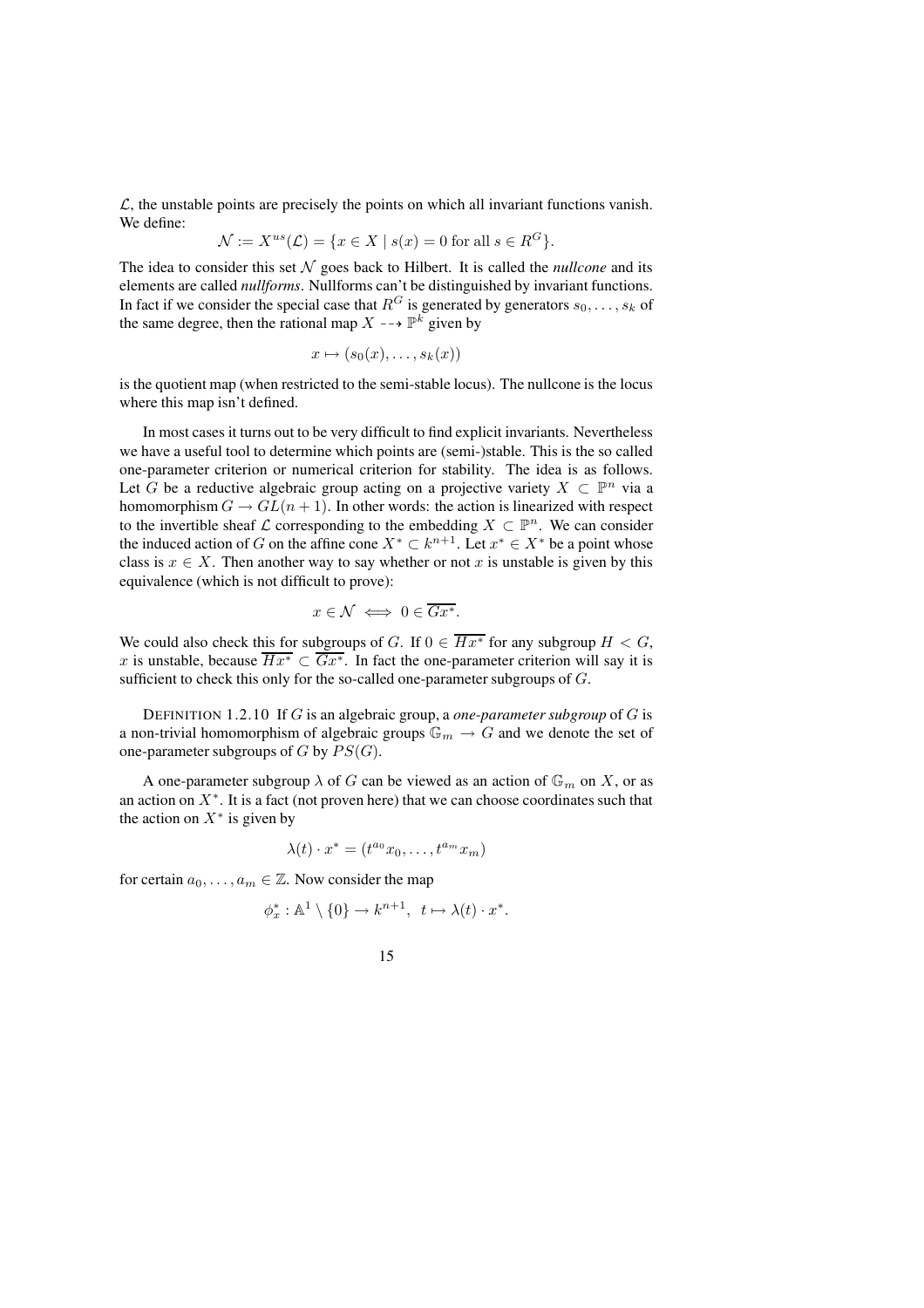$\mathcal{L}$ , the unstable points are precisely the points on which all invariant functions vanish. We define:

$$
\mathcal{N} := X^{us}(\mathcal{L}) = \{ x \in X \mid s(x) = 0 \text{ for all } s \in R^G \}.
$$

The idea to consider this set  $N$  goes back to Hilbert. It is called the *nullcone* and its elements are called *nullforms*. Nullforms can't be distinguished by invariant functions. In fact if we consider the special case that  $R^G$  is generated by generators  $s_0, \ldots, s_k$  of the same degree, then the rational map  $X \dashrightarrow \mathbb{P}^k$  given by

$$
x \mapsto (s_0(x), \dots, s_k(x))
$$

is the quotient map (when restricted to the semi-stable locus). The nullcone is the locus where this map isn't defined.

In most cases it turns out to be very difficult to find explicit invariants. Nevertheless we have a useful tool to determine which points are (semi-)stable. This is the so called one-parameter criterion or numerical criterion for stability. The idea is as follows. Let G be a reductive algebraic group acting on a projective variety  $X \subset \mathbb{P}^n$  via a homomorphism  $G \to GL(n + 1)$ . In other words: the action is linearized with respect to the invertible sheaf  $\mathcal L$  corresponding to the embedding  $X \subset \mathbb P^n$ . We can consider the induced action of G on the affine cone  $X^* \subset k^{n+1}$ . Let  $x^* \in X^*$  be a point whose class is  $x \in X$ . Then another way to say whether or not x is unstable is given by this equivalence (which is not difficult to prove):

$$
x \in \mathcal{N} \iff 0 \in \overline{Gx^*}.
$$

We could also check this for subgroups of G. If  $0 \in \overline{Hx^*}$  for any subgroup  $H < G$ , x is unstable, because  $\overline{Hx^*} \subset \overline{Gx^*}$ . In fact the one-parameter criterion will say it is sufficient to check this only for the so-called one-parameter subgroups of G.

DEFINITION 1.2.10 If G is an algebraic group, a *one-parameter subgroup* of G is a non-trivial homomorphism of algebraic groups  $\mathbb{G}_m \to G$  and we denote the set of one-parameter subgroups of G by  $PS(G)$ .

A one-parameter subgroup  $\lambda$  of G can be viewed as an action of  $\mathbb{G}_m$  on X, or as an action on  $X^*$ . It is a fact (not proven here) that we can choose coordinates such that the action on  $X^*$  is given by

$$
\lambda(t) \cdot x^* = (t^{a_0} x_0, \dots, t^{a_m} x_m)
$$

for certain  $a_0, \ldots, a_m \in \mathbb{Z}$ . Now consider the map

$$
\phi_x^* : \mathbb{A}^1 \setminus \{0\} \to k^{n+1}, \ t \mapsto \lambda(t) \cdot x^*.
$$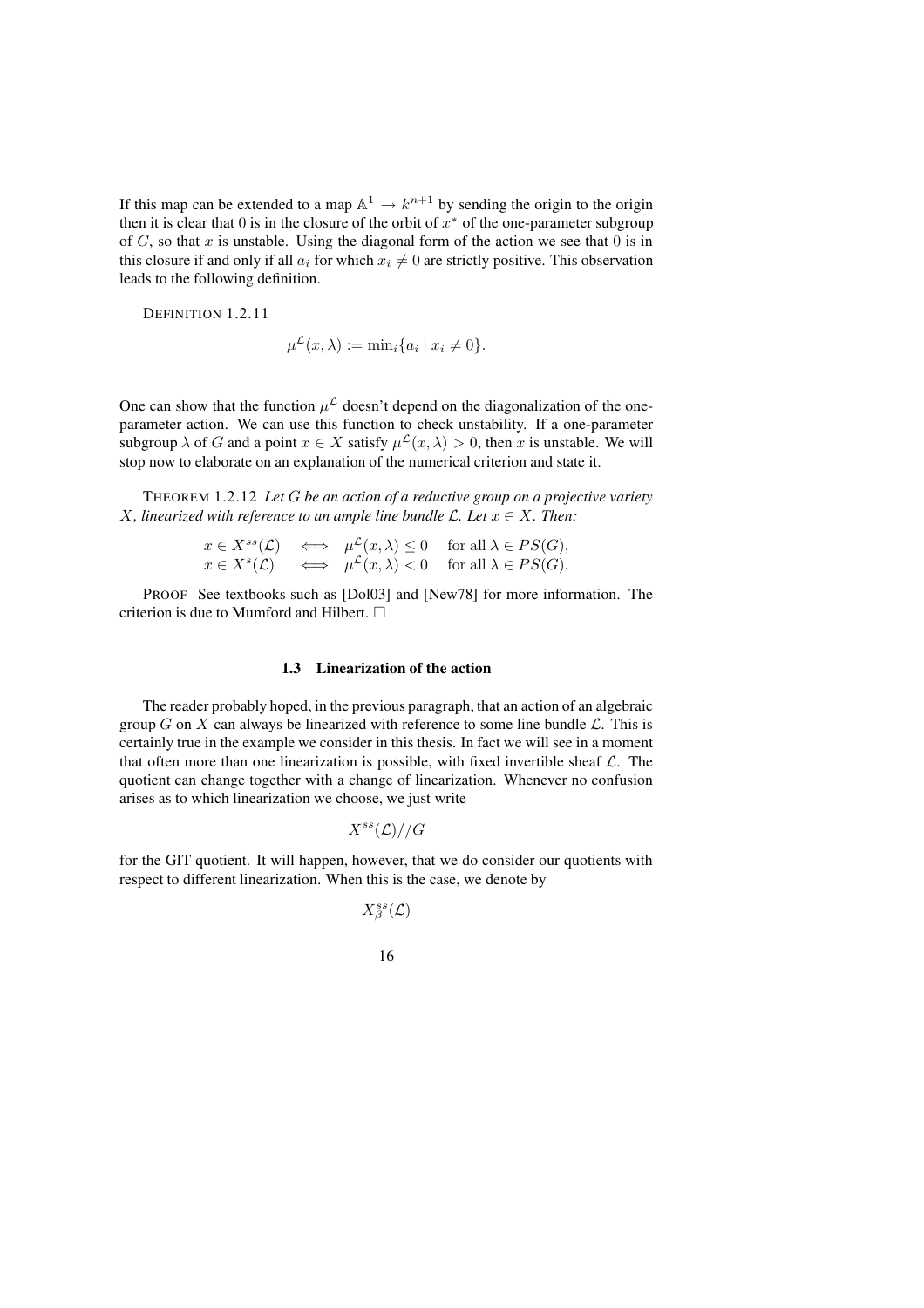If this map can be extended to a map  $\mathbb{A}^1 \to k^{n+1}$  by sending the origin to the origin then it is clear that  $0$  is in the closure of the orbit of  $x^*$  of the one-parameter subgroup of  $G$ , so that  $x$  is unstable. Using the diagonal form of the action we see that  $0$  is in this closure if and only if all  $a_i$  for which  $x_i \neq 0$  are strictly positive. This observation leads to the following definition.

DEFINITION 1.2.11

$$
\mu^{\mathcal{L}}(x,\lambda) := \min_i \{a_i \mid x_i \neq 0\}.
$$

One can show that the function  $\mu^{\mathcal{L}}$  doesn't depend on the diagonalization of the oneparameter action. We can use this function to check unstability. If a one-parameter subgroup  $\lambda$  of G and a point  $x \in X$  satisfy  $\mu^{\mathcal{L}}(x, \lambda) > 0$ , then x is unstable. We will stop now to elaborate on an explanation of the numerical criterion and state it.

THEOREM 1.2.12 *Let* G *be an action of a reductive group on a projective variety X*, *linearized* with *reference to an ample line bundle*  $\mathcal{L}$ *.* Let  $x \in X$ *. Then:* 

$$
x \in X^{ss}(\mathcal{L}) \iff \mu^{\mathcal{L}}(x,\lambda) \le 0 \quad \text{for all } \lambda \in PS(G),
$$
  
\n
$$
x \in X^{s}(\mathcal{L}) \iff \mu^{\mathcal{L}}(x,\lambda) < 0 \quad \text{for all } \lambda \in PS(G).
$$

PROOF See textbooks such as [Dol03] and [New78] for more information. The criterion is due to Mumford and Hilbert.

### **1.3 Linearization of the action**

The reader probably hoped, in the previous paragraph, that an action of an algebraic group G on X can always be linearized with reference to some line bundle  $\mathcal{L}$ . This is certainly true in the example we consider in this thesis. In fact we will see in a moment that often more than one linearization is possible, with fixed invertible sheaf  $\mathcal{L}$ . The quotient can change together with a change of linearization. Whenever no confusion arises as to which linearization we choose, we just write

$$
X^{ss}(\mathcal{L})//G
$$

for the GIT quotient. It will happen, however, that we do consider our quotients with respect to different linearization. When this is the case, we denote by

$$
X^{ss}_{\beta}(\mathcal{L})
$$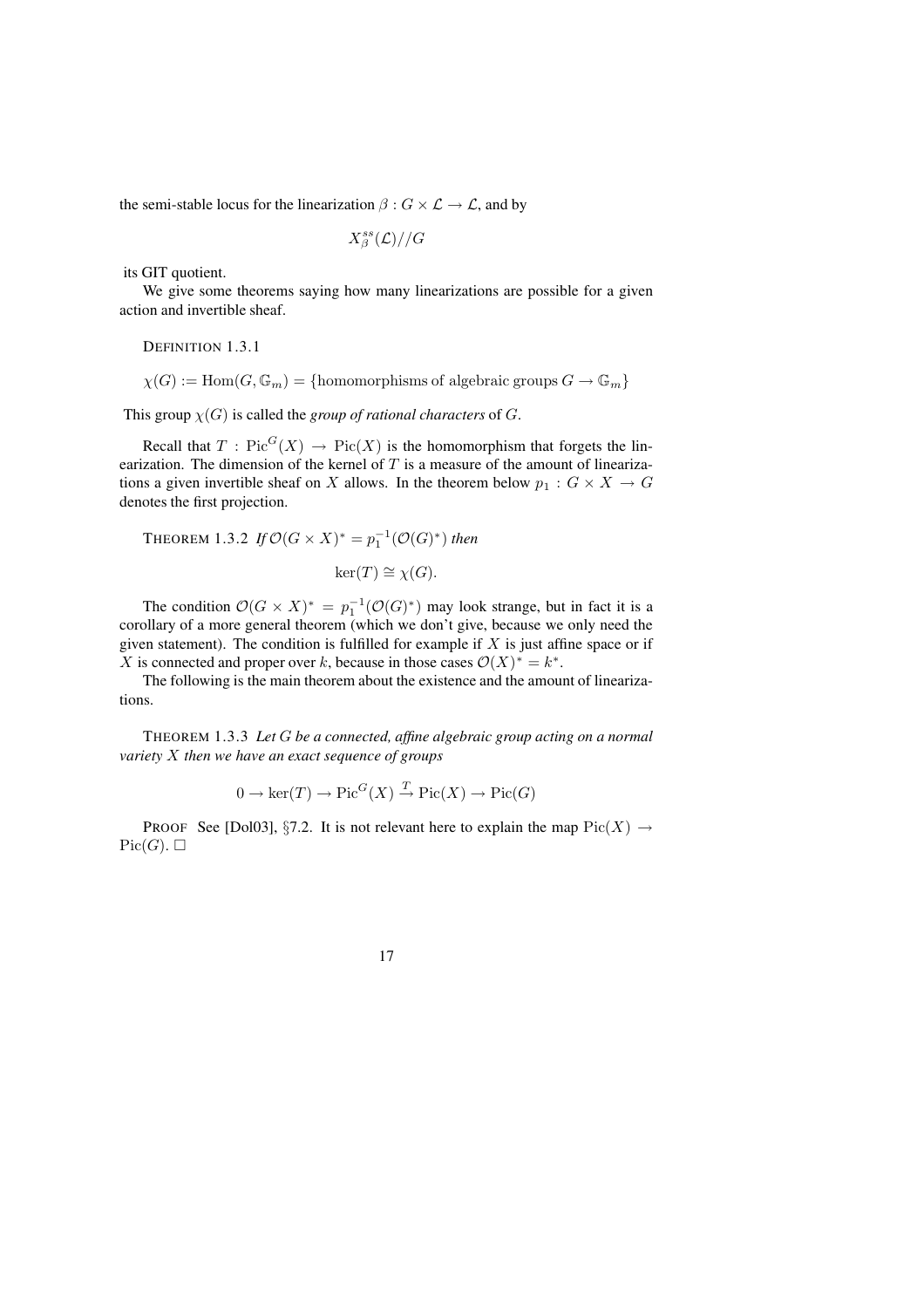the semi-stable locus for the linearization  $\beta : G \times \mathcal{L} \to \mathcal{L}$ , and by

$$
X^{ss}_{\beta}(\mathcal{L})//G
$$

its GIT quotient.

We give some theorems saying how many linearizations are possible for a given action and invertible sheaf.

DEFINITION 1.3.1

 $\chi(G) := \text{Hom}(G, \mathbb{G}_m) = \{\text{homomorphisms of algebraic groups } G \to \mathbb{G}_m\}$ 

This group  $\chi(G)$  is called the *group of rational characters* of G.

Recall that  $T : Pic<sup>G</sup>(X) \rightarrow Pic(X)$  is the homomorphism that forgets the linearization. The dimension of the kernel of  $T$  is a measure of the amount of linearizations a given invertible sheaf on X allows. In the theorem below  $p_1 : G \times X \to G$ denotes the first projection.

**THEOREM** 1.3.2 *If*  $\mathcal{O}(G \times X)^* = p_1^{-1}(\mathcal{O}(G)^*)$  *then*  $\ker(T) \cong \chi(G)$ .

The condition  $\mathcal{O}(G \times X)^* = p_1^{-1}(\mathcal{O}(G)^*)$  may look strange, but in fact it is a corollary of a more general theorem (which we don't give, because we only need the given statement). The condition is fulfilled for example if  $X$  is just affine space or if X is connected and proper over k, because in those cases  $\mathcal{O}(X)^* = k^*$ .

The following is the main theorem about the existence and the amount of linearizations.

THEOREM 1.3.3 *Let* G *be a connected, affine algebraic group acting on a normal variety* X *then we have an exact sequence of groups*

$$
0 \to \ker(T) \to Pic^G(X) \xrightarrow{T} Pic(X) \to Pic(G)
$$

PROOF See [Dol03], §7.2. It is not relevant here to explain the map  $Pic(X) \rightarrow$  $Pic(G). \square$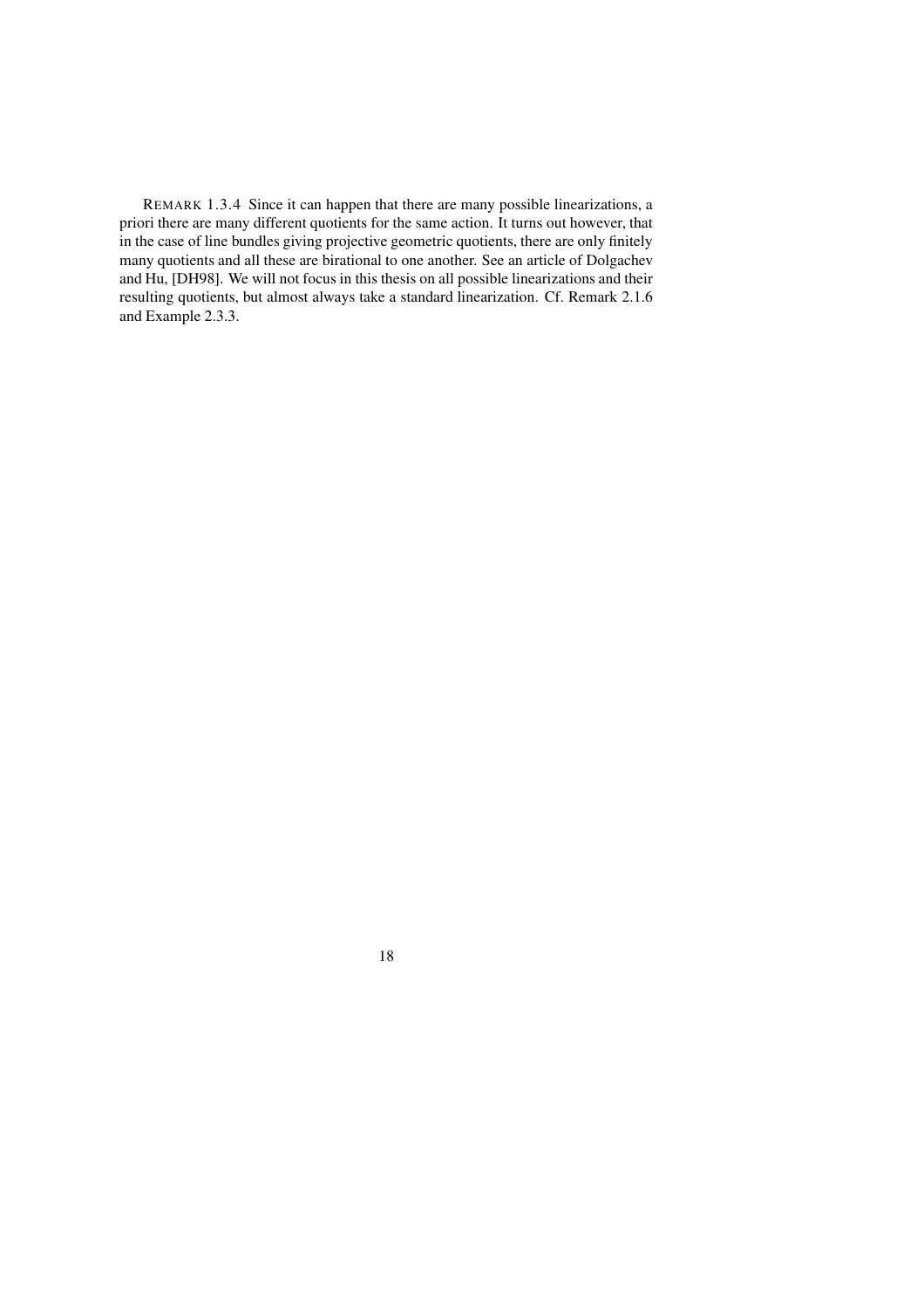REMARK 1.3.4 Since it can happen that there are many possible linearizations, a priori there are many different quotients for the same action. It turns out however, that in the case of line bundles giving projective geometric quotients, there are only finitely many quotients and all these are birational to one another. See an article of Dolgachev and Hu, [DH98]. We will not focus in this thesis on all possible linearizations and their resulting quotients, but almost always take a standard linearization. Cf. Remark 2.1.6 and Example 2.3.3.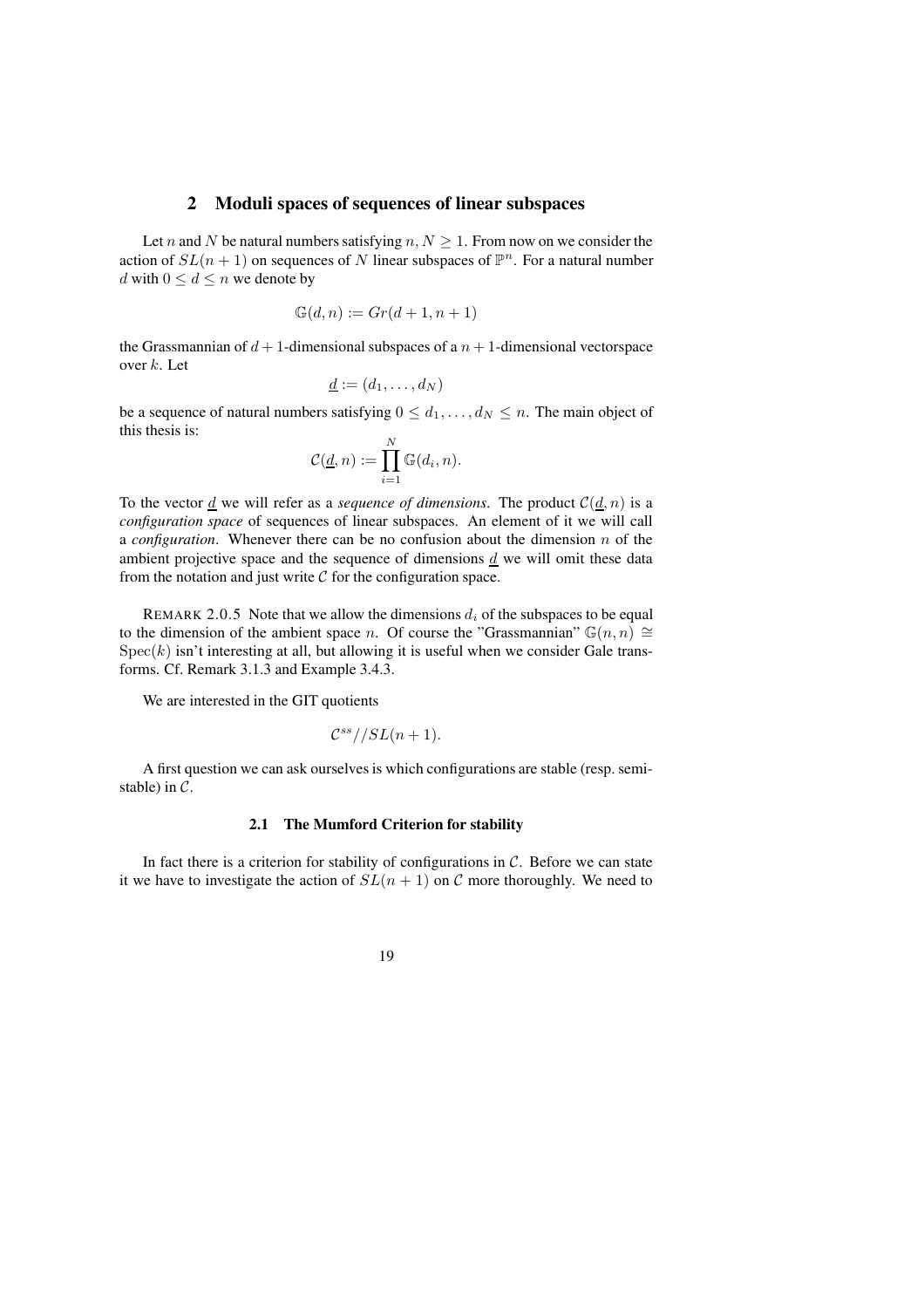### **2 Moduli spaces of sequences of linear subspaces**

Let n and N be natural numbers satisfying  $n, N \geq 1$ . From now on we consider the action of  $SL(n + 1)$  on sequences of N linear subspaces of  $\mathbb{P}^n$ . For a natural number d with  $0 \leq d \leq n$  we denote by

$$
\mathbb{G}(d,n) := Gr(d+1,n+1)
$$

the Grassmannian of  $d+1$ -dimensional subspaces of a  $n+1$ -dimensional vectorspace over  $k$ . Let

$$
\underline{d} := (d_1, \ldots, d_N)
$$

be a sequence of natural numbers satisfying  $0 \leq d_1, \ldots, d_N \leq n$ . The main object of this thesis is:

$$
\mathcal{C}(\underline{d}, n) := \prod_{i=1}^{N} \mathbb{G}(d_i, n).
$$

To the vector  $\underline{d}$  we will refer as a *sequence of dimensions*. The product  $C(\underline{d}, n)$  is a *configuration space* of sequences of linear subspaces. An element of it we will call a *configuration*. Whenever there can be no confusion about the dimension n of the ambient projective space and the sequence of dimensions  $\underline{d}$  we will omit these data from the notation and just write  $C$  for the configuration space.

REMARK 2.0.5 Note that we allow the dimensions  $d_i$  of the subspaces to be equal to the dimension of the ambient space n. Of course the "Grassmannian"  $\mathbb{G}(n, n) \cong$  $Spec(k)$  isn't interesting at all, but allowing it is useful when we consider Gale transforms. Cf. Remark 3.1.3 and Example 3.4.3.

We are interested in the GIT quotients

$$
\mathcal{C}^{ss}//SL(n+1).
$$

A first question we can ask ourselves is which configurations are stable (resp. semistable) in  $\mathcal{C}$ .

#### **2.1 The Mumford Criterion for stability**

In fact there is a criterion for stability of configurations in  $C$ . Before we can state it we have to investigate the action of  $SL(n + 1)$  on C more thoroughly. We need to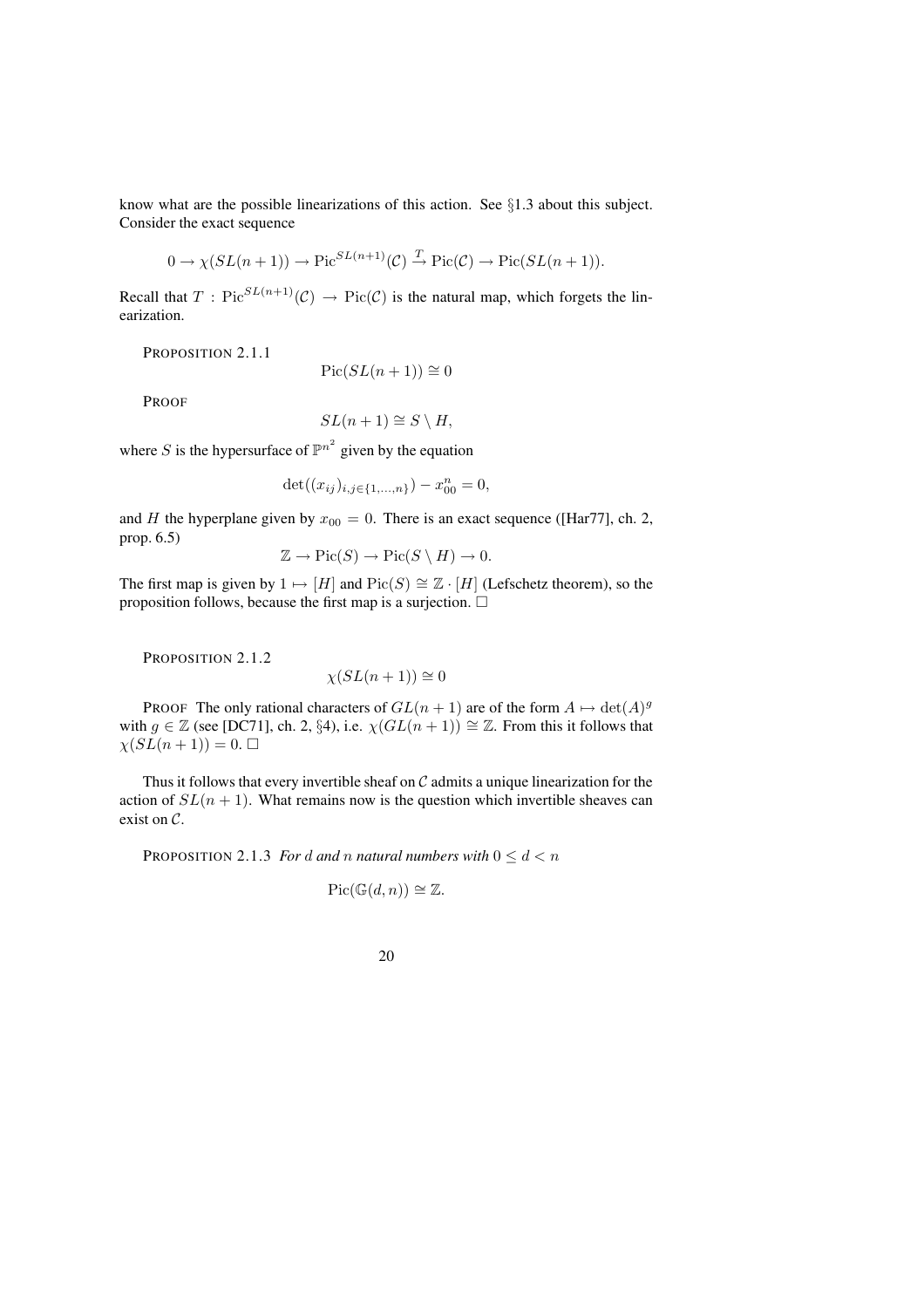know what are the possible linearizations of this action. See §1.3 about this subject. Consider the exact sequence

$$
0 \to \chi(SL(n+1)) \to \text{Pic}^{SL(n+1)}(\mathcal{C}) \xrightarrow{T} \text{Pic}(\mathcal{C}) \to \text{Pic}(SL(n+1)).
$$

Recall that  $T$ : Pic ${}^{SL(n+1)}(\mathcal{C}) \rightarrow Pic(\mathcal{C})$  is the natural map, which forgets the linearization.

PROPOSITION 2.1.1

$$
Pic(SL(n+1)) \cong 0
$$

PROOF

$$
SL(n+1) \cong S \setminus H,
$$

where S is the hypersurface of  $\mathbb{P}^{n^2}$  given by the equation

$$
\det((x_{ij})_{i,j\in\{1,\ldots,n\}}) - x_{00}^n = 0,
$$

and H the hyperplane given by  $x_{00} = 0$ . There is an exact sequence ([Har77], ch. 2, prop. 6.5)

$$
\mathbb{Z} \to \mathrm{Pic}(S) \to \mathrm{Pic}(S \setminus H) \to 0.
$$

The first map is given by  $1 \mapsto [H]$  and  $Pic(S) \cong \mathbb{Z} \cdot [H]$  (Lefschetz theorem), so the proposition follows, because the first map is a surjection.  $\Box$ 

PROPOSITION 2.1.2

$$
\chi(SL(n+1)) \cong 0
$$

PROOF The only rational characters of  $GL(n + 1)$  are of the form  $A \mapsto \det(A)^g$ with  $g \in \mathbb{Z}$  (see [DC71], ch. 2, §4), i.e.  $\chi(GL(n+1)) \cong \mathbb{Z}$ . From this it follows that  $\chi(SL(n+1))=0.$ 

Thus it follows that every invertible sheaf on  $C$  admits a unique linearization for the action of  $SL(n + 1)$ . What remains now is the question which invertible sheaves can exist on C.

PROPOSITION 2.1.3 *For* d and *n natural numbers* with  $0 \le d < n$ 

$$
Pic(\mathbb{G}(d,n)) \cong \mathbb{Z}.
$$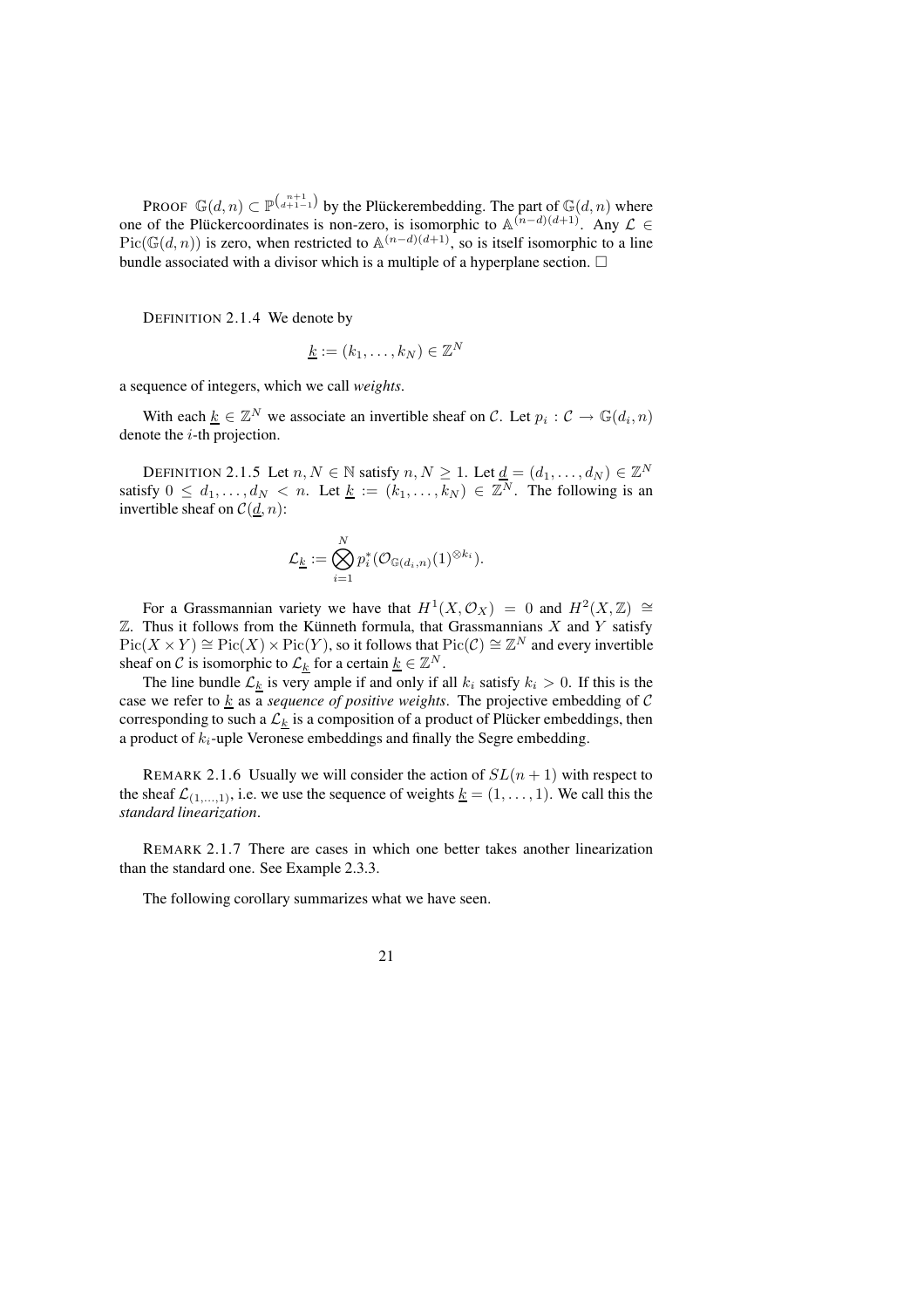PROOF  $\mathbb{G}(d,n) \subset \mathbb{P}^{\binom{n+1}{d+1-1}}$  by the Plückerembedding. The part of  $\mathbb{G}(d,n)$  where one of the Plucker coordinates is non-zero, is isomorphic to  $\mathbb{A}^{(n-d)(d+1)}$ . Any  $\mathcal{L} \in$  $Pic(\mathbb{G}(d,n))$  is zero, when restricted to  $\mathbb{A}^{(n-d)(d+1)}$ , so is itself isomorphic to a line bundle associated with a divisor which is a multiple of a hyperplane section.  $\Box$ 

DEFINITION 2.1.4 We denote by

$$
\underline{k} := (k_1, \ldots, k_N) \in \mathbb{Z}^N
$$

a sequence of integers, which we call *weights*.

With each  $\underline{k} \in \mathbb{Z}^N$  we associate an invertible sheaf on C. Let  $p_i : C \to \mathbb{G}(d_i, n)$ denote the  $i$ -th projection.

DEFINITION 2.1.5 Let  $n, N \in \mathbb{N}$  satisfy  $n, N \ge 1$ . Let  $\underline{d} = (d_1, \ldots, d_N) \in \mathbb{Z}^N$ satisfy  $0 \le d_1, \ldots, d_N < n$ . Let  $\underline{k} := (k_1, \ldots, k_N) \in \mathbb{Z}^N$ . The following is an invertible sheaf on  $C(\underline{d}, n)$ :

$$
\mathcal{L}_{\underline{k}}:=\bigotimes_{i=1}^N p_i^*(\mathcal{O}_{\mathbb{G}(d_i,n)}(1)^{\otimes k_i}).
$$

For a Grassmannian variety we have that  $H^1(X, \mathcal{O}_X) = 0$  and  $H^2(X, \mathbb{Z}) \cong$  $\mathbb Z$ . Thus it follows from the Künneth formula, that Grassmannians X and Y satisfy  $Pic(X \times Y) \cong Pic(X) \times Pic(Y)$ , so it follows that  $Pic(\mathcal{C}) \cong \mathbb{Z}^N$  and every invertible sheaf on C is isomorphic to  $\mathcal{L}_k$  for a certain  $\underline{k} \in \mathbb{Z}^N$ .

The line bundle  $\mathcal{L}_k$  is very ample if and only if all  $k_i$  satisfy  $k_i > 0$ . If this is the case we refer to  $k$  as a *sequence* of *positive weights*. The projective embedding of C corresponding to such a  $\mathcal{L}_k$  is a composition of a product of Plücker embeddings, then a product of  $k_i$ -uple Veronese embeddings and finally the Segre embedding.

REMARK 2.1.6 Usually we will consider the action of  $SL(n + 1)$  with respect to the sheaf  $\mathcal{L}_{(1,...,1)}$ , i.e. we use the sequence of weights  $\underline{k} = (1, \ldots, 1)$ . We call this the *standard linearization*.

REMARK 2.1.7 There are cases in which one better takes another linearization than the standard one. See Example 2.3.3.

The following corollary summarizes what we have seen.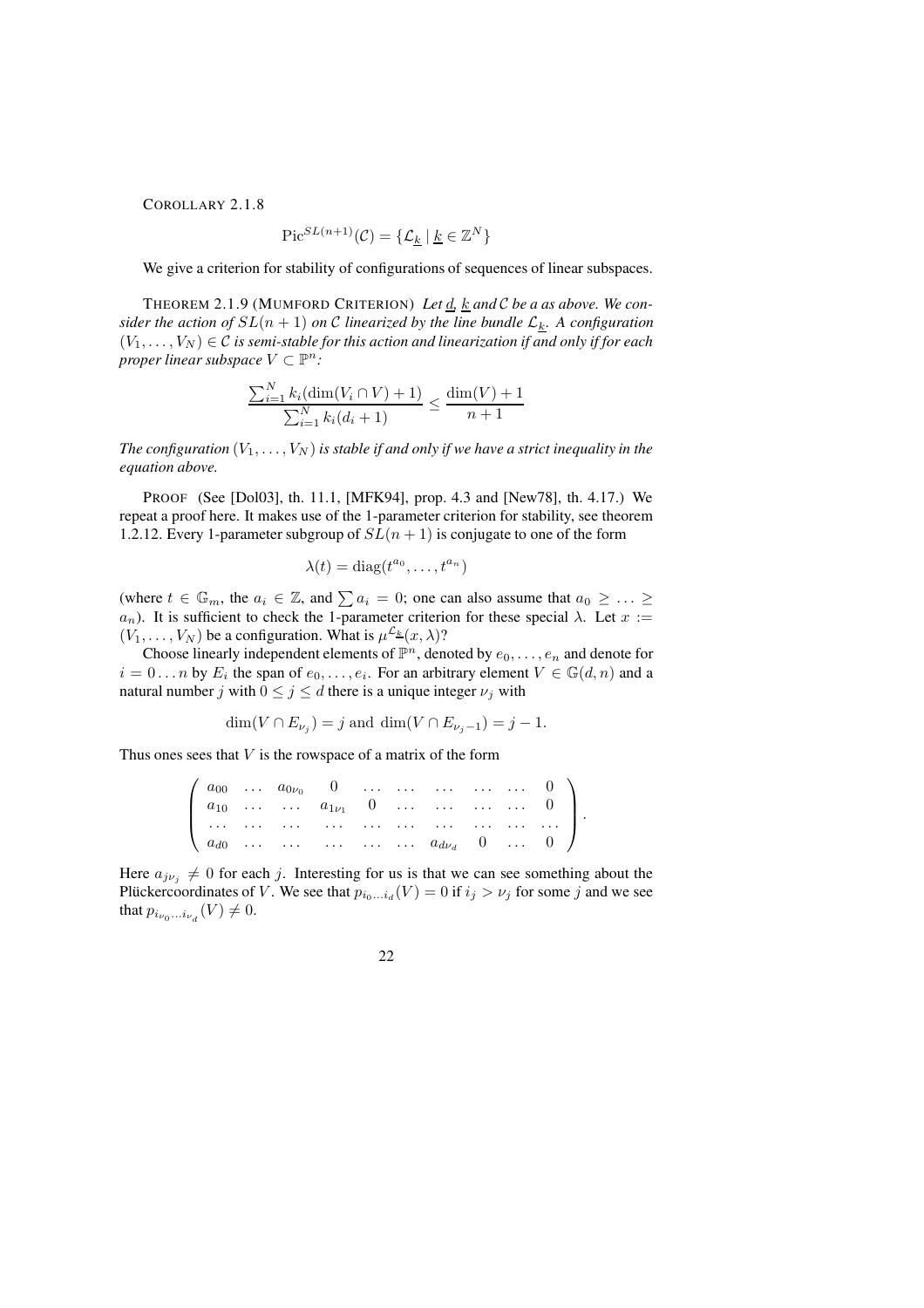COROLLARY 2.1.8

$$
\operatorname{Pic}^{SL(n+1)}(\mathcal{C}) = \{ \mathcal{L}_k \mid \underline{k} \in \mathbb{Z}^N \}
$$

We give a criterion for stability of configurations of sequences of linear subspaces.

THEOREM 2.1.9 (MUMFORD CRITERION) *Let* d*,* k *and* C *be a as above. We consider* the action of  $SL(n + 1)$  on C linearized by the line bundle  $\mathcal{L}_k$ . A configuration  $(V_1, \ldots, V_N) \in \mathcal{C}$  *is semi-stable for this action and linearization if and only if for each proper linear subspace*  $V \subset \mathbb{P}^n$ :

$$
\frac{\sum_{i=1}^{N} k_i (\dim(V_i \cap V) + 1)}{\sum_{i=1}^{N} k_i (d_i + 1)} \le \frac{\dim(V) + 1}{n + 1}
$$

*The configuration*  $(V_1, \ldots, V_N)$  *is stable if and only if we have a strict inequality in the equation above.*

PROOF (See [Dol03], th. 11.1, [MFK94], prop. 4.3 and [New78], th. 4.17.) We repeat a proof here. It makes use of the 1-parameter criterion for stability, see theorem 1.2.12. Every 1-parameter subgroup of  $SL(n + 1)$  is conjugate to one of the form

$$
\lambda(t) = \text{diag}(t^{a_0}, \dots, t^{a_n})
$$

(where  $t \in \mathbb{G}_m$ , the  $a_i \in \mathbb{Z}$ , and  $\sum a_i = 0$ ; one can also assume that  $a_0 \geq \ldots \geq a_n$  $a_n$ ). It is sufficient to check the 1-parameter criterion for these special  $\lambda$ . Let  $x :=$  $(V_1, \ldots, V_N)$  be a configuration. What is  $\mu^{\mathcal{L}_k}(x, \lambda)$ ?

Choose linearly independent elements of  $\mathbb{P}^n$ , denoted by  $e_0, \ldots, e_n$  and denote for  $i = 0 \dots n$  by  $E_i$  the span of  $e_0, \dots, e_i$ . For an arbitrary element  $V \in \mathbb{G}(d, n)$  and a natural number j with  $0 \le j \le d$  there is a unique integer  $\nu_j$  with

$$
\dim(V \cap E_{\nu_j}) = j
$$
 and  $\dim(V \cap E_{\nu_j - 1}) = j - 1$ .

Thus ones sees that  $V$  is the rowspace of a matrix of the form

|  |  |  | $\left(\begin{array}{ccccccccc}\na_{00} & \dots & a_{0\nu_0} & 0 & \dots & \dots & \dots & \dots & 0 \\ a_{10} & \dots & \dots & a_{1\nu_1} & 0 & \dots & \dots & \dots & 0\n\end{array}\right)$ |  |  |
|--|--|--|--------------------------------------------------------------------------------------------------------------------------------------------------------------------------------------------------|--|--|
|  |  |  |                                                                                                                                                                                                  |  |  |
|  |  |  | $\begin{pmatrix} a_{d0} & \dots & \dots & \dots & \dots & a_{d\nu_d} & 0 & \dots & 0 \end{pmatrix}$                                                                                              |  |  |

Here  $a_{j\nu_j} \neq 0$  for each j. Interesting for us is that we can see something about the Plückercoordinates of V. We see that  $p_{i_0...i_d}(V) = 0$  if  $i_j > \nu_j$  for some j and we see that  $p_{i_{\nu_0}...i_{\nu_d}}(V) \neq 0$ .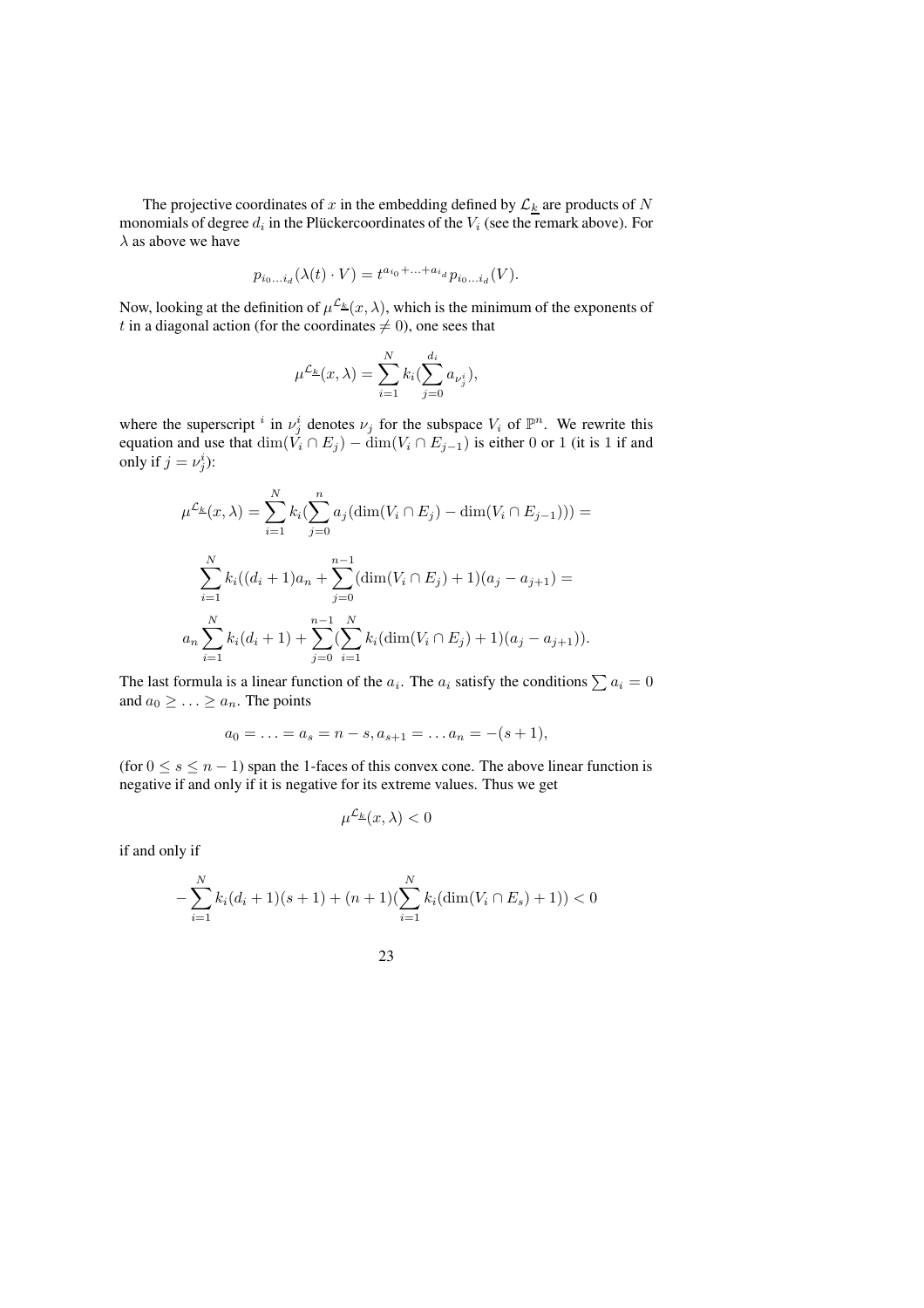The projective coordinates of x in the embedding defined by  $\mathcal{L}_k$  are products of N monomials of degree  $d_i$  in the Plückercoordinates of the  $V_i$  (see the remark above). For  $\lambda$  as above we have

$$
p_{i_0...i_d}(\lambda(t) \cdot V) = t^{a_{i_0}+...+a_{i_d}} p_{i_0...i_d}(V).
$$

Now, looking at the definition of  $\mu^{\mathcal{L}_{\underline{k}}}(x,\lambda)$ , which is the minimum of the exponents of t in a diagonal action (for the coordinates  $\neq 0$ ), one sees that

$$
\mu^{\mathcal{L}_{\underline{k}}}(x,\lambda) = \sum_{i=1}^{N} k_i (\sum_{j=0}^{d_i} a_{\nu_j^i}),
$$

where the superscript <sup>i</sup> in  $\nu_j^i$  denotes  $\nu_j$  for the subspace  $V_i$  of  $\mathbb{P}^n$ . We rewrite this equation and use that  $\dim(V_i \cap E_j) - \dim(V_i \cap E_{j-1})$  is either 0 or 1 (it is 1 if and only if  $j = \nu_j^i$ ):

$$
\mu^{\mathcal{L}_{\underline{k}}}(x,\lambda) = \sum_{i=1}^{N} k_i \left( \sum_{j=0}^{n} a_j (\dim(V_i \cap E_j) - \dim(V_i \cap E_{j-1})) \right) =
$$
  

$$
\sum_{i=1}^{N} k_i ((d_i + 1)a_n + \sum_{j=0}^{n-1} (\dim(V_i \cap E_j) + 1)(a_j - a_{j+1}) =
$$
  

$$
a_n \sum_{i=1}^{N} k_i (d_i + 1) + \sum_{j=0}^{n-1} (\sum_{i=1}^{N} k_i (\dim(V_i \cap E_j) + 1)(a_j - a_{j+1})).
$$

The last formula is a linear function of the  $a_i$ . The  $a_i$  satisfy the conditions  $\sum a_i = 0$ and  $a_0 \geq \ldots \geq a_n$ . The points

$$
a_0 = \ldots = a_s = n - s, a_{s+1} = \ldots a_n = -(s+1),
$$

(for  $0 \le s \le n - 1$ ) span the 1-faces of this convex cone. The above linear function is negative if and only if it is negative for its extreme values. Thus we get

$$
\mu^{\mathcal{L}_{\underline{k}}}(x,\lambda) < 0
$$

if and only if

$$
-\sum_{i=1}^{N} k_i (d_i + 1)(s + 1) + (n + 1)(\sum_{i=1}^{N} k_i (\dim(V_i \cap E_s) + 1)) < 0
$$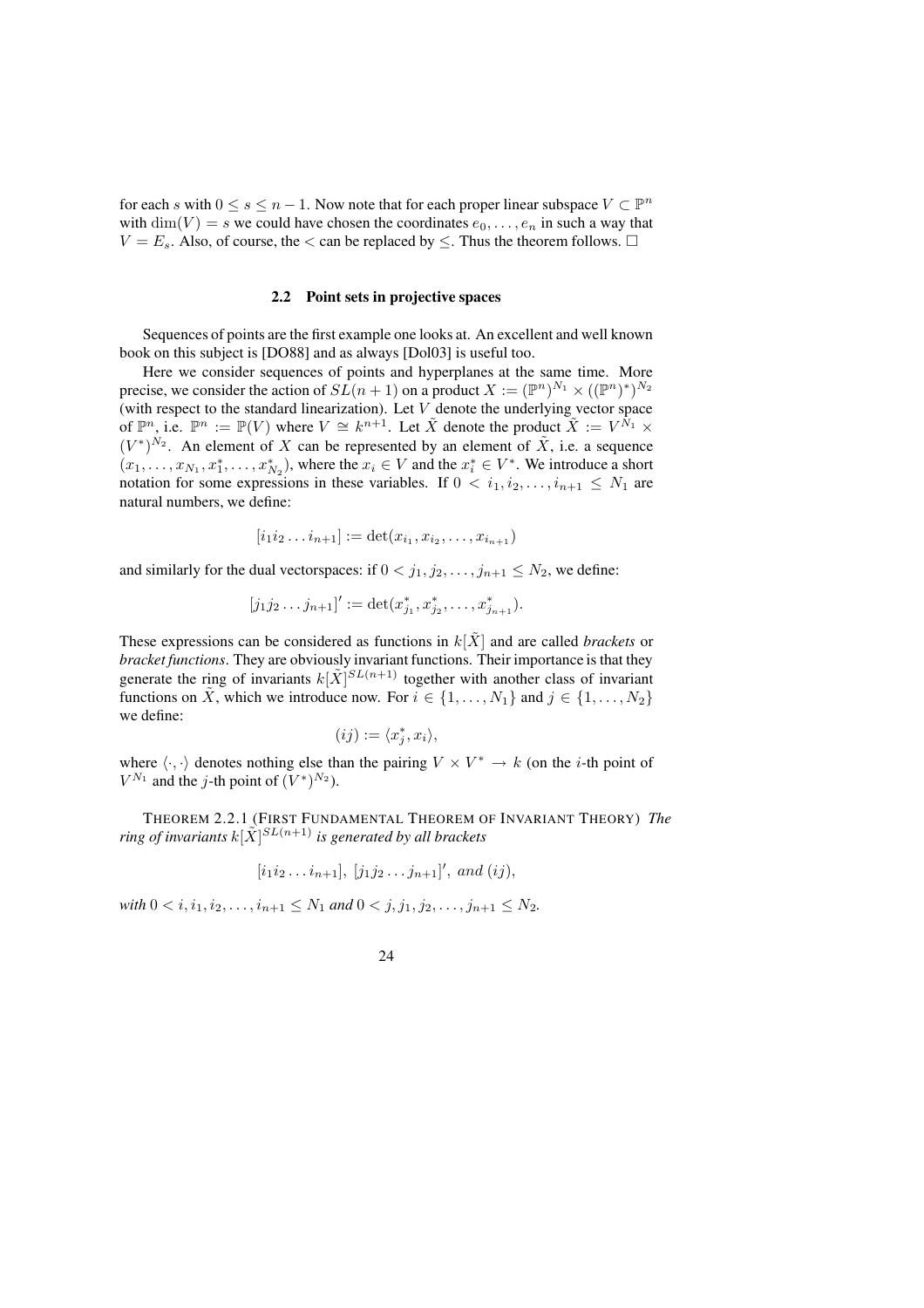for each s with  $0 \le s \le n - 1$ . Now note that for each proper linear subspace  $V \subset \mathbb{P}^n$ with  $\dim(V) = s$  we could have chosen the coordinates  $e_0, \ldots, e_n$  in such a way that  $V = E_s$ . Also, of course, the < can be replaced by  $\leq$ . Thus the theorem follows.  $\Box$ 

#### **2.2 Point sets in projective spaces**

Sequences of points are the first example one looks at. An excellent and well known book on this subject is [DO88] and as always [Dol03] is useful too.

Here we consider sequences of points and hyperplanes at the same time. More precise, we consider the action of  $SL(n + 1)$  on a product  $X := (\mathbb{P}^n)^{N_1} \times ((\mathbb{P}^n)^*)^{N_2}$ (with respect to the standard linearization). Let  $V$  denote the underlying vector space of  $\mathbb{P}^n$ , i.e.  $\mathbb{P}^n := \mathbb{P}(V)$  where  $V \cong k^{n+1}$ . Let  $\tilde{X}$  denote the product  $\tilde{X} := V^{\tilde{N}_1} \times$  $(V^*)^{N_2}$ . An element of X can be represented by an element of  $\tilde{X}$ , i.e. a sequence  $(x_1, \ldots, x_{N_1}, x_1^*, \ldots, x_{N_2}^*)$ , where the  $x_i \in V$  and the  $x_i^* \in V^*$ . We introduce a short notation for some expressions in these variables. If  $0 < i_1, i_2, \ldots, i_{n+1} \leq N_1$  are natural numbers, we define:

$$
[i_1 i_2 \dots i_{n+1}] := \det(x_{i_1}, x_{i_2}, \dots, x_{i_{n+1}})
$$

and similarly for the dual vectorspaces: if  $0 < j_1, j_2, \ldots, j_{n+1} \leq N_2$ , we define:

$$
[j_1j_2...j_{n+1}]':=\det(x_{j_1}^*,x_{j_2}^*,...,x_{j_{n+1}}^*).
$$

These expressions can be considered as functions in  $k[\tilde{X}]$  and are called *brackets* or *bracket functions*. They are obviously invariant functions. Their importance is that they generate the ring of invariants  $k[\tilde{X}]^{SL(n+1)}$  together with another class of invariant functions on  $\tilde{X}$ , which we introduce now. For  $i \in \{1, \ldots, N_1\}$  and  $j \in \{1, \ldots, N_2\}$ we define:

$$
(ij) := \langle x_j^*, x_i \rangle,
$$

where  $\langle \cdot, \cdot \rangle$  denotes nothing else than the pairing  $V \times V^* \to k$  (on the *i*-th point of  $V^{N_1}$  and the *j*-th point of  $(V^*)^{N_2}$ ).

THEOREM 2.2.1 (FIRST FUNDAMENTAL THEOREM OF INVARIANT THEORY) *The* ring of invariants  $k[\tilde{X}]^{SL(n+1)}$  is generated by all brackets

$$
[i_1i_2...i_{n+1}], [j_1j_2...j_{n+1}], and (ij),
$$

*with*  $0 < i, i_1, i_2, \ldots, i_{n+1} \leq N_1$  *and*  $0 < j, j_1, j_2, \ldots, j_{n+1} \leq N_2$ .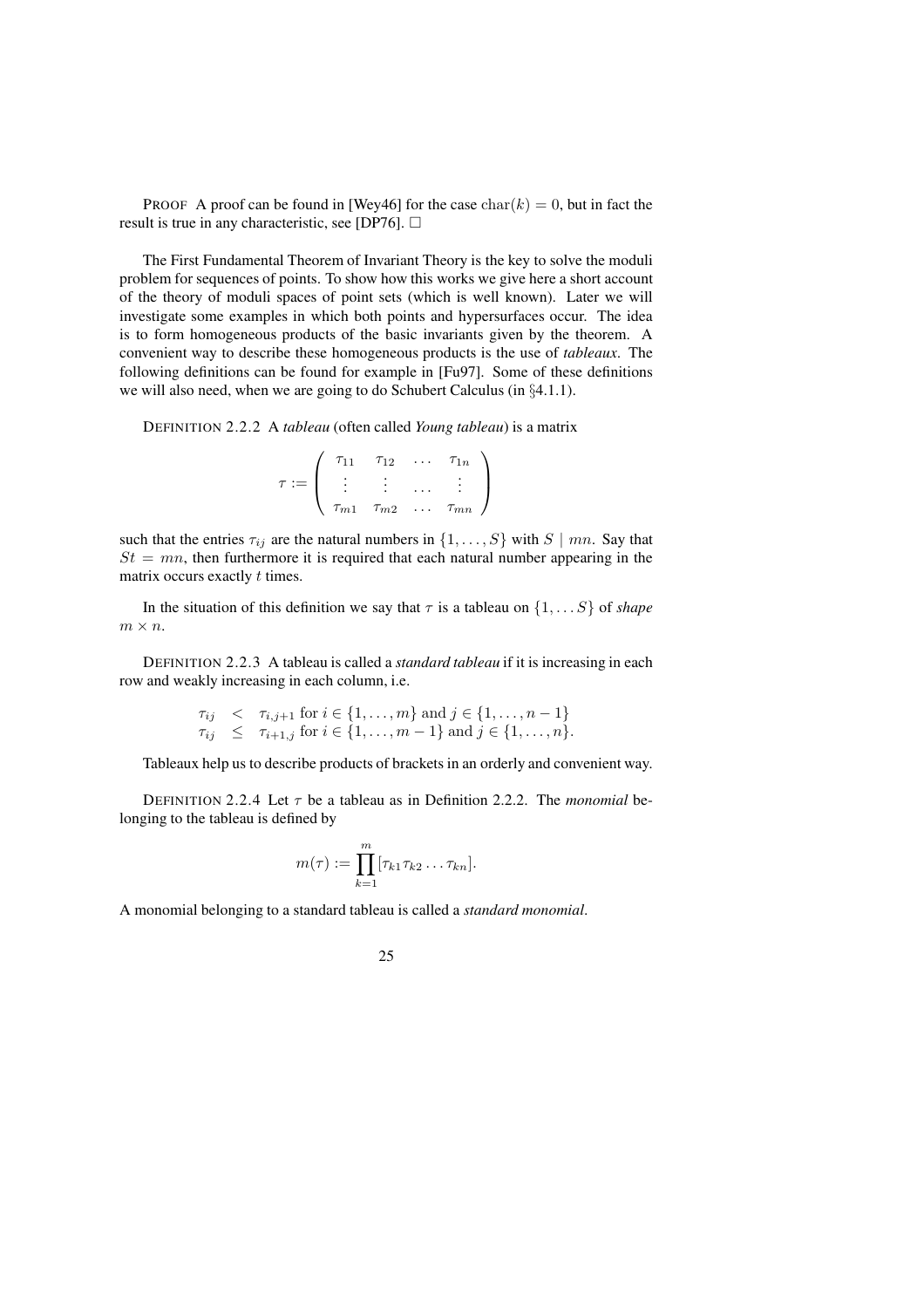**PROOF** A proof can be found in [Wey46] for the case  $char(k) = 0$ , but in fact the result is true in any characteristic, see [DP76].  $\Box$ 

The First Fundamental Theorem of Invariant Theory is the key to solve the moduli problem for sequences of points. To show how this works we give here a short account of the theory of moduli spaces of point sets (which is well known). Later we will investigate some examples in which both points and hypersurfaces occur. The idea is to form homogeneous products of the basic invariants given by the theorem. A convenient way to describe these homogeneous products is the use of *tableaux*. The following definitions can be found for example in [Fu97]. Some of these definitions we will also need, when we are going to do Schubert Calculus (in §4.1.1).

DEFINITION 2.2.2 A *tableau* (often called *Young tableau*) is a matrix

| $T_{11}$ | $\tau_{12}$                         | $\cdots$ | $\tau_{1n}$ |  |
|----------|-------------------------------------|----------|-------------|--|
|          |                                     |          |             |  |
|          | $\tau_{m1}$ $\tau_{m2}$ $\tau_{mn}$ |          |             |  |

such that the entries  $\tau_{ij}$  are the natural numbers in  $\{1, \ldots, S\}$  with  $S \mid mn$ . Say that  $St = mn$ , then furthermore it is required that each natural number appearing in the matrix occurs exactly t times.

In the situation of this definition we say that  $\tau$  is a tableau on  $\{1, \ldots S\}$  of *shape*  $m \times n$ .

DEFINITION 2.2.3 A tableau is called a *standard tableau* if it is increasing in each row and weakly increasing in each column, i.e.

$$
\tau_{ij} < \tau_{i,j+1} \text{ for } i \in \{1, \dots, m\} \text{ and } j \in \{1, \dots, n-1\}
$$
\n
$$
\tau_{ij} \leq \tau_{i+1,j} \text{ for } i \in \{1, \dots, m-1\} \text{ and } j \in \{1, \dots, n\}.
$$

Tableaux help us to describe products of brackets in an orderly and convenient way.

DEFINITION 2.2.4 Let  $\tau$  be a tableau as in Definition 2.2.2. The *monomial* belonging to the tableau is defined by

$$
m(\tau) := \prod_{k=1}^m [\tau_{k1} \tau_{k2} \dots \tau_{kn}].
$$

A monomial belonging to a standard tableau is called a *standard monomial*.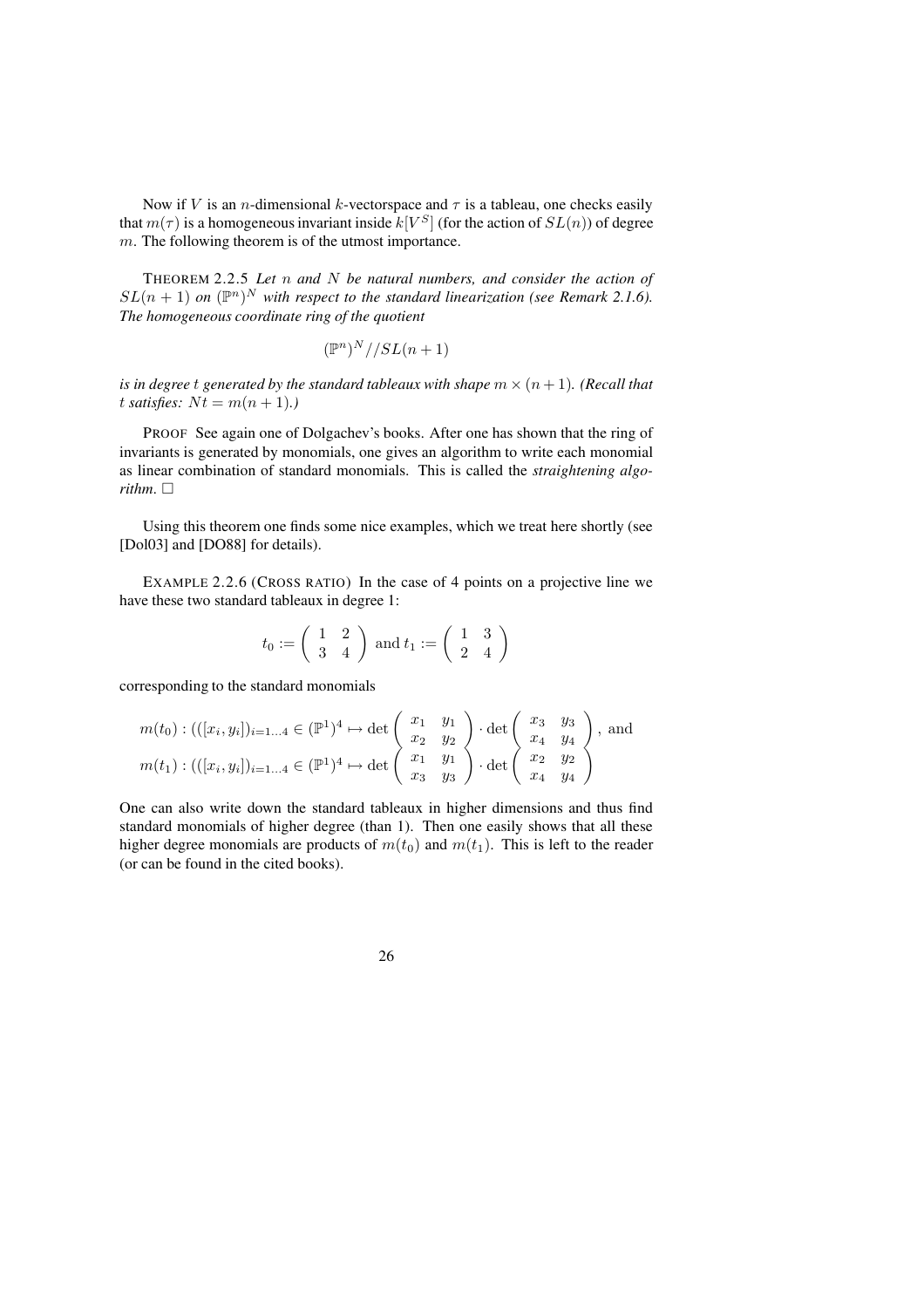Now if V is an *n*-dimensional k-vectorspace and  $\tau$  is a tableau, one checks easily that  $m(\tau)$  is a homogeneous invariant inside  $k[V^S]$  (for the action of  $SL(n)$ ) of degree m. The following theorem is of the utmost importance.

THEOREM 2.2.5 *Let* n *and* N *be natural numbers, and consider the action of*  $SL(n + 1)$  on  $(\mathbb{P}^n)^N$  with respect to the standard linearization (see Remark 2.1.6). *The homogeneous coordinate ring of the quotient*

$$
(\mathbb{P}^n)^N//SL(n+1)
$$

*is* in degree t generated by the standard tableaux with shape  $m \times (n + 1)$ . (Recall that t *satisfies*:  $Nt = m(n + 1)$ .

PROOF See again one of Dolgachev's books. After one has shown that the ring of invariants is generated by monomials, one gives an algorithm to write each monomial as linear combination of standard monomials. This is called the *straightening algorithm*.  $\Box$ 

Using this theorem one finds some nice examples, which we treat here shortly (see [Dol03] and [DO88] for details).

EXAMPLE 2.2.6 (CROSS RATIO) In the case of 4 points on a projective line we have these two standard tableaux in degree 1:

$$
t_0 := \left(\begin{array}{cc} 1 & 2 \\ 3 & 4 \end{array}\right) \text{ and } t_1 := \left(\begin{array}{cc} 1 & 3 \\ 2 & 4 \end{array}\right)
$$

corresponding to the standard monomials

$$
m(t_0) : (((x_i, y_i])_{i=1...4} \in (\mathbb{P}^1)^4 \mapsto \det \begin{pmatrix} x_1 & y_1 \\ x_2 & y_2 \\ x_3 & y_3 \end{pmatrix} \cdot \det \begin{pmatrix} x_3 & y_3 \\ x_4 & y_4 \\ x_4 & y_4 \end{pmatrix}, \text{ and}
$$

$$
m(t_1) : (((x_i, y_i])_{i=1...4} \in (\mathbb{P}^1)^4 \mapsto \det \begin{pmatrix} x_1 & y_1 \\ x_3 & y_3 \\ x_3 & y_3 \end{pmatrix} \cdot \det \begin{pmatrix} x_3 & y_3 \\ x_4 & y_4 \\ x_4 & y_4 \end{pmatrix},
$$

One can also write down the standard tableaux in higher dimensions and thus find standard monomials of higher degree (than 1). Then one easily shows that all these higher degree monomials are products of  $m(t_0)$  and  $m(t_1)$ . This is left to the reader (or can be found in the cited books).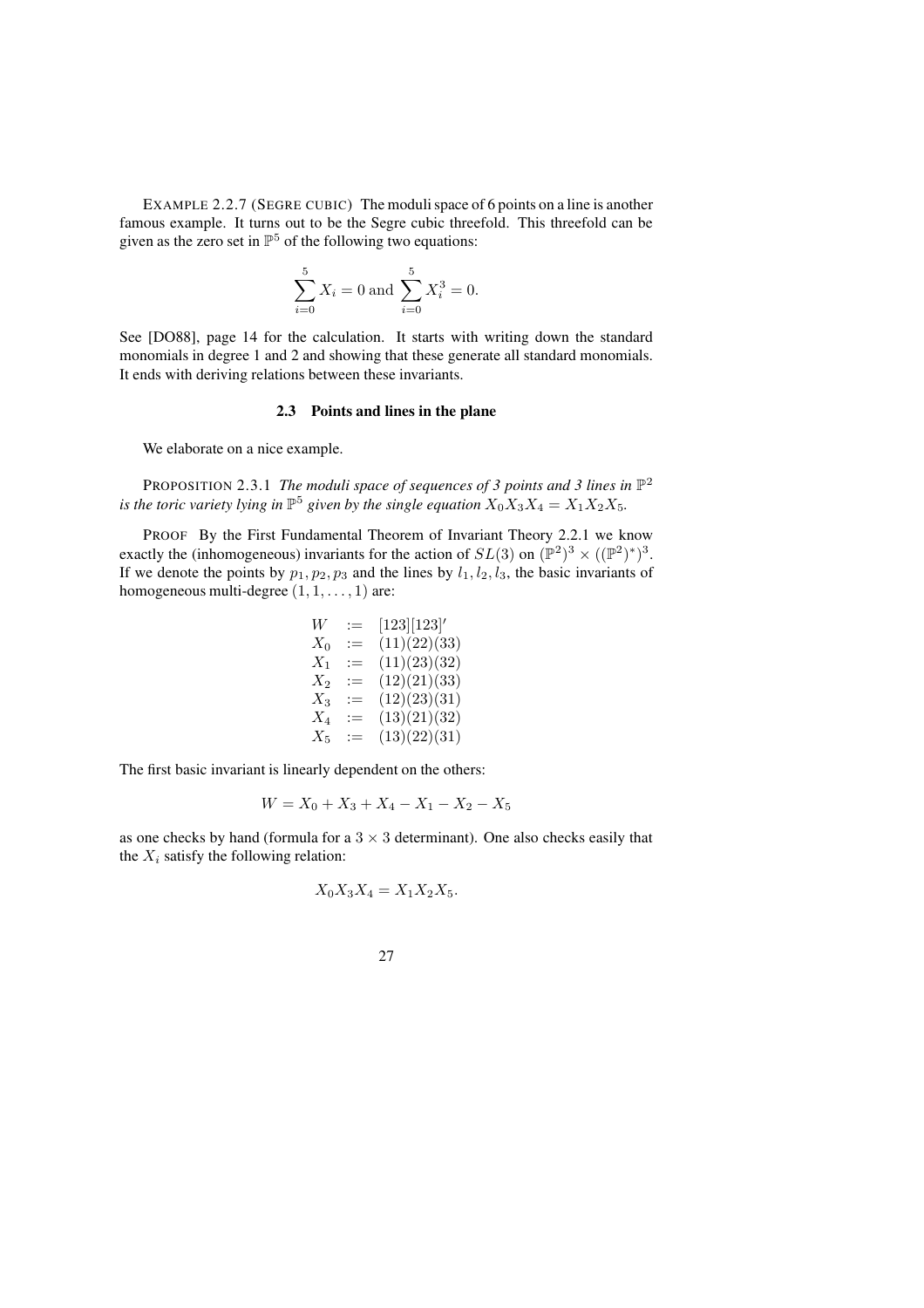EXAMPLE 2.2.7 (SEGRE CUBIC) The moduli space of 6 points on a line is another famous example. It turns out to be the Segre cubic threefold. This threefold can be given as the zero set in  $\mathbb{P}^5$  of the following two equations:

$$
\sum_{i=0}^{5} X_i = 0 \text{ and } \sum_{i=0}^{5} X_i^3 = 0.
$$

See [DO88], page 14 for the calculation. It starts with writing down the standard monomials in degree 1 and 2 and showing that these generate all standard monomials. It ends with deriving relations between these invariants.

### **2.3 Points and lines in the plane**

We elaborate on a nice example.

PROPOSITION 2.3.1 *The moduli space of sequences of 3 points and 3 lines in* P 2 *is* the toric variety lying in  $\mathbb{P}^5$  given by the single equation  $X_0X_3X_4 = X_1X_2X_5$ .

PROOF By the First Fundamental Theorem of Invariant Theory 2.2.1 we know exactly the (inhomogeneous) invariants for the action of  $SL(3)$  on  $(\mathbb{P}^2)^3 \times ((\mathbb{P}^2)^*)^3$ . If we denote the points by  $p_1, p_2, p_3$  and the lines by  $l_1, l_2, l_3$ , the basic invariants of homogeneous multi-degree  $(1, 1, \ldots, 1)$  are:

$$
W := [123][123]'
$$
  
\n
$$
X_0 := (11)(22)(33)
$$
  
\n
$$
X_1 := (11)(23)(32)
$$
  
\n
$$
X_2 := (12)(21)(33)
$$
  
\n
$$
X_3 := (12)(23)(31)
$$
  
\n
$$
X_4 := (13)(21)(32)
$$
  
\n
$$
X_5 := (13)(22)(31)
$$

The first basic invariant is linearly dependent on the others:

$$
W = X_0 + X_3 + X_4 - X_1 - X_2 - X_5
$$

as one checks by hand (formula for a  $3 \times 3$  determinant). One also checks easily that the  $X_i$  satisfy the following relation:

$$
X_0 X_3 X_4 = X_1 X_2 X_5.
$$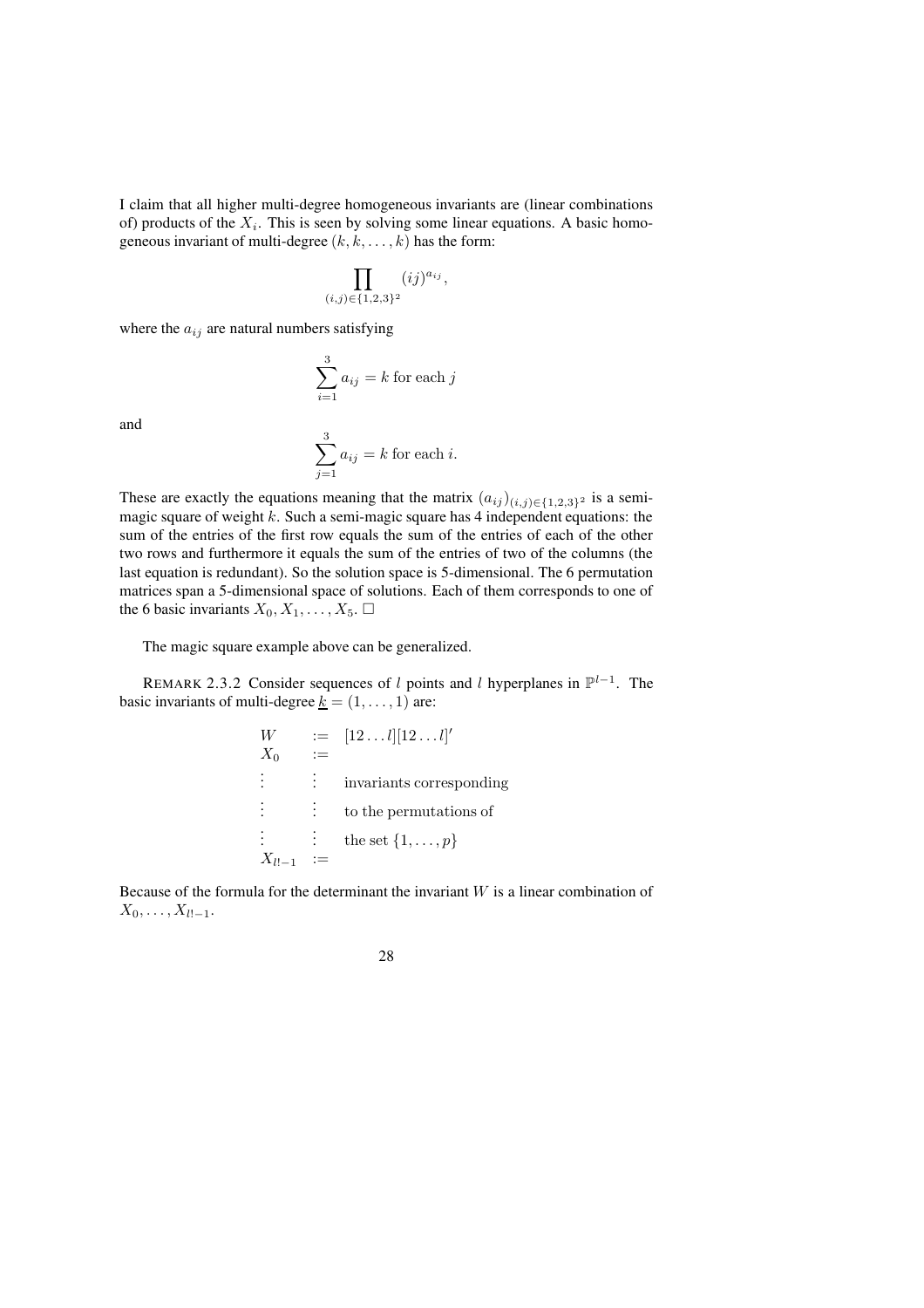I claim that all higher multi-degree homogeneous invariants are (linear combinations of) products of the  $X_i$ . This is seen by solving some linear equations. A basic homogeneous invariant of multi-degree  $(k, k, \dots, k)$  has the form:

$$
\prod_{(i,j)\in\{1,2,3\}^2} (ij)^{a_{ij}},
$$

where the  $a_{ij}$  are natural numbers satisfying

$$
\sum_{i=1}^{3} a_{ij} = k \text{ for each } j
$$

and

$$
\sum_{j=1}^{3} a_{ij} = k
$$
 for each *i*.

These are exactly the equations meaning that the matrix  $(a_{ij})_{(i,j)\in\{1,2,3\}^2}$  is a semimagic square of weight  $k$ . Such a semi-magic square has 4 independent equations: the sum of the entries of the first row equals the sum of the entries of each of the other two rows and furthermore it equals the sum of the entries of two of the columns (the last equation is redundant). So the solution space is 5-dimensional. The 6 permutation matrices span a 5-dimensional space of solutions. Each of them corresponds to one of the 6 basic invariants  $X_0, X_1, \ldots, X_5$ .  $\Box$ 

The magic square example above can be generalized.

REMARK 2.3.2 Consider sequences of l points and l hyperplanes in  $\mathbb{P}^{l-1}$ . The basic invariants of multi-degree  $\underline{k} = (1, \ldots, 1)$  are:

$$
W := [12...l][12...l]'
$$
  
\n
$$
X_0 :=
$$
  
\n
$$
\vdots \qquad \vdots
$$
  
\n
$$
\vdots
$$
  
\n
$$
\vdots
$$
  
\n
$$
\vdots
$$
  
\n
$$
\vdots
$$
  
\n
$$
\vdots
$$
  
\n
$$
\vdots
$$
  
\n
$$
\vdots
$$
  
\n
$$
\vdots
$$
  
\n
$$
\vdots
$$
  
\n
$$
\vdots
$$
  
\n
$$
\vdots
$$
  
\n
$$
\vdots
$$
  
\n
$$
\vdots
$$
  
\n
$$
\vdots
$$
  
\n
$$
\vdots
$$
  
\n
$$
\vdots
$$
  
\n
$$
\vdots
$$
  
\n
$$
\vdots
$$
  
\n
$$
\vdots
$$
  
\n
$$
\vdots
$$
  
\n
$$
\vdots
$$
  
\n
$$
\vdots
$$
  
\n
$$
\vdots
$$
  
\n
$$
\vdots
$$
  
\n
$$
\vdots
$$
  
\n
$$
\vdots
$$
  
\n
$$
\vdots
$$
  
\n
$$
\vdots
$$
  
\n
$$
\vdots
$$
  
\n
$$
\vdots
$$
  
\n
$$
\vdots
$$
  
\n
$$
\vdots
$$
  
\n
$$
\vdots
$$
  
\n
$$
\vdots
$$
  
\n
$$
\vdots
$$
  
\n
$$
\vdots
$$
  
\n
$$
\vdots
$$
  
\n
$$
\vdots
$$
  
\n
$$
\vdots
$$
  
\n
$$
\vdots
$$
  
\n
$$
\vdots
$$
  
\n
$$
\vdots
$$
  
\n
$$
\vdots
$$
  
\n
$$
\vdots
$$
  
\n
$$
\vdots
$$
  
\n
$$
\vdots
$$
  
\n
$$
\vdots
$$
  
\n
$$
\vdots
$$
  
\n
$$
\vdots
$$
  
\n
$$
\vdots
$$
  
\n<math display="</math>

Because of the formula for the determinant the invariant  $W$  is a linear combination of  $X_0, \ldots, X_{l!-1}.$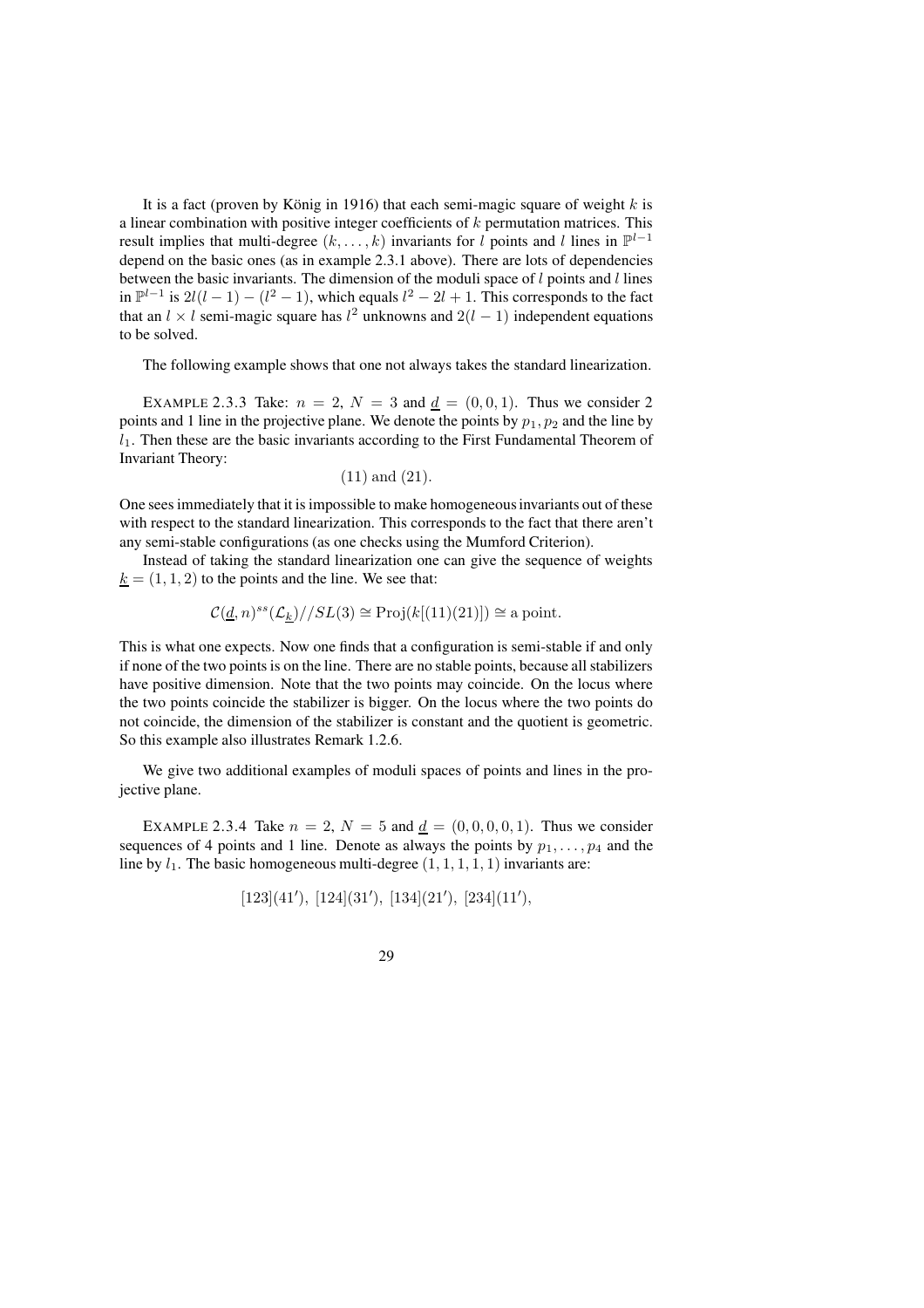It is a fact (proven by König in 1916) that each semi-magic square of weight  $k$  is a linear combination with positive integer coefficients of  $k$  permutation matrices. This result implies that multi-degree  $(k, \ldots, k)$  invariants for l points and l lines in  $\mathbb{P}^{l-1}$ depend on the basic ones (as in example 2.3.1 above). There are lots of dependencies between the basic invariants. The dimension of the moduli space of  $l$  points and  $l$  lines in  $\mathbb{P}^{l-1}$  is 2l(l − 1) – (l<sup>2</sup> − 1), which equals l<sup>2</sup> − 2l + 1. This corresponds to the fact that an  $l \times l$  semi-magic square has  $l^2$  unknowns and  $2(l-1)$  independent equations to be solved.

The following example shows that one not always takes the standard linearization.

EXAMPLE 2.3.3 Take:  $n = 2$ ,  $N = 3$  and  $d = (0, 0, 1)$ . Thus we consider 2 points and 1 line in the projective plane. We denote the points by  $p_1, p_2$  and the line by  $l_1$ . Then these are the basic invariants according to the First Fundamental Theorem of Invariant Theory:

(11) and (21).

One sees immediately that it is impossible to make homogeneousinvariants out of these with respect to the standard linearization. This corresponds to the fact that there aren't any semi-stable configurations (as one checks using the Mumford Criterion).

Instead of taking the standard linearization one can give the sequence of weights  $k = (1, 1, 2)$  to the points and the line. We see that:

$$
\mathcal{C}(\underline{d}, n)^{ss}(\mathcal{L}_{\underline{k}})//SL(3) \cong \mathrm{Proj}(k[(11)(21)]) \cong \mathrm{a\,point}.
$$

This is what one expects. Now one finds that a configuration is semi-stable if and only if none of the two points is on the line. There are no stable points, because all stabilizers have positive dimension. Note that the two points may coincide. On the locus where the two points coincide the stabilizer is bigger. On the locus where the two points do not coincide, the dimension of the stabilizer is constant and the quotient is geometric. So this example also illustrates Remark 1.2.6.

We give two additional examples of moduli spaces of points and lines in the projective plane.

EXAMPLE 2.3.4 Take  $n = 2$ ,  $N = 5$  and  $d = (0, 0, 0, 0, 1)$ . Thus we consider sequences of 4 points and 1 line. Denote as always the points by  $p_1, \ldots, p_4$  and the line by  $l_1$ . The basic homogeneous multi-degree  $(1, 1, 1, 1, 1)$  invariants are:

$$
[123](41')
$$
,  $[124](31')$ ,  $[134](21')$ ,  $[234](11')$ ,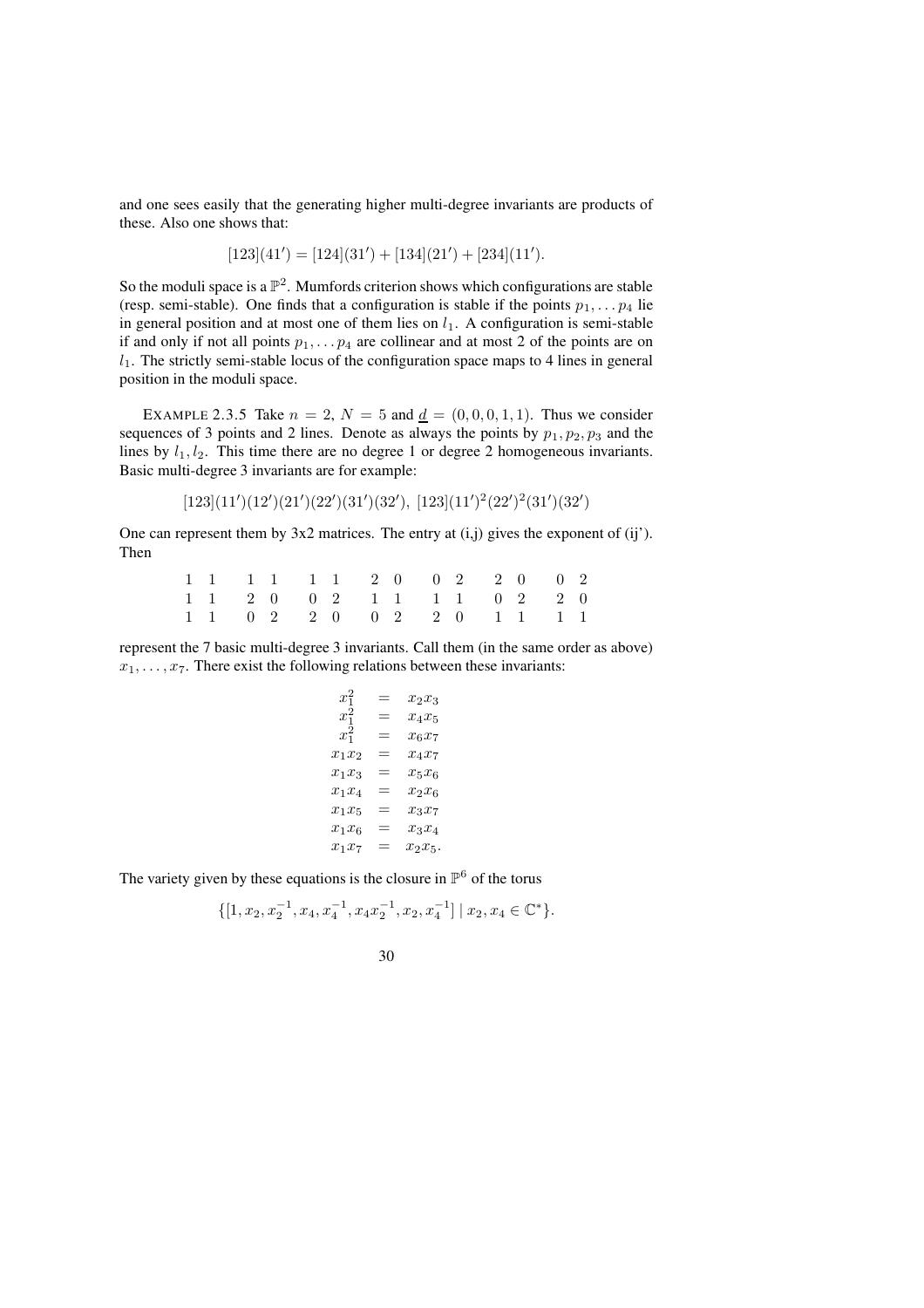and one sees easily that the generating higher multi-degree invariants are products of these. Also one shows that:

$$
[123](41') = [124](31') + [134](21') + [234](11').
$$

So the moduli space is a  $\mathbb{P}^2$ . Mumfords criterion shows which configurations are stable (resp. semi-stable). One finds that a configuration is stable if the points  $p_1, \ldots, p_4$  lie in general position and at most one of them lies on  $l_1$ . A configuration is semi-stable if and only if not all points  $p_1, \ldots, p_4$  are collinear and at most 2 of the points are on  $l_1$ . The strictly semi-stable locus of the configuration space maps to 4 lines in general position in the moduli space.

EXAMPLE 2.3.5 Take  $n = 2$ ,  $N = 5$  and  $d = (0, 0, 0, 1, 1)$ . Thus we consider sequences of 3 points and 2 lines. Denote as always the points by  $p_1, p_2, p_3$  and the lines by  $l_1, l_2$ . This time there are no degree 1 or degree 2 homogeneous invariants. Basic multi-degree 3 invariants are for example:

$$
[123](11')(12')(21')(22')(31')(32'), [123](11')2(22')2(31')(32')
$$

One can represent them by  $3x2$  matrices. The entry at  $(i, j)$  gives the exponent of  $(ii')$ . Then

|  |  |  |  |  | $1 \quad 1 \quad 1 \quad 1 \quad 1 \quad 1 \quad 2 \quad 0 \quad 0 \quad 2 \quad 2 \quad 0 \quad 0 \quad 2$ |  |  |
|--|--|--|--|--|-------------------------------------------------------------------------------------------------------------|--|--|
|  |  |  |  |  | 1 1 2 0 0 2 1 1 1 1 0 2 2 0                                                                                 |  |  |
|  |  |  |  |  | 1 1 0 2 2 0 0 2 2 0 1 1 1 1                                                                                 |  |  |

represent the 7 basic multi-degree 3 invariants. Call them (in the same order as above)  $x_1, \ldots, x_7$ . There exist the following relations between these invariants:

```
\boldsymbol{x}2
       = x_2x_3x_1^2= x_4x_5x_1^2= x_6x_7x_1x_2 = x_4x_7x_1x_3 = x_5x_6x_1x_4 = x_2x_6x_1x_5 = x_3x_7x_1x_6 = x_3x_4x_1x_7 = x_2x_5.
```
The variety given by these equations is the closure in  $\mathbb{P}^6$  of the torus

$$
\{[1, x_2, x_2^{-1}, x_4, x_4^{-1}, x_4x_2^{-1}, x_2, x_4^{-1}] \mid x_2, x_4 \in \mathbb{C}^* \}.
$$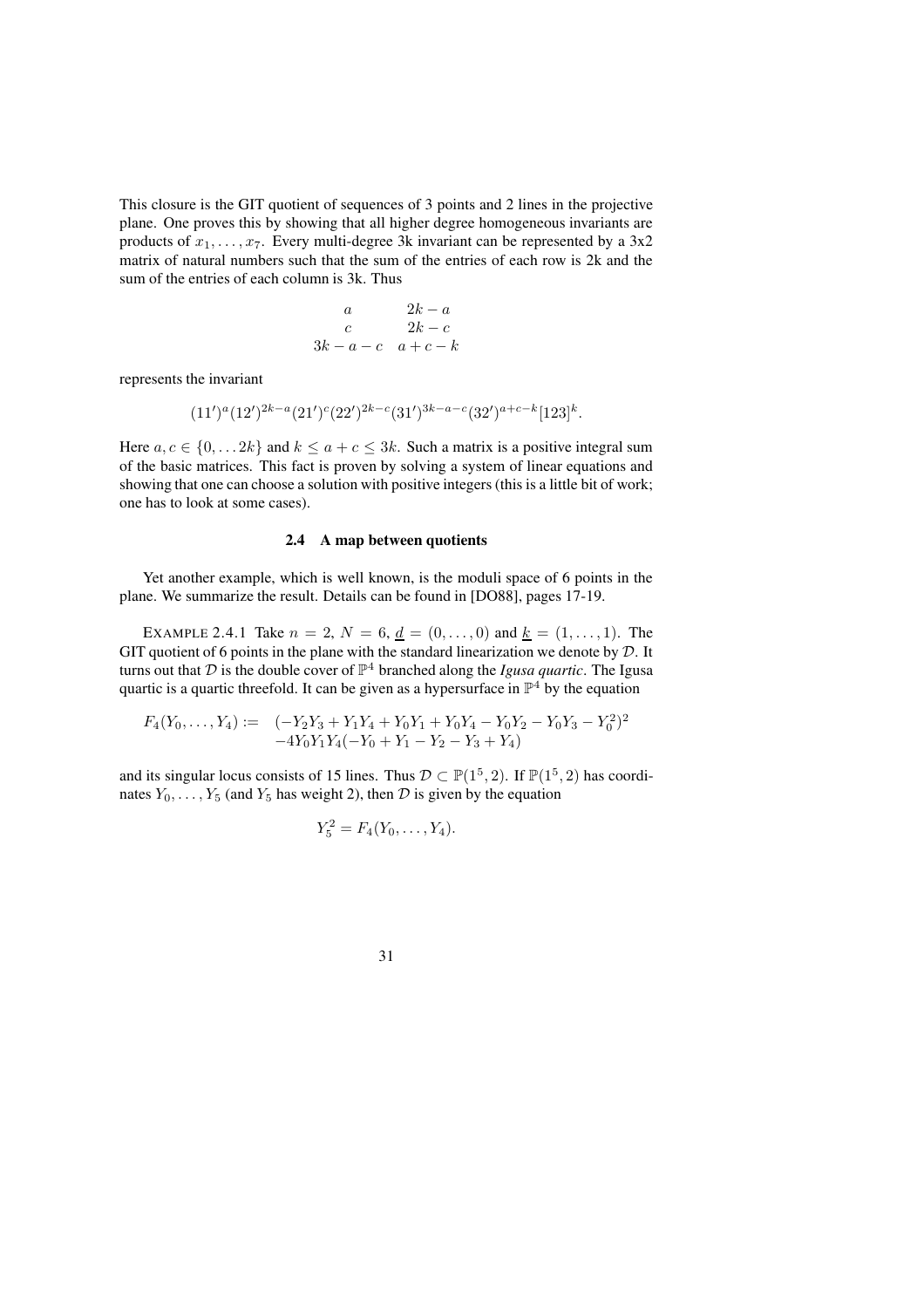This closure is the GIT quotient of sequences of 3 points and 2 lines in the projective plane. One proves this by showing that all higher degree homogeneous invariants are products of  $x_1, \ldots, x_7$ . Every multi-degree 3k invariant can be represented by a 3x2 matrix of natural numbers such that the sum of the entries of each row is 2k and the sum of the entries of each column is 3k. Thus

$$
\begin{array}{ccc}\n & a & 2k-a \\
c & 2k-c \\
3k-a-c & a+c-k\n\end{array}
$$

represents the invariant

$$
(11')^a (12')^{2k-a} (21')^c (22')^{2k-c} (31')^{3k-a-c} (32')^{a+c-k} [123]^k.
$$

Here  $a, c \in \{0, \ldots 2k\}$  and  $k \le a + c \le 3k$ . Such a matrix is a positive integral sum of the basic matrices. This fact is proven by solving a system of linear equations and showing that one can choose a solution with positive integers (this is a little bit of work; one has to look at some cases).

### **2.4 A map between quotients**

Yet another example, which is well known, is the moduli space of 6 points in the plane. We summarize the result. Details can be found in [DO88], pages 17-19.

EXAMPLE 2.4.1 Take  $n = 2$ ,  $N = 6$ ,  $d = (0, \ldots, 0)$  and  $k = (1, \ldots, 1)$ . The GIT quotient of 6 points in the plane with the standard linearization we denote by  $D$ . It turns out that  $D$  is the double cover of  $\mathbb{P}^4$  branched along the *Igusa quartic*. The Igusa quartic is a quartic threefold. It can be given as a hypersurface in  $\mathbb{P}^4$  by the equation

$$
F_4(Y_0, \ldots, Y_4) := (-Y_2Y_3 + Y_1Y_4 + Y_0Y_1 + Y_0Y_4 - Y_0Y_2 - Y_0Y_3 - Y_0^2)^2
$$
  
-4Y\_0Y\_1Y\_4(-Y\_0 + Y\_1 - Y\_2 - Y\_3 + Y\_4)

and its singular locus consists of 15 lines. Thus  $D \subset \mathbb{P}(1^5, 2)$ . If  $\mathbb{P}(1^5, 2)$  has coordinates  $Y_0, \ldots, Y_5$  (and  $Y_5$  has weight 2), then  $D$  is given by the equation

$$
Y_5^2 = F_4(Y_0, \ldots, Y_4).
$$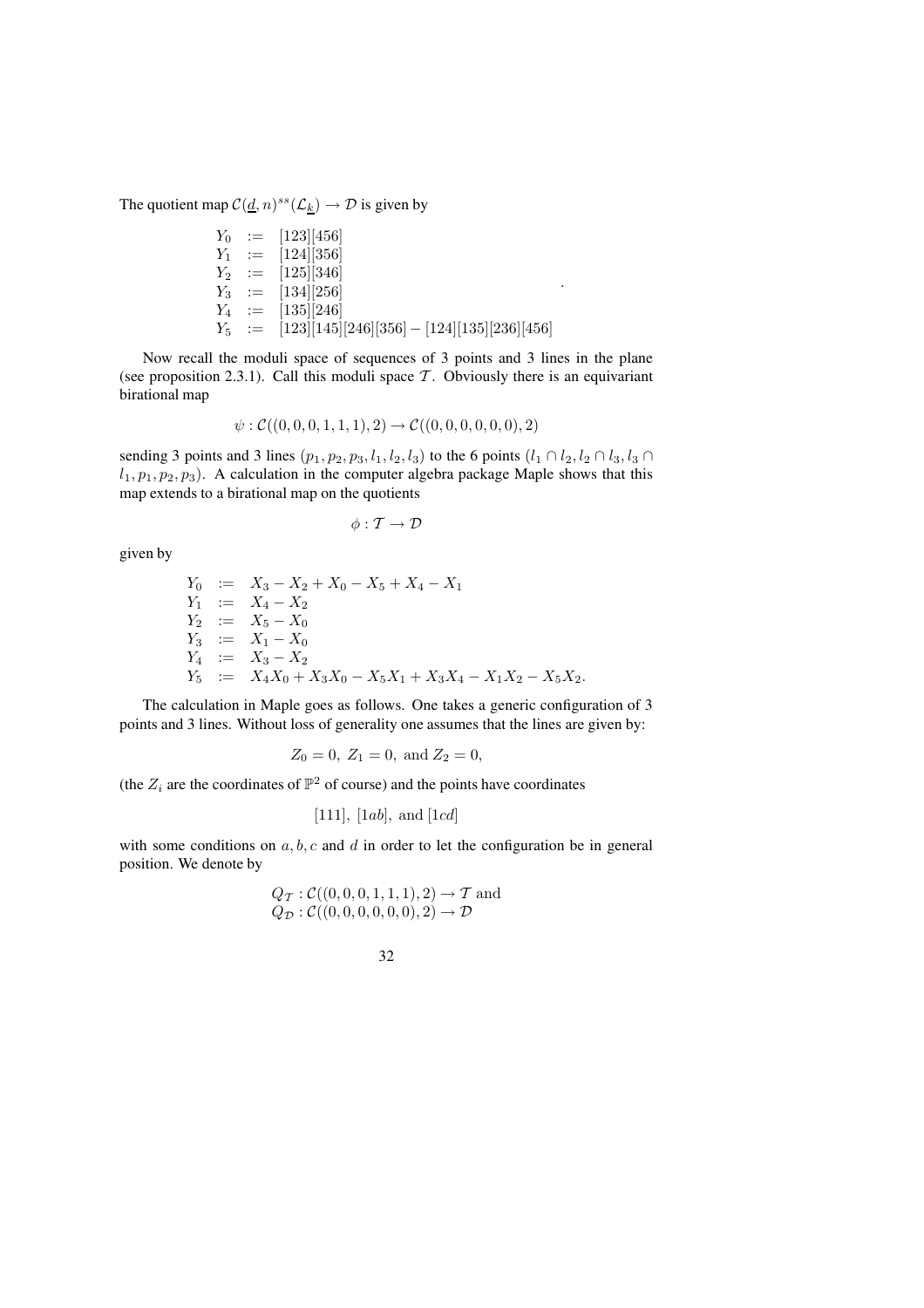The quotient map  $C(\underline{d}, n)^{ss}(\mathcal{L}_k) \to \mathcal{D}$  is given by

$$
Y_0 := [123][456]
$$
  
\n
$$
Y_1 := [124][356]
$$
  
\n
$$
Y_2 := [125][346]
$$
  
\n
$$
Y_3 := [134][256]
$$
  
\n
$$
Y_4 := [135][246]
$$
  
\n
$$
Y_5 := [123][145][246][356] - [124][135][236][456]
$$

.

Now recall the moduli space of sequences of 3 points and 3 lines in the plane (see proposition 2.3.1). Call this moduli space  $\mathcal T$ . Obviously there is an equivariant birational map

$$
\psi: \mathcal{C}((0,0,0,1,1,1),2) \to \mathcal{C}((0,0,0,0,0,0),2)
$$

sending 3 points and 3 lines  $(p_1, p_2, p_3, l_1, l_2, l_3)$  to the 6 points  $(l_1 \cap l_2, l_2 \cap l_3, l_3 \cap l_3)$  $l_1, p_1, p_2, p_3$ ). A calculation in the computer algebra package Maple shows that this map extends to a birational map on the quotients

$$
\phi: \mathcal{T} \rightarrow \mathcal{D}
$$

given by

$$
Y_0 := X_3 - X_2 + X_0 - X_5 + X_4 - X_1
$$
  
\n
$$
Y_1 := X_4 - X_2
$$
  
\n
$$
Y_2 := X_5 - X_0
$$
  
\n
$$
Y_3 := X_1 - X_0
$$
  
\n
$$
Y_4 := X_3 - X_2
$$
  
\n
$$
Y_5 := X_4X_0 + X_3X_0 - X_5X_1 + X_3X_4 - X_1X_2 - X_5X_2.
$$

The calculation in Maple goes as follows. One takes a generic configuration of 3 points and 3 lines. Without loss of generality one assumes that the lines are given by:

$$
Z_0 = 0, Z_1 = 0, \text{ and } Z_2 = 0,
$$

(the  $Z_i$  are the coordinates of  $\mathbb{P}^2$  of course) and the points have coordinates

[111], [1ab], and [1cd]

with some conditions on  $a, b, c$  and  $d$  in order to let the configuration be in general position. We denote by

$$
Q_{\mathcal{T}}: \mathcal{C}((0,0,0,1,1,1),2) \to \mathcal{T}
$$
 and  
 $Q_{\mathcal{D}}: \mathcal{C}((0,0,0,0,0,0),2) \to \mathcal{D}$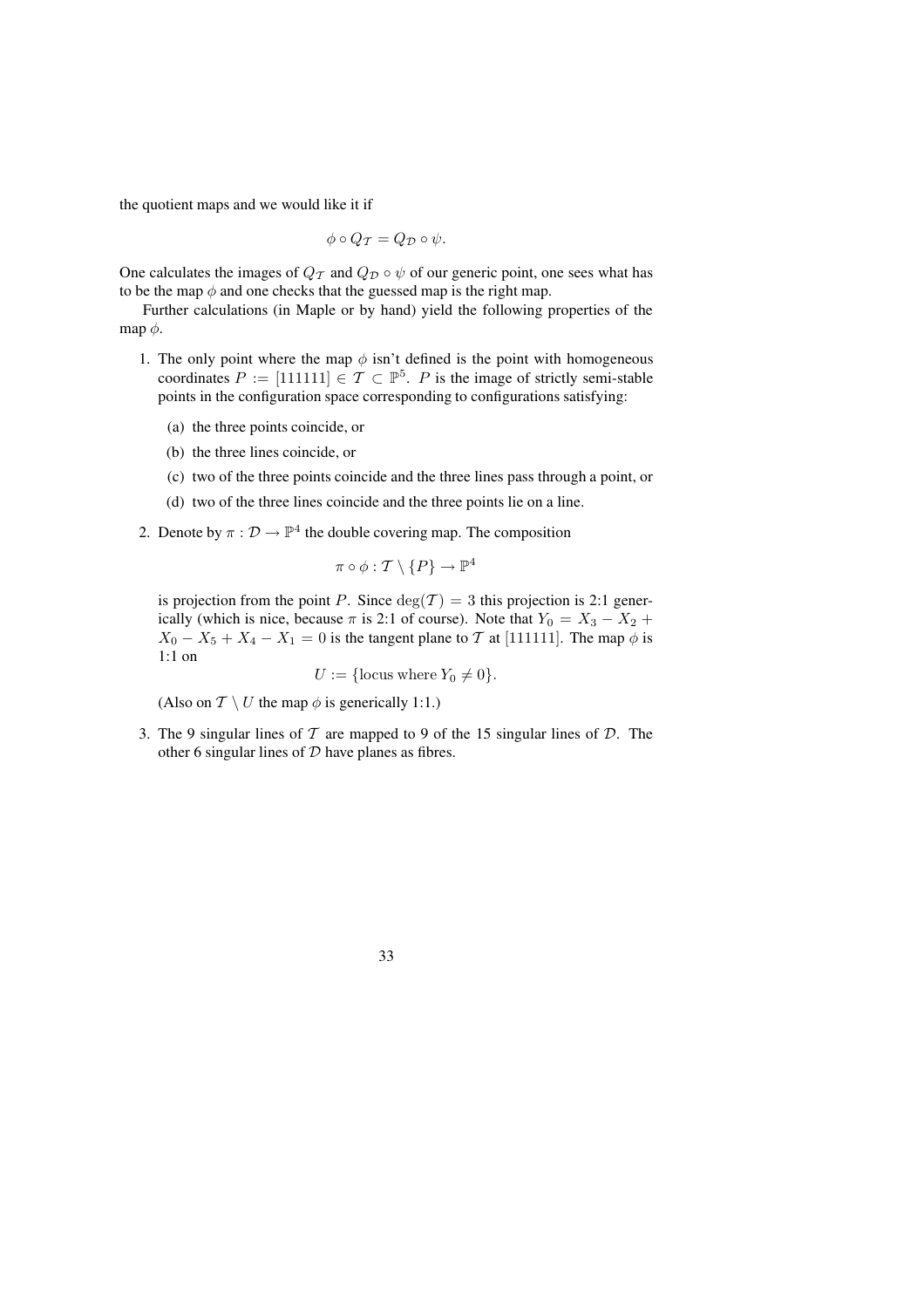the quotient maps and we would like it if

$$
\phi \circ Q_{\mathcal{T}} = Q_{\mathcal{D}} \circ \psi.
$$

One calculates the images of  $Q_T$  and  $Q_D \circ \psi$  of our generic point, one sees what has to be the map  $\phi$  and one checks that the guessed map is the right map.

Further calculations (in Maple or by hand) yield the following properties of the map  $\phi$ .

- 1. The only point where the map  $\phi$  isn't defined is the point with homogeneous coordinates  $P := [111111] \in \mathcal{T} \subset \mathbb{P}^5$ . P is the image of strictly semi-stable points in the configuration space corresponding to configurations satisfying:
	- (a) the three points coincide, or
	- (b) the three lines coincide, or
	- (c) two of the three points coincide and the three lines pass through a point, or
	- (d) two of the three lines coincide and the three points lie on a line.
- 2. Denote by  $\pi : \mathcal{D} \to \mathbb{P}^4$  the double covering map. The composition

$$
\pi\circ\phi:\mathcal{T}\setminus\{P\}\to\mathbb{P}^4
$$

is projection from the point P. Since  $deg(\mathcal{T}) = 3$  this projection is 2:1 generically (which is nice, because  $\pi$  is 2:1 of course). Note that  $Y_0 = X_3 - X_2 +$  $X_0 - X_5 + X_4 - X_1 = 0$  is the tangent plane to T at [111111]. The map  $\phi$  is 1:1 on

$$
U := \{ \text{locus where } Y_0 \neq 0 \}.
$$

(Also on  $\mathcal{T} \setminus U$  the map  $\phi$  is generically 1:1.)

3. The 9 singular lines of  $T$  are mapped to 9 of the 15 singular lines of  $D$ . The other 6 singular lines of  $D$  have planes as fibres.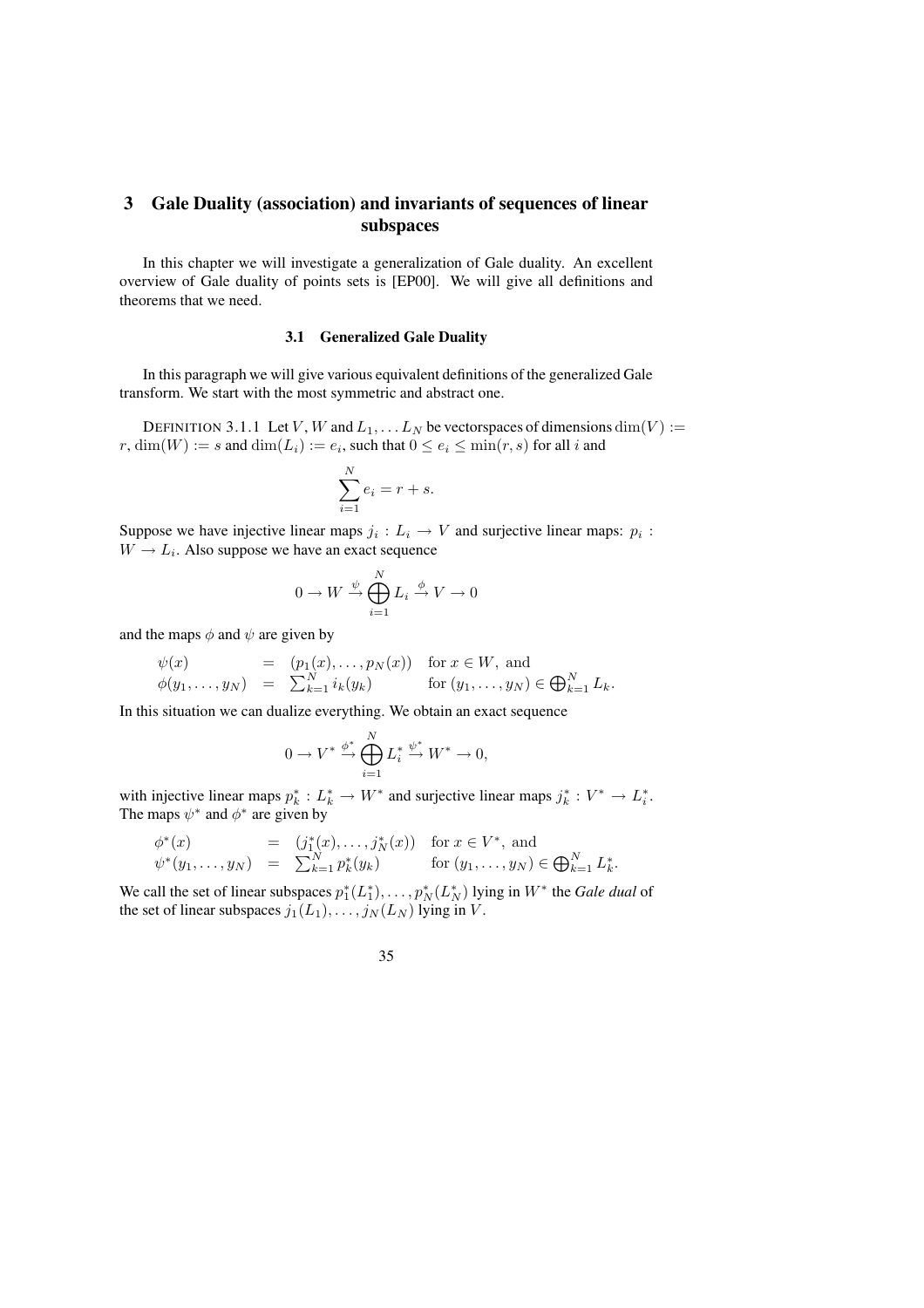## **3 Gale Duality (association) and invariants of sequences of linear subspaces**

In this chapter we will investigate a generalization of Gale duality. An excellent overview of Gale duality of points sets is [EP00]. We will give all definitions and theorems that we need.

#### **3.1 Generalized Gale Duality**

In this paragraph we will give various equivalent definitions of the generalized Gale transform. We start with the most symmetric and abstract one.

DEFINITION 3.1.1 Let V, W and  $L_1, \ldots L_N$  be vectorspaces of dimensions  $\dim(V) :=$  $r$ ,  $\dim(W) := s$  and  $\dim(L_i) := e_i$ , such that  $0 \le e_i \le \min(r, s)$  for all  $i$  and

$$
\sum_{i=1}^{N} e_i = r + s.
$$

Suppose we have injective linear maps  $j_i: L_i \to V$  and surjective linear maps:  $p_i$ :  $W \rightarrow L_i$ . Also suppose we have an exact sequence

$$
0 \to W \xrightarrow{\psi} \bigoplus_{i=1}^N L_i \xrightarrow{\phi} V \to 0
$$

and the maps  $\phi$  and  $\psi$  are given by

$$
\begin{array}{rcl}\n\psi(x) & = & (p_1(x), \dots, p_N(x)) \quad \text{for } x \in W, \text{ and} \\
\phi(y_1, \dots, y_N) & = & \sum_{k=1}^N i_k(y_k) \qquad \text{for } (y_1, \dots, y_N) \in \bigoplus_{k=1}^N L_k.\n\end{array}
$$

In this situation we can dualize everything. We obtain an exact sequence

$$
0 \to V^* \stackrel{\phi^*}{\to} \bigoplus_{i=1}^N L_i^* \stackrel{\psi^*}{\to} W^* \to 0,
$$

with injective linear maps  $p_k^* : L_k^* \to W^*$  and surjective linear maps  $j_k^* : V^* \to L_i^*$ . The maps  $\psi^*$  and  $\phi^*$  are given by

$$
\begin{array}{rcl}\n\phi^*(x) & = & (j_1^*(x), \dots, j_N^*(x)) \quad \text{for } x \in V^*, \text{ and} \\
\psi^*(y_1, \dots, y_N) & = & \sum_{k=1}^N p_k^*(y_k) \quad \text{for } (y_1, \dots, y_N) \in \bigoplus_{k=1}^N L_k^*.\n\end{array}
$$

We call the set of linear subspaces  $p_1^*(L_1^*)$ , ...,  $p_N^*(L_N^*)$  lying in  $W^*$  the *Gale dual* of the set of linear subspaces  $j_1(L_1), \ldots, j_N(L_N)$  lying in V.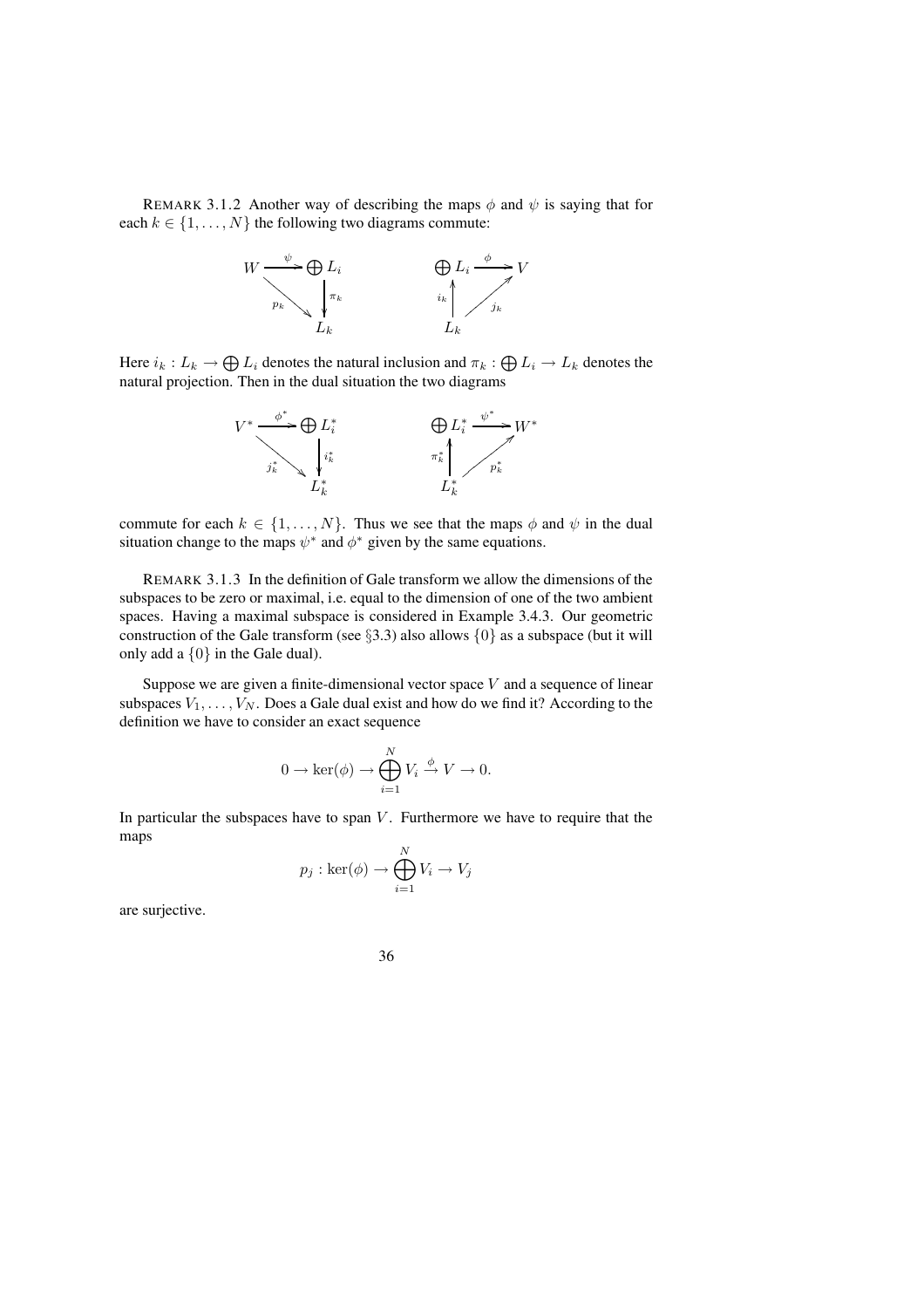REMARK 3.1.2 Another way of describing the maps  $\phi$  and  $\psi$  is saying that for each  $k \in \{1, \ldots, N\}$  the following two diagrams commute:



Here  $i_k: L_k \to \bigoplus L_i$  denotes the natural inclusion and  $\pi_k: \bigoplus L_i \to L_k$  denotes the natural projection. Then in the dual situation the two diagrams



commute for each  $k \in \{1, ..., N\}$ . Thus we see that the maps  $\phi$  and  $\psi$  in the dual situation change to the maps  $\psi^*$  and  $\phi^*$  given by the same equations.

REMARK 3.1.3 In the definition of Gale transform we allow the dimensions of the subspaces to be zero or maximal, i.e. equal to the dimension of one of the two ambient spaces. Having a maximal subspace is considered in Example 3.4.3. Our geometric construction of the Gale transform (see  $\S$ 3.3) also allows  $\{0\}$  as a subspace (but it will only add a  $\{0\}$  in the Gale dual).

Suppose we are given a finite-dimensional vector space  $V$  and a sequence of linear subspaces  $V_1, \ldots, V_N$ . Does a Gale dual exist and how do we find it? According to the definition we have to consider an exact sequence

$$
0 \to \ker(\phi) \to \bigoplus_{i=1}^N V_i \xrightarrow{\phi} V \to 0.
$$

In particular the subspaces have to span  $V$ . Furthermore we have to require that the maps  $\lambda$ <sup>n</sup>

$$
p_j : \ker(\phi) \to \bigoplus_{i=1}^N V_i \to V_j
$$

are surjective.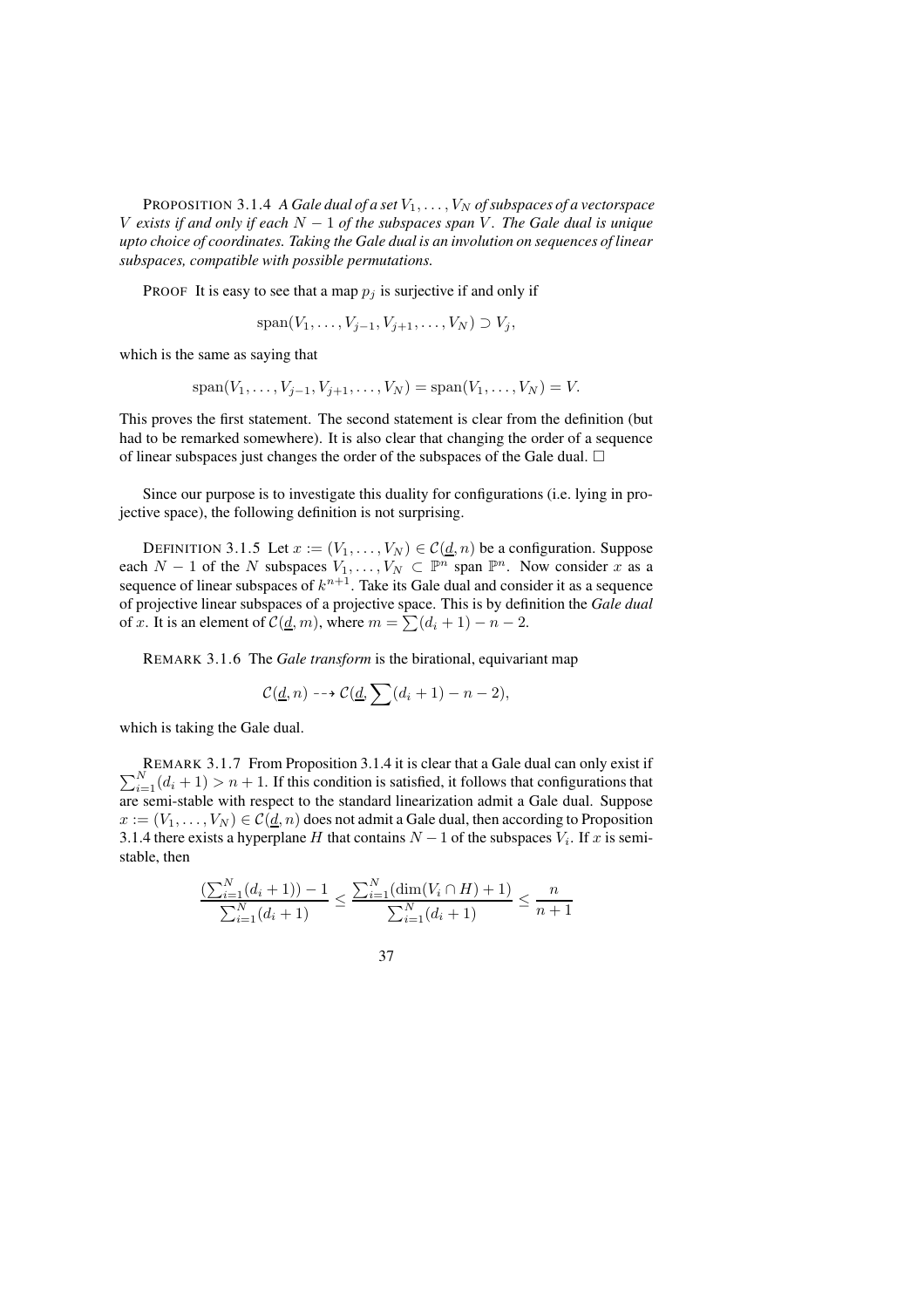PROPOSITION 3.1.4 *A Gale dual of a set*  $V_1, \ldots, V_N$  *of subspaces of a vectorspace* V *exists if and only if each* N − 1 *of the subspaces span* V *. The Gale dual is unique upto choice of coordinates. Taking the Gale dual is an involution on sequences of linear subspaces, compatible with possible permutations.*

PROOF It is easy to see that a map  $p_j$  is surjective if and only if

$$
\mathrm{span}(V_1,\ldots,V_{j-1},V_{j+1},\ldots,V_N)\supset V_j,
$$

which is the same as saying that

$$
span(V_1, ..., V_{j-1}, V_{j+1}, ..., V_N) = span(V_1, ..., V_N) = V.
$$

This proves the first statement. The second statement is clear from the definition (but had to be remarked somewhere). It is also clear that changing the order of a sequence of linear subspaces just changes the order of the subspaces of the Gale dual.  $\Box$ 

Since our purpose is to investigate this duality for configurations (i.e. lying in projective space), the following definition is not surprising.

DEFINITION 3.1.5 Let  $x := (V_1, \ldots, V_N) \in C(d, n)$  be a configuration. Suppose each  $N-1$  of the N subspaces  $V_1, \ldots, V_N \subset \mathbb{P}^n$  span  $\mathbb{P}^n$ . Now consider x as a sequence of linear subspaces of  $k^{n+1}$ . Take its Gale dual and consider it as a sequence of projective linear subspaces of a projective space. This is by definition the *Gale dual* of x. It is an element of  $\mathcal{C}(\underline{d}, m)$ , where  $m = \sum (d_i + 1) - n - 2$ .

REMARK 3.1.6 The *Gale transform* is the birational, equivariant map

$$
\mathcal{C}(\underline{d},n) \dashrightarrow \mathcal{C}(\underline{d},\sum(d_i+1)-n-2),
$$

which is taking the Gale dual.

 $\sum$ REMARK 3.1.7 From Proposition 3.1.4 it is clear that a Gale dual can only exist if  $N_{i=1}(d_i + 1) > n + 1$ . If this condition is satisfied, it follows that configurations that are semi-stable with respect to the standard linearization admit a Gale dual. Suppose  $x := (V_1, \ldots, V_N) \in C(\underline{d}, n)$  does not admit a Gale dual, then according to Proposition 3.1.4 there exists a hyperplane H that contains  $N-1$  of the subspaces  $V_i$ . If x is semistable, then

$$
\frac{\left(\sum_{i=1}^{N} (d_i + 1)\right) - 1}{\sum_{i=1}^{N} (d_i + 1)} \le \frac{\sum_{i=1}^{N} (\dim(V_i \cap H) + 1)}{\sum_{i=1}^{N} (d_i + 1)} \le \frac{n}{n+1}
$$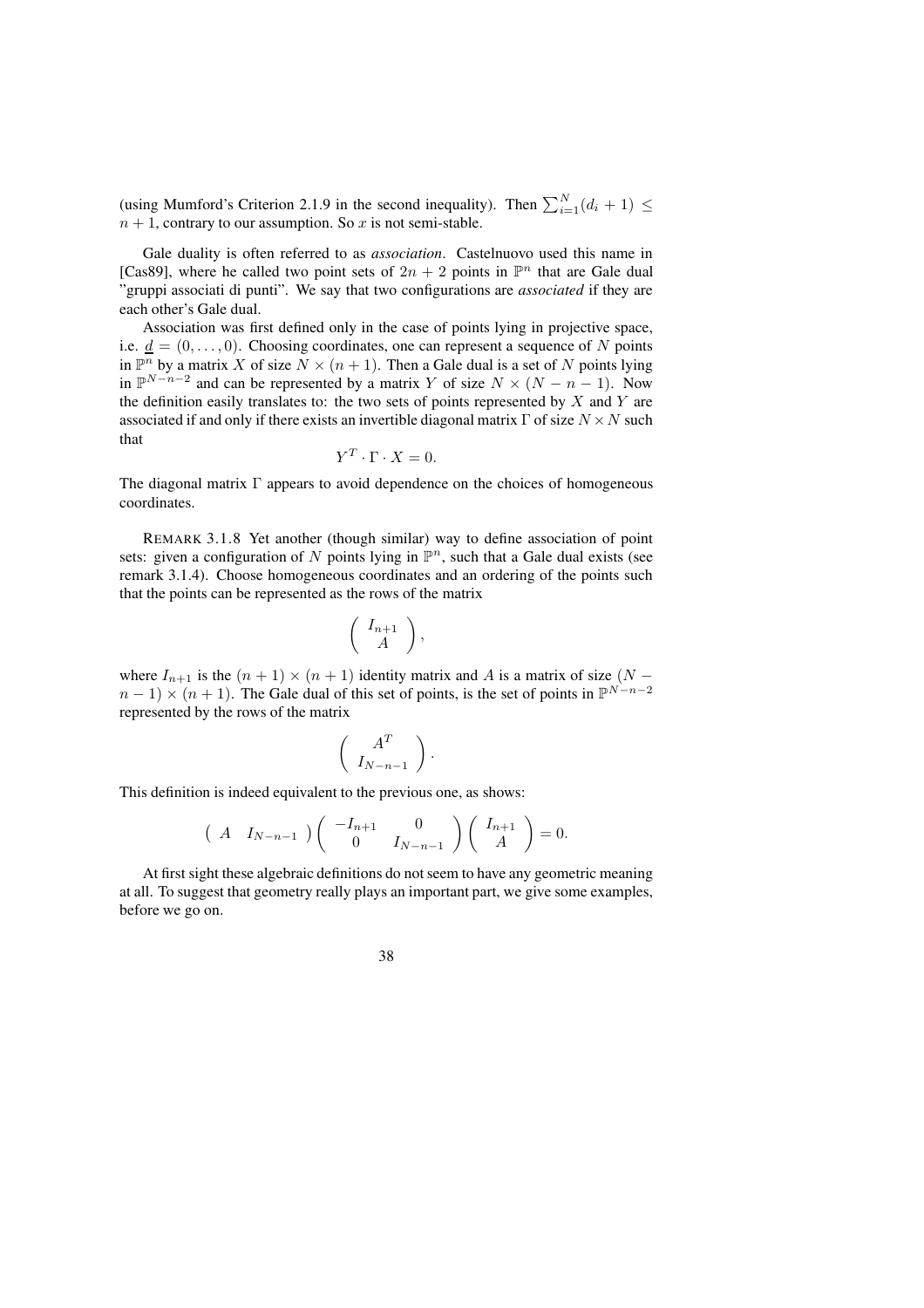(using Mumford's Criterion 2.1.9 in the second inequality). Then  $\sum_{i=1}^{N} (d_i + 1) \leq$  $n + 1$ , contrary to our assumption. So x is not semi-stable.

Gale duality is often referred to as *association*. Castelnuovo used this name in [Cas89], where he called two point sets of  $2n + 2$  points in  $\mathbb{P}^n$  that are Gale dual "gruppi associati di punti". We say that two configurations are *associated* if they are each other's Gale dual.

Association was first defined only in the case of points lying in projective space, i.e.  $\underline{d} = (0, \ldots, 0)$ . Choosing coordinates, one can represent a sequence of N points in  $\mathbb{P}^n$  by a matrix X of size  $N \times (n+1)$ . Then a Gale dual is a set of N points lying in  $\mathbb{P}^{N-n-2}$  and can be represented by a matrix Y of size  $N \times (N - n - 1)$ . Now the definition easily translates to: the two sets of points represented by  $X$  and  $Y$  are associated if and only if there exists an invertible diagonal matrix  $\Gamma$  of size  $N \times N$  such that

$$
Y^T \cdot \Gamma \cdot X = 0.
$$

The diagonal matrix  $\Gamma$  appears to avoid dependence on the choices of homogeneous coordinates.

REMARK 3.1.8 Yet another (though similar) way to define association of point sets: given a configuration of N points lying in  $\mathbb{P}^n$ , such that a Gale dual exists (see remark 3.1.4). Choose homogeneous coordinates and an ordering of the points such that the points can be represented as the rows of the matrix

$$
\left(\begin{array}{c} I_{n+1} \\ A \end{array}\right),
$$

where  $I_{n+1}$  is the  $(n + 1) \times (n + 1)$  identity matrix and A is a matrix of size  $(N - 1)$  $n-1 \times (n+1)$ . The Gale dual of this set of points, is the set of points in  $\mathbb{P}^{N-n-2}$ represented by the rows of the matrix

$$
\left(\begin{array}{c} A^T \\ I_{N-n-1} \end{array}\right).
$$

This definition is indeed equivalent to the previous one, as shows:

$$
\begin{pmatrix} A & I_{N-n-1} \end{pmatrix} \begin{pmatrix} -I_{n+1} & 0 \\ 0 & I_{N-n-1} \end{pmatrix} \begin{pmatrix} I_{n+1} \\ A \end{pmatrix} = 0.
$$

At first sight these algebraic definitions do not seem to have any geometric meaning at all. To suggest that geometry really plays an important part, we give some examples, before we go on.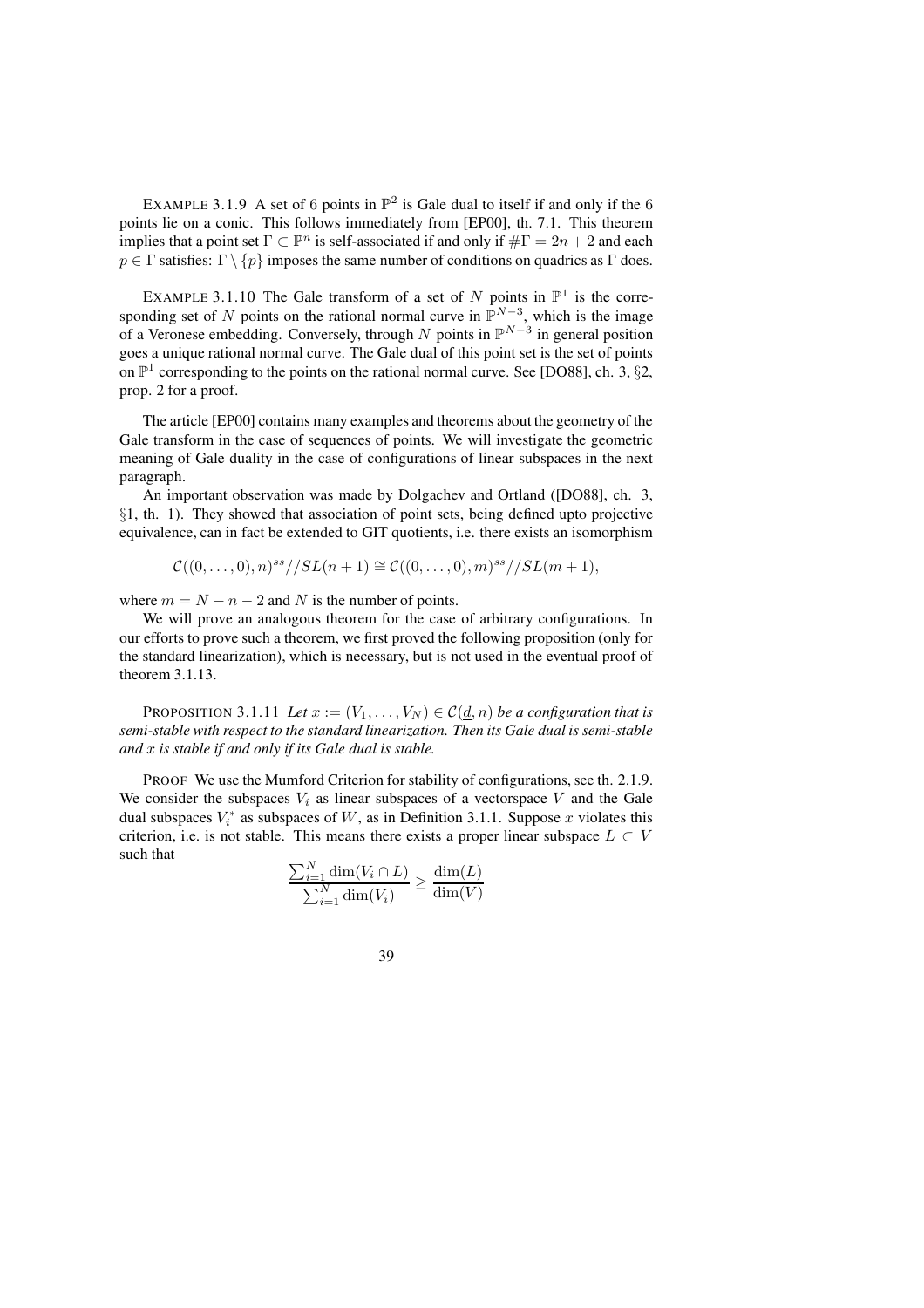EXAMPLE 3.1.9 A set of 6 points in  $\mathbb{P}^2$  is Gale dual to itself if and only if the 6 points lie on a conic. This follows immediately from [EP00], th. 7.1. This theorem implies that a point set  $\Gamma \subset \mathbb{P}^n$  is self-associated if and only if  $\#\Gamma = 2n + 2$  and each  $p \in \Gamma$  satisfies:  $\Gamma \setminus \{p\}$  imposes the same number of conditions on quadrics as  $\Gamma$  does.

EXAMPLE 3.1.10 The Gale transform of a set of N points in  $\mathbb{P}^1$  is the corresponding set of N points on the rational normal curve in  $\mathbb{P}^{N-3}$ , which is the image of a Veronese embedding. Conversely, through N points in  $\mathbb{P}^{N-3}$  in general position goes a unique rational normal curve. The Gale dual of this point set is the set of points on  $\mathbb{P}^1$  corresponding to the points on the rational normal curve. See [DO88], ch. 3, §2, prop. 2 for a proof.

The article [EP00] contains many examples and theorems about the geometry of the Gale transform in the case of sequences of points. We will investigate the geometric meaning of Gale duality in the case of configurations of linear subspaces in the next paragraph.

An important observation was made by Dolgachev and Ortland ([DO88], ch. 3, §1, th. 1). They showed that association of point sets, being defined upto projective equivalence, can in fact be extended to GIT quotients, i.e. there exists an isomorphism

$$
\mathcal{C}((0,\ldots,0),n)^{ss}//SL(n+1)\cong \mathcal{C}((0,\ldots,0),m)^{ss}//SL(m+1),
$$

where  $m = N - n - 2$  and N is the number of points.

We will prove an analogous theorem for the case of arbitrary configurations. In our efforts to prove such a theorem, we first proved the following proposition (only for the standard linearization), which is necessary, but is not used in the eventual proof of theorem 3.1.13.

PROPOSITION 3.1.11 Let  $x := (V_1, \ldots, V_N) \in C(\underline{d}, n)$  be a configuration that is *semi-stable with respect to the standard linearization. Then its Gale dual is semi-stable and* x *is stable if and only if its Gale dual is stable.*

PROOF We use the Mumford Criterion for stability of configurations, see th. 2.1.9. We consider the subspaces  $V_i$  as linear subspaces of a vectorspace V and the Gale dual subspaces  $V_i^*$  as subspaces of W, as in Definition 3.1.1. Suppose x violates this criterion, i.e. is not stable. This means there exists a proper linear subspace  $L \subset V$ such that

$$
\frac{\sum_{i=1}^{N} \dim(V_i \cap L)}{\sum_{i=1}^{N} \dim(V_i)} \ge \frac{\dim(L)}{\dim(V)}
$$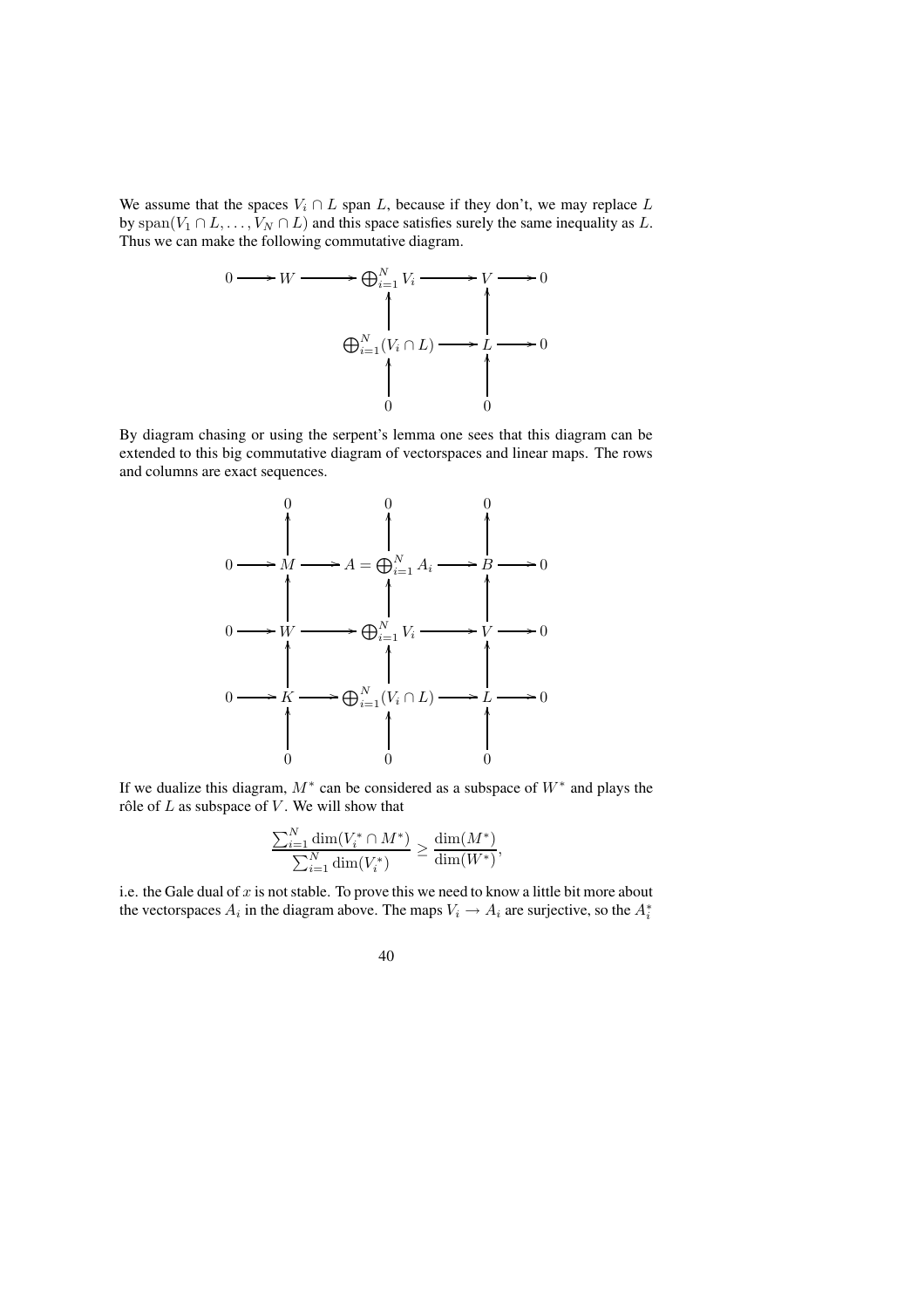We assume that the spaces  $V_i \cap L$  span L, because if they don't, we may replace L by  $\text{span}(V_1 \cap L, \ldots, V_N \cap L)$  and this space satisfies surely the same inequality as L. Thus we can make the following commutative diagram.



By diagram chasing or using the serpent's lemma one sees that this diagram can be extended to this big commutative diagram of vectorspaces and linear maps. The rows and columns are exact sequences.



If we dualize this diagram,  $M^*$  can be considered as a subspace of  $W^*$  and plays the rôle of  $L$  as subspace of  $V$ . We will show that

$$
\frac{\sum_{i=1}^N \dim(V_i^* \cap M^*)}{\sum_{i=1}^N \dim(V_i^*)} \geq \frac{\dim(M^*)}{\dim(W^*)},
$$

i.e. the Gale dual of  $x$  is not stable. To prove this we need to know a little bit more about the vectorspaces  $A_i$  in the diagram above. The maps  $V_i \rightarrow A_i$  are surjective, so the  $A_i^*$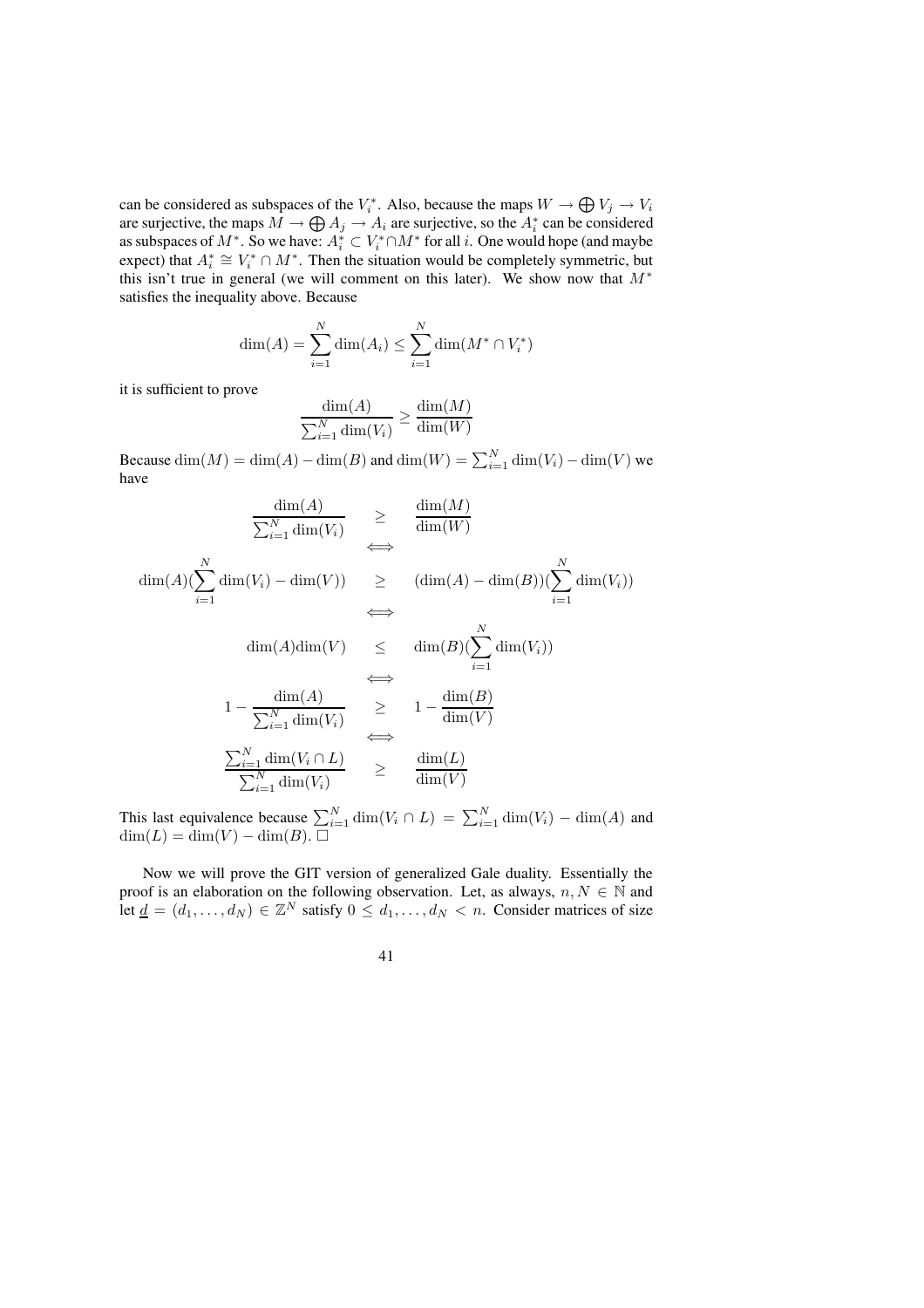can be considered as subspaces of the  $V_i^*$ . Also, because the maps  $W \to \bigoplus V_j \to V_i$ are surjective, the maps  $M \to \bigoplus A_j \to A_i$  are surjective, so the  $A_i^*$  can be considered as subspaces of  $M^*$ . So we have:  $A_i^* \subset V_i^* \cap M^*$  for all  $i$ . One would hope (and maybe expect) that  $A_i^* \cong V_i^* \cap M^*$ . Then the situation would be completely symmetric, but this isn't true in general (we will comment on this later). We show now that  $M^*$ satisfies the inequality above. Because

$$
\dim(A) = \sum_{i=1}^{N} \dim(A_i) \le \sum_{i=1}^{N} \dim(M^* \cap V_i^*)
$$

it is sufficient to prove

$$
\frac{\dim(A)}{\sum_{i=1}^{N} \dim(V_i)} \ge \frac{\dim(M)}{\dim(W)}
$$

Because  $\dim(M) = \dim(A) - \dim(B)$  and  $\dim(W) = \sum_{i=1}^{N} \dim(V_i) - \dim(V)$  we have

$$
\frac{\dim(A)}{\sum_{i=1}^{N} \dim(V_i)} \geq \frac{\dim(M)}{\dim(W)}
$$
\n
$$
\iff \frac{\dim(A)(\sum_{i=1}^{N} \dim(V_i) - \dim(V)) \geq (\dim(A) - \dim(B))(\sum_{i=1}^{N} \dim(V_i)) \iff \dim(A)\dim(V) \leq \dim(B)(\sum_{i=1}^{N} \dim(V_i)) \iff \frac{\dim(A)}{\sum_{i=1}^{N} \dim(V_i)} \geq 1 - \frac{\dim(B)}{\dim(V)} \iff \frac{\sum_{i=1}^{N} \dim(V_i \cap L)}{\sum_{i=1}^{N} \dim(V_i)} \geq \frac{\dim(L)}{\dim(V)}
$$

This last equivalence because  $\sum_{i=1}^{N} \dim(V_i \cap L) = \sum_{i=1}^{N} \dim(V_i) - \dim(A)$  and  $\dim(L) = \dim(V) - \dim(B)$ .

Now we will prove the GIT version of generalized Gale duality. Essentially the proof is an elaboration on the following observation. Let, as always,  $n, N \in \mathbb{N}$  and let  $\underline{d} = (d_1, \ldots, d_N) \in \mathbb{Z}^N$  satisfy  $0 \leq d_1, \ldots, d_N < n$ . Consider matrices of size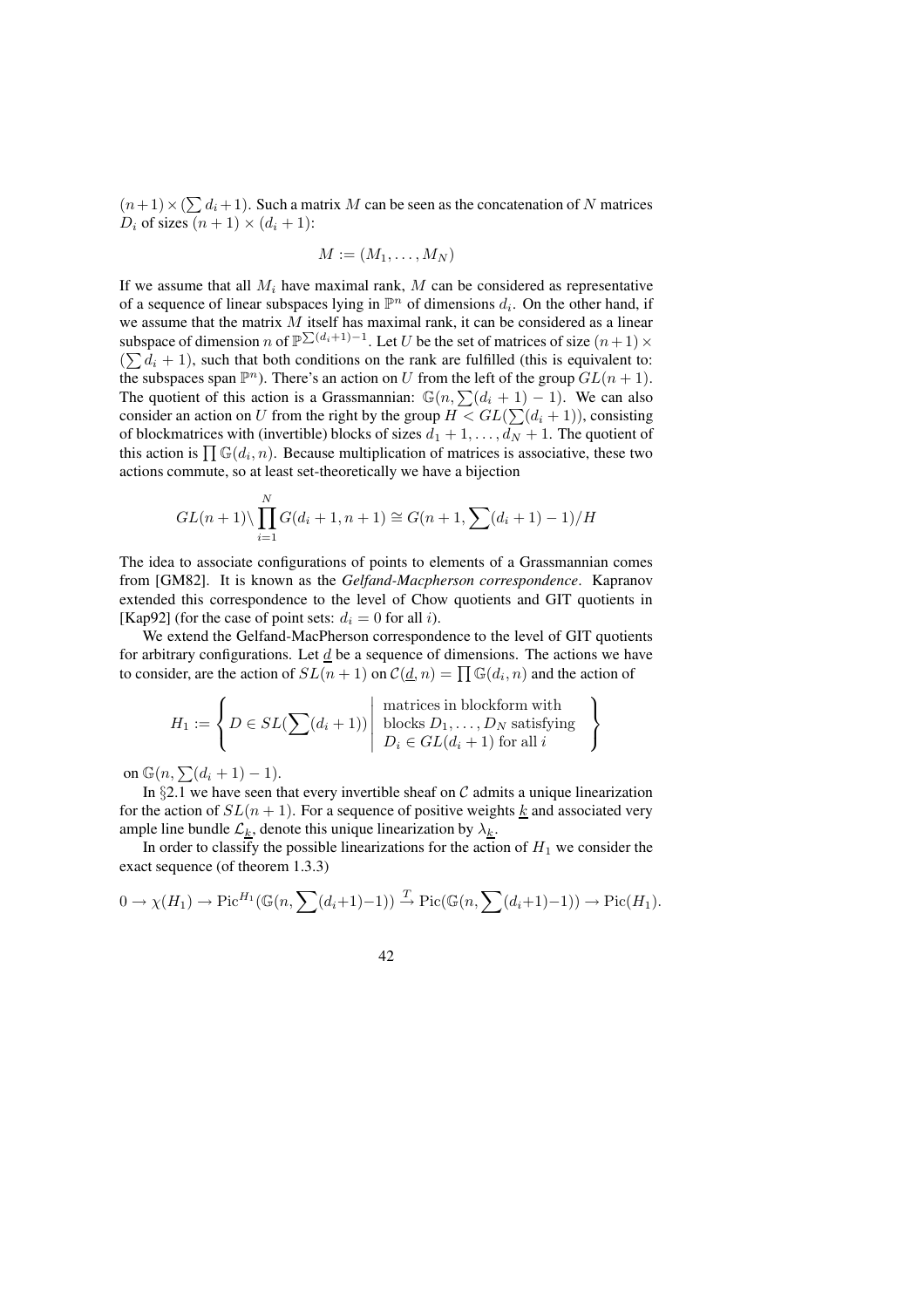$(n+1) \times (\sum d_i + 1)$ . Such a matrix M can be seen as the concatenation of N matrices  $D_i$  of sizes  $(n + 1) \times (d_i + 1)$ :

$$
M:=(M_1,\ldots,M_N)
$$

If we assume that all  $M_i$  have maximal rank,  $M$  can be considered as representative of a sequence of linear subspaces lying in  $\mathbb{P}^n$  of dimensions  $d_i$ . On the other hand, if we assume that the matrix  $M$  itself has maximal rank, it can be considered as a linear subspace of dimension n of  $\mathbb{P}^{\sum_{d_i+1} - 1}$ . Let U be the set of matrices of size  $(n+1) \times$  $(\sum d_i + 1)$ , such that both conditions on the rank are fulfilled (this is equivalent to: the subspaces span  $\mathbb{P}^n$ ). There's an action on U from the left of the group  $GL(n+1)$ . The quotient of this action is a Grassmannian:  $\mathbb{G}(n, \sum_{i=1}^n (d_i + 1) - 1)$ . We can also consider an action on U from the right by the group  $H < GL(\sum_{i=1}^{n} (d_i + 1))$ , consisting of blockmatrices with (invertible) blocks of sizes  $d_1 + 1, \ldots, d_N + 1$ . The quotient of this action is  $\prod \mathbb{G}(d_i, n)$ . Because multiplication of matrices is associative, these two actions commute, so at least set-theoretically we have a bijection

$$
GL(n+1)\setminus \prod_{i=1}^{N} G(d_i+1, n+1) \cong G(n+1, \sum_{i=1}^{N} (d_i+1) - 1)/H
$$

The idea to associate configurations of points to elements of a Grassmannian comes from [GM82]. It is known as the *Gelfand-Macpherson correspondence*. Kapranov extended this correspondence to the level of Chow quotients and GIT quotients in [Kap92] (for the case of point sets:  $d_i = 0$  for all i).

We extend the Gelfand-MacPherson correspondence to the level of GIT quotients for arbitrary configurations. Let  $d$  be a sequence of dimensions. The actions we have to consider, are the action of  $SL(n + 1)$  on  $\mathcal{C}(\underline{d}, n) = \prod \mathbb{G}(d_i, n)$  and the action of

$$
H_1 := \left\{ D \in SL(\sum(d_i + 1)) \middle| \begin{array}{c} \text{matrices in blockform with} \\ \text{blocks } D_1, \dots, D_N \text{ satisfying} \\ D_i \in GL(d_i + 1) \text{ for all } i \end{array} \right\}
$$

on  $\mathbb{G}(n,\sum(d_i+1)-1)$ .

In  $\S 2.1$  we have seen that every invertible sheaf on C admits a unique linearization for the action of  $SL(n + 1)$ . For a sequence of positive weights k and associated very ample line bundle  $\mathcal{L}_k$ , denote this unique linearization by  $\lambda_k$ .

In order to classify the possible linearizations for the action of  $H_1$  we consider the exact sequence (of theorem 1.3.3)

$$
0 \to \chi(H_1) \to \mathrm{Pic}^{H_1}(\mathbb{G}(n, \sum(d_i+1)-1)) \xrightarrow{T} \mathrm{Pic}(\mathbb{G}(n, \sum(d_i+1)-1)) \to \mathrm{Pic}(H_1).
$$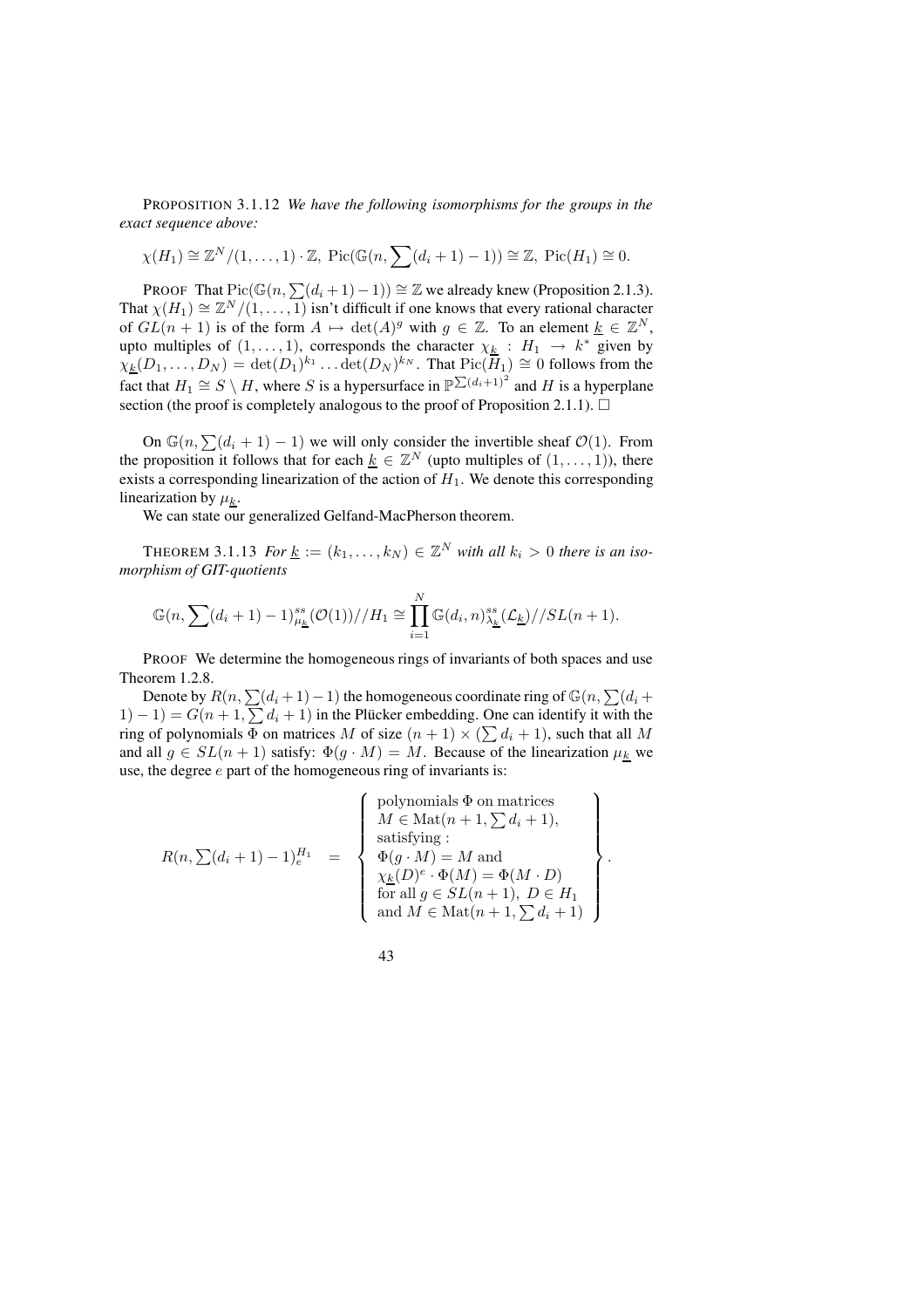PROPOSITION 3.1.12 *We have the following isomorphisms for the groups in the exact sequence above:*

$$
\chi(H_1) \cong \mathbb{Z}^N/(1,\ldots,1) \cdot \mathbb{Z}
$$
, Pic( $\mathbb{G}(n, \sum (d_i + 1) - 1)$ )  $\cong \mathbb{Z}$ , Pic( $H_1$ )  $\cong 0$ .

PROOF That  $Pic(\mathbb{G}(n,\sum(d_i + 1) - 1)) \cong \mathbb{Z}$  we already knew (Proposition 2.1.3). That  $\chi(H_1) \cong \mathbb{Z}^N/(1,\ldots,1)$  isn't difficult if one knows that every rational character of  $GL(n + 1)$  is of the form  $A \mapsto \det(A)^g$  with  $g \in \mathbb{Z}$ . To an element  $\underline{k} \in \mathbb{Z}^N$ , upto multiples of  $(1, \ldots, 1)$ , corresponds the character  $\chi_{\underline{k}} : H_1 \to k^*$  given by  $\chi_k(D_1,\ldots,D_N) = \det(D_1)^{k_1}\ldots \det(D_N)^{k_N}$ . That  $\text{Pic}(\overline{H}_1) \cong 0$  follows from the fact that  $H_1 \cong S \setminus H$ , where S is a hypersurface in  $\mathbb{P}^{\sum (d_i+1)^2}$  and H is a hyperplane section (the proof is completely analogous to the proof of Proposition 2.1.1).  $\Box$ 

On  $\mathbb{G}(n,\sum(d_i + 1) - 1)$  we will only consider the invertible sheaf  $\mathcal{O}(1)$ . From the proposition it follows that for each  $\underline{k} \in \mathbb{Z}^N$  (upto multiples of  $(1, \ldots, 1)$ ), there exists a corresponding linearization of the action of  $H_1$ . We denote this corresponding linearization by  $\mu_k$ .

We can state our generalized Gelfand-MacPherson theorem.

THEOREM 3.1.13 *For*  $\underline{k} := (k_1, \ldots, k_N) \in \mathbb{Z}^N$  *with all*  $k_i > 0$  *there is an isomorphism of GIT-quotients*

$$
\mathbb{G}(n,\sum(d_i+1)-1)_{\mu_{\underline{k}}}^{ss}(\mathcal{O}(1))/H_1 \cong \prod_{i=1}^N \mathbb{G}(d_i,n)_{\lambda_{\underline{k}}}^{ss}(\mathcal{L}_{\underline{k}})/\mathcal{S}L(n+1).
$$

PROOF We determine the homogeneous rings of invariants of both spaces and use Theorem 1.2.8.

Denote by  $R(n,\sum(d_i + 1) - 1)$  the homogeneous coordinate ring of  $\mathbb{G}(n, \sum(d_i + 1))$  $(1) - 1$ ) =  $G(n + 1, \sum d_i + 1)$  in the Plücker embedding. One can identify it with the ring of polynomials  $\Phi$  on matrices M of size  $(n + 1) \times (\sum d_i + 1)$ , such that all M and all  $g \in SL(n+1)$  satisfy:  $\Phi(g \cdot M) = M$ . Because of the linearization  $\mu_k$  we use, the degree  $e$  part of the homogeneous ring of invariants is:

$$
R(n, \sum(d_i + 1) - 1)_e^{H_1} = \begin{Bmatrix} \text{polynomials } \Phi \text{ on matrices} \\ M \in \text{Mat}(n+1, \sum d_i + 1), \\ \text{satisfying :} \\ \Phi(g \cdot M) = M \text{ and} \\ \chi_{\underline{k}}(D)^e \cdot \Phi(M) = \Phi(M \cdot D) \\ \text{for all } g \in SL(n+1), D \in H_1 \\ \text{and } M \in \text{Mat}(n+1, \sum d_i + 1) \end{Bmatrix}.
$$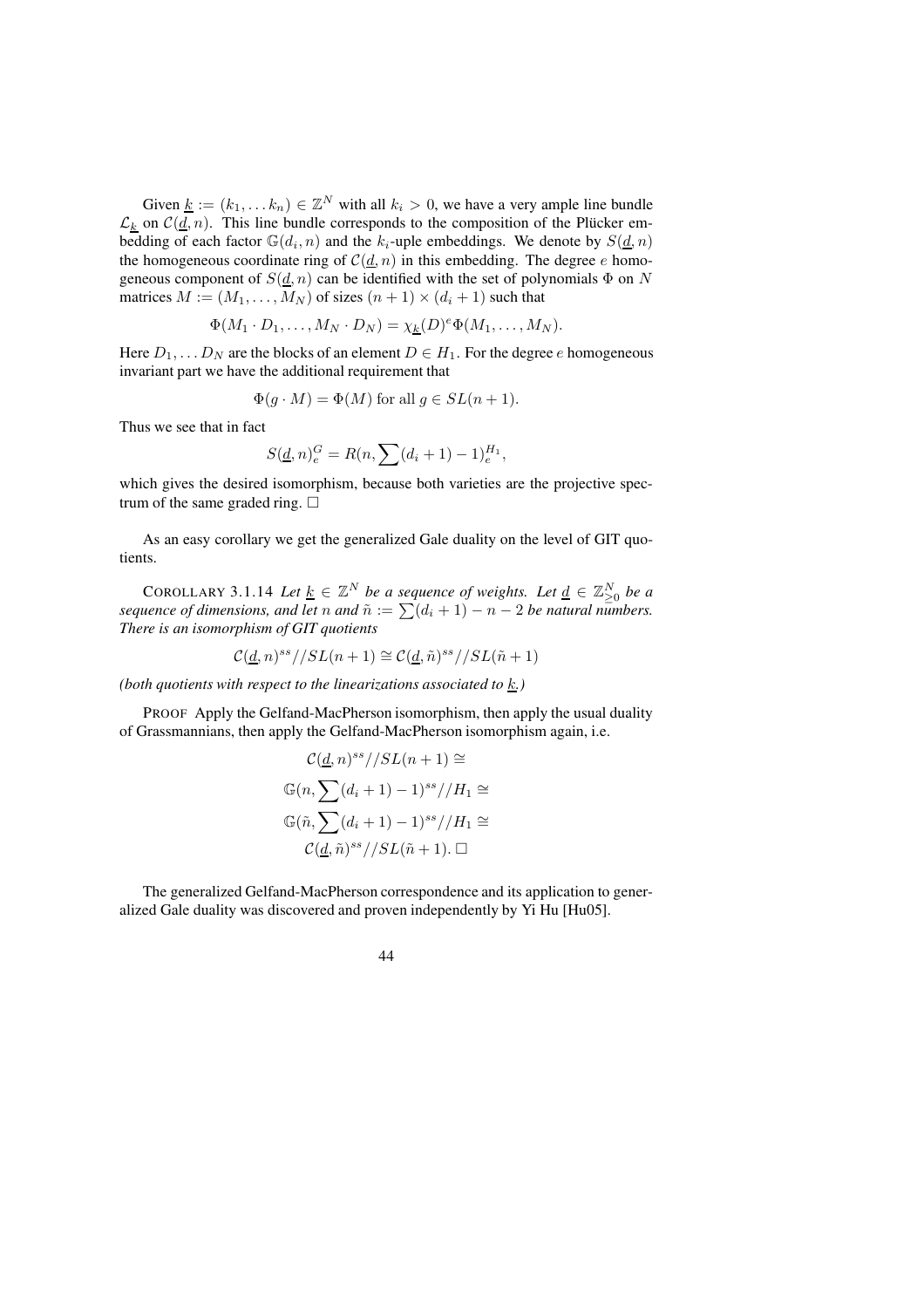Given  $\underline{k} := (k_1, \dots k_n) \in \mathbb{Z}^N$  with all  $k_i > 0$ , we have a very ample line bundle  $\mathcal{L}_k$  on  $\mathcal{C}(\underline{d}, n)$ . This line bundle corresponds to the composition of the Plücker embedding of each factor  $\mathbb{G}(d_i, n)$  and the  $k_i$ -uple embeddings. We denote by  $S(\underline{d}, n)$ the homogeneous coordinate ring of  $C(d, n)$  in this embedding. The degree e homogeneous component of  $S(d, n)$  can be identified with the set of polynomials  $\Phi$  on N matrices  $M := (M_1, \ldots, M_N)$  of sizes  $(n + 1) \times (d_i + 1)$  such that

$$
\Phi(M_1 \cdot D_1, \dots, M_N \cdot D_N) = \chi_k(D)^e \Phi(M_1, \dots, M_N).
$$

Here  $D_1, \ldots D_N$  are the blocks of an element  $D \in H_1$ . For the degree e homogeneous invariant part we have the additional requirement that

$$
\Phi(g \cdot M) = \Phi(M) \text{ for all } g \in SL(n+1).
$$

Thus we see that in fact

$$
S(\underline{d}, n)_e^G = R(n, \sum (d_i + 1) - 1)_e^{H_1},
$$

which gives the desired isomorphism, because both varieties are the projective spectrum of the same graded ring.  $\Box$ 

As an easy corollary we get the generalized Gale duality on the level of GIT quotients.

COROLLARY 3.1.14 Let  $\underline{k} \in \mathbb{Z}^N$  be a sequence of weights. Let  $\underline{d} \in \mathbb{Z}_{\geq 0}^N$  be a *sequence of dimensions, and let* n *and*  $\tilde{n} := \sum_{i=1}^{n} (d_i + 1) - n - 2$  *be natural numbers. There is an isomorphism of GIT quotients*

$$
\mathcal{C}(\underline{d},n)^{ss}//SL(n+1)\cong \mathcal{C}(\underline{d},\tilde{n})^{ss}//SL(\tilde{n}+1)
$$

*(both quotients with respect to the linearizations associated to* k*.)*

PROOF Apply the Gelfand-MacPherson isomorphism, then apply the usual duality of Grassmannians, then apply the Gelfand-MacPherson isomorphism again, i.e.

$$
\mathcal{C}(\underline{d}, n)^{ss} // SL(n+1) \cong
$$
  

$$
\mathbb{G}(n, \sum (d_i + 1) - 1)^{ss} // H_1 \cong
$$
  

$$
\mathbb{G}(\tilde{n}, \sum (d_i + 1) - 1)^{ss} // H_1 \cong
$$
  

$$
\mathcal{C}(\underline{d}, \tilde{n})^{ss} // SL(\tilde{n} + 1). \square
$$

The generalized Gelfand-MacPherson correspondence and its application to generalized Gale duality was discovered and proven independently by Yi Hu [Hu05].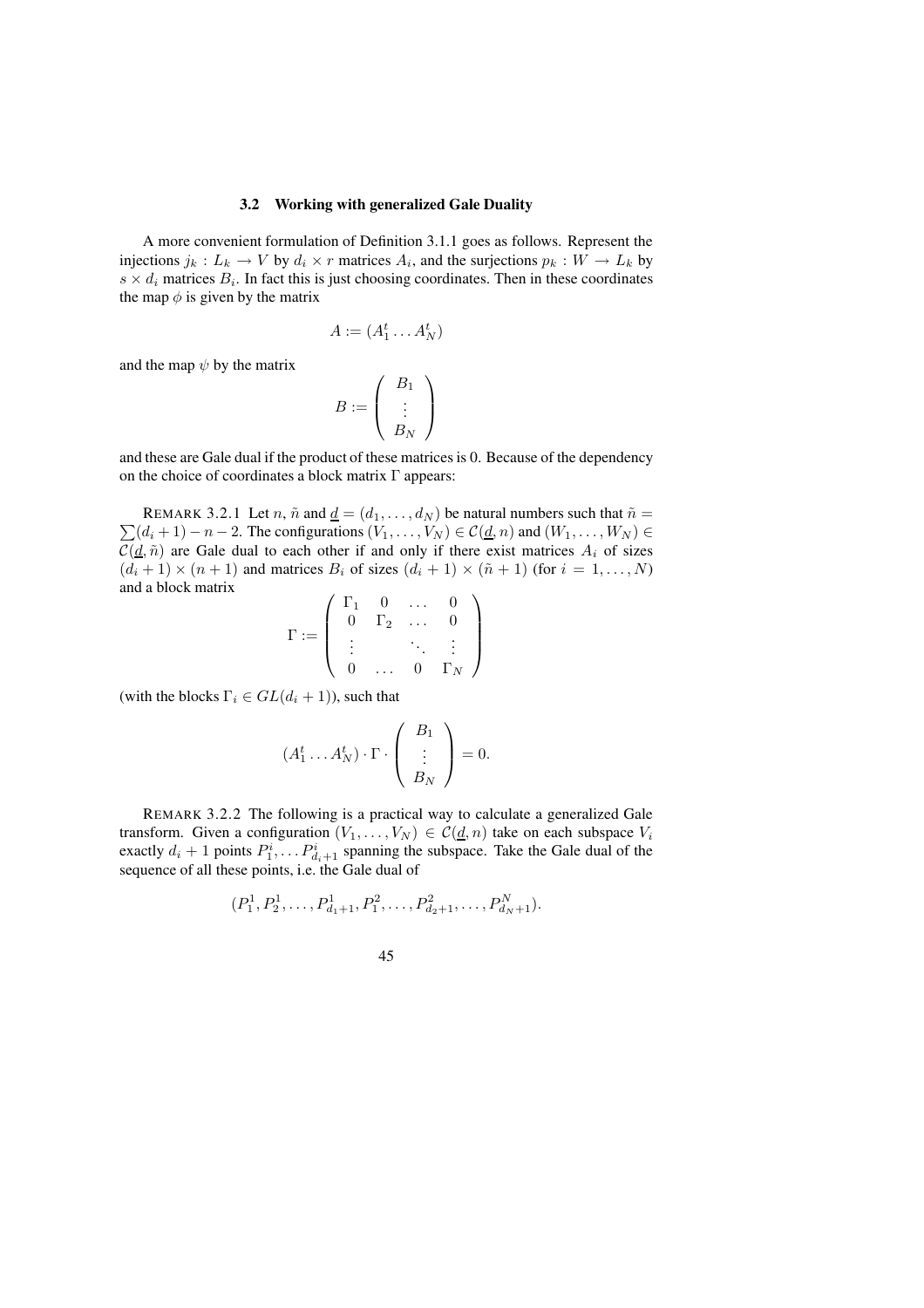### **3.2 Working with generalized Gale Duality**

A more convenient formulation of Definition 3.1.1 goes as follows. Represent the injections  $j_k: L_k \to V$  by  $d_i \times r$  matrices  $A_i$ , and the surjections  $p_k: W \to L_k$  by  $s \times d_i$  matrices  $B_i$ . In fact this is just choosing coordinates. Then in these coordinates the map  $\phi$  is given by the matrix

$$
A := (A_1^t \dots A_N^t)
$$

and the map  $\psi$  by the matrix

$$
B := \left(\begin{array}{c} B_1 \\ \vdots \\ B_N \end{array}\right)
$$

and these are Gale dual if the product of these matrices is 0. Because of the dependency on the choice of coordinates a block matrix  $\Gamma$  appears:

 $\sum (d_i + 1) - n - 2$ . The configurations  $(V_1, \ldots, V_N) \in C(\underline{d}, n)$  and  $(W_1, \ldots, W_N) \in$ REMARK 3.2.1 Let n,  $\tilde{n}$  and  $\underline{d} = (d_1, \ldots, d_N)$  be natural numbers such that  $\tilde{n} =$  $C(\underline{d}, \tilde{n})$  are Gale dual to each other if and only if there exist matrices  $A_i$  of sizes  $(d_i + 1) \times (n + 1)$  and matrices  $B_i$  of sizes  $(d_i + 1) \times (\tilde{n} + 1)$  (for  $i = 1, ..., N$ ) and a block matrix

$$
\Gamma := \left( \begin{array}{cccc} \Gamma_1 & 0 & \dots & 0 \\ 0 & \Gamma_2 & \dots & 0 \\ \vdots & & \ddots & \vdots \\ 0 & \dots & 0 & \Gamma_N \end{array} \right)
$$

(with the blocks  $\Gamma_i \in GL(d_i + 1)$ ), such that

$$
(A_1^t \dots A_N^t) \cdot \Gamma \cdot \begin{pmatrix} B_1 \\ \vdots \\ B_N \end{pmatrix} = 0.
$$

REMARK 3.2.2 The following is a practical way to calculate a generalized Gale transform. Given a configuration  $(V_1, \ldots, V_N) \in C(\underline{d}, n)$  take on each subspace  $V_i$ exactly  $d_i + 1$  points  $P_1^i, \ldots P_{d_i+1}^i$  spanning the subspace. Take the Gale dual of the sequence of all these points, i.e. the Gale dual of

$$
(P_1^1, P_2^1, \ldots, P_{d_1+1}^1, P_1^2, \ldots, P_{d_2+1}^2, \ldots, P_{d_N+1}^N).
$$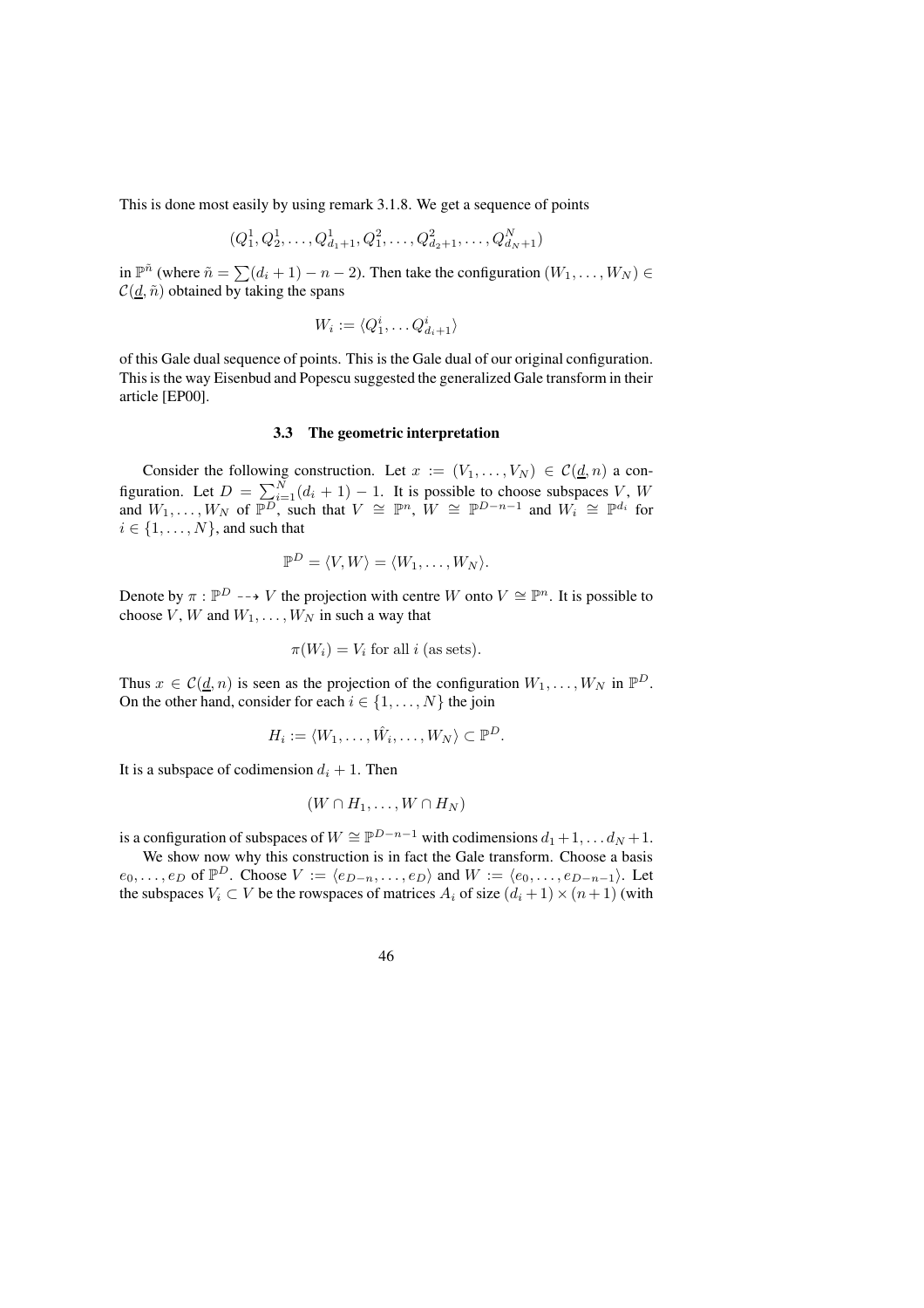This is done most easily by using remark 3.1.8. We get a sequence of points

$$
(Q_1^1, Q_2^1, \dots, Q_{d_1+1}^1, Q_1^2, \dots, Q_{d_2+1}^2, \dots, Q_{d_N+1}^N)
$$

in  $\mathbb{P}^{\tilde{n}}$  (where  $\tilde{n} = \sum (d_i + 1) - n - 2$ ). Then take the configuration  $(W_1, \ldots, W_N)$  $\mathcal{C}(d, \tilde{n})$  obtained by taking the spans

$$
W_i := \langle Q_1^i, \dots Q_{d_i+1}^i \rangle
$$

of this Gale dual sequence of points. This is the Gale dual of our original configuration. Thisis the way Eisenbud and Popescu suggested the generalized Gale transform in their article [EP00].

#### **3.3 The geometric interpretation**

Consider the following construction. Let  $x := (V_1, \ldots, V_N) \in C(\underline{d}, n)$  a configuration. Let  $D = \sum_{i=1}^{N} (d_i + 1) - 1$ . It is possible to choose subspaces V, W and  $W_1, \ldots, W_N$  of  $\overline{\mathbb{P}^D}$ , such that  $V \cong \mathbb{P}^n$ ,  $W \cong \mathbb{P}^{D-n-1}$  and  $W_i \cong \mathbb{P}^{d_i}$  for  $i \in \{1, \ldots, N\}$ , and such that

$$
\mathbb{P}^D = \langle V, W \rangle = \langle W_1, \dots, W_N \rangle.
$$

Denote by  $\pi : \mathbb{P}^D \dashrightarrow V$  the projection with centre W onto  $V \cong \mathbb{P}^n$ . It is possible to choose V, W and  $W_1, \ldots, W_N$  in such a way that

$$
\pi(W_i) = V_i
$$
 for all *i* (as sets).

Thus  $x \in C(\underline{d}, n)$  is seen as the projection of the configuration  $W_1, \ldots, W_N$  in  $\mathbb{P}^D$ . On the other hand, consider for each  $i \in \{1, \ldots, N\}$  the join

$$
H_i := \langle W_1, \dots, \hat{W_i}, \dots, W_N \rangle \subset \mathbb{P}^D.
$$

It is a subspace of codimension  $d_i + 1$ . Then

$$
(W \cap H_1, \ldots, W \cap H_N)
$$

is a configuration of subspaces of  $W \cong \mathbb{P}^{D-n-1}$  with codimensions  $d_1 + 1, \ldots, d_N + 1$ .

We show now why this construction is in fact the Gale transform. Choose a basis  $e_0, \ldots, e_D$  of  $\mathbb{P}^D$ . Choose  $V := \langle e_{D-n}, \ldots, e_D \rangle$  and  $W := \langle e_0, \ldots, e_{D-n-1} \rangle$ . Let the subspaces  $V_i \subset V$  be the rowspaces of matrices  $A_i$  of size  $(d_i + 1) \times (n + 1)$  (with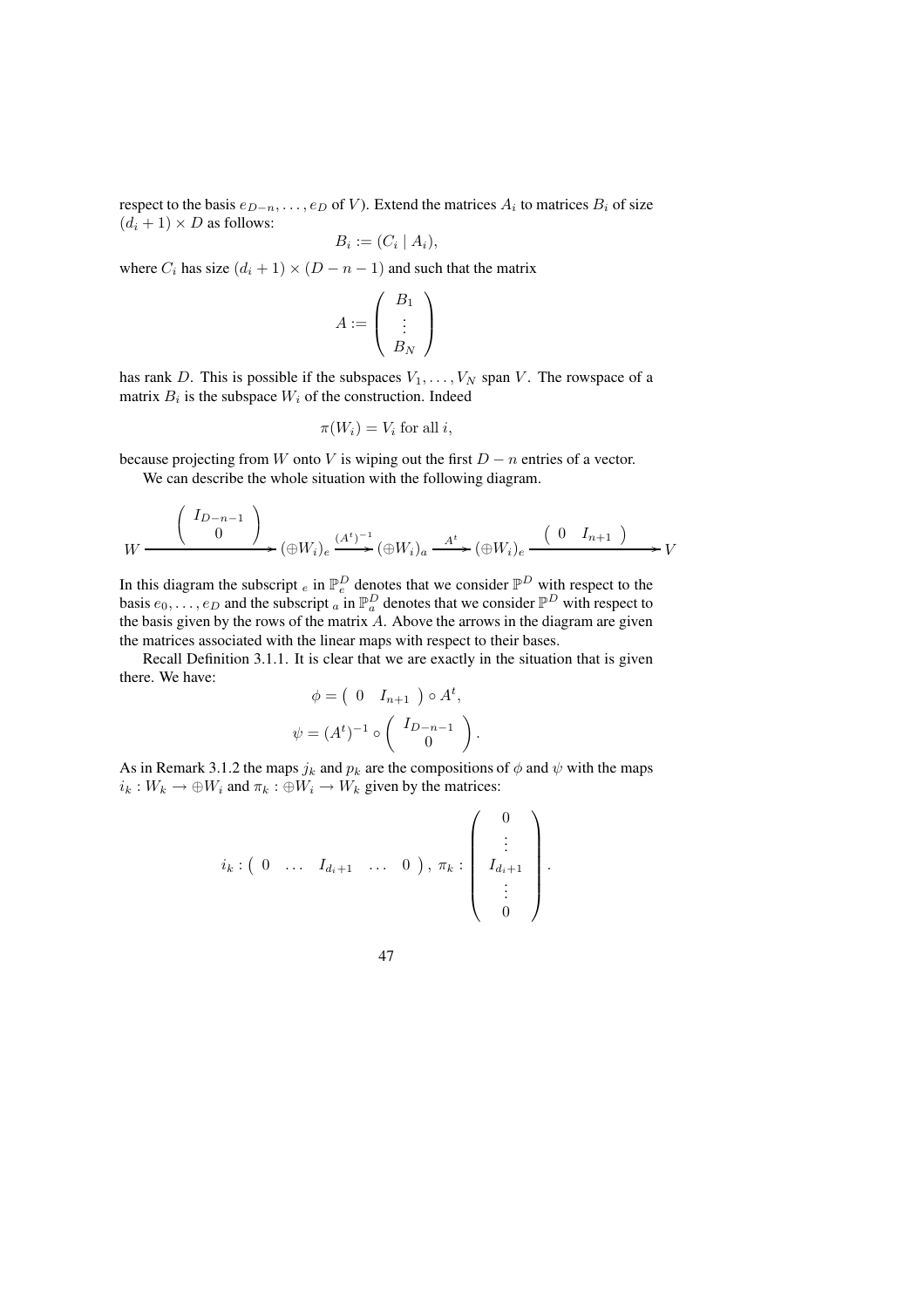respect to the basis  $e_{D-n}, \ldots, e_D$  of V). Extend the matrices  $A_i$  to matrices  $B_i$  of size  $(d_i + 1) \times D$  as follows:

$$
B_i := (C_i \mid A_i),
$$

where  $C_i$  has size  $(d_i + 1) \times (D - n - 1)$  and such that the matrix

$$
A:=\left(\begin{array}{c}B_1\\ \vdots\\ B_N\end{array}\right)
$$

has rank D. This is possible if the subspaces  $V_1, \ldots, V_N$  span V. The rowspace of a matrix  $B_i$  is the subspace  $W_i$  of the construction. Indeed

$$
\pi(W_i) = V_i \text{ for all } i,
$$

because projecting from W onto V is wiping out the first  $D - n$  entries of a vector.

We can describe the whole situation with the following diagram.

$$
W \xrightarrow{\left(\begin{array}{c} I_{D-n-1} \\ 0 \end{array}\right)} W \longrightarrow (\oplus W_i)_e \xrightarrow{(A^t)^{-1}} (\oplus W_i)_a \xrightarrow{A^t} (\oplus W_i)_e \xrightarrow{\left(\begin{array}{c} 0 & I_{n+1} \end{array}\right)} V
$$

In this diagram the subscript  $_e$  in  $\mathbb{P}_e^D$  denotes that we consider  $\mathbb{P}^D$  with respect to the basis  $e_0, \ldots, e_D$  and the subscript  $\alpha$  in  $\mathbb{P}_\alpha^D$  denotes that we consider  $\mathbb{P}^D$  with respect to the basis given by the rows of the matrix A. Above the arrows in the diagram are given the matrices associated with the linear maps with respect to their bases.

Recall Definition 3.1.1. It is clear that we are exactly in the situation that is given there. We have:

$$
\phi = \begin{pmatrix} 0 & I_{n+1} \end{pmatrix} \circ A^t,
$$
  

$$
\psi = (A^t)^{-1} \circ \begin{pmatrix} I_{D-n-1} \\ 0 \end{pmatrix}.
$$

As in Remark 3.1.2 the maps  $j_k$  and  $p_k$  are the compositions of  $\phi$  and  $\psi$  with the maps  $i_k : W_k \to \bigoplus W_i$  and  $\pi_k : \bigoplus W_i \to W_k$  given by the matrices:

$$
i_k: \begin{pmatrix} 0 & \dots & I_{d_i+1} & \dots & 0 \end{pmatrix}, \pi_k: \begin{pmatrix} 0 \\ \vdots \\ I_{d_i+1} \\ \vdots \\ 0 \end{pmatrix}.
$$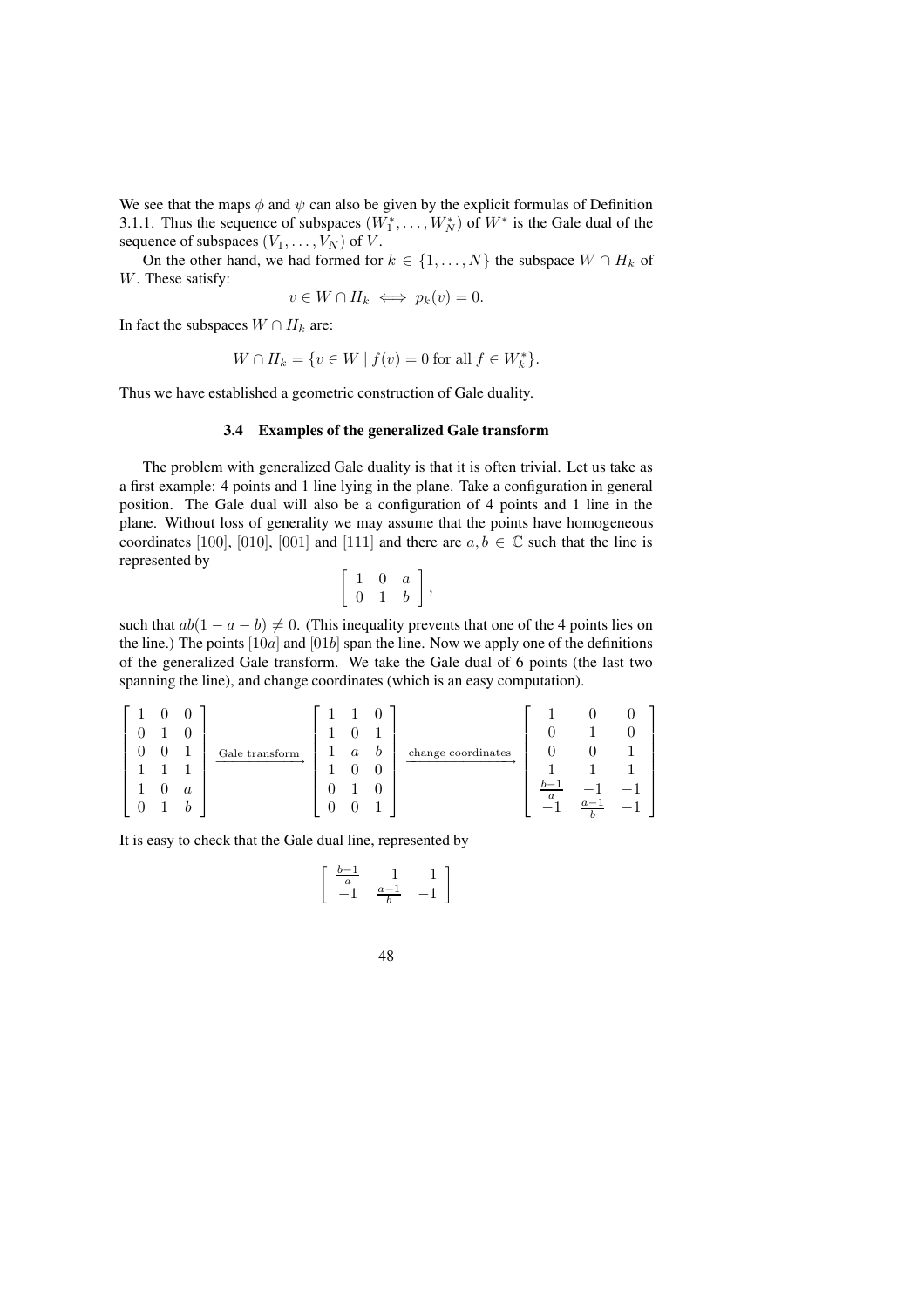We see that the maps  $\phi$  and  $\psi$  can also be given by the explicit formulas of Definition 3.1.1. Thus the sequence of subspaces  $(W_1^*, \ldots, W_N^*)$  of  $W^*$  is the Gale dual of the sequence of subspaces  $(V_1, \ldots, V_N)$  of V.

On the other hand, we had formed for  $k \in \{1, ..., N\}$  the subspace  $W \cap H_k$  of W. These satisfy:

$$
v \in W \cap H_k \iff p_k(v) = 0.
$$

In fact the subspaces  $W \cap H_k$  are:

$$
W \cap H_k = \{ v \in W \mid f(v) = 0 \text{ for all } f \in W_k^* \}.
$$

Thus we have established a geometric construction of Gale duality.

#### **3.4 Examples of the generalized Gale transform**

The problem with generalized Gale duality is that it is often trivial. Let us take as a first example: 4 points and 1 line lying in the plane. Take a configuration in general position. The Gale dual will also be a configuration of 4 points and 1 line in the plane. Without loss of generality we may assume that the points have homogeneous coordinates [100], [010], [001] and [111] and there are  $a, b \in \mathbb{C}$  such that the line is represented by

$$
\left[\begin{array}{ccc} 1 & 0 & a \\ 0 & 1 & b \end{array}\right],
$$

such that  $ab(1 - a - b) \neq 0$ . (This inequality prevents that one of the 4 points lies on the line.) The points  $[10a]$  and  $[01b]$  span the line. Now we apply one of the definitions of the generalized Gale transform. We take the Gale dual of 6 points (the last two spanning the line), and change coordinates (which is an easy computation).

$$
\begin{bmatrix} 1 & 0 & 0 \ 0 & 1 & 0 \ 0 & 0 & 1 \ 1 & 1 & 1 \ 1 & 0 & a \ 0 & 1 & b \end{bmatrix} \xrightarrow{\text{Gale transform}} \begin{bmatrix} 1 & 1 & 0 \ 1 & 0 & 1 \ 1 & a & b \ 0 & 1 & 0 \ 0 & 1 & 0 \ 0 & 0 & 1 \end{bmatrix} \xrightarrow{\text{change coordinates}} \begin{bmatrix} 1 & 0 & 0 \ 0 & 1 & 0 \ 1 & 1 & 1 \ \frac{b-1}{a} & -1 & -1 \ -1 & \frac{a-1}{b} & -1 \end{bmatrix}
$$

It is easy to check that the Gale dual line, represented by

$$
\left[\begin{array}{cc} \frac{b-1}{a} & -1 & -1 \\ -1 & \frac{a-1}{b} & -1 \end{array}\right]
$$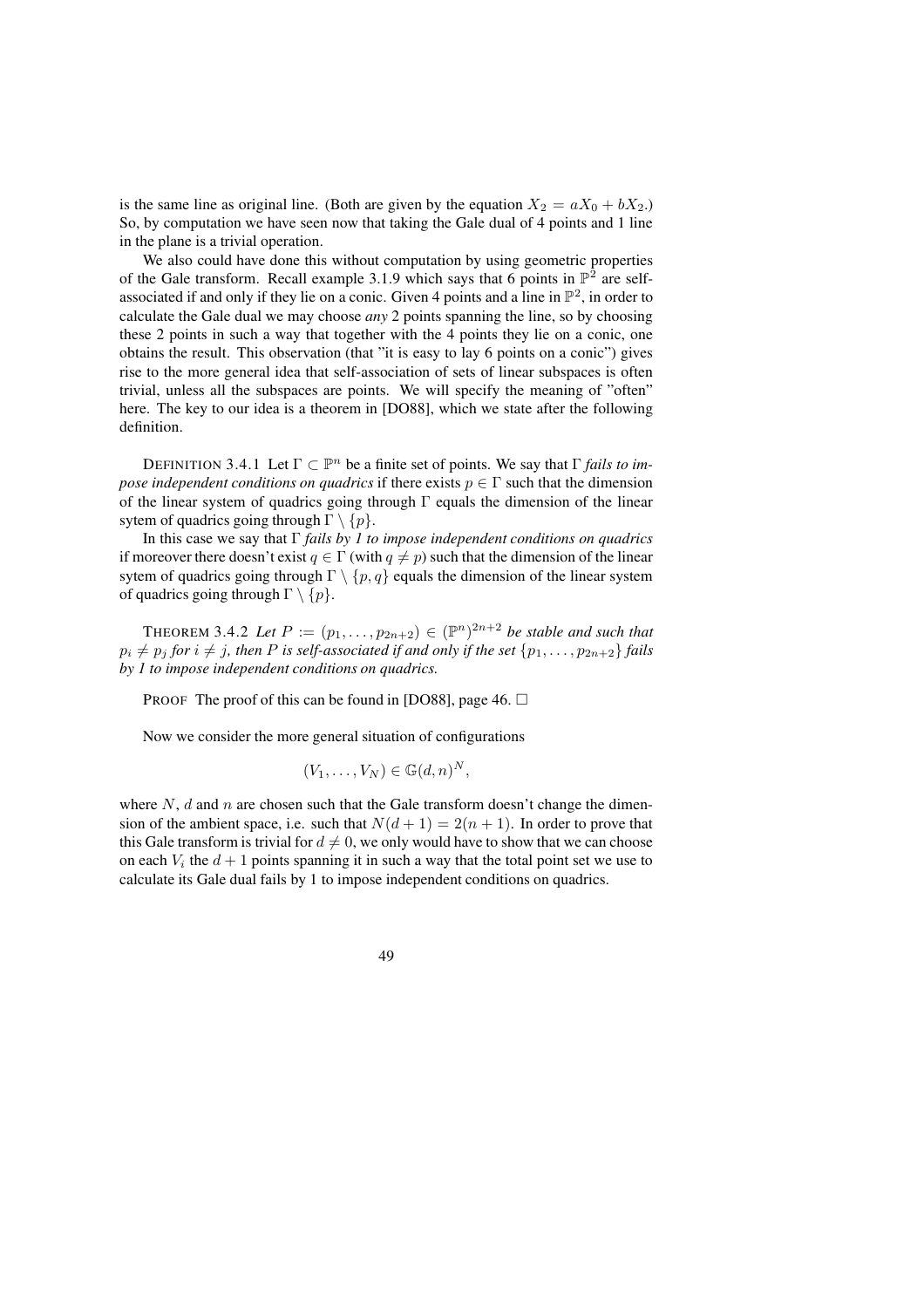is the same line as original line. (Both are given by the equation  $X_2 = aX_0 + bX_2$ .) So, by computation we have seen now that taking the Gale dual of 4 points and 1 line in the plane is a trivial operation.

We also could have done this without computation by using geometric properties of the Gale transform. Recall example 3.1.9 which says that 6 points in  $\mathbb{P}^2$  are selfassociated if and only if they lie on a conic. Given 4 points and a line in  $\mathbb{P}^2$ , in order to calculate the Gale dual we may choose *any* 2 points spanning the line, so by choosing these 2 points in such a way that together with the 4 points they lie on a conic, one obtains the result. This observation (that "it is easy to lay 6 points on a conic") gives rise to the more general idea that self-association of sets of linear subspaces is often trivial, unless all the subspaces are points. We will specify the meaning of "often" here. The key to our idea is a theorem in [DO88], which we state after the following definition.

DEFINITION 3.4.1 Let  $\Gamma \subset \mathbb{P}^n$  be a finite set of points. We say that  $\Gamma$  *fails to impose independent conditions on quadrics* if there exists  $p \in \Gamma$  such that the dimension of the linear system of quadrics going through  $\Gamma$  equals the dimension of the linear sytem of quadrics going through  $\Gamma \setminus \{p\}.$ 

In this case we say that Γ *fails by 1 to impose independent conditions on quadrics* if moreover there doesn't exist  $q \in \Gamma$  (with  $q \neq p$ ) such that the dimension of the linear sytem of quadrics going through  $\Gamma \setminus \{p, q\}$  equals the dimension of the linear system of quadrics going through  $\Gamma \setminus \{p\}.$ 

**THEOREM 3.4.2** Let  $P := (p_1, ..., p_{2n+2}) \in (\mathbb{P}^n)^{2n+2}$  be stable and such that  $p_i \neq p_j$  *for*  $i \neq j$ *, then P is self-associated if and only if the set*  $\{p_1, \ldots, p_{2n+2}\}$  *fails by 1 to impose independent conditions on quadrics.*

PROOF The proof of this can be found in [DO88], page 46.  $\Box$ 

Now we consider the more general situation of configurations

$$
(V_1,\ldots,V_N)\in\mathbb{G}(d,n)^N,
$$

where  $N$ ,  $d$  and  $n$  are chosen such that the Gale transform doesn't change the dimension of the ambient space, i.e. such that  $N(d+1) = 2(n+1)$ . In order to prove that this Gale transform is trivial for  $d \neq 0$ , we only would have to show that we can choose on each  $V_i$  the  $d+1$  points spanning it in such a way that the total point set we use to calculate its Gale dual fails by 1 to impose independent conditions on quadrics.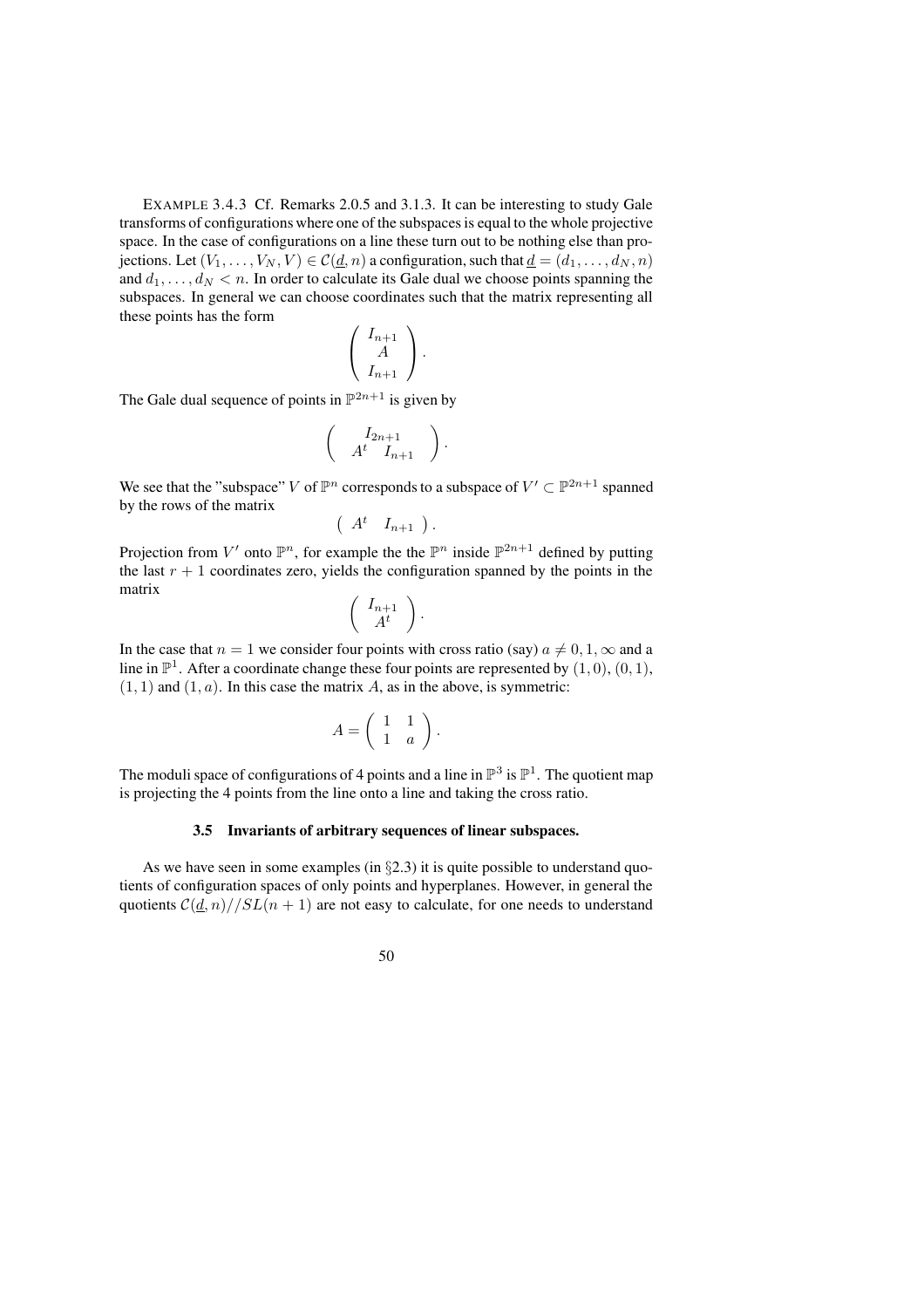EXAMPLE 3.4.3 Cf. Remarks 2.0.5 and 3.1.3. It can be interesting to study Gale transforms of configurations where one of the subspacesis equal to the whole projective space. In the case of configurations on a line these turn out to be nothing else than projections. Let  $(V_1, \ldots, V_N, V) \in C(d, n)$  a configuration, such that  $d = (d_1, \ldots, d_N, n)$ and  $d_1, \ldots, d_N < n$ . In order to calculate its Gale dual we choose points spanning the subspaces. In general we can choose coordinates such that the matrix representing all these points has the form

$$
\left(\begin{array}{c} I_{n+1} \\ A \\ I_{n+1} \end{array}\right).
$$

The Gale dual sequence of points in  $\mathbb{P}^{2n+1}$  is given by

$$
\left(\begin{array}{c}I_{2n+1}\n\\ A^t \ I_{n+1}\end{array}\right)
$$

.

We see that the "subspace" V of  $\mathbb{P}^n$  corresponds to a subspace of  $V' \subset \mathbb{P}^{2n+1}$  spanned by the rows of the matrix

$$
\left(\begin{array}{cc} A^t & I_{n+1} \end{array}\right).
$$

Projection from V' onto  $\mathbb{P}^n$ , for example the the  $\mathbb{P}^n$  inside  $\mathbb{P}^{2n+1}$  defined by putting the last  $r + 1$  coordinates zero, yields the configuration spanned by the points in the matrix

$$
\left(\begin{array}{c} I_{n+1} \\ A^t \end{array}\right).
$$

In the case that  $n = 1$  we consider four points with cross ratio (say)  $a \neq 0, 1, \infty$  and a line in  $\mathbb{P}^1$ . After a coordinate change these four points are represented by  $(1,0), (0,1)$ ,  $(1, 1)$  and  $(1, a)$ . In this case the matrix A, as in the above, is symmetric:

$$
A = \left( \begin{array}{cc} 1 & 1 \\ 1 & a \end{array} \right).
$$

The moduli space of configurations of 4 points and a line in  $\mathbb{P}^3$  is  $\mathbb{P}^1$ . The quotient map is projecting the 4 points from the line onto a line and taking the cross ratio.

### **3.5 Invariants of arbitrary sequences of linear subspaces.**

As we have seen in some examples (in  $\S 2.3$ ) it is quite possible to understand quotients of configuration spaces of only points and hyperplanes. However, in general the quotients  $\mathcal{C}(\underline{d}, n)/\mathcal{S}L(n + 1)$  are not easy to calculate, for one needs to understand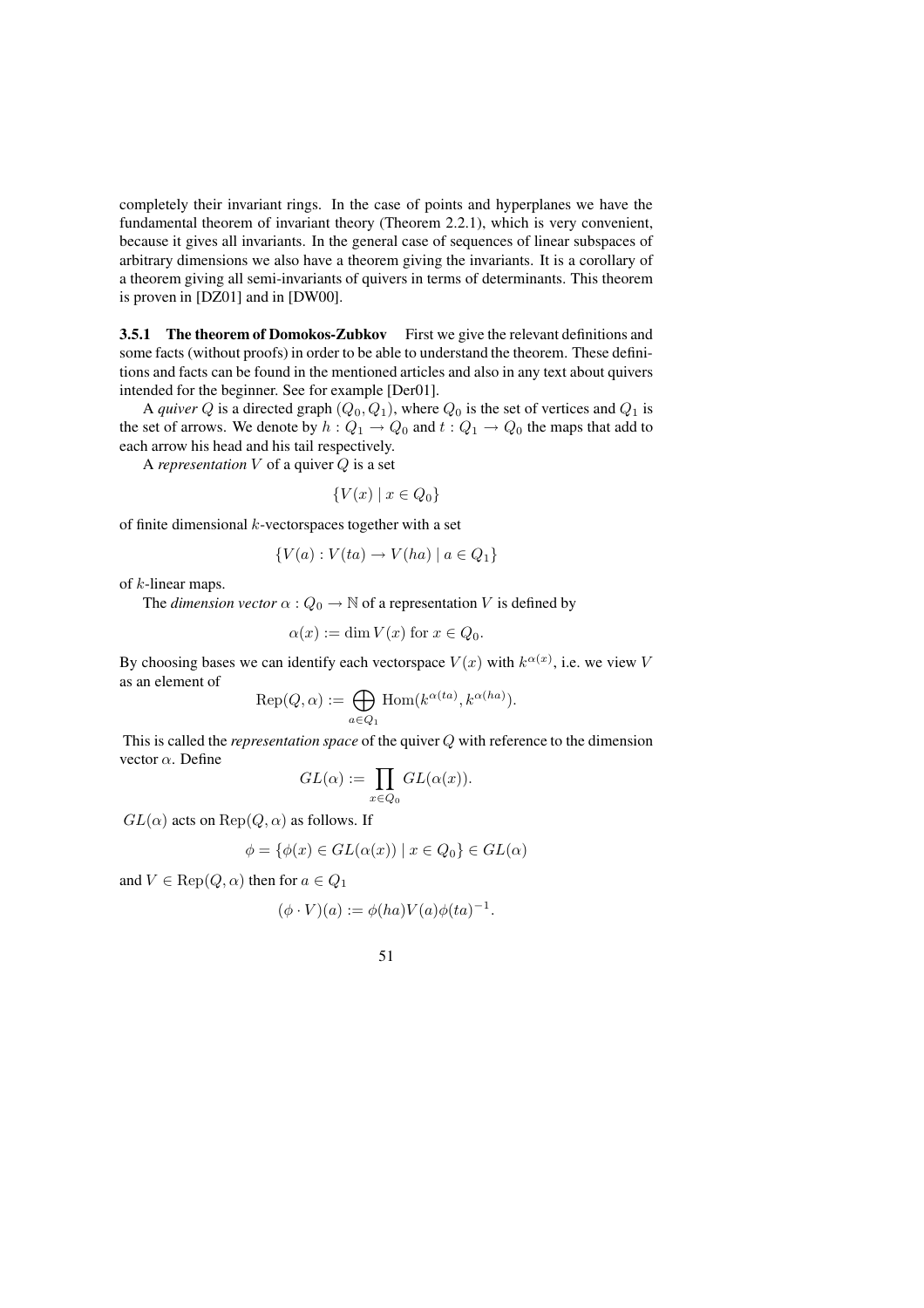completely their invariant rings. In the case of points and hyperplanes we have the fundamental theorem of invariant theory (Theorem 2.2.1), which is very convenient, because it gives all invariants. In the general case of sequences of linear subspaces of arbitrary dimensions we also have a theorem giving the invariants. It is a corollary of a theorem giving all semi-invariants of quivers in terms of determinants. This theorem is proven in [DZ01] and in [DW00].

**3.5.1 The theorem of Domokos-Zubkov** First we give the relevant definitions and some facts (without proofs) in order to be able to understand the theorem. These definitions and facts can be found in the mentioned articles and also in any text about quivers intended for the beginner. See for example [Der01].

A *quiver*  $Q$  is a directed graph  $(Q_0, Q_1)$ , where  $Q_0$  is the set of vertices and  $Q_1$  is the set of arrows. We denote by  $h: Q_1 \to Q_0$  and  $t: Q_1 \to Q_0$  the maps that add to each arrow his head and his tail respectively.

A *representation* V of a quiver Q is a set

$$
\{V(x) \mid x \in Q_0\}
$$

of finite dimensional  $k$ -vectorspaces together with a set

$$
\{V(a): V(ta) \to V(ha) \mid a \in Q_1\}
$$

of k-linear maps.

The *dimension vector*  $\alpha$  :  $Q_0 \rightarrow \mathbb{N}$  of a representation V is defined by

$$
\alpha(x) := \dim V(x) \text{ for } x \in Q_0.
$$

By choosing bases we can identify each vectorspace  $V(x)$  with  $k^{\alpha(x)}$ , i.e. we view V as an element of

$$
\operatorname{Rep}(Q,\alpha):=\bigoplus_{a\in Q_1}\operatorname{Hom}(k^{\alpha(ta)},k^{\alpha(ha)}).
$$

This is called the *representation space* of the quiver Q with reference to the dimension vector α. Define

$$
GL(\alpha) := \prod_{x \in Q_0} GL(\alpha(x)).
$$

 $GL(\alpha)$  acts on  $Rep(Q, \alpha)$  as follows. If

$$
\phi = \{ \phi(x) \in GL(\alpha(x)) \mid x \in Q_0 \} \in GL(\alpha)
$$

and  $V \in \text{Rep}(Q, \alpha)$  then for  $a \in Q_1$ 

$$
(\phi \cdot V)(a) := \phi(ha)V(a)\phi(ta)^{-1}.
$$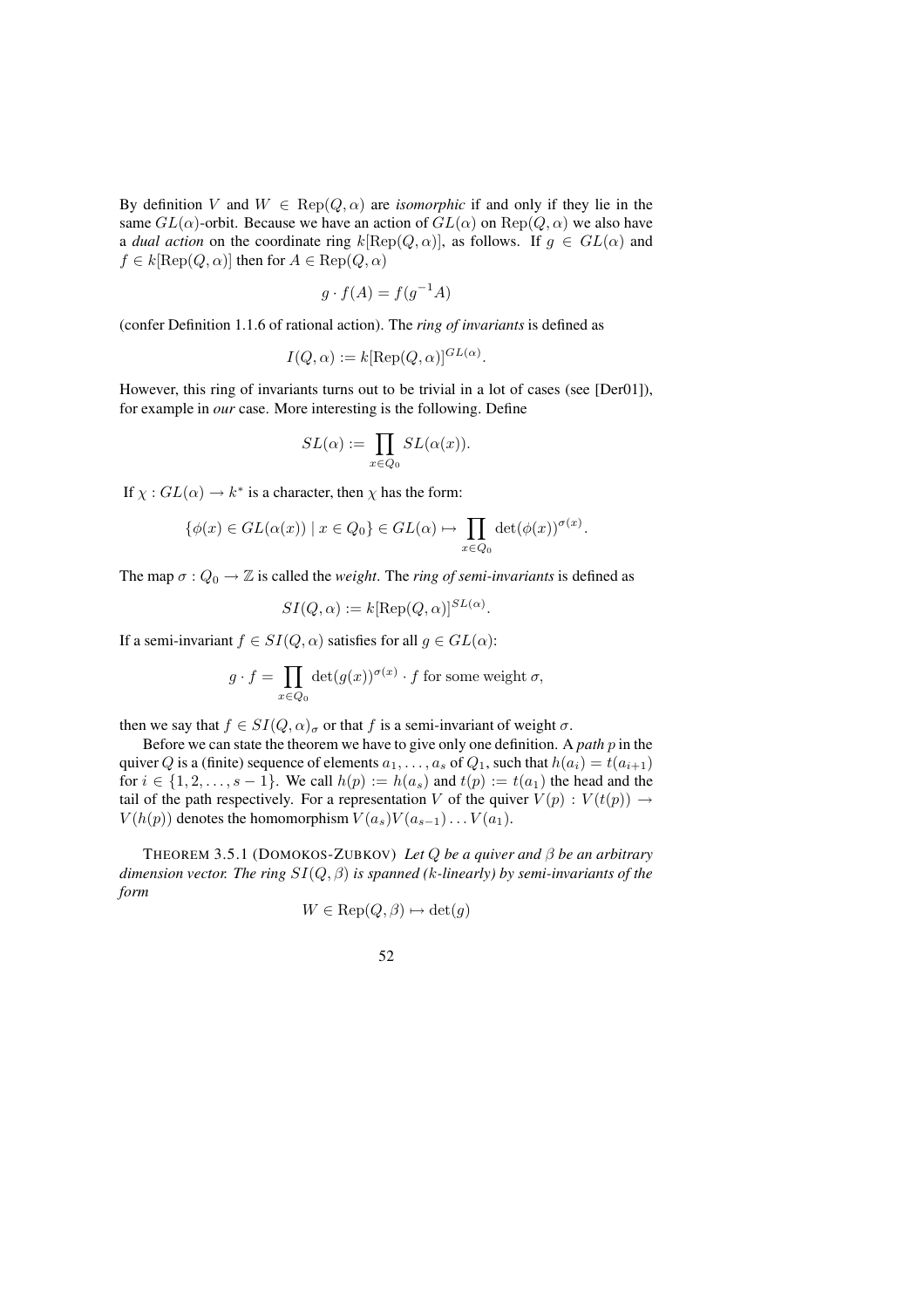By definition V and  $W \in \text{Rep}(Q, \alpha)$  are *isomorphic* if and only if they lie in the same  $GL(\alpha)$ -orbit. Because we have an action of  $GL(\alpha)$  on  $Rep(Q, \alpha)$  we also have a *dual action* on the coordinate ring  $k[\text{Rep}(Q, \alpha)]$ , as follows. If  $g \in GL(\alpha)$  and  $f \in k[\text{Rep}(Q, \alpha)]$  then for  $A \in \text{Rep}(Q, \alpha)$ 

$$
g \cdot f(A) = f(g^{-1}A)
$$

(confer Definition 1.1.6 of rational action). The *ring of invariants* is defined as

$$
I(Q, \alpha) := k[\text{Rep}(Q, \alpha)]^{GL(\alpha)}.
$$

However, this ring of invariants turns out to be trivial in a lot of cases (see [Der01]), for example in *our* case. More interesting is the following. Define

$$
SL(\alpha) := \prod_{x \in Q_0} SL(\alpha(x)).
$$

If  $\chi : GL(\alpha) \to k^*$  is a character, then  $\chi$  has the form:

$$
\{\phi(x) \in GL(\alpha(x)) \mid x \in Q_0\} \in GL(\alpha) \mapsto \prod_{x \in Q_0} \det(\phi(x))^{\sigma(x)}.
$$

The map  $\sigma$  :  $Q_0 \rightarrow \mathbb{Z}$  is called the *weight*. The *ring of semi-invariants* is defined as

$$
SI(Q, \alpha) := k[\text{Rep}(Q, \alpha)]^{SL(\alpha)}.
$$

If a semi-invariant  $f \in SI(Q, \alpha)$  satisfies for all  $g \in GL(\alpha)$ :

$$
g \cdot f = \prod_{x \in Q_0} \det(g(x))^{\sigma(x)} \cdot f
$$
 for some weight  $\sigma$ ,

then we say that  $f \in SI(Q, \alpha)_{\sigma}$  or that f is a semi-invariant of weight  $\sigma$ .

Before we can state the theorem we have to give only one definition. A *path* p in the quiver Q is a (finite) sequence of elements  $a_1, \ldots, a_s$  of  $Q_1$ , such that  $h(a_i) = t(a_{i+1})$ for  $i \in \{1, 2, \ldots, s-1\}$ . We call  $h(p) := h(a_s)$  and  $t(p) := t(a_1)$  the head and the tail of the path respectively. For a representation V of the quiver  $V(p): V(t(p)) \rightarrow$  $V(h(p))$  denotes the homomorphism  $V(a<sub>s</sub>)V(a<sub>s-1</sub>)\dots V(a_1)$ .

THEOREM 3.5.1 (DOMOKOS-ZUBKOV) *Let* Q *be a quiver and* β *be an arbitrary dimension vector. The ring* SI(Q, β) *is spanned (*k*-linearly) by semi-invariants of the form*

$$
W \in \text{Rep}(Q, \beta) \mapsto \det(g)
$$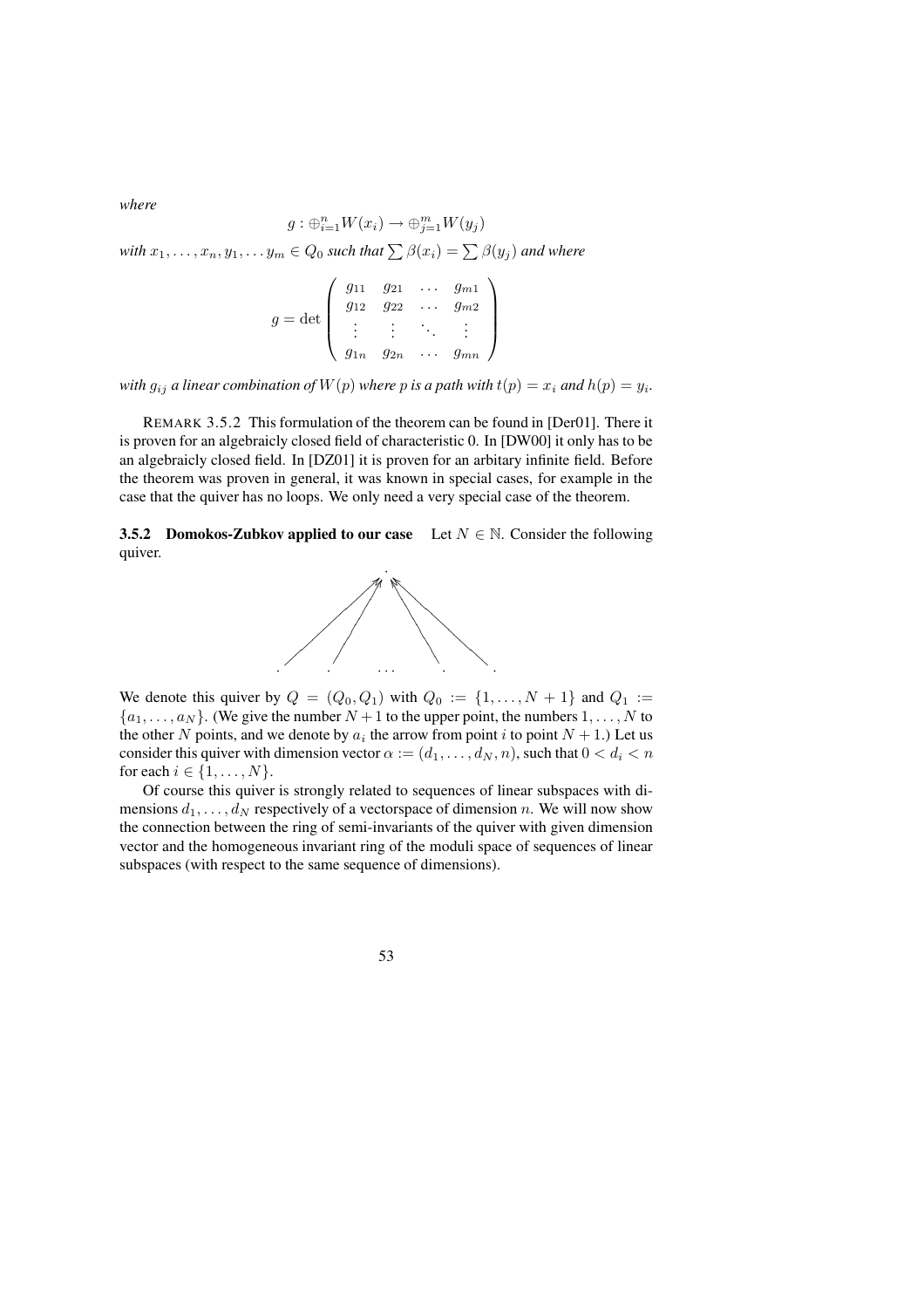*where*

$$
g: \bigoplus_{i=1}^{n} W(x_i) \to \bigoplus_{j=1}^{m} W(y_j)
$$
  
with  $x_1, ..., x_n, y_1, ... y_m \in Q_0$  such that  $\sum \beta(x_i) = \sum \beta(y_j)$  and where  

$$
g = \det \begin{pmatrix} g_{11} & g_{21} & \cdots & g_{m1} \\ g_{12} & g_{22} & \cdots & g_{m2} \\ \vdots & \vdots & \ddots & \vdots \end{pmatrix}
$$

*with*  $g_{ij}$  *a linear combination of*  $W(p)$  *where*  $p$  *is a path with*  $t(p) = x_i$  *and*  $h(p) = y_i$ *.* 

 $g_{1n}$   $g_{2n}$   $\dots$   $g_{mn}$ 

REMARK 3.5.2 This formulation of the theorem can be found in [Der01]. There it is proven for an algebraicly closed field of characteristic 0. In [DW00] it only has to be an algebraicly closed field. In [DZ01] it is proven for an arbitary infinite field. Before the theorem was proven in general, it was known in special cases, for example in the case that the quiver has no loops. We only need a very special case of the theorem.

**3.5.2 Domokos-Zubkov applied to our case** Let  $N \in \mathbb{N}$ . Consider the following quiver.



We denote this quiver by  $Q = (Q_0, Q_1)$  with  $Q_0 := \{1, \ldots, N+1\}$  and  $Q_1 :=$  $\{a_1, \ldots, a_N\}$ . (We give the number  $N+1$  to the upper point, the numbers  $1, \ldots, N$  to the other N points, and we denote by  $a_i$  the arrow from point i to point  $N + 1$ .) Let us consider this quiver with dimension vector  $\alpha := (d_1, \ldots, d_N, n)$ , such that  $0 < d_i < n$ for each  $i \in \{1, \ldots, N\}$ .

Of course this quiver is strongly related to sequences of linear subspaces with dimensions  $d_1, \ldots, d_N$  respectively of a vectorspace of dimension n. We will now show the connection between the ring of semi-invariants of the quiver with given dimension vector and the homogeneous invariant ring of the moduli space of sequences of linear subspaces (with respect to the same sequence of dimensions).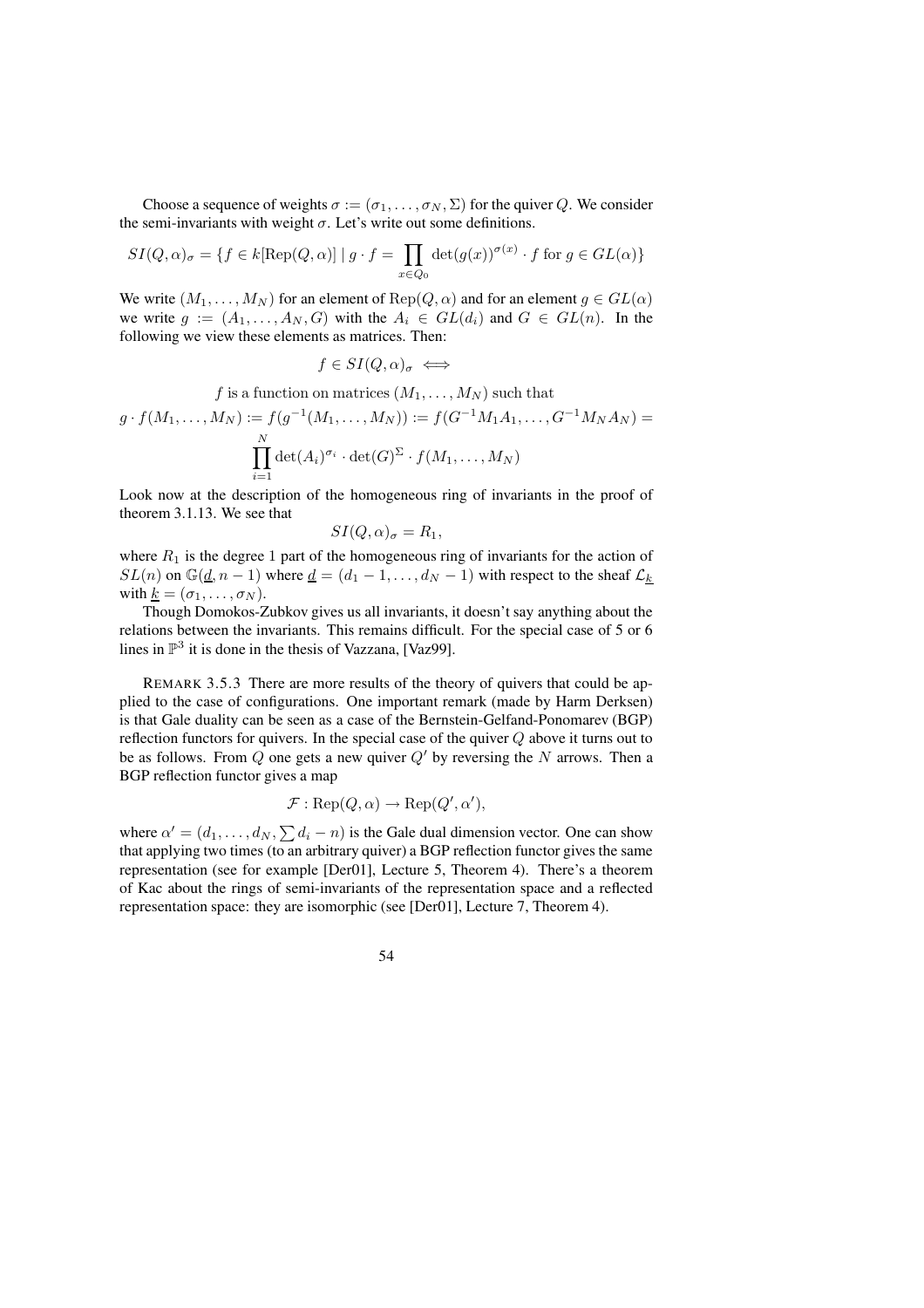Choose a sequence of weights  $\sigma := (\sigma_1, \ldots, \sigma_N, \Sigma)$  for the quiver Q. We consider the semi-invariants with weight  $\sigma$ . Let's write out some definitions.

$$
SI(Q, \alpha)_{\sigma} = \{ f \in k[\text{Rep}(Q, \alpha)] \mid g \cdot f = \prod_{x \in Q_0} \det(g(x))^{\sigma(x)} \cdot f \text{ for } g \in GL(\alpha) \}
$$

We write  $(M_1, \ldots, M_N)$  for an element of  $\text{Rep}(Q, \alpha)$  and for an element  $g \in GL(\alpha)$ we write  $g := (A_1, \ldots, A_N, G)$  with the  $A_i \in GL(d_i)$  and  $G \in GL(n)$ . In the following we view these elements as matrices. Then:

$$
f \in SI(Q, \alpha)_{\sigma} \iff
$$

f is a function on matrices  $(M_1, \ldots, M_N)$  such that

$$
g \cdot f(M_1, \dots, M_N) := f(g^{-1}(M_1, \dots, M_N)) := f(G^{-1}M_1A_1, \dots, G^{-1}M_NA_N) = \prod_{i=1}^N \det(A_i)^{\sigma_i} \cdot \det(G)^{\Sigma} \cdot f(M_1, \dots, M_N)
$$

Look now at the description of the homogeneous ring of invariants in the proof of theorem 3.1.13. We see that

$$
SI(Q,\alpha)_{\sigma}=R_1,
$$

where  $R_1$  is the degree 1 part of the homogeneous ring of invariants for the action of  $SL(n)$  on  $\mathbb{G}(\underline{d}, n-1)$  where  $\underline{d} = (d_1 - 1, \ldots, d_N - 1)$  with respect to the sheaf  $\mathcal{L}_k$ with  $k = (\sigma_1, \ldots, \sigma_N)$ .

Though Domokos-Zubkov gives us all invariants, it doesn't say anything about the relations between the invariants. This remains difficult. For the special case of 5 or 6 lines in  $\mathbb{P}^3$  it is done in the thesis of Vazzana, [Vaz99].

REMARK 3.5.3 There are more results of the theory of quivers that could be applied to the case of configurations. One important remark (made by Harm Derksen) is that Gale duality can be seen as a case of the Bernstein-Gelfand-Ponomarev (BGP) reflection functors for quivers. In the special case of the quiver  $Q$  above it turns out to be as follows. From Q one gets a new quiver  $Q'$  by reversing the N arrows. Then a BGP reflection functor gives a map

$$
\mathcal{F}: \operatorname{Rep}(Q, \alpha) \to \operatorname{Rep}(Q', \alpha'),
$$

where  $\alpha' = (d_1, \dots, d_N, \sum d_i - n)$  is the Gale dual dimension vector. One can show that applying two times (to an arbitrary quiver) a BGP reflection functor gives the same representation (see for example [Der01], Lecture 5, Theorem 4). There's a theorem of Kac about the rings of semi-invariants of the representation space and a reflected representation space: they are isomorphic (see [Der01], Lecture 7, Theorem 4).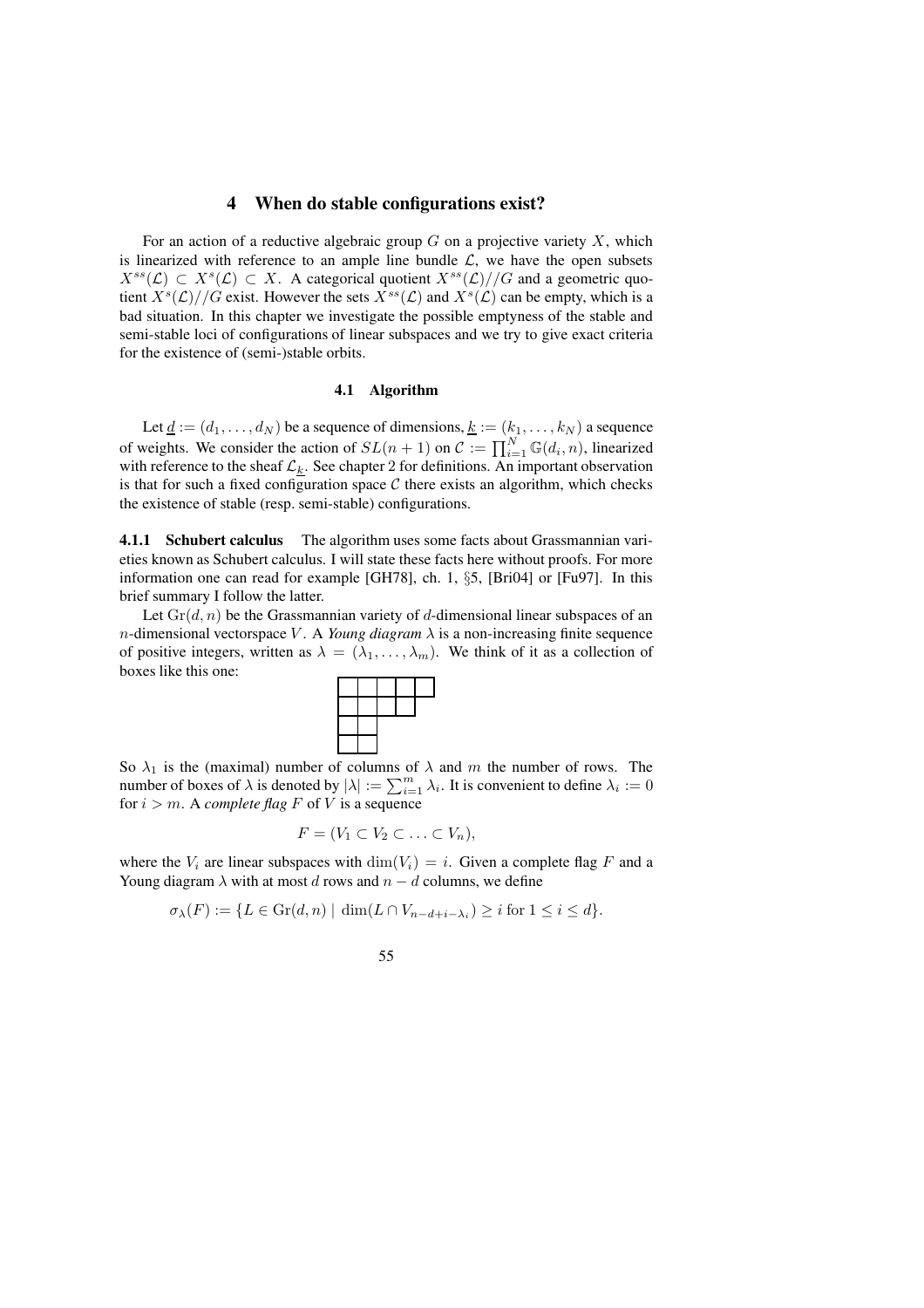# **4 When do stable configurations exist?**

For an action of a reductive algebraic group  $G$  on a projective variety  $X$ , which is linearized with reference to an ample line bundle  $\mathcal{L}$ , we have the open subsets  $X^{ss}(\mathcal{L}) \subset X^{s}(\mathcal{L}) \subset X$ . A categorical quotient  $X^{ss}(\mathcal{L})//G$  and a geometric quotient  $X<sup>s</sup>(\mathcal{L})//G$  exist. However the sets  $X<sup>ss</sup>(\mathcal{L})$  and  $X<sup>s</sup>(\mathcal{L})$  can be empty, which is a bad situation. In this chapter we investigate the possible emptyness of the stable and semi-stable loci of configurations of linear subspaces and we try to give exact criteria for the existence of (semi-)stable orbits.

### **4.1 Algorithm**

Let  $\underline{d} := (d_1, \ldots, d_N)$  be a sequence of dimensions,  $\underline{k} := (k_1, \ldots, k_N)$  a sequence of weights. We consider the action of  $SL(n + 1)$  on  $C := \prod_{i=1}^{N} \mathbb{G}(d_i, n)$ , linearized with reference to the sheaf  $\mathcal{L}_k$ . See chapter 2 for definitions. An important observation is that for such a fixed configuration space  $C$  there exists an algorithm, which checks the existence of stable (resp. semi-stable) configurations.

**4.1.1 Schubert calculus** The algorithm uses some facts about Grassmannian varieties known as Schubert calculus. I will state these facts here without proofs. For more information one can read for example [GH78], ch. 1, §5, [Bri04] or [Fu97]. In this brief summary I follow the latter.

Let  $\text{Gr}(d, n)$  be the Grassmannian variety of d-dimensional linear subspaces of an *n*-dimensional vectorspace V. A *Young diagram*  $\lambda$  is a non-increasing finite sequence of positive integers, written as  $\lambda = (\lambda_1, \dots, \lambda_m)$ . We think of it as a collection of boxes like this one:



So  $\lambda_1$  is the (maximal) number of columns of  $\lambda$  and m the number of rows. The number of boxes of  $\lambda$  is denoted by  $|\lambda| := \sum_{i=1}^m \lambda_i$ . It is convenient to define  $\lambda_i := 0$ for  $i > m$ . A *complete* flag F of V is a sequence

$$
F=(V_1\subset V_2\subset\ldots\subset V_n),
$$

where the  $V_i$  are linear subspaces with  $\dim(V_i) = i$ . Given a complete flag F and a Young diagram  $\lambda$  with at most d rows and  $n - d$  columns, we define

$$
\sigma_{\lambda}(F) := \{ L \in \text{Gr}(d, n) \mid \dim(L \cap V_{n-d+i-\lambda_i}) \ge i \text{ for } 1 \le i \le d \}.
$$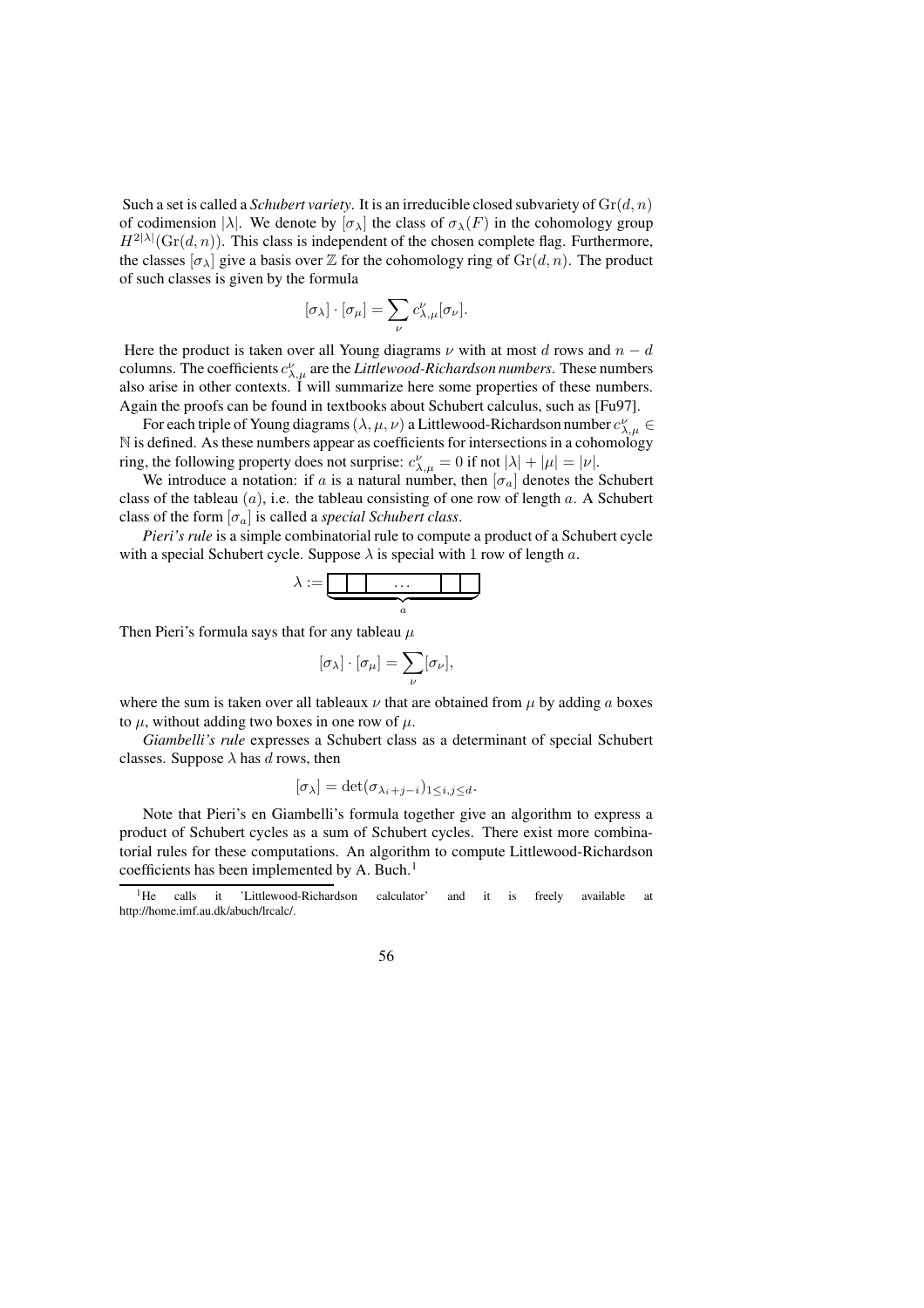Such a set is called a *Schubert variety*. It is an irreducible closed subvariety of  $\mathrm{Gr}(d, n)$ of codimension  $|\lambda|$ . We denote by  $[\sigma_{\lambda}]$  the class of  $\sigma_{\lambda}(F)$  in the cohomology group  $H^{2|\lambda|}(\mathrm{Gr}(d,n))$ . This class is independent of the chosen complete flag. Furthermore, the classes  $[\sigma_{\lambda}]$  give a basis over  $\mathbb Z$  for the cohomology ring of  $\mathrm{Gr}(d, n)$ . The product of such classes is given by the formula

$$
[\sigma_{\lambda}] \cdot [\sigma_{\mu}] = \sum_{\nu} c_{\lambda,\mu}^{\nu} [\sigma_{\nu}].
$$

Here the product is taken over all Young diagrams  $\nu$  with at most d rows and  $n - d$ columns. The coefficients  $c_{\lambda,\mu}^{\nu}$  are the *Littlewood-Richardson numbers*. These numbers also arise in other contexts. I will summarize here some properties of these numbers. Again the proofs can be found in textbooks about Schubert calculus, such as [Fu97].

For each triple of Young diagrams  $(\lambda, \mu, \nu)$  a Littlewood-Richardson number  $c_{\lambda, \mu}^{\nu} \in$ N is defined. As these numbers appear as coefficients for intersections in a cohomology ring, the following property does not surprise:  $c^{\nu}_{\lambda,\mu} = 0$  if not  $|\lambda| + |\mu| = |\nu|$ .

We introduce a notation: if a is a natural number, then  $[\sigma_a]$  denotes the Schubert class of the tableau  $(a)$ , i.e. the tableau consisting of one row of length  $a$ . A Schubert class of the form  $[\sigma_a]$  is called a *special Schubert class*.

*Pieri's rule* is a simple combinatorial rule to compute a product of a Schubert cycle with a special Schubert cycle. Suppose  $\lambda$  is special with 1 row of length a.



Then Pieri's formula says that for any tableau  $\mu$ 

$$
[\sigma_{\lambda}] \cdot [\sigma_{\mu}] = \sum_{\nu} [\sigma_{\nu}],
$$

where the sum is taken over all tableaux  $\nu$  that are obtained from  $\mu$  by adding a boxes to  $\mu$ , without adding two boxes in one row of  $\mu$ .

*Giambelli's rule* expresses a Schubert class as a determinant of special Schubert classes. Suppose  $\lambda$  has d rows, then

$$
[\sigma_{\lambda}] = \det(\sigma_{\lambda_i+j-i})_{1 \leq i,j \leq d}.
$$

Note that Pieri's en Giambelli's formula together give an algorithm to express a product of Schubert cycles as a sum of Schubert cycles. There exist more combinatorial rules for these computations. An algorithm to compute Littlewood-Richardson coefficients has been implemented by A. Buch.<sup>1</sup>

<sup>&</sup>lt;sup>1</sup>He calls it 'Littlewood-Richardson calculator' and it is freely available at http://home.imf.au.dk/abuch/lrcalc/.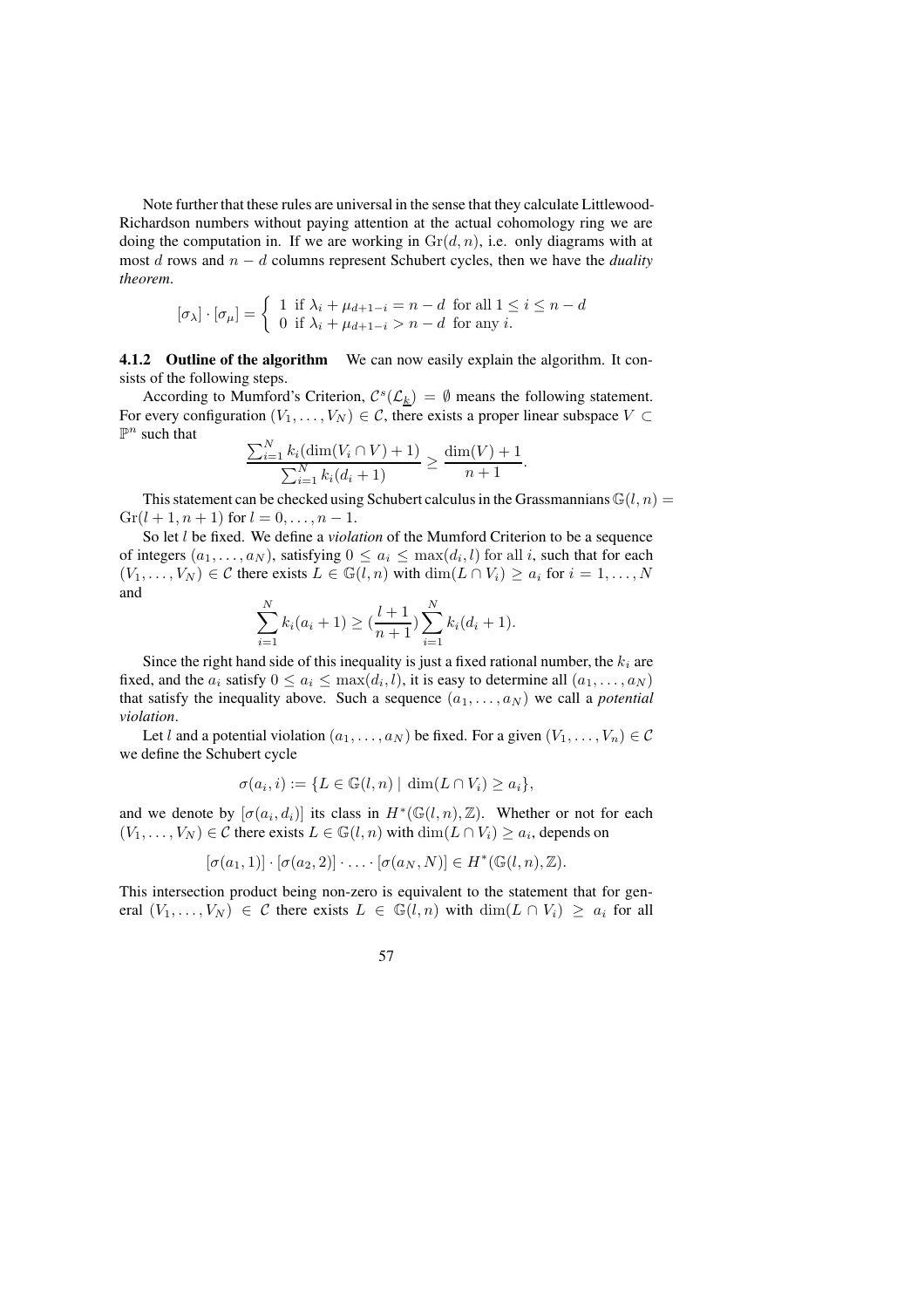Note further that these rules are universal in the sense that they calculate Littlewood-Richardson numbers without paying attention at the actual cohomology ring we are doing the computation in. If we are working in  $\mathrm{Gr}(d, n)$ , i.e. only diagrams with at most d rows and n − d columns represent Schubert cycles, then we have the *duality theorem*.

$$
[\sigma_{\lambda}] \cdot [\sigma_{\mu}] = \begin{cases} 1 & \text{if } \lambda_i + \mu_{d+1-i} = n - d \text{ for all } 1 \leq i \leq n - d \\ 0 & \text{if } \lambda_i + \mu_{d+1-i} > n - d \text{ for any } i. \end{cases}
$$

**4.1.2 Outline of the algorithm** We can now easily explain the algorithm. It consists of the following steps.

According to Mumford's Criterion,  $C^{s}(\mathcal{L}_k) = \emptyset$  means the following statement. For every configuration  $(V_1, \ldots, V_N) \in \mathcal{C}$ , there exists a proper linear subspace  $V \subset$  $\mathbb{P}^n$  such that

$$
\frac{\sum_{i=1}^{N} k_i (\dim(V_i \cap V) + 1)}{\sum_{i=1}^{N} k_i (d_i + 1)} \ge \frac{\dim(V) + 1}{n + 1}.
$$

This statement can be checked using Schubert calculus in the Grassmannians  $\mathbb{G}(l, n) =$  $Gr(l + 1, n + 1)$  for  $l = 0, ..., n - 1$ .

So let l be fixed. We define a *violation* of the Mumford Criterion to be a sequence of integers  $(a_1, \ldots, a_N)$ , satisfying  $0 \le a_i \le \max(d_i, l)$  for all i, such that for each  $(V_1, \ldots, V_N) \in \mathcal{C}$  there exists  $L \in \mathbb{G}(l, n)$  with  $\dim(L \cap V_i) \ge a_i$  for  $i = 1, \ldots, N$ and

$$
\sum_{i=1}^{N} k_i (a_i + 1) \ge \left(\frac{l+1}{n+1}\right) \sum_{i=1}^{N} k_i (d_i + 1).
$$

Since the right hand side of this inequality is just a fixed rational number, the  $k_i$  are fixed, and the  $a_i$  satisfy  $0 \le a_i \le \max(d_i, l)$ , it is easy to determine all  $(a_1, \ldots, a_N)$ that satisfy the inequality above. Such a sequence  $(a_1, \ldots, a_N)$  we call a *potential violation*.

Let l and a potential violation  $(a_1, \ldots, a_N)$  be fixed. For a given  $(V_1, \ldots, V_n) \in \mathcal{C}$ we define the Schubert cycle

$$
\sigma(a_i, i) := \{ L \in \mathbb{G}(l, n) \mid \dim(L \cap V_i) \ge a_i \},
$$

and we denote by  $[\sigma(a_i, d_i)]$  its class in  $H^*(\mathbb{G}(l,n), \mathbb{Z})$ . Whether or not for each  $(V_1, \ldots, V_N) \in \mathcal{C}$  there exists  $L \in \mathbb{G}(l, n)$  with  $\dim(L \cap V_i) \ge a_i$ , depends on

$$
[\sigma(a_1,1)] \cdot [\sigma(a_2,2)] \cdot \ldots \cdot [\sigma(a_N,N)] \in H^*(\mathbb{G}(l,n),\mathbb{Z}).
$$

This intersection product being non-zero is equivalent to the statement that for general  $(V_1, \ldots, V_N) \in \mathcal{C}$  there exists  $L \in \mathbb{G}(l,n)$  with  $\dim(L \cap V_i) \geq a_i$  for all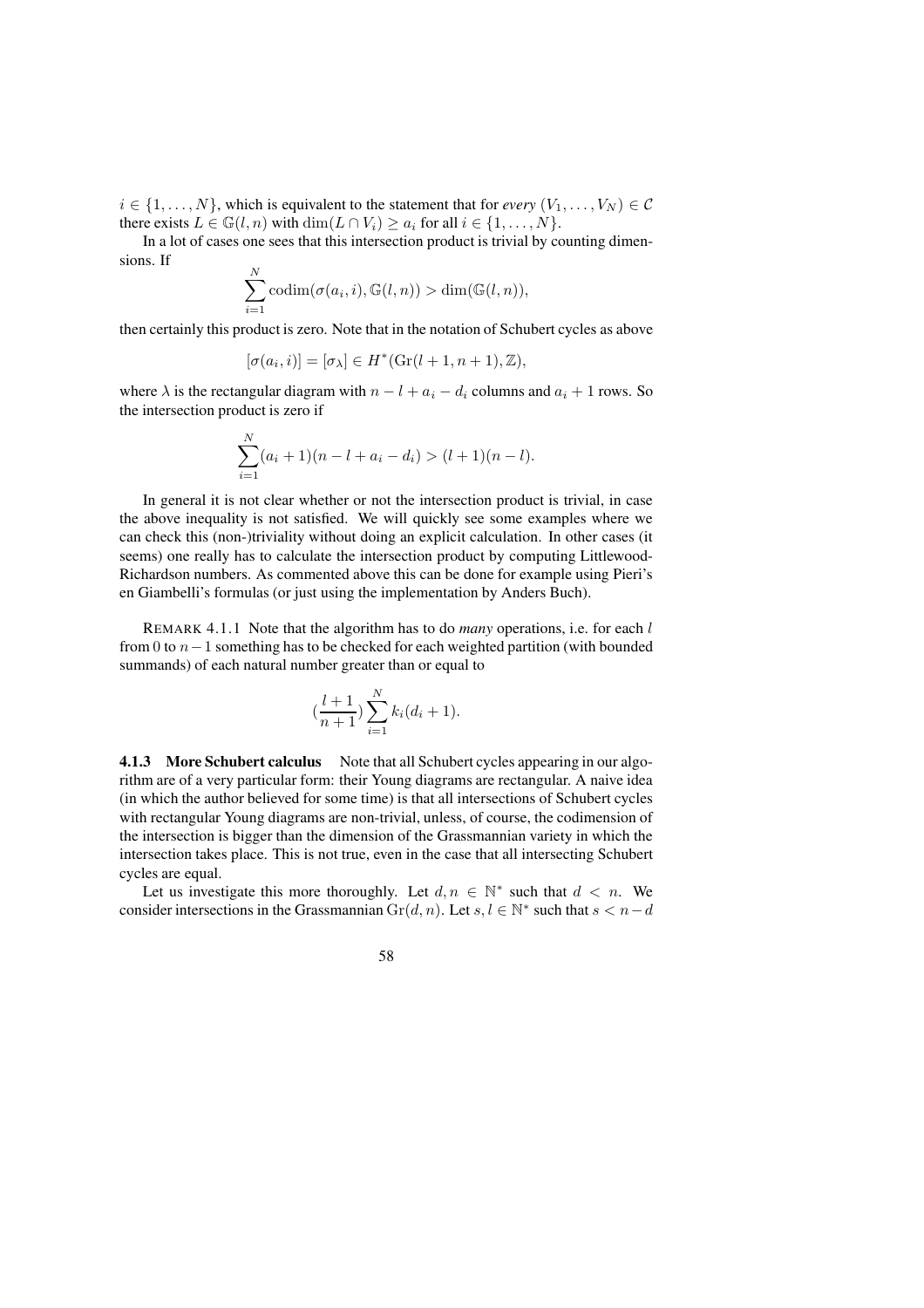$i \in \{1, \ldots, N\}$ , which is equivalent to the statement that for *every*  $(V_1, \ldots, V_N) \in \mathcal{C}$ there exists  $L \in \mathbb{G}(l, n)$  with  $\dim(L \cap V_i) \geq a_i$  for all  $i \in \{1, ..., N\}$ .

In a lot of cases one sees that this intersection product is trivial by counting dimensions. If

$$
\sum_{i=1}^{N} \operatorname{codim}(\sigma(a_i, i), \mathbb{G}(l, n)) > \dim(\mathbb{G}(l, n)),
$$

then certainly this product is zero. Note that in the notation of Schubert cycles as above

$$
[\sigma(a_i, i)] = [\sigma_\lambda] \in H^*(\mathrm{Gr}(l+1, n+1), \mathbb{Z}),
$$

where  $\lambda$  is the rectangular diagram with  $n - l + a_i - d_i$  columns and  $a_i + 1$  rows. So the intersection product is zero if

$$
\sum_{i=1}^{N} (a_i + 1)(n - l + a_i - d_i) > (l+1)(n-l).
$$

In general it is not clear whether or not the intersection product is trivial, in case the above inequality is not satisfied. We will quickly see some examples where we can check this (non-)triviality without doing an explicit calculation. In other cases (it seems) one really has to calculate the intersection product by computing Littlewood-Richardson numbers. As commented above this can be done for example using Pieri's en Giambelli's formulas (or just using the implementation by Anders Buch).

REMARK 4.1.1 Note that the algorithm has to do *many* operations, i.e. for each l from 0 to n−1 something has to be checked for each weighted partition (with bounded summands) of each natural number greater than or equal to

$$
(\frac{l+1}{n+1})\sum_{i=1}^{N}k_i(d_i+1).
$$

**4.1.3 More Schubert calculus** Note that all Schubert cycles appearing in our algorithm are of a very particular form: their Young diagrams are rectangular. A naive idea (in which the author believed for some time) is that all intersections of Schubert cycles with rectangular Young diagrams are non-trivial, unless, of course, the codimension of the intersection is bigger than the dimension of the Grassmannian variety in which the intersection takes place. This is not true, even in the case that all intersecting Schubert cycles are equal.

Let us investigate this more thoroughly. Let  $d, n \in \mathbb{N}^*$  such that  $d < n$ . We consider intersections in the Grassmannian  $\text{Gr}(d, n)$ . Let  $s, l \in \mathbb{N}^*$  such that  $s < n - d$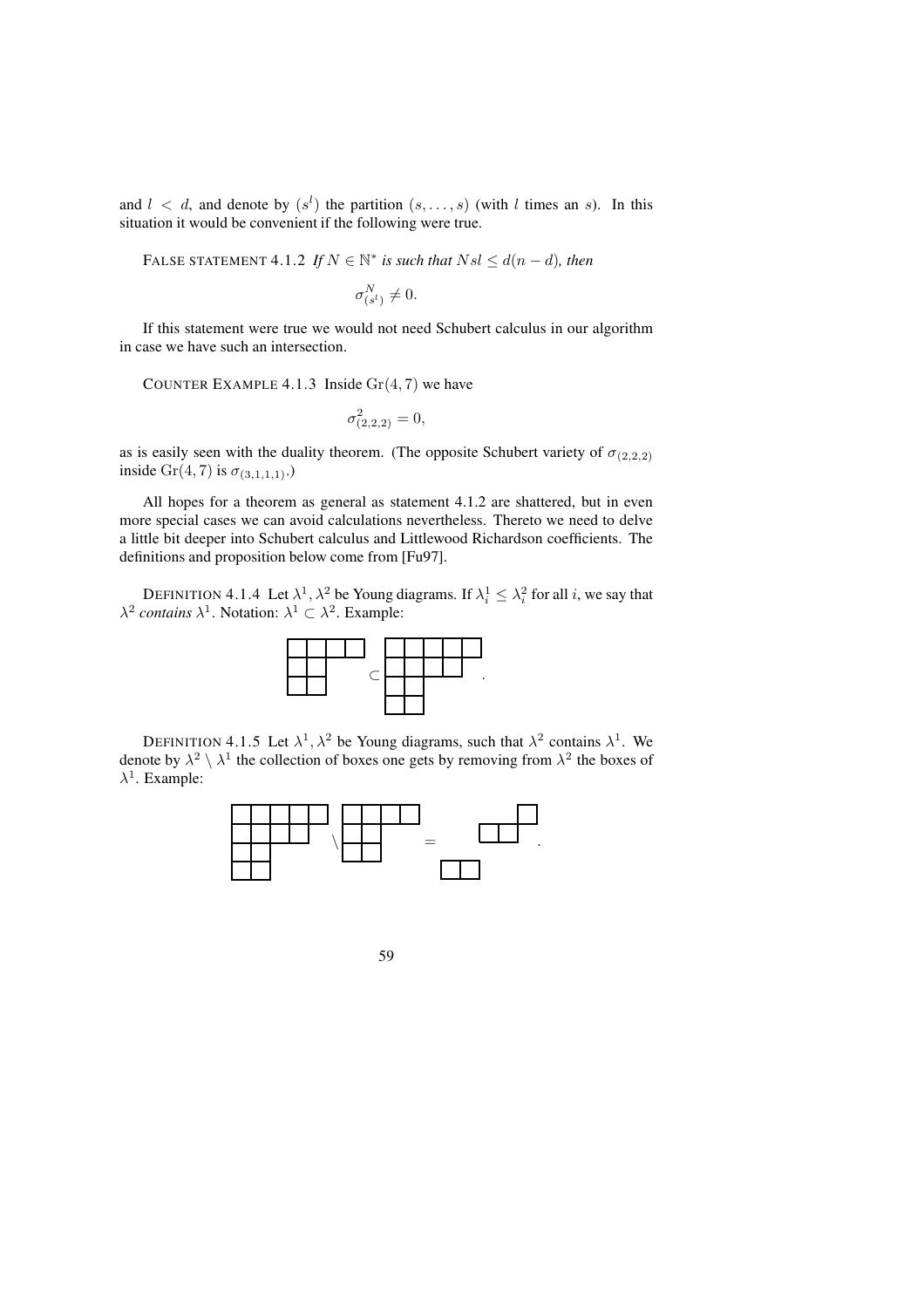and  $l \, \langle \, d \rangle$  and denote by  $(s^l)$  the partition  $(s, \ldots, s)$  (with l times an s). In this situation it would be convenient if the following were true.

FALSE STATEMENT 4.1.2 If 
$$
N \in \mathbb{N}^*
$$
 is such that  $Nsl \leq d(n-d)$ , then  

$$
\sigma_{(s^l)}^N \neq 0.
$$

If this statement were true we would not need Schubert calculus in our algorithm in case we have such an intersection.

COUNTER EXAMPLE 4.1.3 Inside  $Gr(4, 7)$  we have

$$
\sigma^2_{(2,2,2)} = 0,
$$

as is easily seen with the duality theorem. (The opposite Schubert variety of  $\sigma_{(2,2,2)}$ ) inside Gr(4, 7) is  $\sigma_{(3,1,1,1)}$ .)

All hopes for a theorem as general as statement 4.1.2 are shattered, but in even more special cases we can avoid calculations nevertheless. Thereto we need to delve a little bit deeper into Schubert calculus and Littlewood Richardson coefficients. The definitions and proposition below come from [Fu97].

DEFINITION 4.1.4 Let  $\lambda^1$ ,  $\lambda^2$  be Young diagrams. If  $\lambda_i^1 \leq \lambda_i^2$  for all *i*, we say that  $\lambda^2$  *contains*  $\lambda^1$ . Notation:  $\lambda^1 \subset \lambda^2$ . Example:



DEFINITION 4.1.5 Let  $\lambda^1$ ,  $\lambda^2$  be Young diagrams, such that  $\lambda^2$  contains  $\lambda^1$ . We denote by  $\lambda^2 \setminus \lambda^1$  the collection of boxes one gets by removing from  $\lambda^2$  the boxes of  $\lambda^1$ . Example:

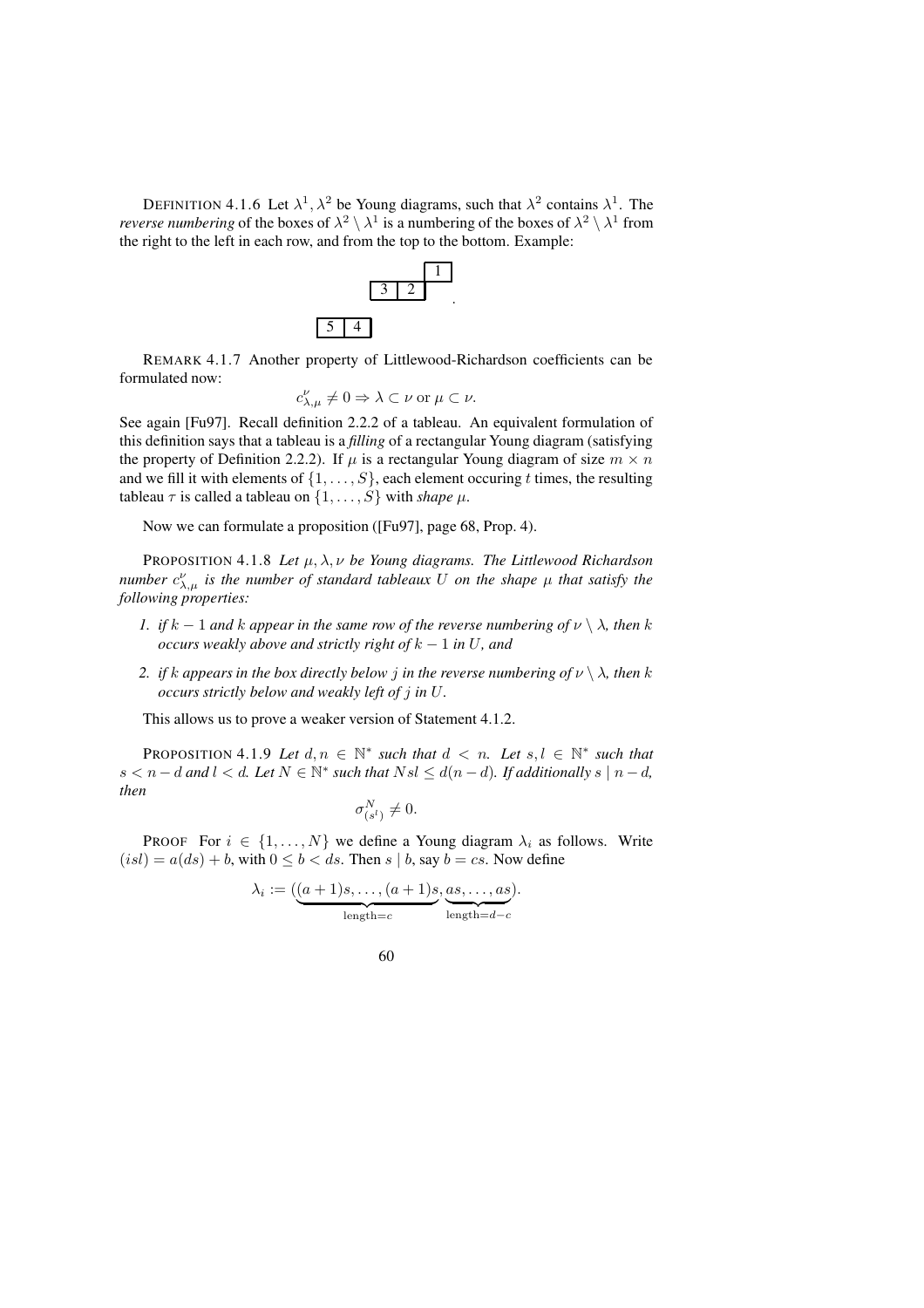DEFINITION 4.1.6 Let  $\lambda^1$ ,  $\lambda^2$  be Young diagrams, such that  $\lambda^2$  contains  $\lambda^1$ . The *reverse numbering* of the boxes of  $\lambda^2 \setminus \lambda^1$  is a numbering of the boxes of  $\lambda^2 \setminus \lambda^1$  from the right to the left in each row, and from the top to the bottom. Example:



.

REMARK 4.1.7 Another property of Littlewood-Richardson coefficients can be formulated now:

$$
c_{\lambda,\mu}^{\nu} \neq 0 \Rightarrow \lambda \subset \nu \text{ or } \mu \subset \nu.
$$

See again [Fu97]. Recall definition 2.2.2 of a tableau. An equivalent formulation of this definition says that a tableau is a *filling* of a rectangular Young diagram (satisfying the property of Definition 2.2.2). If  $\mu$  is a rectangular Young diagram of size  $m \times n$ and we fill it with elements of  $\{1, \ldots, S\}$ , each element occuring t times, the resulting tableau  $\tau$  is called a tableau on  $\{1, \ldots, S\}$  with *shape*  $\mu$ .

Now we can formulate a proposition ([Fu97], page 68, Prop. 4).

PROPOSITION 4.1.8 Let  $\mu$ ,  $\lambda$ ,  $\nu$  be Young diagrams. The Littlewood Richardson *number*  $c^{\nu}_{\lambda,\mu}$  *is the number of standard tableaux* U *on the shape*  $\mu$  *that satisfy the following properties:*

- *1. if*  $k 1$  *and*  $k$  *appear in the same row of the reverse numbering of*  $\nu \setminus \lambda$ *, then*  $k$ *occurs weakly above and strictly right of* k − 1 *in* U*, and*
- *2. if k appears in the box directly below j in the reverse numbering of*  $\nu \setminus \lambda$ *, then k occurs strictly below and weakly left of* j *in* U*.*

This allows us to prove a weaker version of Statement 4.1.2.

PROPOSITION 4.1.9 Let  $d, n \in \mathbb{N}^*$  such that  $d < n$ . Let  $s, l \in \mathbb{N}^*$  such that  $s < n-d$  and  $l < d$ . Let  $N \in \mathbb{N}^*$  such that  $Nsl \leq d(n-d)$ . If additionally  $s \mid n-d$ , *then*

$$
\sigma_{(s^l)}^N \neq 0.
$$

**PROOF** For  $i \in \{1, ..., N\}$  we define a Young diagram  $\lambda_i$  as follows. Write  $(isl) = a(ds) + b$ , with  $0 \leq b \leq ds$ . Then  $s \mid b$ , say  $b = cs$ . Now define

$$
\lambda_i := \underbrace{((a+1)s, \dots, (a+1)s, \underbrace{as, \dots, as}_{\text{length}=c}).}_{\text{length}=d-c}.
$$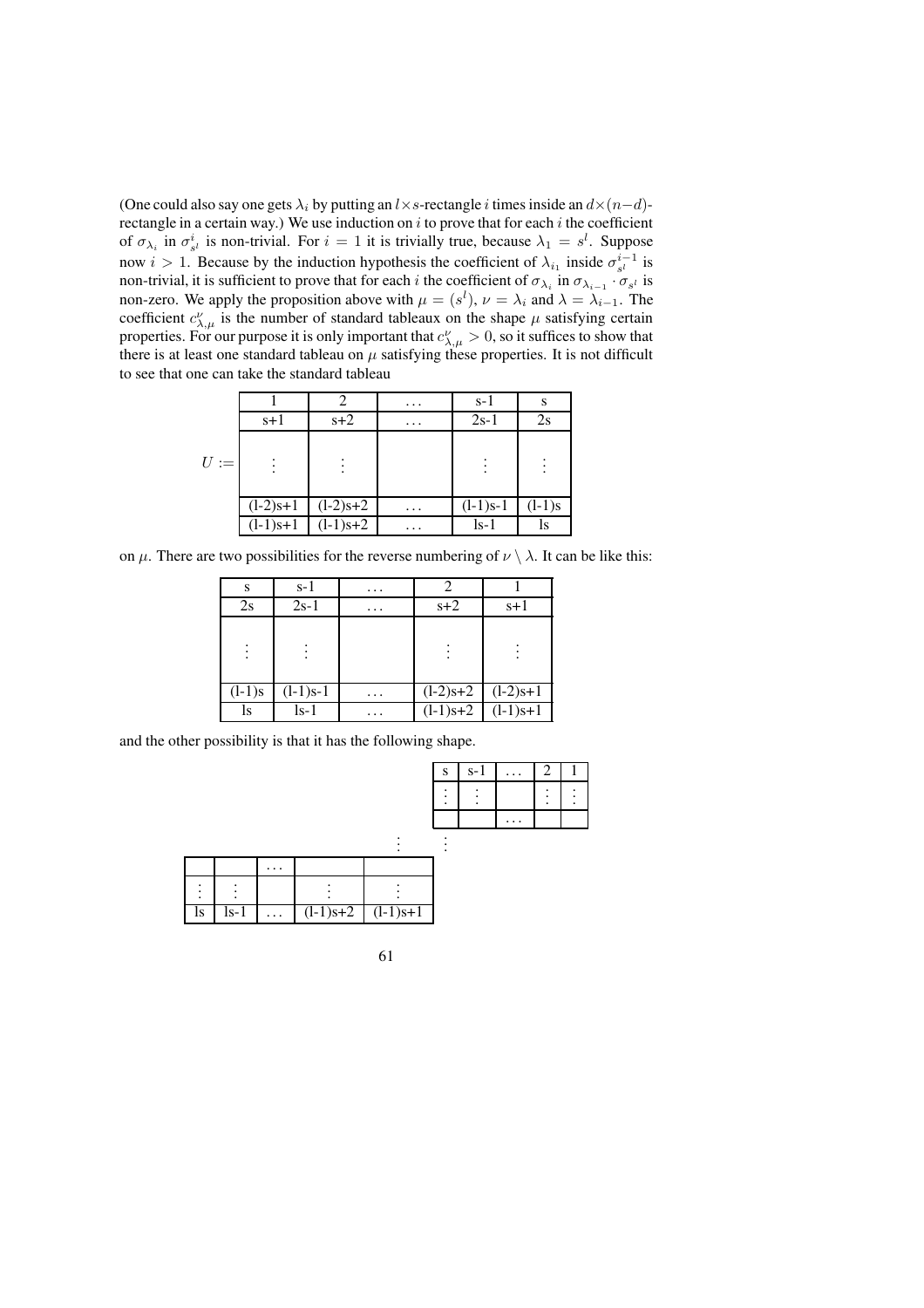(One could also say one gets  $\lambda_i$  by putting an l×s-rectangle i times inside an  $d \times (n-d)$ rectangle in a certain way.) We use induction on  $i$  to prove that for each  $i$  the coefficient of  $\sigma_{\lambda_i}$  in  $\sigma_{s^l}^i$  is non-trivial. For  $i = 1$  it is trivially true, because  $\lambda_1 = s^l$ . Suppose now  $i > 1$ . Because by the induction hypothesis the coefficient of  $\lambda_{i_1}$  inside  $\sigma_{s}^{i-1}$  is non-trivial, it is sufficient to prove that for each i the coefficient of  $\sigma_{\lambda_i}$  in  $\sigma_{\lambda_{i-1}} \cdot \sigma_{s_i}$  is non-zero. We apply the proposition above with  $\mu = (s^l)$ ,  $\nu = \lambda_i$  and  $\lambda = \lambda_{i-1}$ . The coefficient  $c^{\nu}_{\lambda,\mu}$  is the number of standard tableaux on the shape  $\mu$  satisfying certain properties. For our purpose it is only important that  $c^{\nu}_{\lambda,\mu} > 0$ , so it suffices to show that there is at least one standard tableau on  $\mu$  satisfying these properties. It is not difficult to see that one can take the standard tableau

|        |            |            | . | $s-1$      | S        |
|--------|------------|------------|---|------------|----------|
|        | $s+1$      | $s+2$      | . | $2s-1$     | 2s       |
| $U :=$ |            |            |   |            |          |
|        | $(1-2)s+1$ | $(l-2)s+2$ | . | $(l-1)s-1$ | $(1-1)s$ |
|        | $(l-1)s+1$ | $(l-1)s+2$ | . | $1s-1$     | ls       |

on  $\mu$ . There are two possibilities for the reverse numbering of  $\nu \setminus \lambda$ . It can be like this:

| S        | s-1        | $\cdots$ |            |            |
|----------|------------|----------|------------|------------|
| 2s       | $2s-1$     | $\cdots$ | $s+2$      | $s+1$      |
|          |            |          |            |            |
|          |            |          |            |            |
|          |            |          |            |            |
| $(l-1)s$ | $(l-1)s-1$ | .        | $(l-2)s+2$ | $(l-2)s+1$ |
| ls       | ls-1       | $\cdots$ | $(l-1)s+2$ | $(l-1)s+1$ |

and the other possibility is that it has the following shape.

|    |      |          |                       | S | $s-1$ | .        | 2 |  |
|----|------|----------|-----------------------|---|-------|----------|---|--|
|    |      |          |                       |   |       |          |   |  |
|    |      |          |                       |   |       | $\cdots$ |   |  |
|    |      |          |                       |   |       |          |   |  |
|    |      | $\cdots$ |                       |   |       |          |   |  |
|    |      |          |                       |   |       |          |   |  |
| ls | ls-1 |          | $(l-1)s+2$ $(l-1)s+1$ |   |       |          |   |  |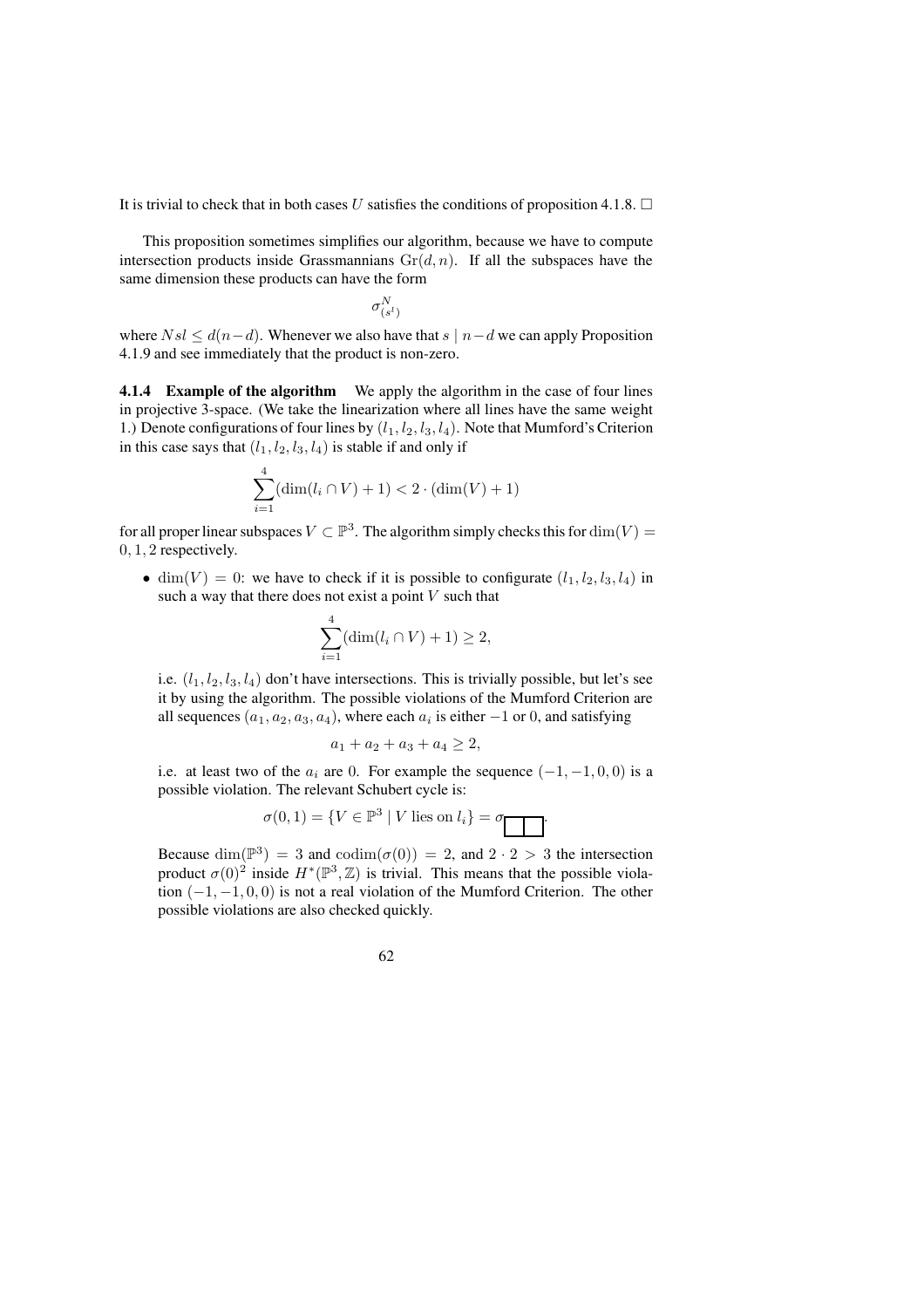It is trivial to check that in both cases U satisfies the conditions of proposition 4.1.8.  $\Box$ 

This proposition sometimes simplifies our algorithm, because we have to compute intersection products inside Grassmannians  $Gr(d, n)$ . If all the subspaces have the same dimension these products can have the form

$$
\sigma_{(s^l)}^N
$$

where  $Nsl \leq d(n-d)$ . Whenever we also have that  $s \mid n-d$  we can apply Proposition 4.1.9 and see immediately that the product is non-zero.

**4.1.4 Example of the algorithm** We apply the algorithm in the case of four lines in projective 3-space. (We take the linearization where all lines have the same weight 1.) Denote configurations of four lines by  $(l_1, l_2, l_3, l_4)$ . Note that Mumford's Criterion in this case says that  $(l_1, l_2, l_3, l_4)$  is stable if and only if

$$
\sum_{i=1}^{4} (\dim(l_i \cap V) + 1) < 2 \cdot (\dim(V) + 1)
$$

for all proper linear subspaces  $V \subset \mathbb{P}^3$ . The algorithm simply checks this for  $\dim(V) =$ 0, 1, 2 respectively.

• dim(V) = 0: we have to check if it is possible to configurate  $(l_1, l_2, l_3, l_4)$  in such a way that there does not exist a point  $V$  such that

$$
\sum_{i=1}^{4} (\dim(l_i \cap V) + 1) \ge 2,
$$

i.e.  $(l_1, l_2, l_3, l_4)$  don't have intersections. This is trivially possible, but let's see it by using the algorithm. The possible violations of the Mumford Criterion are all sequences  $(a_1, a_2, a_3, a_4)$ , where each  $a_i$  is either  $-1$  or 0, and satisfying

$$
a_1 + a_2 + a_3 + a_4 \ge 2,
$$

i.e. at least two of the  $a_i$  are 0. For example the sequence  $(-1, -1, 0, 0)$  is a possible violation. The relevant Schubert cycle is:

$$
\sigma(0,1) = \{ V \in \mathbb{P}^3 \mid V \text{ lies on } l_i \} = \sigma
$$

Because  $\dim(\mathbb{P}^3) = 3$  and  $\text{codim}(\sigma(0)) = 2$ , and  $2 \cdot 2 > 3$  the intersection product  $\sigma(0)^2$  inside  $H^*(\mathbb{P}^3, \mathbb{Z})$  is trivial. This means that the possible violation  $(-1, -1, 0, 0)$  is not a real violation of the Mumford Criterion. The other possible violations are also checked quickly.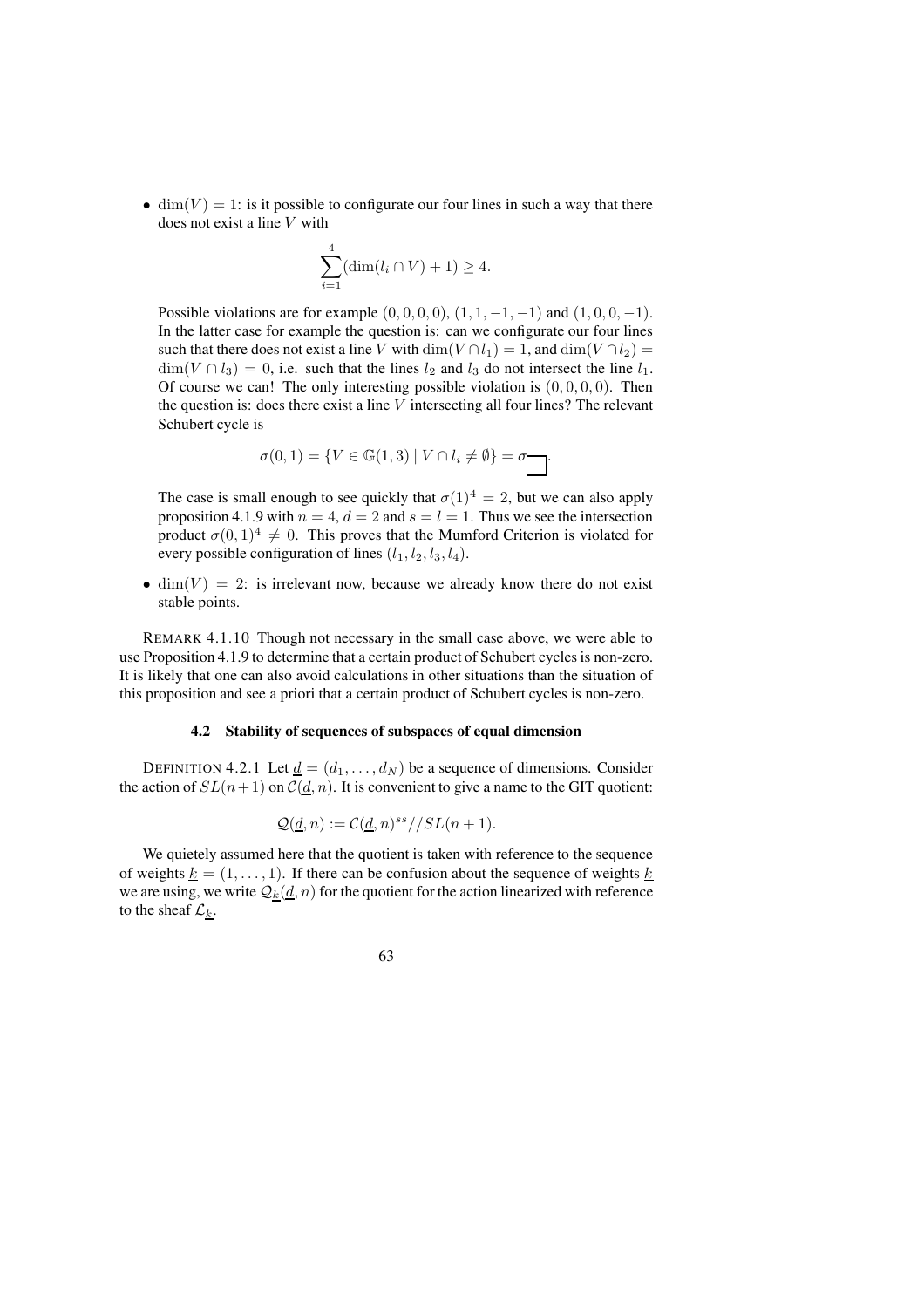•  $\dim(V) = 1$ : is it possible to configurate our four lines in such a way that there does not exist a line V with

$$
\sum_{i=1}^{4} (\dim(l_i \cap V) + 1) \ge 4.
$$

Possible violations are for example  $(0, 0, 0, 0)$ ,  $(1, 1, -1, -1)$  and  $(1, 0, 0, -1)$ . In the latter case for example the question is: can we configurate our four lines such that there does not exist a line V with  $\dim(V \cap l_1) = 1$ , and  $\dim(V \cap l_2) =$  $\dim(V \cap l_3) = 0$ , i.e. such that the lines  $l_2$  and  $l_3$  do not intersect the line  $l_1$ . Of course we can! The only interesting possible violation is  $(0, 0, 0, 0)$ . Then the question is: does there exist a line  $V$  intersecting all four lines? The relevant Schubert cycle is

$$
\sigma(0,1) = \{ V \in \mathbb{G}(1,3) \mid V \cap l_i \neq \emptyset \} = \sigma
$$

The case is small enough to see quickly that  $\sigma(1)^4 = 2$ , but we can also apply proposition 4.1.9 with  $n = 4$ ,  $d = 2$  and  $s = l = 1$ . Thus we see the intersection product  $\sigma(0, 1)^4 \neq 0$ . This proves that the Mumford Criterion is violated for every possible configuration of lines  $(l_1, l_2, l_3, l_4)$ .

• dim(V) = 2: is irrelevant now, because we already know there do not exist stable points.

REMARK 4.1.10 Though not necessary in the small case above, we were able to use Proposition 4.1.9 to determine that a certain product of Schubert cycles is non-zero. It is likely that one can also avoid calculations in other situations than the situation of this proposition and see a priori that a certain product of Schubert cycles is non-zero.

#### **4.2 Stability of sequences of subspaces of equal dimension**

DEFINITION 4.2.1 Let  $\underline{d} = (d_1, \ldots, d_N)$  be a sequence of dimensions. Consider the action of  $SL(n+1)$  on  $\mathcal{C}(\underline{d}, n)$ . It is convenient to give a name to the GIT quotient:

$$
\mathcal{Q}(\underline{d}, n) := \mathcal{C}(\underline{d}, n)^{ss} // SL(n+1).
$$

We quietely assumed here that the quotient is taken with reference to the sequence of weights  $k = (1, \ldots, 1)$ . If there can be confusion about the sequence of weights k we are using, we write  $Q_k(\underline{d}, n)$  for the quotient for the action linearized with reference to the sheaf  $\mathcal{L}_k$ .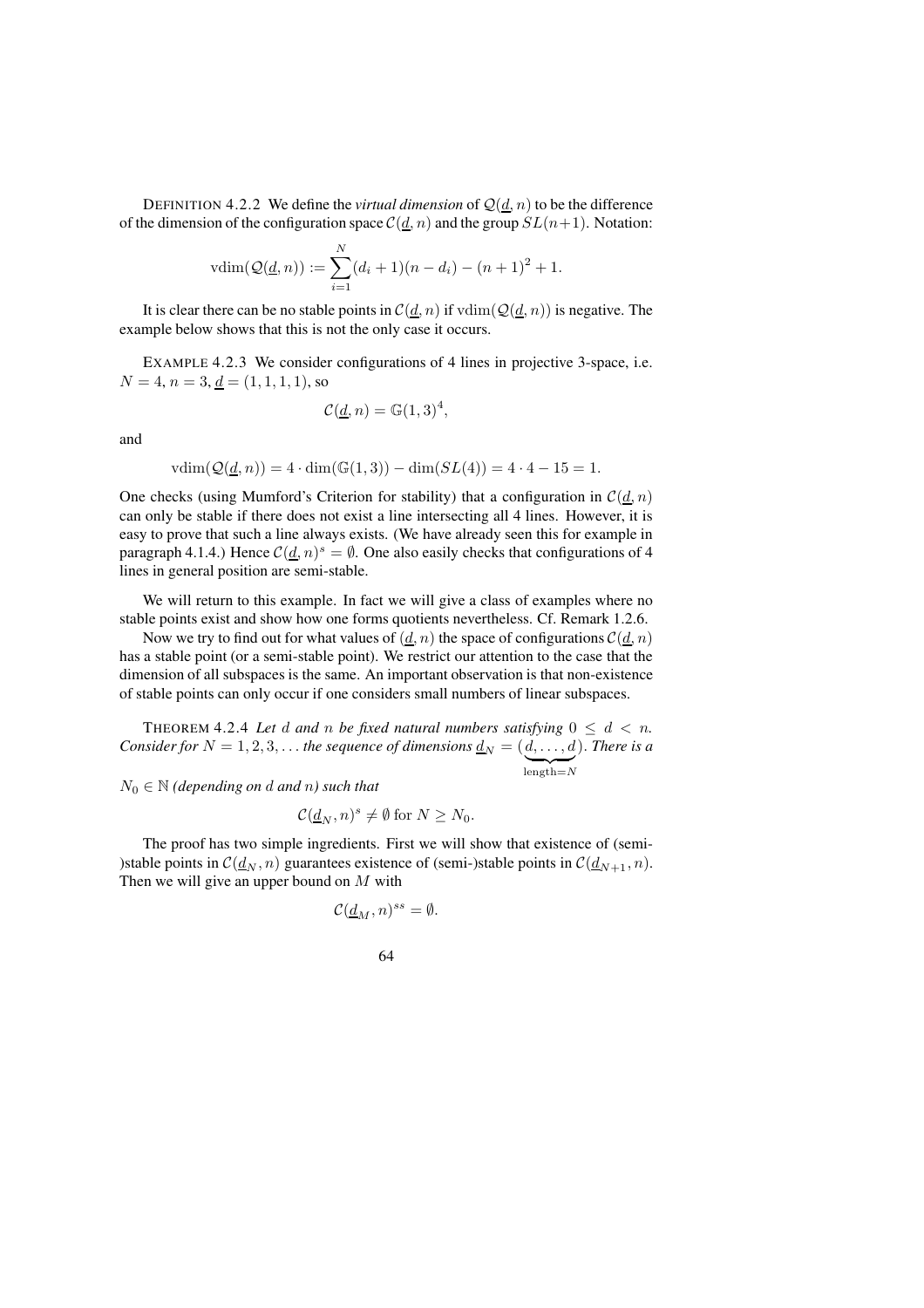DEFINITION 4.2.2 We define the *virtual dimension* of  $\mathcal{Q}(d, n)$  to be the difference of the dimension of the configuration space  $C(d, n)$  and the group  $SL(n+1)$ . Notation:

$$
vdim(\mathcal{Q}(\underline{d}, n)) := \sum_{i=1}^{N} (d_i + 1)(n - d_i) - (n + 1)^2 + 1.
$$

It is clear there can be no stable points in  $C(\underline{d}, n)$  if  $\text{vdim}(\mathcal{Q}(\underline{d}, n))$  is negative. The example below shows that this is not the only case it occurs.

EXAMPLE 4.2.3 We consider configurations of 4 lines in projective 3-space, i.e.  $N = 4$ ,  $n = 3$ ,  $d = (1, 1, 1, 1)$ , so

$$
\mathcal{C}(\underline{d}, n) = \mathbb{G}(1, 3)^4,
$$

and

$$
vdim(Q(\underline{d}, n)) = 4 \cdot dim(\mathbb{G}(1, 3)) - dim(SL(4)) = 4 \cdot 4 - 15 = 1.
$$

One checks (using Mumford's Criterion for stability) that a configuration in  $\mathcal{C}(d, n)$ can only be stable if there does not exist a line intersecting all 4 lines. However, it is easy to prove that such a line always exists. (We have already seen this for example in paragraph 4.1.4.) Hence  $C(\underline{d}, n)^s = \emptyset$ . One also easily checks that configurations of 4 lines in general position are semi-stable.

We will return to this example. In fact we will give a class of examples where no stable points exist and show how one forms quotients nevertheless. Cf. Remark 1.2.6.

Now we try to find out for what values of  $(\underline{d}, n)$  the space of configurations  $\mathcal{C}(\underline{d}, n)$ has a stable point (or a semi-stable point). We restrict our attention to the case that the dimension of all subspaces is the same. An important observation is that non-existence of stable points can only occur if one considers small numbers of linear subspaces.

THEOREM 4.2.4 Let d and n be fixed natural numbers satisfying  $0 \leq d < n$ . *Consider for*  $N = 1, 2, 3, \ldots$  *the sequence of dimensions*  $\underline{d}_N = (d, \ldots, d)$  $length=N$ ). *There is a*

 $N_0 \in \mathbb{N}$  *(depending on d and n) such that* 

$$
\mathcal{C}(\underline{d}_N, n)^s \neq \emptyset \text{ for } N \geq N_0.
$$

The proof has two simple ingredients. First we will show that existence of (semi- )stable points in  $C(\underline{d}_N, n)$  guarantees existence of (semi-)stable points in  $C(\underline{d}_{N+1}, n)$ . Then we will give an upper bound on  $M$  with

$$
\mathcal{C}(\underline{d}_M,n)^{ss}=\emptyset.
$$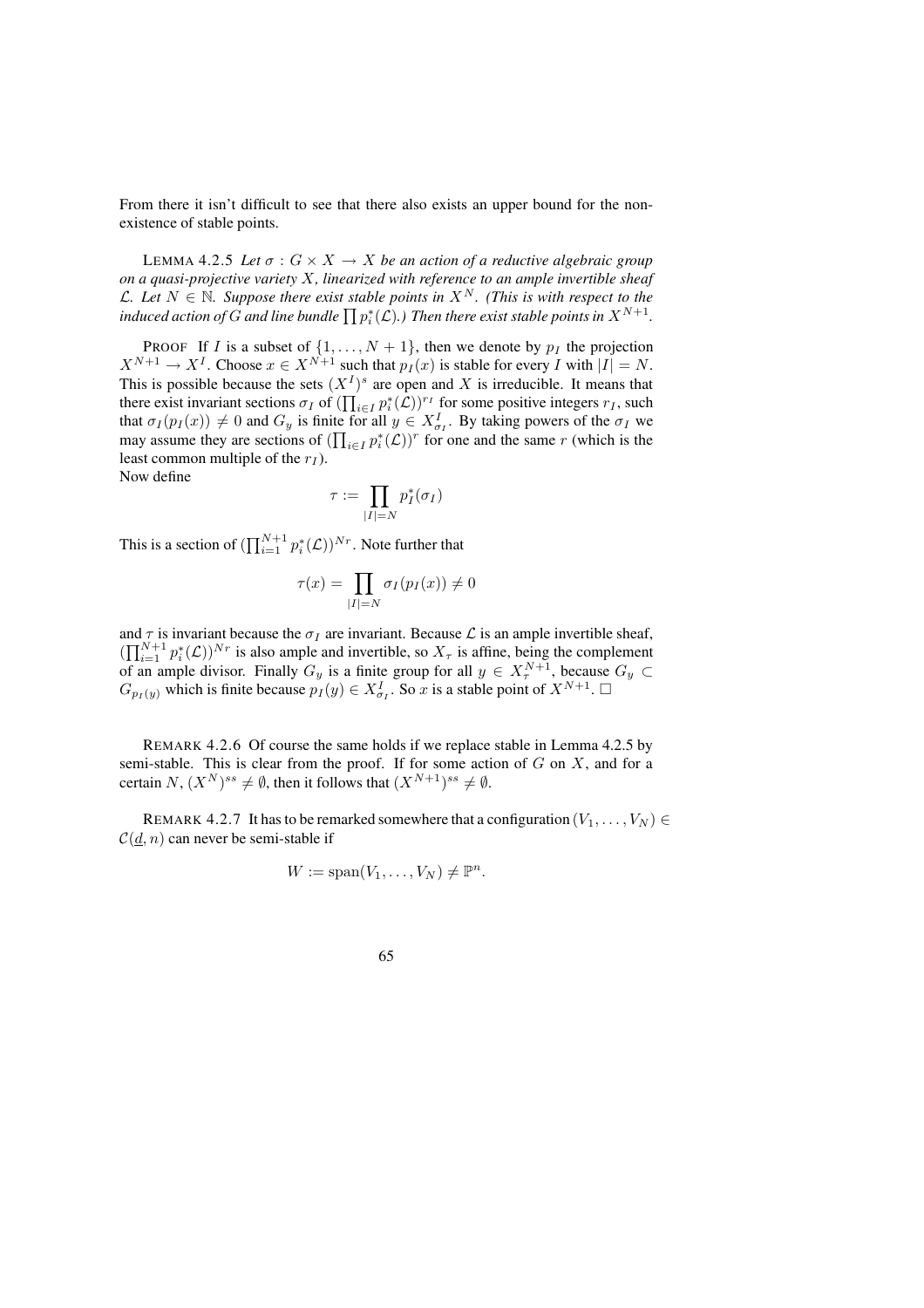From there it isn't difficult to see that there also exists an upper bound for the nonexistence of stable points.

LEMMA 4.2.5 Let  $\sigma$  :  $G \times X \rightarrow X$  be an action of a reductive algebraic group *on a quasi-projective variety* X*, linearized with reference to an ample invertible sheaf*  $L$ *.* Let  $N \in \mathbb{N}$ *. Suppose there exist stable points in*  $X^N$ *. (This is with respect to the* induced action of  $G$  and line bundle  $\prod p_i^*(\mathcal{L}).$  ) Then there exist stable points in  $X^{N+1}.$ 

**PROOF** If I is a subset of  $\{1, \ldots, N+1\}$ , then we denote by  $p_I$  the projection  $X^{N+1} \to X^I$ . Choose  $x \in X^{N+1}$  such that  $p_I(x)$  is stable for every I with  $|I| = N$ . This is possible because the sets  $(X^I)^s$  are open and X is irreducible. It means that there exist invariant sections  $\sigma_I$  of  $(\prod_{i \in I} p_i^*(\mathcal{L}))^{r_I}$  for some positive integers  $r_I$ , such that  $\sigma_I(p_I(x)) \neq 0$  and  $G_y$  is finite for all  $y \in X^I_{\sigma_I}$ . By taking powers of the  $\sigma_I$  we may assume they are sections of  $(\prod_{i \in I} p_i^*(\mathcal{L}))^r$  for one and the same r (which is the least common multiple of the  $r_I$ ).

Now define

$$
\tau := \prod_{|I|=N} p_I^*(\sigma_I)
$$

This is a section of  $(\prod_{i=1}^{N+1} p_i^*(\mathcal{L}))^{Nr}$ . Note further that

$$
\tau(x) = \prod_{|I|=N} \sigma_I(p_I(x)) \neq 0
$$

and  $\tau$  is invariant because the  $\sigma_I$  are invariant. Because  $\mathcal L$  is an ample invertible sheaf,  $(\prod_{i=1}^{N+1} p_i^*(\mathcal{L}))^{Nr}$  is also ample and invertible, so  $X_\tau$  is affine, being the complement of an ample divisor. Finally  $G_y$  is a finite group for all  $y \in X^{N+1}_\tau$ , because  $G_y \subset$  $G_{p_I(y)}$  which is finite because  $p_I(y) \in X^I_{\sigma_I}$ . So x is a stable point of  $X^{N+1}$ .

REMARK 4.2.6 Of course the same holds if we replace stable in Lemma 4.2.5 by semi-stable. This is clear from the proof. If for some action of  $G$  on  $X$ , and for a certain  $N$ ,  $(X^N)^{ss} \neq \emptyset$ , then it follows that  $(X^{N+1})^{ss} \neq \emptyset$ .

REMARK 4.2.7 It has to be remarked somewhere that a configuration  $(V_1, \ldots, V_N)$  $C(d, n)$  can never be semi-stable if

$$
W := \mathrm{span}(V_1, \ldots, V_N) \neq \mathbb{P}^n.
$$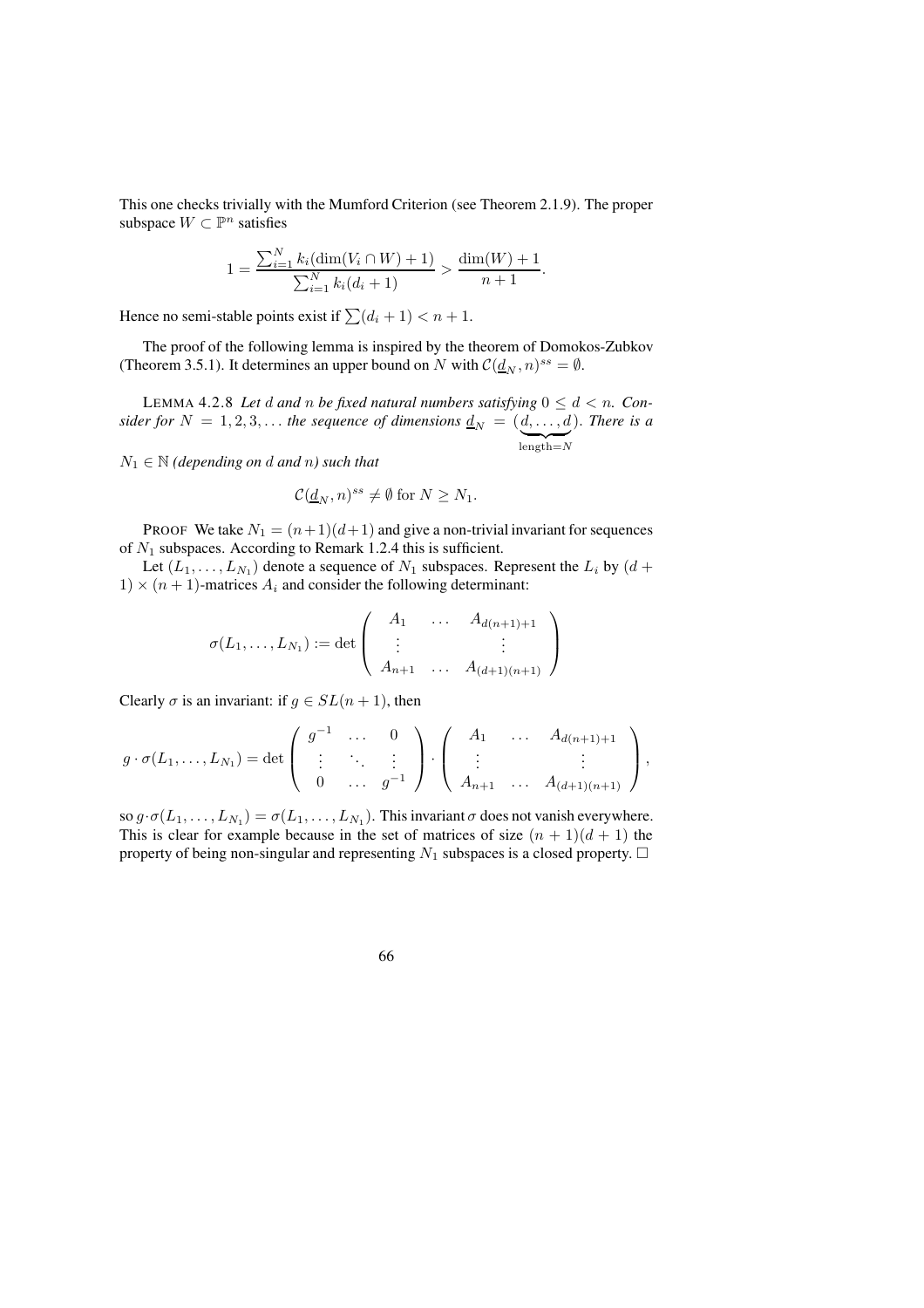This one checks trivially with the Mumford Criterion (see Theorem 2.1.9). The proper subspace  $W \subset \mathbb{P}^n$  satisfies

$$
1 = \frac{\sum_{i=1}^{N} k_i (\dim(V_i \cap W) + 1)}{\sum_{i=1}^{N} k_i (d_i + 1)} > \frac{\dim(W) + 1}{n + 1}.
$$

Hence no semi-stable points exist if  $\sum (d_i + 1) < n + 1$ .

The proof of the following lemma is inspired by the theorem of Domokos-Zubkov (Theorem 3.5.1). It determines an upper bound on N with  $\mathcal{C}(\underline{d}_N, n)^{ss} = \emptyset$ .

LEMMA 4.2.8 Let d and n be fixed natural numbers satisfying  $0 \leq d \leq n$ . Con*sider for*  $N = 1, 2, 3, \ldots$  *the sequence of dimensions*  $\underline{d}_N = (d, \ldots, d)$  $length=N$ ). *There is a*

 $N_1 \in \mathbb{N}$  *(depending on d and n) such that* 

$$
\mathcal{C}(\underline{d}_N, n)^{ss} \neq \emptyset \text{ for } N \geq N_1.
$$

PROOF We take  $N_1 = (n+1)(d+1)$  and give a non-trivial invariant for sequences of  $N_1$  subspaces. According to Remark 1.2.4 this is sufficient.

Let  $(L_1, \ldots, L_{N_1})$  denote a sequence of  $N_1$  subspaces. Represent the  $L_i$  by  $(d +$  $1) \times (n + 1)$ -matrices  $A_i$  and consider the following determinant:

$$
\sigma(L_1, ..., L_{N_1}) := \det \left( \begin{array}{ccc} A_1 & \dots & A_{d(n+1)+1} \\ \vdots & & \vdots \\ A_{n+1} & \dots & A_{(d+1)(n+1)} \end{array} \right)
$$

Clearly  $\sigma$  is an invariant: if  $g \in SL(n+1)$ , then

$$
g \cdot \sigma(L_1, ..., L_{N_1}) = \det \begin{pmatrix} g^{-1} & \cdots & 0 \\ \vdots & \ddots & \vdots \\ 0 & \cdots & g^{-1} \end{pmatrix} \cdot \begin{pmatrix} A_1 & \cdots & A_{d(n+1)+1} \\ \vdots & & \vdots \\ A_{n+1} & \cdots & A_{(d+1)(n+1)} \end{pmatrix},
$$

so  $g \cdot \sigma(L_1, \ldots, L_{N_1}) = \sigma(L_1, \ldots, L_{N_1})$ . This invariant  $\sigma$  does not vanish everywhere. This is clear for example because in the set of matrices of size  $(n + 1)(d + 1)$  the property of being non-singular and representing  $N_1$  subspaces is a closed property.  $\Box$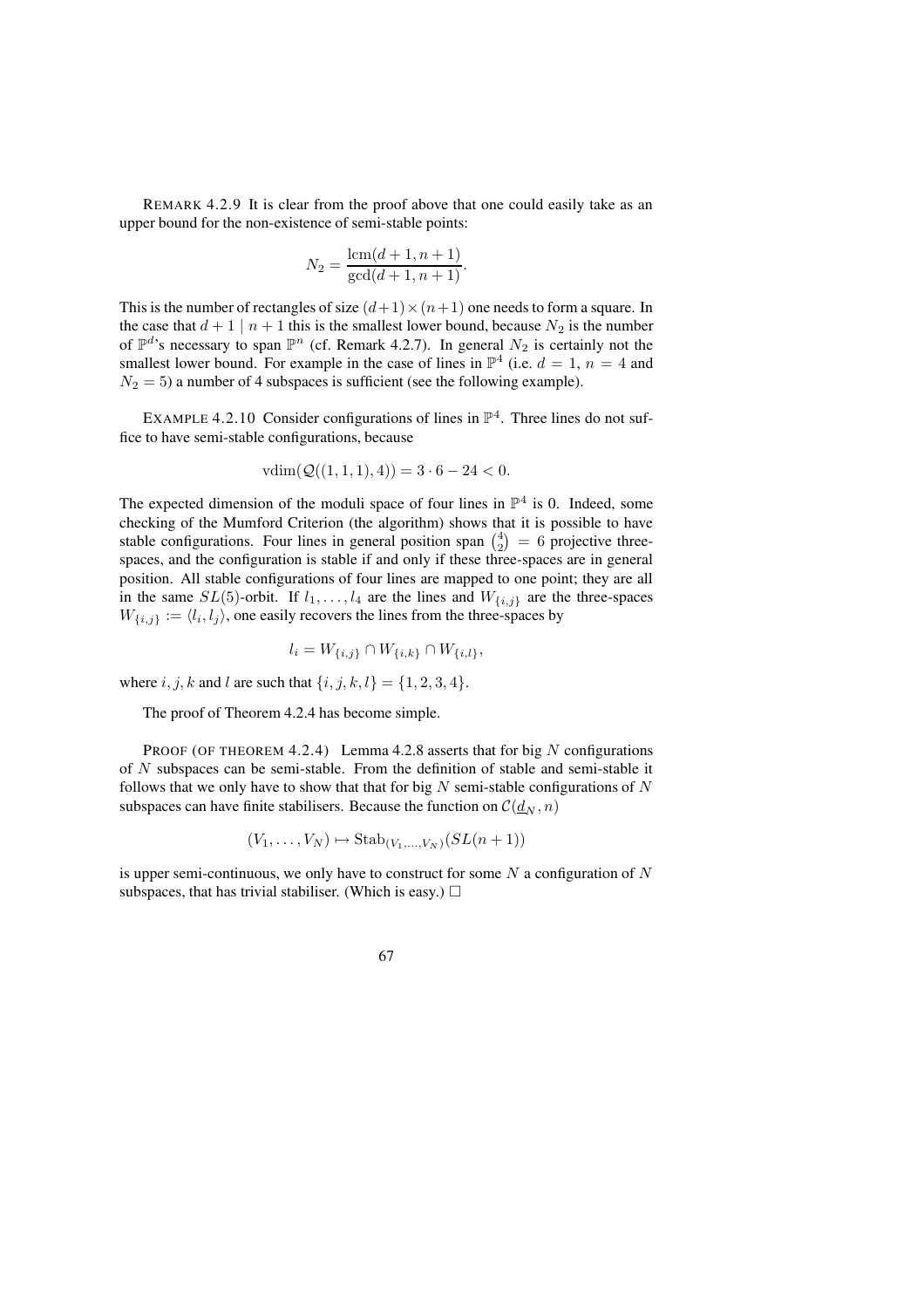REMARK 4.2.9 It is clear from the proof above that one could easily take as an upper bound for the non-existence of semi-stable points:

$$
N_2 = \frac{\text{lcm}(d+1, n+1)}{\text{gcd}(d+1, n+1)}.
$$

This is the number of rectangles of size  $(d+1)\times(n+1)$  one needs to form a square. In the case that  $d+1 \mid n+1$  this is the smallest lower bound, because  $N_2$  is the number of  $\mathbb{P}^d$ 's necessary to span  $\mathbb{P}^n$  (cf. Remark 4.2.7). In general  $N_2$  is certainly not the smallest lower bound. For example in the case of lines in  $\mathbb{P}^4$  (i.e.  $d = 1$ ,  $n = 4$  and  $N_2 = 5$ ) a number of 4 subspaces is sufficient (see the following example).

EXAMPLE 4.2.10 Consider configurations of lines in  $\mathbb{P}^4$ . Three lines do not suffice to have semi-stable configurations, because

$$
vdim(\mathcal{Q}((1,1,1),4)) = 3 \cdot 6 - 24 < 0.
$$

The expected dimension of the moduli space of four lines in  $\mathbb{P}^4$  is 0. Indeed, some checking of the Mumford Criterion (the algorithm) shows that it is possible to have stable configurations. Four lines in general position span  $\binom{4}{2} = 6$  projective threespaces, and the configuration is stable if and only if these three-spaces are in general position. All stable configurations of four lines are mapped to one point; they are all in the same  $SL(5)$ -orbit. If  $l_1, \ldots, l_4$  are the lines and  $W_{\{i,j\}}$  are the three-spaces  $W_{\{i,j\}} := \langle l_i, l_j \rangle$ , one easily recovers the lines from the three-spaces by

$$
l_i = W_{\{i,j\}} \cap W_{\{i,k\}} \cap W_{\{i,l\}},
$$

where  $i, j, k$  and l are such that  $\{i, j, k, l\} = \{1, 2, 3, 4\}.$ 

The proof of Theorem 4.2.4 has become simple.

PROOF (OF THEOREM 4.2.4) Lemma 4.2.8 asserts that for big N configurations of N subspaces can be semi-stable. From the definition of stable and semi-stable it follows that we only have to show that that for big  $N$  semi-stable configurations of  $N$ subspaces can have finite stabilisers. Because the function on  $\mathcal{C}(\underline{d}_N, n)$ 

$$
(V_1,\ldots,V_N)\mapsto \mathrm{Stab}_{(V_1,\ldots,V_N)}(SL(n+1))
$$

is upper semi-continuous, we only have to construct for some  $N$  a configuration of  $N$ subspaces, that has trivial stabiliser. (Which is easy.)  $\Box$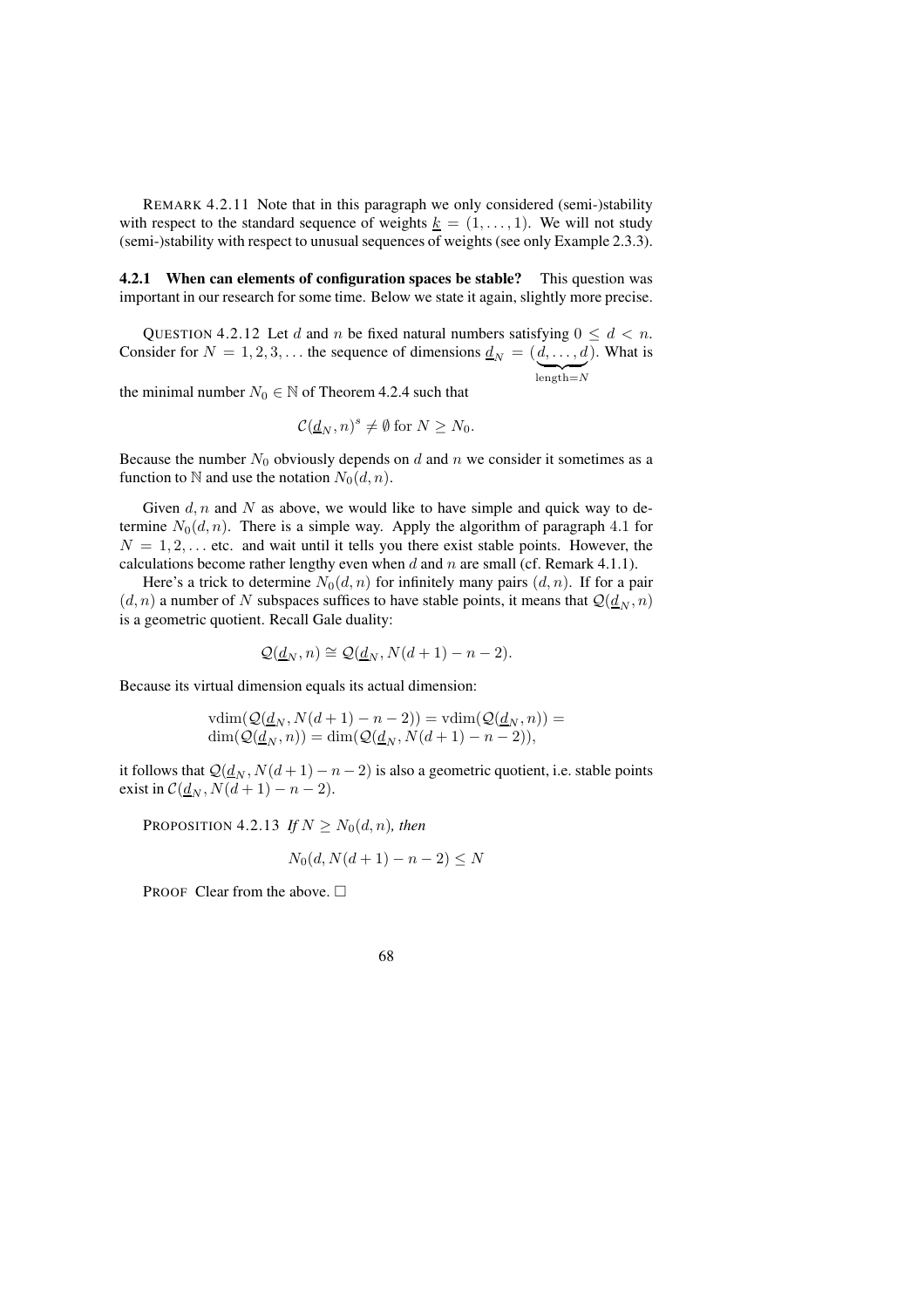REMARK 4.2.11 Note that in this paragraph we only considered (semi-)stability with respect to the standard sequence of weights  $k = (1, \ldots, 1)$ . We will not study (semi-)stability with respect to unusual sequences of weights (see only Example 2.3.3).

**4.2.1 When can elements of configuration spaces be stable?** This question was important in our research for some time. Below we state it again, slightly more precise.

QUESTION 4.2.12 Let d and n be fixed natural numbers satisfying  $0 \le d < n$ . Consider for  $N = 1, 2, 3, \dots$  the sequence of dimensions  $\underline{d}_N = (d, \dots, d)$  $length=N$ ). What is

the minimal number  $N_0 \in \mathbb{N}$  of Theorem 4.2.4 such that

$$
\mathcal{C}(\underline{d}_N, n)^s \neq \emptyset \text{ for } N \geq N_0.
$$

Because the number  $N_0$  obviously depends on d and n we consider it sometimes as a function to N and use the notation  $N_0(d, n)$ .

Given d, n and N as above, we would like to have simple and quick way to determine  $N_0(d, n)$ . There is a simple way. Apply the algorithm of paragraph 4.1 for  $N = 1, 2, \ldots$  etc. and wait until it tells you there exist stable points. However, the calculations become rather lengthy even when  $d$  and  $n$  are small (cf. Remark 4.1.1).

Here's a trick to determine  $N_0(d, n)$  for infinitely many pairs  $(d, n)$ . If for a pair  $(d, n)$  a number of N subspaces suffices to have stable points, it means that  $\mathcal{Q}(\underline{d}_N, n)$ is a geometric quotient. Recall Gale duality:

$$
\mathcal{Q}(\underline{d}_N,n)\cong \mathcal{Q}(\underline{d}_N,N(d+1)-n-2).
$$

Because its virtual dimension equals its actual dimension:

$$
\begin{aligned} \text{vdim}(\mathcal{Q}(\underline{d}_N, N(d+1) - n - 2)) &= \text{vdim}(\mathcal{Q}(\underline{d}_N, n)) = \\ \text{dim}(\mathcal{Q}(\underline{d}_N, n)) &= \text{dim}(\mathcal{Q}(\underline{d}_N, N(d+1) - n - 2)), \end{aligned}
$$

it follows that  $Q(\underline{d}_N, N(d+1) - n - 2)$  is also a geometric quotient, i.e. stable points exist in  $C(\underline{d}_N, N(d+1) - n - 2)$ .

PROPOSITION 4.2.13 *If*  $N \geq N_0(d, n)$ *, then* 

$$
N_0(d, N(d+1) - n - 2) \le N
$$

PROOF Clear from the above.  $\Box$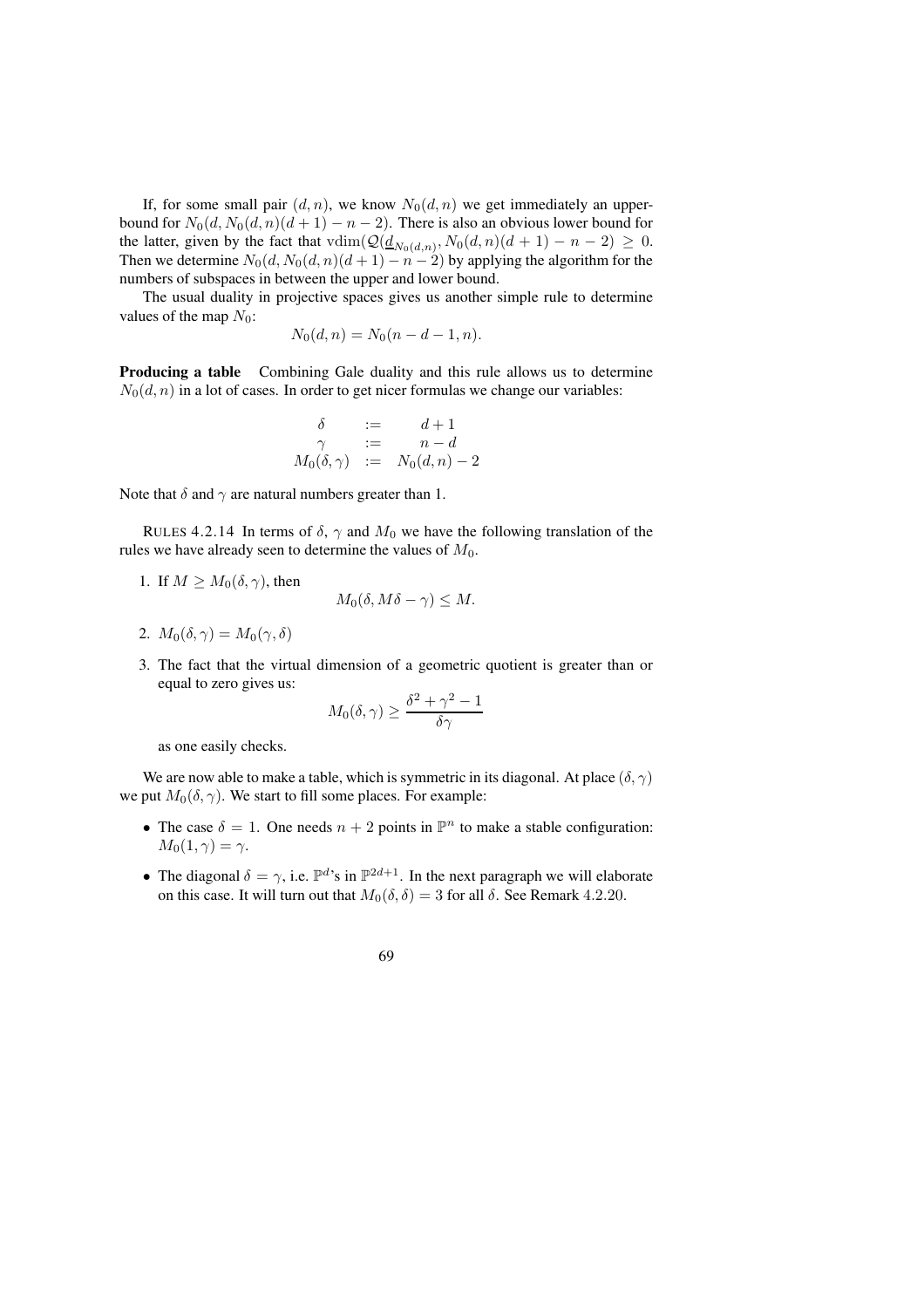If, for some small pair  $(d, n)$ , we know  $N_0(d, n)$  we get immediately an upperbound for  $N_0(d, N_0(d, n)(d + 1) - n - 2)$ . There is also an obvious lower bound for the latter, given by the fact that  $\text{vdim}(\mathcal{Q}(\underline{d}_{N_0(d,n)}, N_0(d,n)(d+1) - n - 2) \geq 0$ . Then we determine  $N_0(d, N_0(d, n)(d + 1) - n - 2)$  by applying the algorithm for the numbers of subspaces in between the upper and lower bound.

The usual duality in projective spaces gives us another simple rule to determine values of the map  $N_0$ :

$$
N_0(d, n) = N_0(n - d - 1, n).
$$

**Producing a table** Combining Gale duality and this rule allows us to determine  $N_0(d, n)$  in a lot of cases. In order to get nicer formulas we change our variables:

$$
\begin{array}{rcl}\n\delta & := & d+1 \\
\gamma & := & n-d \\
M_0(\delta, \gamma) & := & N_0(d, n) - 2\n\end{array}
$$

Note that  $\delta$  and  $\gamma$  are natural numbers greater than 1.

RULES 4.2.14 In terms of  $\delta$ ,  $\gamma$  and  $M_0$  we have the following translation of the rules we have already seen to determine the values of  $M_0$ .

1. If  $M \geq M_0(\delta, \gamma)$ , then

$$
M_0(\delta, M\delta - \gamma) \le M.
$$

2. 
$$
M_0(\delta, \gamma) = M_0(\gamma, \delta)
$$

3. The fact that the virtual dimension of a geometric quotient is greater than or equal to zero gives us:

$$
M_0(\delta,\gamma)\geq \frac{\delta^2+\gamma^2-1}{\delta\gamma}
$$

as one easily checks.

We are now able to make a table, which is symmetric in its diagonal. At place  $(\delta, \gamma)$ we put  $M_0(\delta, \gamma)$ . We start to fill some places. For example:

- The case  $\delta = 1$ . One needs  $n + 2$  points in  $\mathbb{P}^n$  to make a stable configuration:  $M_0(1,\gamma) = \gamma.$
- The diagonal  $\delta = \gamma$ , i.e.  $\mathbb{P}^{d}$ 's in  $\mathbb{P}^{2d+1}$ . In the next paragraph we will elaborate on this case. It will turn out that  $M_0(\delta, \delta) = 3$  for all  $\delta$ . See Remark 4.2.20.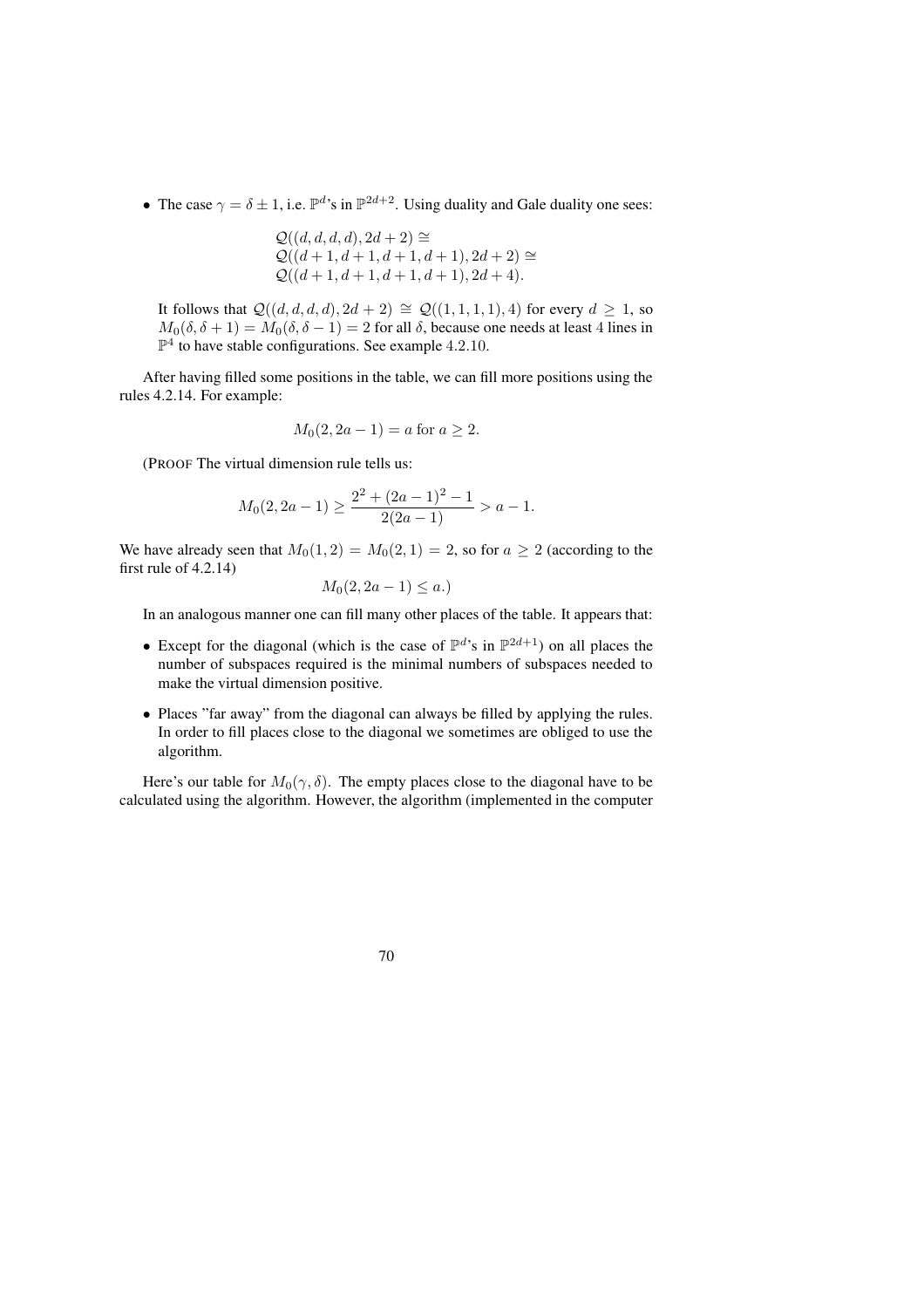• The case  $\gamma = \delta \pm 1$ , i.e.  $\mathbb{P}^{d}$ 's in  $\mathbb{P}^{2d+2}$ . Using duality and Gale duality one sees:

$$
Q((d, d, d, d), 2d + 2) \cong
$$
  
 
$$
Q((d + 1, d + 1, d + 1, d + 1), 2d + 2) \cong
$$
  
 
$$
Q((d + 1, d + 1, d + 1, d + 1), 2d + 4).
$$

It follows that  $Q((d, d, d, d), 2d + 2) \cong Q((1, 1, 1, 1), 4)$  for every  $d ≥ 1$ , so  $M_0(\delta, \delta + 1) = M_0(\delta, \delta - 1) = 2$  for all  $\delta$ , because one needs at least 4 lines in  $\mathbb{P}^4$  to have stable configurations. See example 4.2.10.

After having filled some positions in the table, we can fill more positions using the rules 4.2.14. For example:

$$
M_0(2, 2a - 1) = a \text{ for } a \ge 2.
$$

(PROOF The virtual dimension rule tells us:

$$
M_0(2, 2a - 1) \ge \frac{2^2 + (2a - 1)^2 - 1}{2(2a - 1)} > a - 1.
$$

We have already seen that  $M_0(1, 2) = M_0(2, 1) = 2$ , so for  $a \ge 2$  (according to the first rule of 4.2.14)

$$
M_0(2, 2a-1) \le a.
$$

In an analogous manner one can fill many other places of the table. It appears that:

- Except for the diagonal (which is the case of  $\mathbb{P}^d$ 's in  $\mathbb{P}^{2d+1}$ ) on all places the number of subspaces required is the minimal numbers of subspaces needed to make the virtual dimension positive.
- Places "far away" from the diagonal can always be filled by applying the rules. In order to fill places close to the diagonal we sometimes are obliged to use the algorithm.

Here's our table for  $M_0(\gamma, \delta)$ . The empty places close to the diagonal have to be calculated using the algorithm. However, the algorithm (implemented in the computer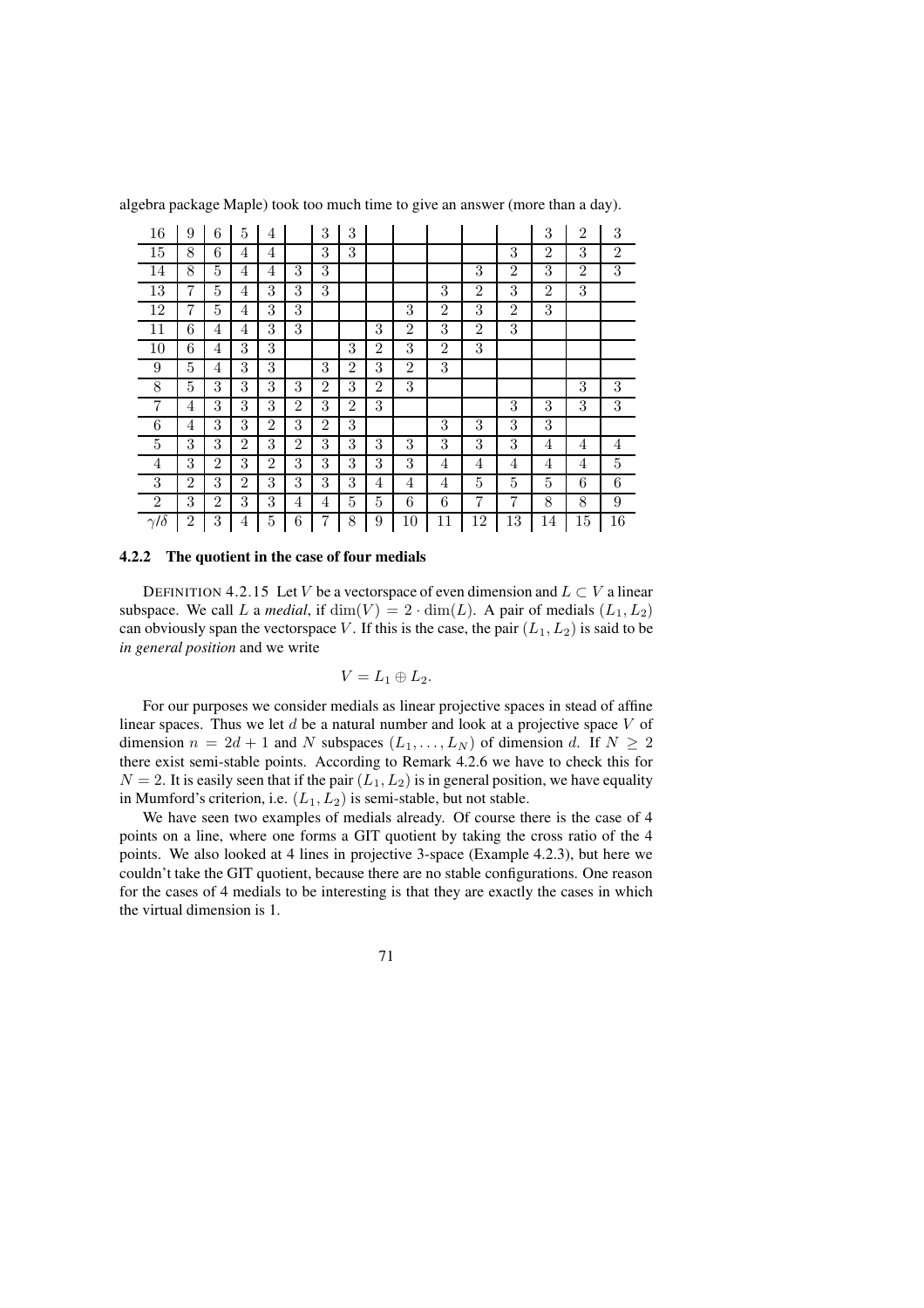| 16              | 9              | 6              | 5              | 4              |                | 3              | 3              |                |                |                |                |                | 3              | $\overline{2}$ | 3              |
|-----------------|----------------|----------------|----------------|----------------|----------------|----------------|----------------|----------------|----------------|----------------|----------------|----------------|----------------|----------------|----------------|
| 15              | 8              | 6              | 4              | 4              |                | 3              | 3              |                |                |                |                | 3              | $\overline{2}$ | 3              | $\overline{2}$ |
| 14              | 8              | 5              | 4              | 4              | 3              | 3              |                |                |                |                | 3              | $\overline{2}$ | 3              | $\overline{2}$ | 3              |
| 13              | 7              | 5              | 4              | 3              | 3              | 3              |                |                |                | 3              | 2              | 3              | 2              | 3              |                |
| 12              | 7              | 5              | 4              | 3              | 3              |                |                |                | 3              | $\overline{2}$ | 3              | $\overline{2}$ | 3              |                |                |
| 11              | 6              | 4              | 4              | 3              | 3              |                |                | 3              | $\overline{2}$ | 3              | $\overline{2}$ | 3              |                |                |                |
| 10              | 6              | 4              | 3              | 3              |                |                | 3              | $\overline{2}$ | 3              | $\overline{2}$ | 3              |                |                |                |                |
| 9               | 5              | 4              | 3              | 3              |                | 3              | $\overline{2}$ | 3              | $\overline{2}$ | 3              |                |                |                |                |                |
| 8               | 5              | 3              | 3              | 3              | 3              | $\overline{2}$ | 3              | $\overline{2}$ | 3              |                |                |                |                | 3              | 3              |
| 7               | 4              | 3              | 3              | 3              | $\overline{2}$ | 3              | $\overline{2}$ | 3              |                |                |                | 3              | 3              | 3              | 3              |
| 6               | 4              | 3              | 3              | $\overline{2}$ | 3              | $\overline{2}$ | 3              |                |                | 3              | 3              | 3              | 3              |                |                |
| 5               | 3              | 3              | $\overline{2}$ | 3              | $\overline{2}$ | 3              | 3              | 3              | 3              | 3              | 3              | 3              | 4              | $\overline{4}$ | 4              |
| 4               | 3              | $\overline{2}$ | 3              | $\overline{2}$ | 3              | 3              | 3              | 3              | 3              | 4              | 4              | 4              | 4              | 4              | 5              |
| 3               | $\overline{2}$ | 3              | $\overline{2}$ | 3              | 3              | 3              | 3              | 4              | 4              | 4              | 5              | 5              | 5              | 6              | 6              |
| $\overline{2}$  | 3              | $\overline{2}$ | 3              | 3              | 4              | 4              | 5              | 5              | 6              | 6              | 7              | 7              | 8              | 8              | 9              |
| $\gamma/\delta$ | $\overline{2}$ | 3              | 4              | 5              | 6              | 7              | 8              | 9              | 10             | 11             | 12             | 13             | 14             | 15             | 16             |

algebra package Maple) took too much time to give an answer (more than a day).

## **4.2.2 The quotient in the case of four medials**

DEFINITION 4.2.15 Let V be a vectorspace of even dimension and  $L \subset V$  a linear subspace. We call L a *medial*, if  $\dim(V) = 2 \cdot \dim(L)$ . A pair of medials  $(L_1, L_2)$ can obviously span the vectorspace V. If this is the case, the pair  $(L_1, L_2)$  is said to be *in general position* and we write

$$
V=L_1\oplus L_2.
$$

For our purposes we consider medials as linear projective spaces in stead of affine linear spaces. Thus we let  $d$  be a natural number and look at a projective space  $V$  of dimension  $n = 2d + 1$  and N subspaces  $(L_1, \ldots, L_N)$  of dimension d. If  $N \ge 2$ there exist semi-stable points. According to Remark 4.2.6 we have to check this for  $N = 2$ . It is easily seen that if the pair  $(L_1, L_2)$  is in general position, we have equality in Mumford's criterion, i.e.  $(L_1, L_2)$  is semi-stable, but not stable.

We have seen two examples of medials already. Of course there is the case of 4 points on a line, where one forms a GIT quotient by taking the cross ratio of the 4 points. We also looked at 4 lines in projective 3-space (Example 4.2.3), but here we couldn't take the GIT quotient, because there are no stable configurations. One reason for the cases of 4 medials to be interesting is that they are exactly the cases in which the virtual dimension is 1.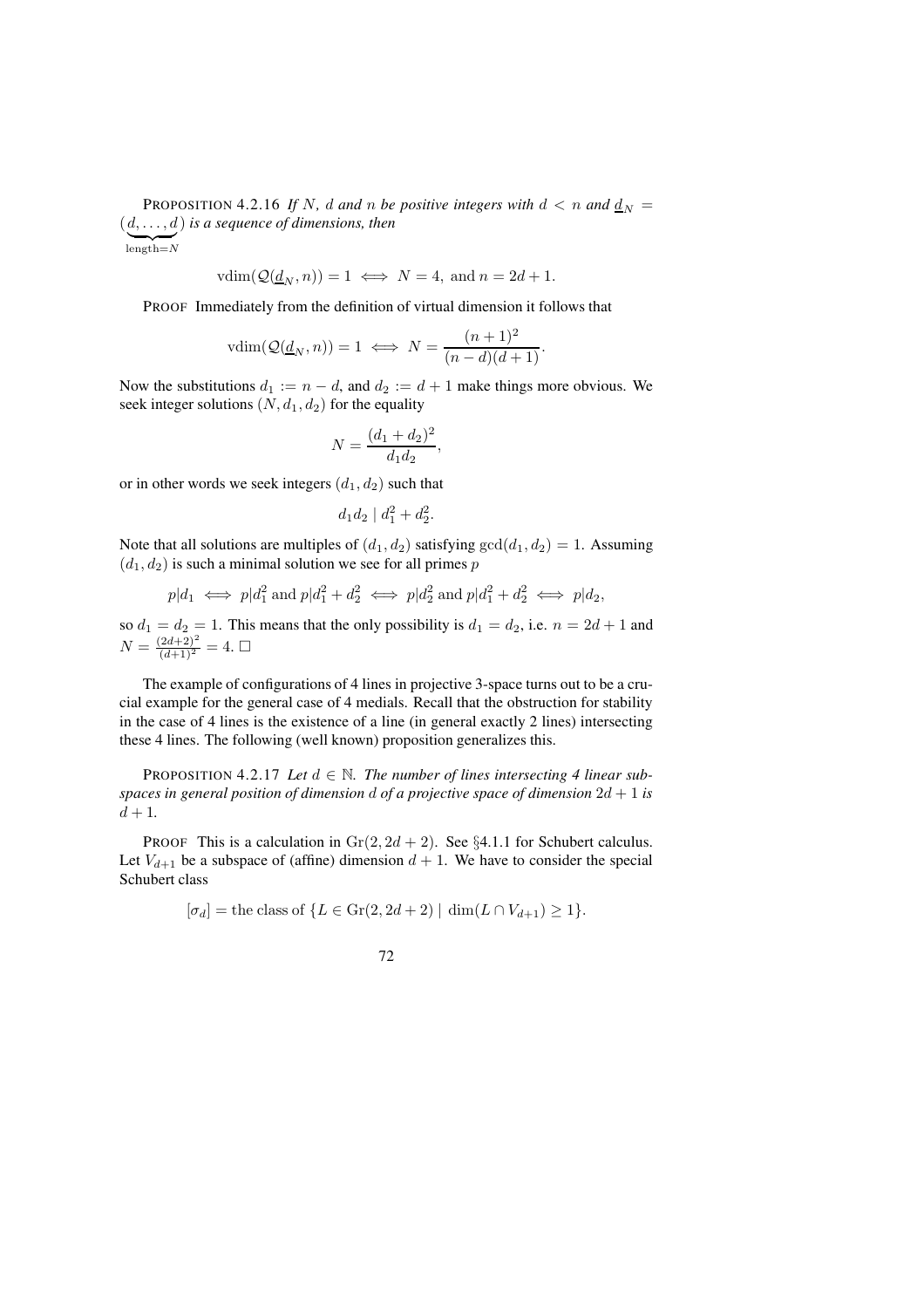PROPOSITION 4.2.16 If N, d and n be positive integers with  $d < n$  and  $\frac{d_N}{dx} =$  $(d, \ldots, d)$ ) *is a sequence of dimensions, then*

$$
\widetilde{\text{length}=N}
$$

$$
vdim(\mathcal{Q}(\underline{d}_N, n)) = 1 \iff N = 4, \text{ and } n = 2d + 1.
$$

PROOF Immediately from the definition of virtual dimension it follows that

$$
vdim(\mathcal{Q}(\underline{d}_N, n)) = 1 \iff N = \frac{(n+1)^2}{(n-d)(d+1)}.
$$

Now the substitutions  $d_1 := n - d$ , and  $d_2 := d + 1$  make things more obvious. We seek integer solutions  $(N, d_1, d_2)$  for the equality

$$
N = \frac{(d_1 + d_2)^2}{d_1 d_2},
$$

or in other words we seek integers  $(d_1, d_2)$  such that

$$
d_1 d_2 \mid d_1^2 + d_2^2.
$$

Note that all solutions are multiples of  $(d_1, d_2)$  satisfying  $gcd(d_1, d_2) = 1$ . Assuming  $(d_1, d_2)$  is such a minimal solution we see for all primes p

$$
p|d_1 \iff p|d_1^2 \text{ and } p|d_1^2 + d_2^2 \iff p|d_2^2 \text{ and } p|d_1^2 + d_2^2 \iff p|d_2,
$$

so  $d_1 = d_2 = 1$ . This means that the only possibility is  $d_1 = d_2$ , i.e.  $n = 2d + 1$  and  $N = \frac{(2d+2)^2}{(d+1)^2} = 4.$ 

The example of configurations of 4 lines in projective 3-space turns out to be a crucial example for the general case of 4 medials. Recall that the obstruction for stability in the case of 4 lines is the existence of a line (in general exactly 2 lines) intersecting these 4 lines. The following (well known) proposition generalizes this.

PROPOSITION 4.2.17 *Let*  $d \in \mathbb{N}$ . *The number of lines intersecting 4 linear subspaces in general position of dimension* d *of a projective space of dimension* 2d + 1 *is*  $d + 1.$ 

PROOF This is a calculation in  $Gr(2, 2d + 2)$ . See §4.1.1 for Schubert calculus. Let  $V_{d+1}$  be a subspace of (affine) dimension  $d+1$ . We have to consider the special Schubert class

$$
[\sigma_d] = \text{the class of } \{ L \in \text{Gr}(2, 2d + 2) \mid \dim(L \cap V_{d+1}) \ge 1 \}.
$$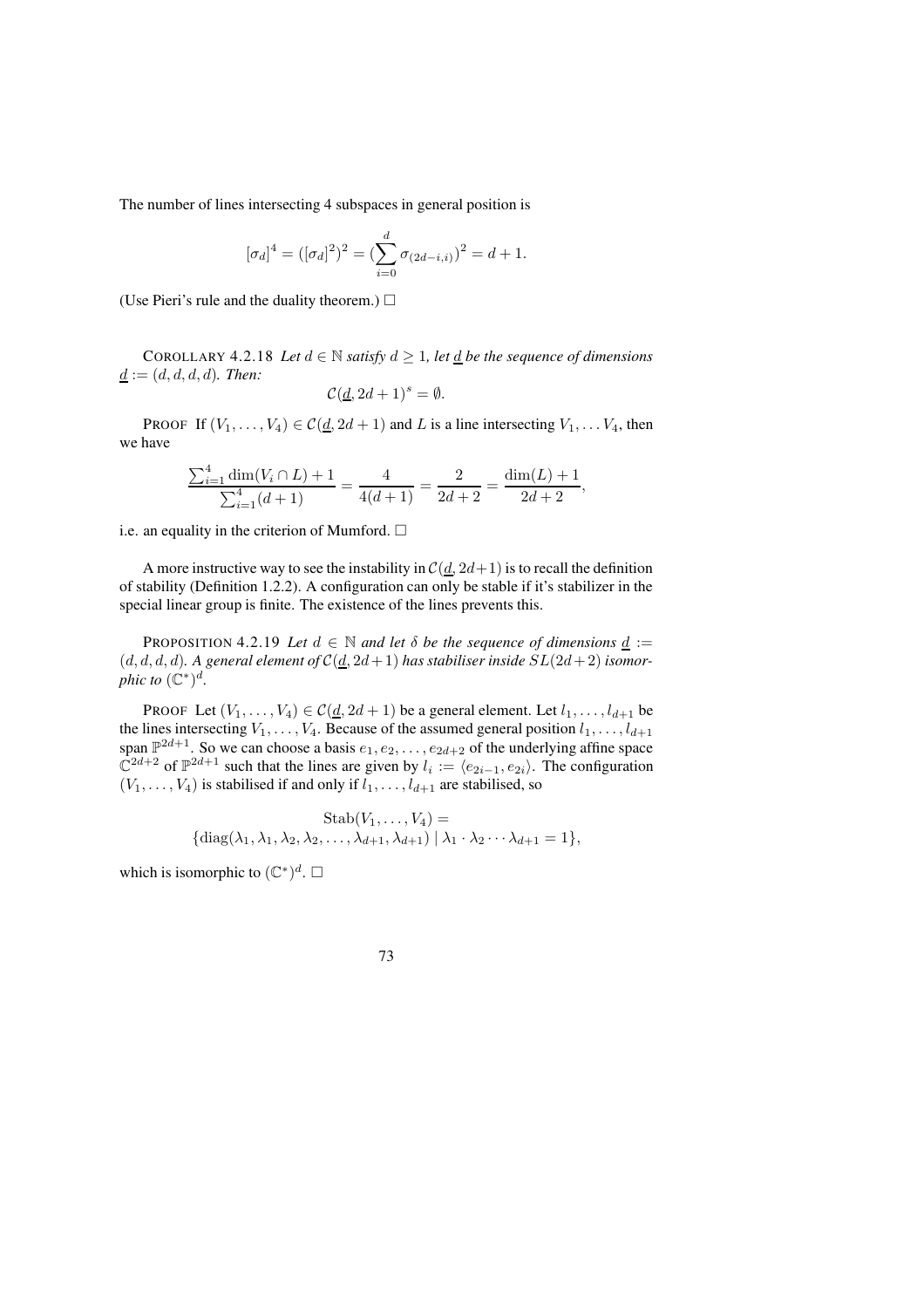The number of lines intersecting 4 subspaces in general position is

$$
[\sigma_d]^4 = ([\sigma_d]^2)^2 = (\sum_{i=0}^d \sigma_{(2d-i,i)})^2 = d+1.
$$

(Use Pieri's rule and the duality theorem.)  $\Box$ 

COROLLARY 4.2.18 *Let*  $d \in \mathbb{N}$  *satisfy*  $d \geq 1$ *, let*  $\underline{d}$  *be the sequence of dimensions*  $d := (d, d, d, d)$ *. Then:* 

$$
\mathcal{C}(\underline{d}, 2d+1)^s = \emptyset.
$$

PROOF If  $(V_1, \ldots, V_4) \in C(d, 2d + 1)$  and L is a line intersecting  $V_1, \ldots V_4$ , then we have

$$
\frac{\sum_{i=1}^{4} \dim(V_i \cap L) + 1}{\sum_{i=1}^{4} (d+1)} = \frac{4}{4(d+1)} = \frac{2}{2d+2} = \frac{\dim(L) + 1}{2d+2},
$$

i.e. an equality in the criterion of Mumford.  $\Box$ 

A more instructive way to see the instability in  $C(\underline{d}, 2d+1)$  is to recall the definition of stability (Definition 1.2.2). A configuration can only be stable if it's stabilizer in the special linear group is finite. The existence of the lines prevents this.

PROPOSITION 4.2.19 *Let*  $d \in \mathbb{N}$  *and let*  $\delta$  *be the sequence of dimensions*  $\underline{d} :=$  $(d, d, d, d)$ . A general element of  $C(d, 2d+1)$  has stabiliser inside  $SL(2d+2)$  isomor*phic to*  $(\mathbb{C}^*)^d$ .

PROOF Let  $(V_1, \ldots, V_4) \in C(d, 2d + 1)$  be a general element. Let  $l_1, \ldots, l_{d+1}$  be the lines intersecting  $V_1, \ldots, V_4$ . Because of the assumed general position  $l_1, \ldots, l_{d+1}$ span  $\mathbb{P}^{2d+1}$ . So we can choose a basis  $e_1, e_2, \ldots, e_{2d+2}$  of the underlying affine space  $\mathbb{C}^{2d+2}$  of  $\mathbb{P}^{2d+1}$  such that the lines are given by  $l_i := \langle e_{2i-1}, e_{2i} \rangle$ . The configuration  $(V_1, \ldots, V_4)$  is stabilised if and only if  $l_1, \ldots, l_{d+1}$  are stabilised, so

$$
\text{Stab}(V_1, \dots, V_4) = \{ \text{diag}(\lambda_1, \lambda_1, \lambda_2, \lambda_2, \dots, \lambda_{d+1}, \lambda_{d+1}) \mid \lambda_1 \cdot \lambda_2 \cdots \lambda_{d+1} = 1 \},
$$

which is isomorphic to  $(\mathbb{C}^*)^d$ .  $\Box$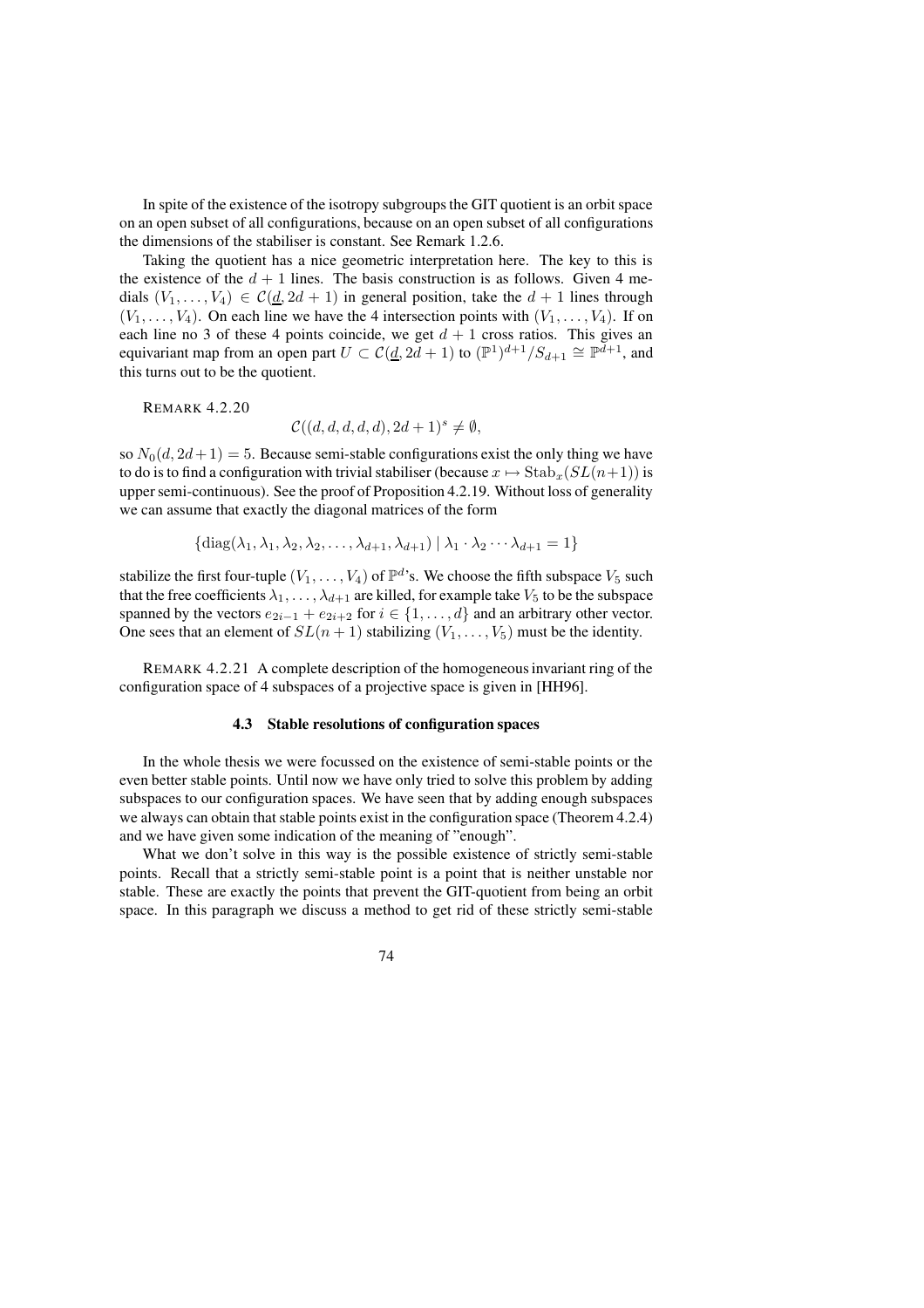In spite of the existence of the isotropy subgroupsthe GIT quotient is an orbit space on an open subset of all configurations, because on an open subset of all configurations the dimensions of the stabiliser is constant. See Remark 1.2.6.

Taking the quotient has a nice geometric interpretation here. The key to this is the existence of the  $d + 1$  lines. The basis construction is as follows. Given 4 medials  $(V_1, \ldots, V_4) \in C(d, 2d + 1)$  in general position, take the  $d + 1$  lines through  $(V_1, \ldots, V_4)$ . On each line we have the 4 intersection points with  $(V_1, \ldots, V_4)$ . If on each line no 3 of these 4 points coincide, we get  $d + 1$  cross ratios. This gives an equivariant map from an open part  $U \subset \mathcal{C}(\underline{d}, 2\overline{d}+1)$  to  $(\mathbb{P}^1)^{d+1}/S_{d+1} \cong \mathbb{P}^{\overline{d}+1}$ , and this turns out to be the quotient.

REMARK 4.2.20

 $\mathcal{C}((d,d,d,d,d), 2d+1)^s \neq \emptyset,$ 

so  $N_0(d, 2d+1) = 5$ . Because semi-stable configurations exist the only thing we have to do is to find a configuration with trivial stabiliser (because  $x \mapsto \text{Stab}_x(SL(n+1))$  is uppersemi-continuous). See the proof of Proposition 4.2.19. Without loss of generality we can assume that exactly the diagonal matrices of the form

$$
\{ \text{diag}(\lambda_1, \lambda_1, \lambda_2, \lambda_2, \dots, \lambda_{d+1}, \lambda_{d+1}) \mid \lambda_1 \cdot \lambda_2 \cdots \lambda_{d+1} = 1 \}
$$

stabilize the first four-tuple  $(V_1, \ldots, V_4)$  of  $\mathbb{P}^d$ 's. We choose the fifth subspace  $V_5$  such that the free coefficients  $\lambda_1, \ldots, \lambda_{d+1}$  are killed, for example take  $V_5$  to be the subspace spanned by the vectors  $e_{2i-1} + e_{2i+2}$  for  $i \in \{1, ..., d\}$  and an arbitrary other vector. One sees that an element of  $SL(n + 1)$  stabilizing  $(V_1, \ldots, V_5)$  must be the identity.

REMARK 4.2.21 A complete description of the homogeneousinvariant ring of the configuration space of 4 subspaces of a projective space is given in [HH96].

# **4.3 Stable resolutions of configuration spaces**

In the whole thesis we were focussed on the existence of semi-stable points or the even better stable points. Until now we have only tried to solve this problem by adding subspaces to our configuration spaces. We have seen that by adding enough subspaces we always can obtain that stable points exist in the configuration space (Theorem 4.2.4) and we have given some indication of the meaning of "enough".

What we don't solve in this way is the possible existence of strictly semi-stable points. Recall that a strictly semi-stable point is a point that is neither unstable nor stable. These are exactly the points that prevent the GIT-quotient from being an orbit space. In this paragraph we discuss a method to get rid of these strictly semi-stable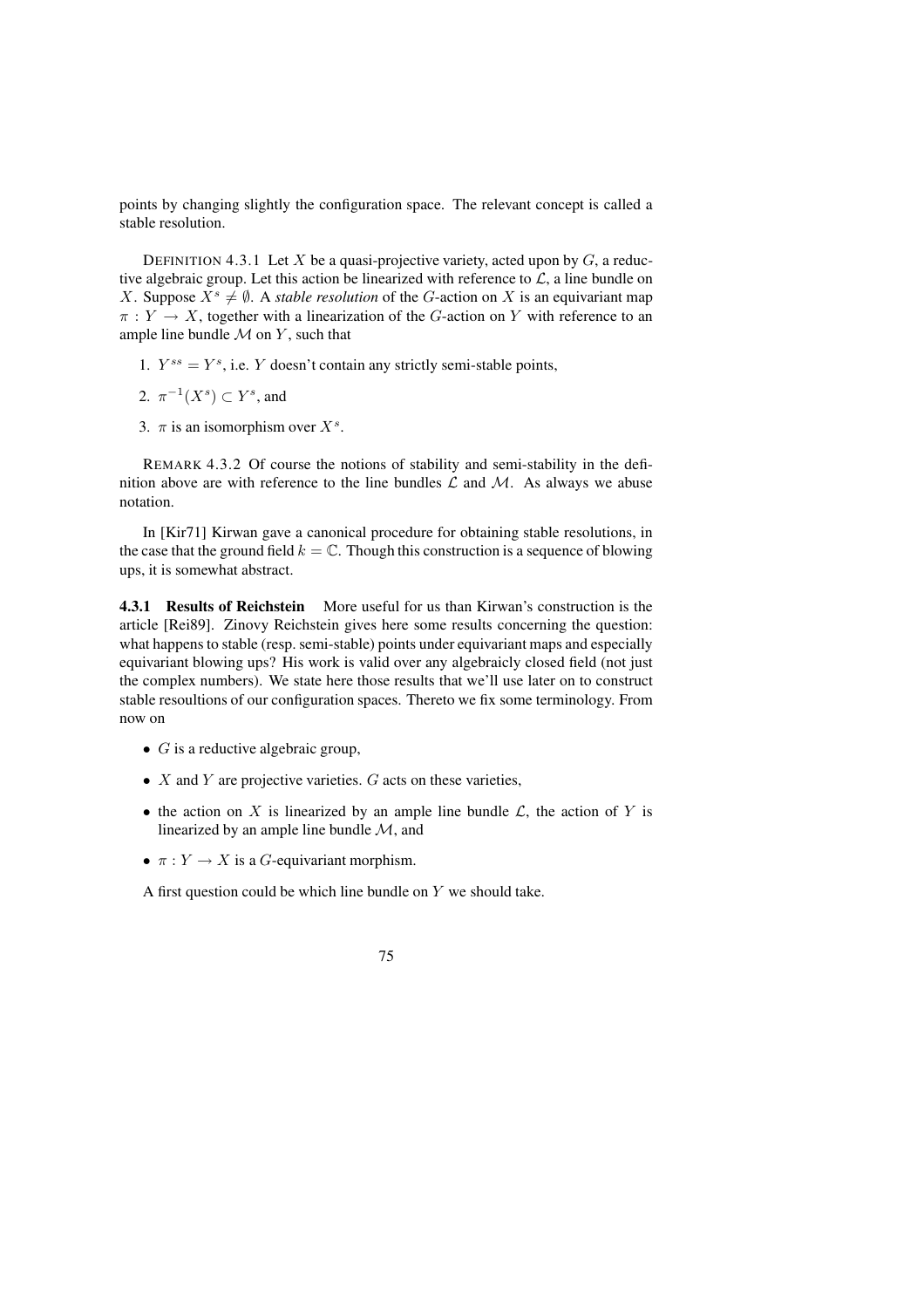points by changing slightly the configuration space. The relevant concept is called a stable resolution.

DEFINITION 4.3.1 Let X be a quasi-projective variety, acted upon by  $G$ , a reductive algebraic group. Let this action be linearized with reference to  $\mathcal{L}$ , a line bundle on X. Suppose  $X^s \neq \emptyset$ . A *stable resolution* of the G-action on X is an equivariant map  $\pi: Y \to X$ , together with a linearization of the G-action on Y with reference to an ample line bundle  $\mathcal M$  on  $Y$ , such that

- 1.  $Y^{ss} = Y^s$ , i.e. Y doesn't contain any strictly semi-stable points,
- 2.  $\pi^{-1}(X^s) \subset Y^s$ , and
- 3.  $\pi$  is an isomorphism over  $X^s$ .

REMARK 4.3.2 Of course the notions of stability and semi-stability in the definition above are with reference to the line bundles  $\mathcal L$  and  $\mathcal M$ . As always we abuse notation.

In [Kir71] Kirwan gave a canonical procedure for obtaining stable resolutions, in the case that the ground field  $k = \mathbb{C}$ . Though this construction is a sequence of blowing ups, it is somewhat abstract.

**4.3.1 Results of Reichstein** More useful for us than Kirwan's construction is the article [Rei89]. Zinovy Reichstein gives here some results concerning the question: what happens to stable (resp. semi-stable) points under equivariant maps and especially equivariant blowing ups? His work is valid over any algebraicly closed field (not just the complex numbers). We state here those results that we'll use later on to construct stable resoultions of our configuration spaces. Thereto we fix some terminology. From now on

- $G$  is a reductive algebraic group,
- $X$  and  $Y$  are projective varieties.  $G$  acts on these varieties,
- the action on X is linearized by an ample line bundle  $\mathcal{L}$ , the action of Y is linearized by an ample line bundle  $M$ , and
- $\pi: Y \to X$  is a G-equivariant morphism.

A first question could be which line bundle on  $Y$  we should take.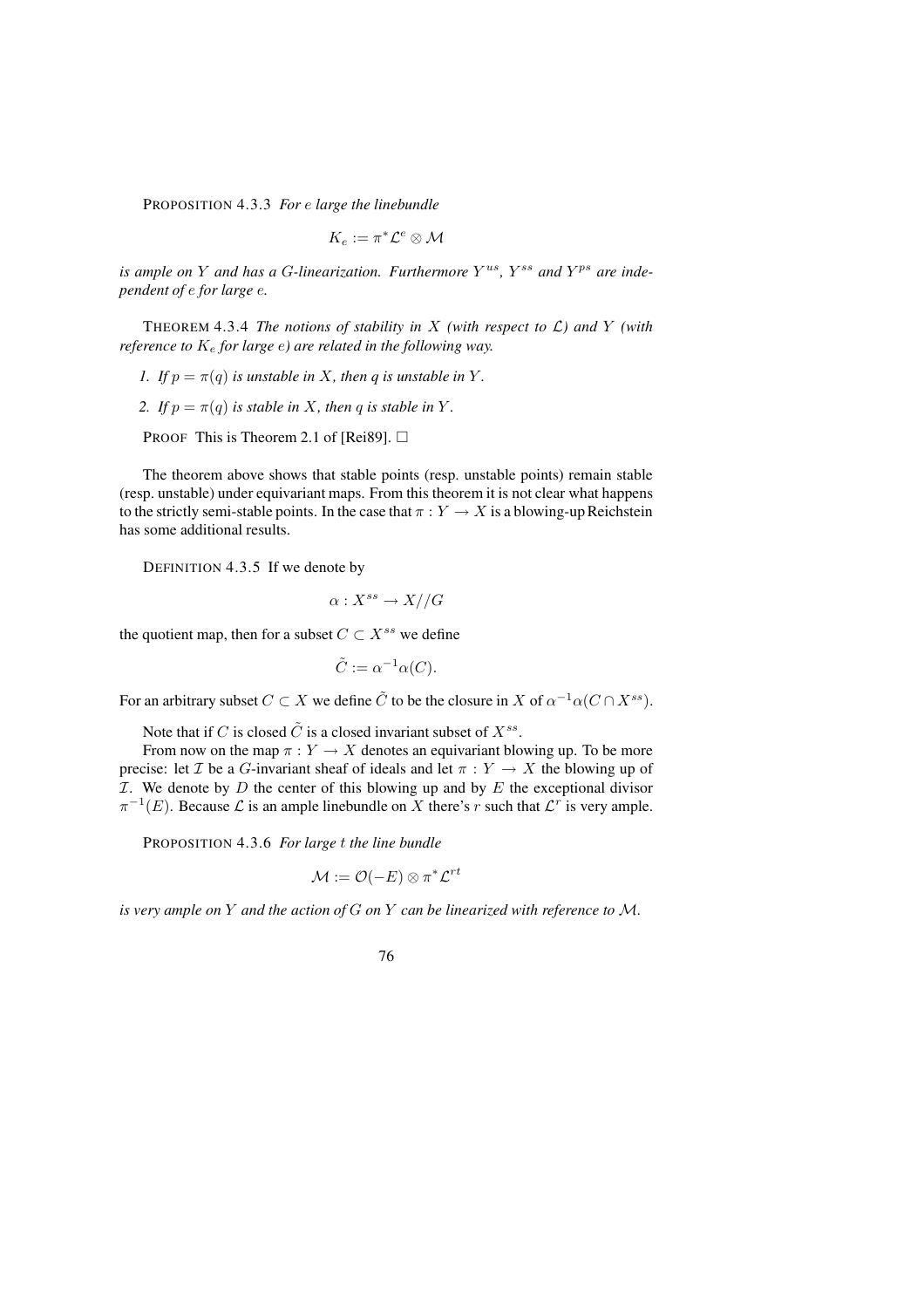PROPOSITION 4.3.3 *For* e *large the linebundle*

$$
K_e:=\pi^*{\mathcal{L}}^e\otimes {\mathcal{M}}
$$

is ample on Y and has a G-linearization. Furthermore  $Y^{us}$ ,  $Y^{ss}$  and  $Y^{ps}$  are inde*pendent of* e *for large* e*.*

THEOREM 4.3.4 *The notions of stability in* X *(with respect to*  $\mathcal{L}$ *) and* Y *(with reference to* K<sup>e</sup> *for large* e*) are related in the following way.*

- *1. If*  $p = \pi(q)$  *is unstable in* X, *then q is unstable in* Y.
- *2. If*  $p = \pi(q)$  *is stable in* X, *then* q *is stable in* Y.

PROOF This is Theorem 2.1 of [Rei89].  $\Box$ 

The theorem above shows that stable points (resp. unstable points) remain stable (resp. unstable) under equivariant maps. From this theorem it is not clear what happens to the strictly semi-stable points. In the case that  $\pi: Y \to X$  is a blowing-up Reichstein has some additional results.

DEFINITION 4.3.5 If we denote by

 $\alpha: X^{ss} \to X//G$ 

the quotient map, then for a subset  $C \subset X^{ss}$  we define

$$
\tilde{C} := \alpha^{-1} \alpha(C).
$$

For an arbitrary subset  $C \subset X$  we define  $\tilde{C}$  to be the closure in X of  $\alpha^{-1}\alpha(C \cap X^{ss})$ .

Note that if C is closed  $\tilde{C}$  is a closed invariant subset of  $X^{ss}$ .

From now on the map  $\pi : Y \to X$  denotes an equivariant blowing up. To be more precise: let *T* be a *G*-invariant sheaf of ideals and let  $\pi : Y \to X$  the blowing up of  $I$ . We denote by  $D$  the center of this blowing up and by  $E$  the exceptional divisor  $\pi^{-1}(E)$ . Because  $\mathcal L$  is an ample linebundle on X there's r such that  $\mathcal L^r$  is very ample.

PROPOSITION 4.3.6 *For large* t *the line bundle*

$$
\mathcal{M}:=\mathcal{O}(-E)\otimes \pi^*\mathcal{L}^{rt}
$$

*is very ample on* Y *and the action of* G *on* Y *can be linearized with reference to* M*.*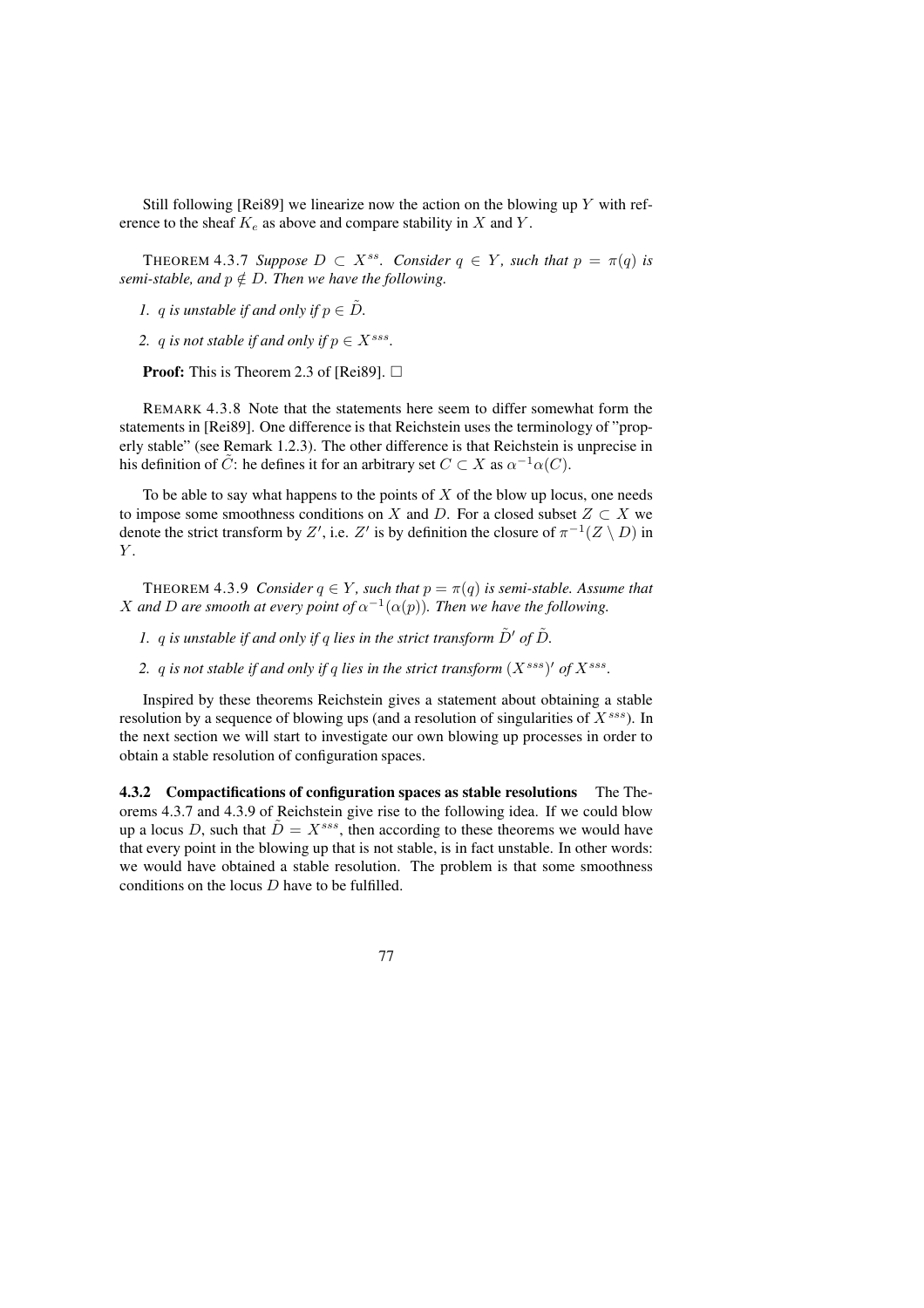Still following [Rei89] we linearize now the action on the blowing up  $Y$  with reference to the sheaf  $K_e$  as above and compare stability in X and Y.

**THEOREM 4.3.7** *Suppose*  $D \subset X^{ss}$ *. Consider*  $q \in Y$ *, such that*  $p = \pi(q)$  *is semi-stable, and*  $p \notin D$ *. Then we have the following.* 

*1. q is unstable if and only if*  $p \in \tilde{D}$ *.* 

2. *q is not stable if and only if*  $p \in X^{sss}$ .

**Proof:** This is Theorem 2.3 of [Rei89].  $\Box$ 

REMARK 4.3.8 Note that the statements here seem to differ somewhat form the statements in [Rei89]. One difference is that Reichstein uses the terminology of "properly stable" (see Remark 1.2.3). The other difference is that Reichstein is unprecise in his definition of  $\tilde{C}$ : he defines it for an arbitrary set  $C \subset X$  as  $\alpha^{-1}\alpha(C)$ .

To be able to say what happens to the points of  $X$  of the blow up locus, one needs to impose some smoothness conditions on X and D. For a closed subset  $Z \subset X$  we denote the strict transform by Z', i.e. Z' is by definition the closure of  $\pi^{-1}(Z \setminus D)$  in  $Y$ .

**THEOREM 4.3.9** *Consider*  $q \in Y$ *, such that*  $p = \pi(q)$  *is semi-stable. Assume that* X and D are smooth at every point of  $\alpha^{-1}(\alpha(p))$ . Then we have the following.

*1.* q is unstable if and only if q lies in the strict transform  $\tilde{D}'$  of  $\tilde{D}$ .

2.  $q$  *is* not stable if and only if  $q$  lies in the strict transform  $(X^{sss})'$  of  $X^{sss}$ .

Inspired by these theorems Reichstein gives a statement about obtaining a stable resolution by a sequence of blowing ups (and a resolution of singularities of  $X^{sss}$ ). In the next section we will start to investigate our own blowing up processes in order to obtain a stable resolution of configuration spaces.

**4.3.2 Compactifications of configuration spaces as stable resolutions** The Theorems 4.3.7 and 4.3.9 of Reichstein give rise to the following idea. If we could blow up a locus D, such that  $\tilde{D} = X^{sss}$ , then according to these theorems we would have that every point in the blowing up that is not stable, is in fact unstable. In other words: we would have obtained a stable resolution. The problem is that some smoothness conditions on the locus D have to be fulfilled.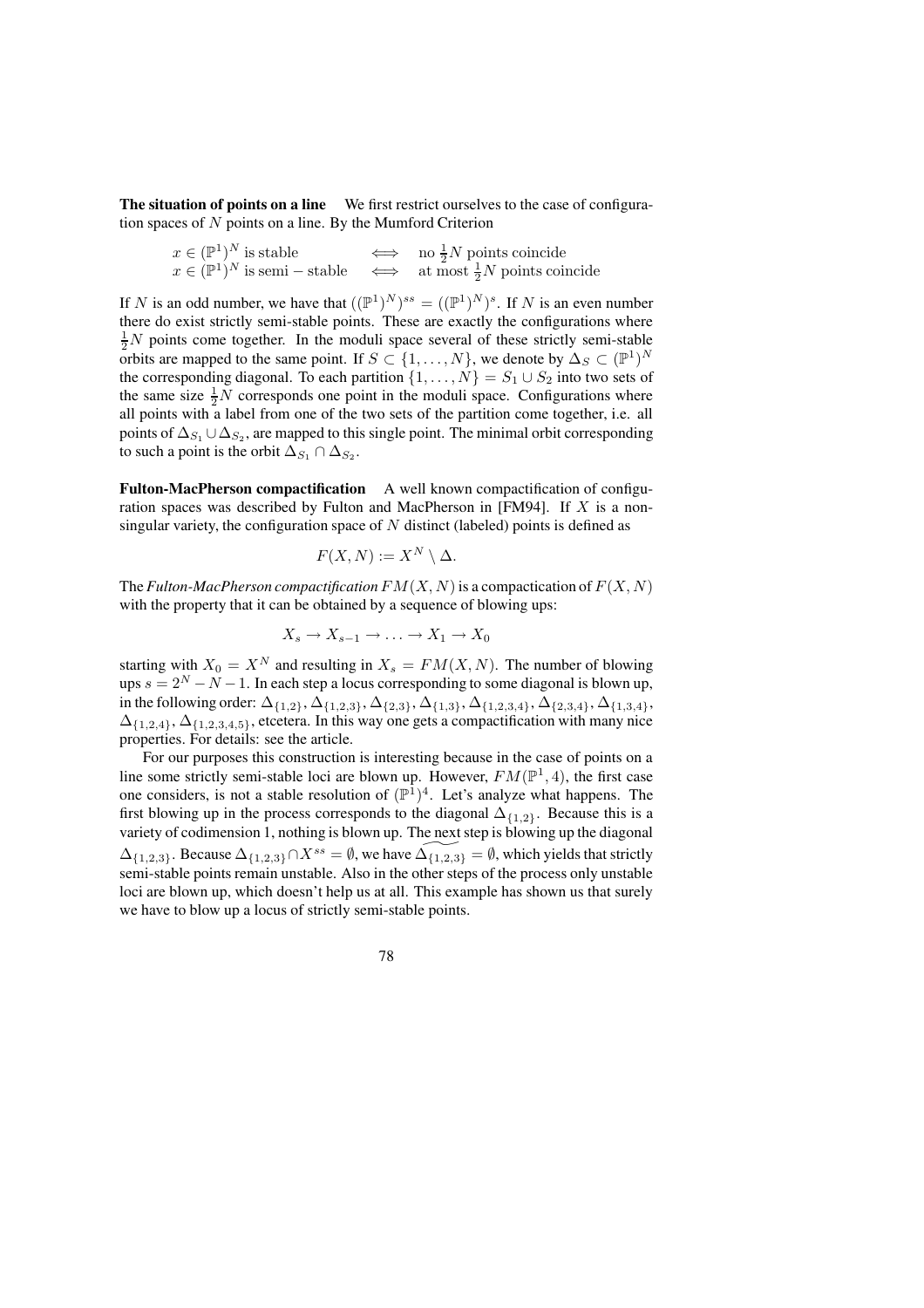**The situation of points on a line** We first restrict ourselves to the case of configuration spaces of N points on a line. By the Mumford Criterion

|  | $x \in (\mathbb{P}^1)^N$ is stable        | no $\frac{1}{2}N$ points coincide             |
|--|-------------------------------------------|-----------------------------------------------|
|  | $x \in (\mathbb{P}^1)^N$ is semi – stable | $\iff$ at most $\frac{1}{2}N$ points coincide |

If N is an odd number, we have that  $((\mathbb{P}^1)^N)^{ss} = ((\mathbb{P}^1)^N)^s$ . If N is an even number there do exist strictly semi-stable points. These are exactly the configurations where  $\frac{1}{2}N$  points come together. In the moduli space several of these strictly semi-stable orbits are mapped to the same point. If  $S \subset \{1, ..., N\}$ , we denote by  $\Delta_S \subset (\mathbb{P}^1)^N$ the corresponding diagonal. To each partition  $\{1, \ldots, N\} = S_1 \cup S_2$  into two sets of the same size  $\frac{1}{2}N$  corresponds one point in the moduli space. Configurations where all points with a label from one of the two sets of the partition come together, i.e. all points of  $\Delta_{S_1} \cup \Delta_{S_2}$ , are mapped to this single point. The minimal orbit corresponding to such a point is the orbit  $\Delta_{S_1} \cap \Delta_{S_2}$ .

**Fulton-MacPherson compactification** A well known compactification of configuration spaces was described by Fulton and MacPherson in [FM94]. If X is a nonsingular variety, the configuration space of  $N$  distinct (labeled) points is defined as

$$
F(X,N) := X^N \setminus \Delta.
$$

The *Fulton-MacPherson compactification*  $FM(X, N)$  is a compactication of  $F(X, N)$ with the property that it can be obtained by a sequence of blowing ups:

$$
X_s \to X_{s-1} \to \ldots \to X_1 \to X_0
$$

starting with  $X_0 = X^N$  and resulting in  $X_s = FM(X, N)$ . The number of blowing ups  $s = 2^N - N - 1$ . In each step a locus corresponding to some diagonal is blown up, in the following order:  $\Delta_{\{1,2\}}, \Delta_{\{1,2,3\}}, \Delta_{\{2,3\}}, \Delta_{\{1,3\}}, \Delta_{\{1,2,3,4\}}, \Delta_{\{2,3,4\}}, \Delta_{\{1,3,4\}},$  $\Delta_{\{1,2,4\}}, \Delta_{\{1,2,3,4,5\}}$ , etcetera. In this way one gets a compactification with many nice properties. For details: see the article.

For our purposes this construction is interesting because in the case of points on a line some strictly semi-stable loci are blown up. However,  $FM(\mathbb{P}^1, 4)$ , the first case one considers, is not a stable resolution of  $(\mathbb{P}^{1})^{4}$ . Let's analyze what happens. The first blowing up in the process corresponds to the diagonal  $\Delta_{\{1,2\}}$ . Because this is a variety of codimension 1, nothing is blown up. The next step is blowing up the diagonal  $\Delta_{\{1,2,3\}}$ . Because  $\Delta_{\{1,2,3\}} \cap X^{ss} = \emptyset$ , we have  $\Delta_{\{1,2,3\}} = \emptyset$ , which yields that strictly semi-stable points remain unstable. Also in the other steps of the process only unstable loci are blown up, which doesn't help us at all. This example has shown us that surely we have to blow up a locus of strictly semi-stable points.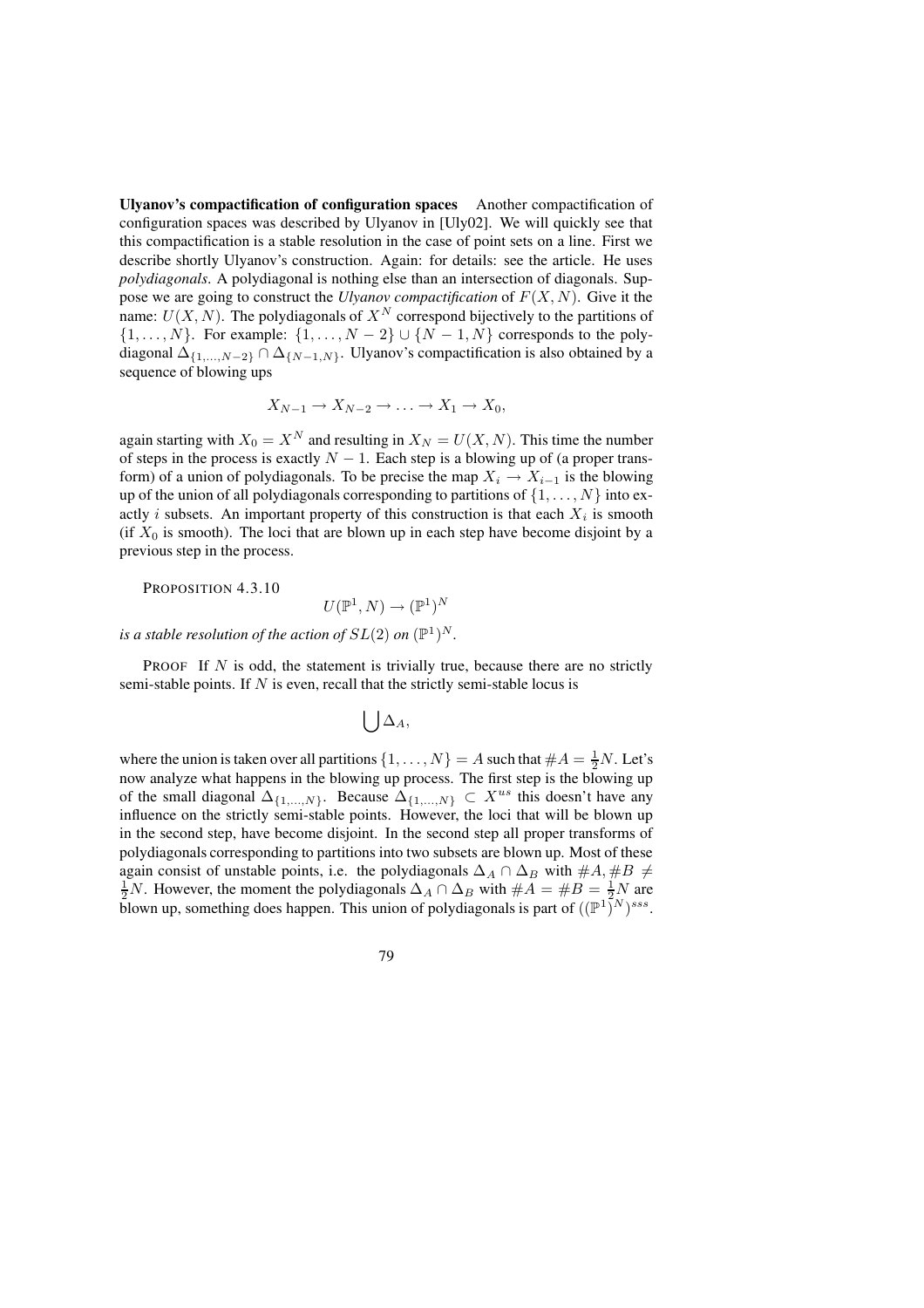**Ulyanov's compactification of configuration spaces** Another compactification of configuration spaces was described by Ulyanov in [Uly02]. We will quickly see that this compactification is a stable resolution in the case of point sets on a line. First we describe shortly Ulyanov's construction. Again: for details: see the article. He uses *polydiagonals*. A polydiagonal is nothing else than an intersection of diagonals. Suppose we are going to construct the *Ulyanov compactification* of  $F(X, N)$ . Give it the name:  $U(X, N)$ . The polydiagonals of  $X^N$  correspond bijectively to the partitions of  $\{1, \ldots, N\}$ . For example:  $\{1, \ldots, N-2\} \cup \{N-1, N\}$  corresponds to the polydiagonal  $\Delta_{\{1,\ldots,N-2\}} \cap \Delta_{\{N-1,N\}}$ . Ulyanov's compactification is also obtained by a sequence of blowing ups

$$
X_{N-1} \to X_{N-2} \to \ldots \to X_1 \to X_0,
$$

again starting with  $X_0 = X^N$  and resulting in  $X_N = U(X, N)$ . This time the number of steps in the process is exactly  $N - 1$ . Each step is a blowing up of (a proper transform) of a union of polydiagonals. To be precise the map  $X_i \to X_{i-1}$  is the blowing up of the union of all polydiagonals corresponding to partitions of  $\{1, \ldots, N\}$  into exactly *i* subsets. An important property of this construction is that each  $X_i$  is smooth (if  $X_0$  is smooth). The loci that are blown up in each step have become disjoint by a previous step in the process.

PROPOSITION 4.3.10

$$
U(\mathbb{P}^1, N) \to (\mathbb{P}^1)^N
$$

*is* a stable resolution of the action of  $SL(2)$  on  $(\mathbb{P}^1)^N$ .

**PROOF** If  $N$  is odd, the statement is trivially true, because there are no strictly semi-stable points. If  $N$  is even, recall that the strictly semi-stable locus is

$$
\bigcup \Delta_A,
$$

where the union is taken over all partitions  $\{1, \ldots, N\} = A$  such that  $\#A = \frac{1}{2}N$ . Let's now analyze what happens in the blowing up process. The first step is the blowing up of the small diagonal  $\Delta_{\{1,\ldots,N\}}$ . Because  $\Delta_{\{1,\ldots,N\}} \subset X^{us}$  this doesn't have any influence on the strictly semi-stable points. However, the loci that will be blown up in the second step, have become disjoint. In the second step all proper transforms of polydiagonals corresponding to partitions into two subsets are blown up. Most of these again consist of unstable points, i.e. the polydiagonals  $\Delta_A \cap \Delta_B$  with  $\#A, \#B \neq$  $\frac{1}{2}N$ . However, the moment the polydiagonals  $\Delta_A \cap \Delta_B$  with  $\#A = \#B = \frac{1}{2}N$  are blown up, something does happen. This union of polydiagonals is part of  $((\mathbb{P}^1)^N)^{sss}$ .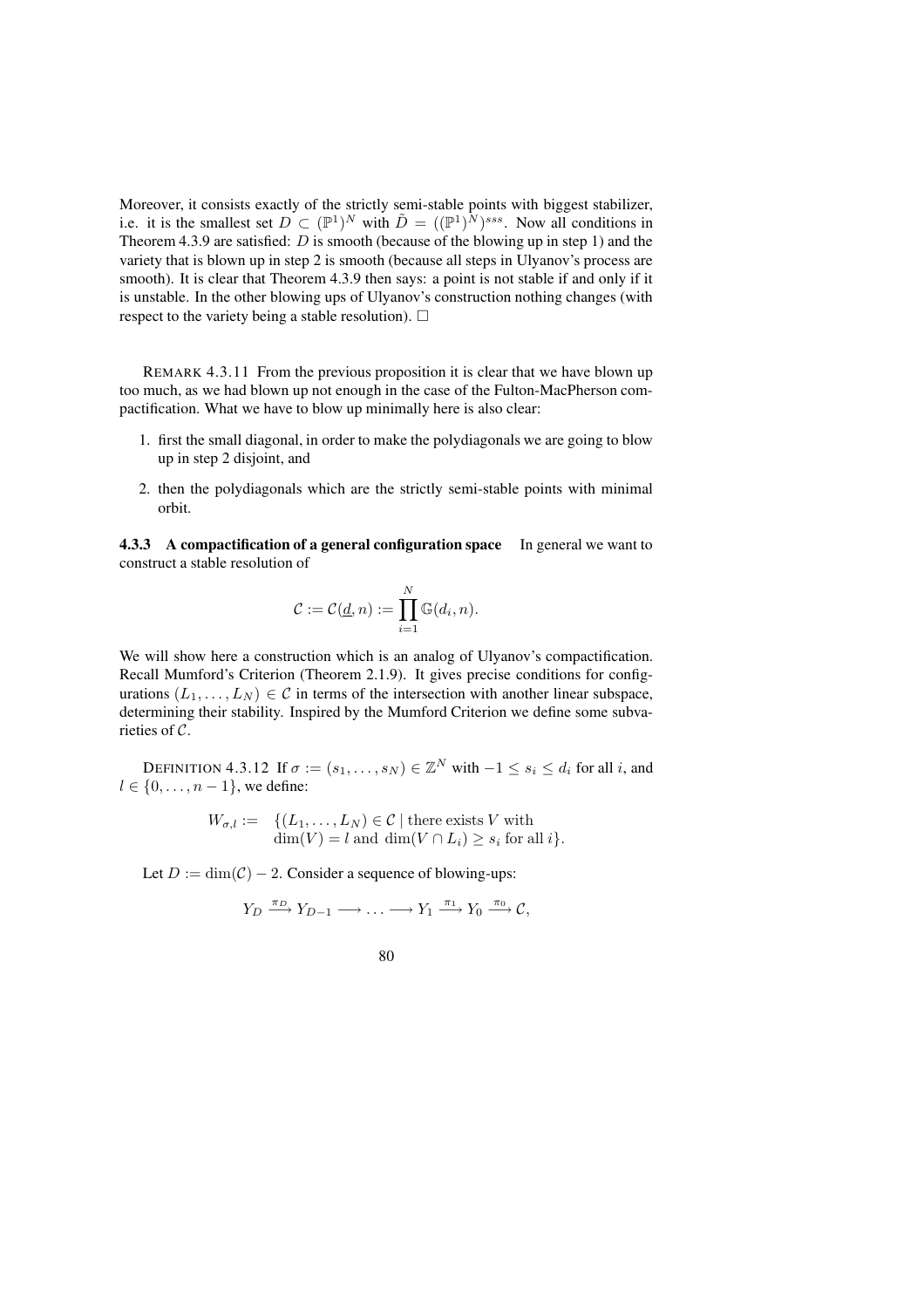Moreover, it consists exactly of the strictly semi-stable points with biggest stabilizer, i.e. it is the smallest set  $D \subset (\mathbb{P}^1)^N$  with  $\tilde{D} = ((\mathbb{P}^1)^N)^{sss}$ . Now all conditions in Theorem 4.3.9 are satisfied:  $D$  is smooth (because of the blowing up in step 1) and the variety that is blown up in step 2 is smooth (because all steps in Ulyanov's process are smooth). It is clear that Theorem 4.3.9 then says: a point is not stable if and only if it is unstable. In the other blowing ups of Ulyanov's construction nothing changes (with respect to the variety being a stable resolution).  $\Box$ 

REMARK 4.3.11 From the previous proposition it is clear that we have blown up too much, as we had blown up not enough in the case of the Fulton-MacPherson compactification. What we have to blow up minimally here is also clear:

- 1. first the small diagonal, in order to make the polydiagonals we are going to blow up in step 2 disjoint, and
- 2. then the polydiagonals which are the strictly semi-stable points with minimal orbit.

**4.3.3 A compactification of a general configuration space** In general we want to construct a stable resolution of

$$
\mathcal{C} := \mathcal{C}(\underline{d}, n) := \prod_{i=1}^N \mathbb{G}(d_i, n).
$$

We will show here a construction which is an analog of Ulyanov's compactification. Recall Mumford's Criterion (Theorem 2.1.9). It gives precise conditions for configurations  $(L_1, \ldots, L_N) \in \mathcal{C}$  in terms of the intersection with another linear subspace, determining their stability. Inspired by the Mumford Criterion we define some subvarieties of C.

DEFINITION 4.3.12 If  $\sigma := (s_1, \ldots, s_N) \in \mathbb{Z}^N$  with  $-1 \leq s_i \leq d_i$  for all i, and  $l \in \{0, \ldots, n-1\}$ , we define:

$$
W_{\sigma,l} := \{ (L_1, \dots, L_N) \in \mathcal{C} \mid \text{there exists } V \text{ with } \dim(V) = l \text{ and } \dim(V \cap L_i) \ge s_i \text{ for all } i \}.
$$

Let  $D := \dim(\mathcal{C}) - 2$ . Consider a sequence of blowing-ups:

 $Y_D \xrightarrow{\pi_D} Y_{D-1} \longrightarrow \ldots \longrightarrow Y_1 \xrightarrow{\pi_1} Y_0 \xrightarrow{\pi_0} \mathcal{C},$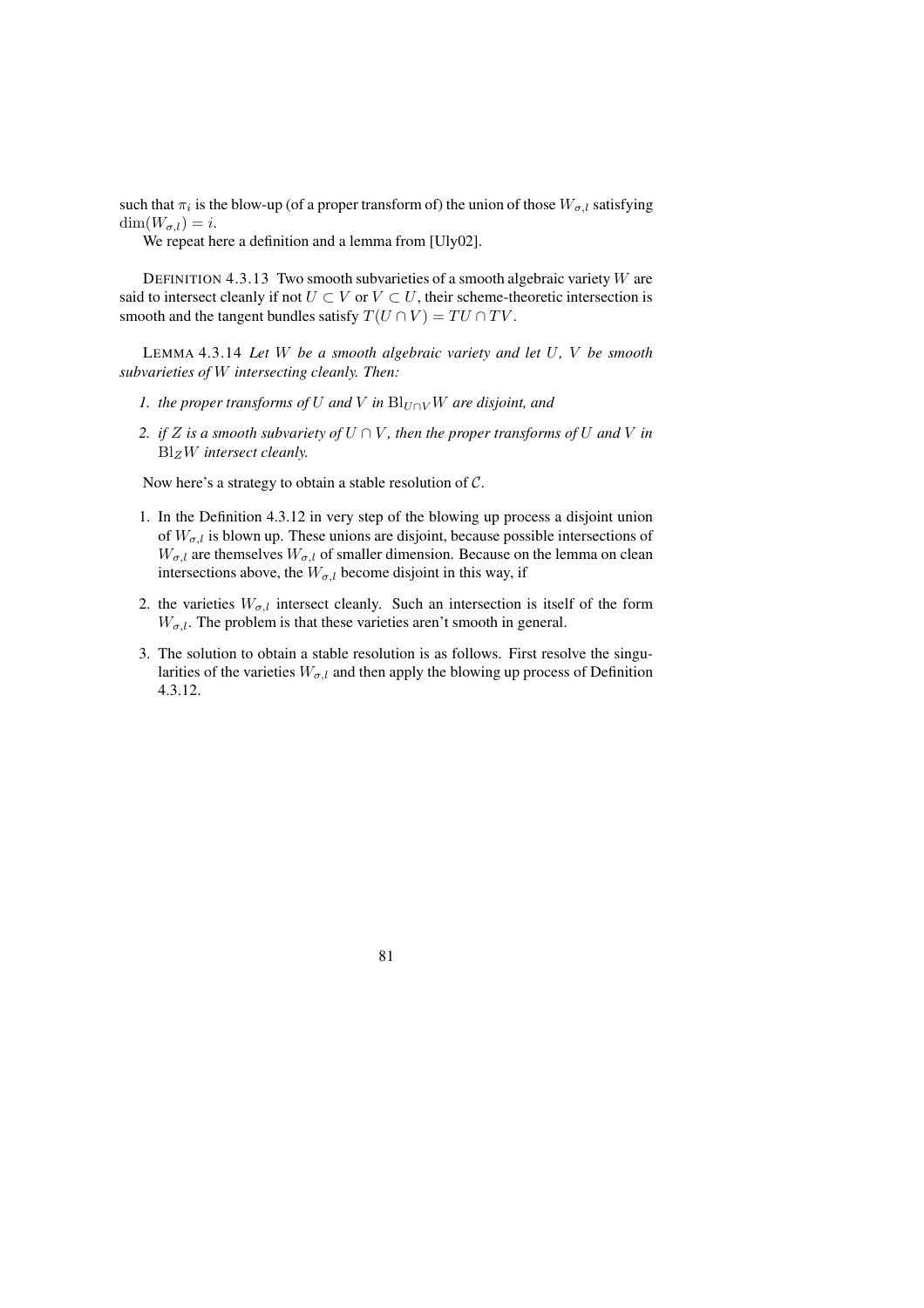such that  $\pi_i$  is the blow-up (of a proper transform of) the union of those  $W_{\sigma, l}$  satisfying  $\dim(W_{\sigma,l})=i.$ 

We repeat here a definition and a lemma from [Uly02].

DEFINITION 4.3.13 Two smooth subvarieties of a smooth algebraic variety  $W$  are said to intersect cleanly if not  $U \subset V$  or  $V \subset U$ , their scheme-theoretic intersection is smooth and the tangent bundles satisfy  $T(U \cap V) = TU \cap TV$ .

LEMMA 4.3.14 *Let* W *be a smooth algebraic variety and let* U*,* V *be smooth subvarieties of* W *intersecting cleanly. Then:*

- *1. the proper transforms of*  $U$  *and*  $V$  *in*  $\text{Bl}_{U \cap V} W$  *are disjoint, and*
- *2. if*  $Z$  *is a smooth subvariety of*  $U \cap V$ *, then the proper transforms of*  $U$  *and*  $V$  *in* BlZW *intersect cleanly.*

Now here's a strategy to obtain a stable resolution of C.

- 1. In the Definition 4.3.12 in very step of the blowing up process a disjoint union of  $W_{\sigma,l}$  is blown up. These unions are disjoint, because possible intersections of  $W_{\sigma,l}$  are themselves  $W_{\sigma,l}$  of smaller dimension. Because on the lemma on clean intersections above, the  $W_{\sigma,l}$  become disjoint in this way, if
- 2. the varieties  $W_{\sigma,l}$  intersect cleanly. Such an intersection is itself of the form  $W_{\sigma,l}$ . The problem is that these varieties aren't smooth in general.
- 3. The solution to obtain a stable resolution is as follows. First resolve the singularities of the varieties  $W_{\sigma,l}$  and then apply the blowing up process of Definition 4.3.12.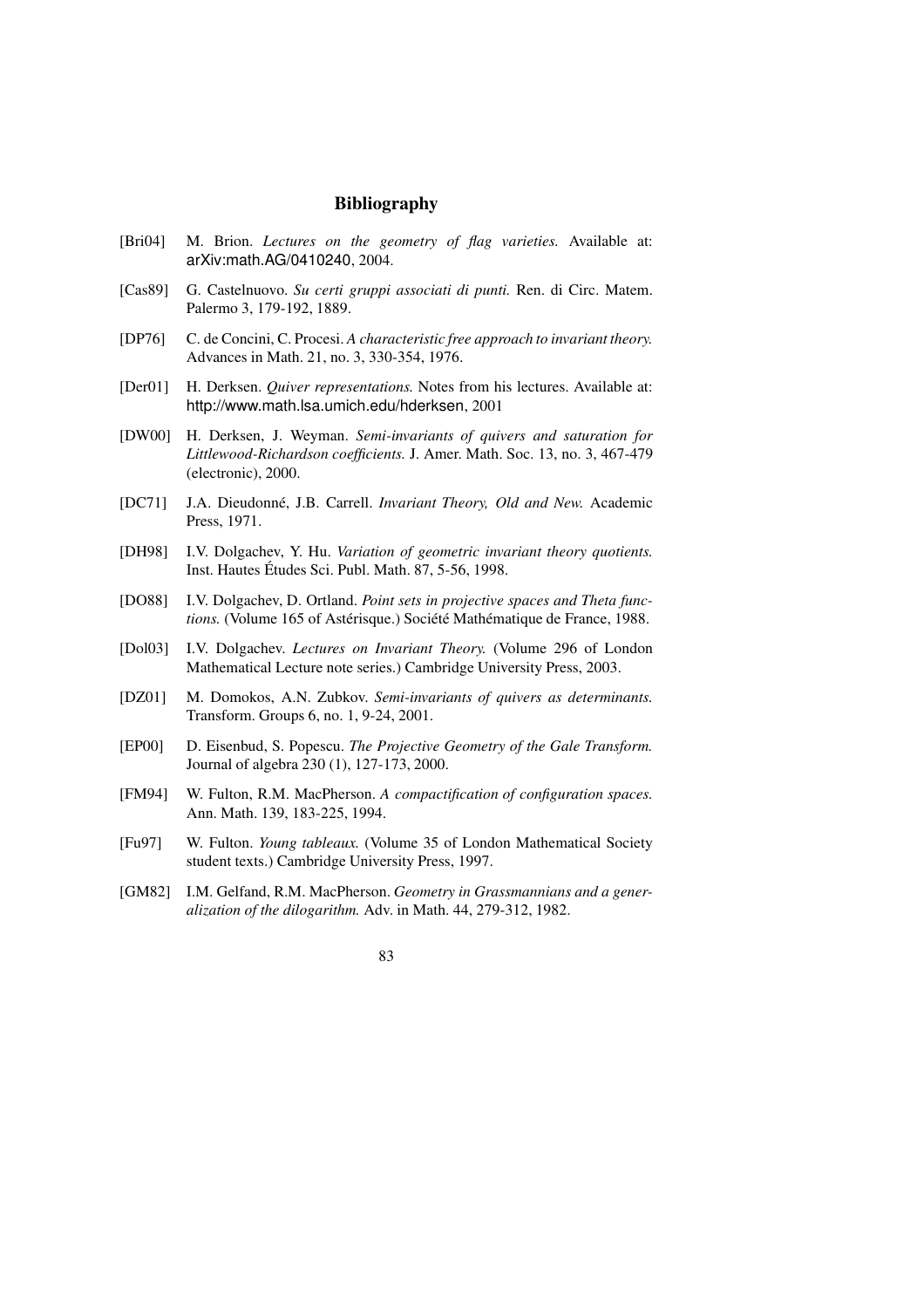# **Bibliography**

- [Bri04] M. Brion. *Lectures on the geometry of flag varieties.* Available at: arXiv:math.AG/0410240, 2004.
- [Cas89] G. Castelnuovo. *Su certi gruppi associati di punti.* Ren. di Circ. Matem. Palermo 3, 179-192, 1889.
- [DP76] C. de Concini, C. Procesi. *A characteristic free approach to invariant theory.* Advances in Math. 21, no. 3, 330-354, 1976.
- [Der01] H. Derksen. *Quiver representations.* Notes from his lectures. Available at: http://www.math.lsa.umich.edu/hderksen, 2001
- [DW00] H. Derksen, J. Weyman. *Semi-invariants of quivers and saturation for Littlewood-Richardson coefficients.* J. Amer. Math. Soc. 13, no. 3, 467-479 (electronic), 2000.
- [DC71] J.A. Dieudonne,´ J.B. Carrell. *Invariant Theory, Old and New.* Academic Press, 1971.
- [DH98] I.V. Dolgachev, Y. Hu. *Variation of geometric invariant theory quotients.* Inst. Hautes Études Sci. Publ. Math. 87, 5-56, 1998.
- [DO88] I.V. Dolgachev, D. Ortland. *Point sets in projective spaces and Theta functions.* (Volume 165 of Astérisque.) Société Mathématique de France, 1988.
- [Dol03] I.V. Dolgachev. *Lectures on Invariant Theory.* (Volume 296 of London Mathematical Lecture note series.) Cambridge University Press, 2003.
- [DZ01] M. Domokos, A.N. Zubkov. *Semi-invariants of quivers as determinants.* Transform. Groups 6, no. 1, 9-24, 2001.
- [EP00] D. Eisenbud, S. Popescu. *The Projective Geometry of the Gale Transform.* Journal of algebra 230 (1), 127-173, 2000.
- [FM94] W. Fulton, R.M. MacPherson. *A compactification of configuration spaces.* Ann. Math. 139, 183-225, 1994.
- [Fu97] W. Fulton. *Young tableaux.* (Volume 35 of London Mathematical Society student texts.) Cambridge University Press, 1997.
- [GM82] I.M. Gelfand, R.M. MacPherson. *Geometry in Grassmannians and a generalization of the dilogarithm.* Adv. in Math. 44, 279-312, 1982.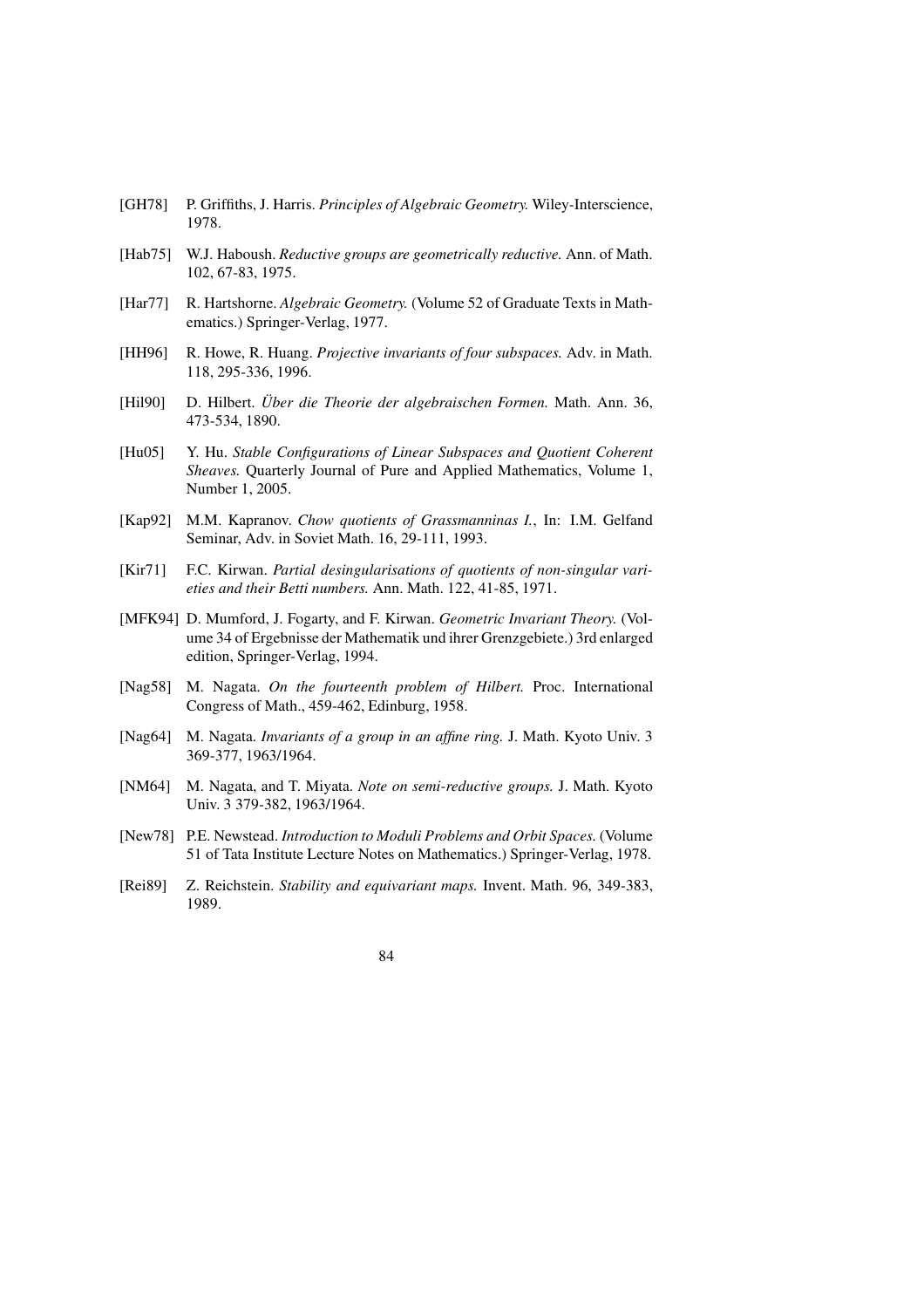- [GH78] P. Griffiths, J. Harris. *Principles of Algebraic Geometry.* Wiley-Interscience, 1978.
- [Hab75] W.J. Haboush. *Reductive groups are geometrically reductive.* Ann. of Math. 102, 67-83, 1975.
- [Har77] R. Hartshorne. *Algebraic Geometry.* (Volume 52 of Graduate Texts in Mathematics.) Springer-Verlag, 1977.
- [HH96] R. Howe, R. Huang. *Projective invariants of four subspaces.* Adv. in Math. 118, 295-336, 1996.
- [Hil90] D. Hilbert. *Uber ¨ die Theorie der algebraischen Formen.* Math. Ann. 36, 473-534, 1890.
- [Hu05] Y. Hu. *Stable Configurations of Linear Subspaces and Quotient Coherent Sheaves.* Quarterly Journal of Pure and Applied Mathematics, Volume 1, Number 1, 2005.
- [Kap92] M.M. Kapranov. *Chow quotients of Grassmanninas I.*, In: I.M. Gelfand Seminar, Adv. in Soviet Math. 16, 29-111, 1993.
- [Kir71] F.C. Kirwan. *Partial desingularisations of quotients of non-singular varieties and their Betti numbers.* Ann. Math. 122, 41-85, 1971.
- [MFK94] D. Mumford, J. Fogarty, and F. Kirwan. *Geometric Invariant Theory.* (Volume 34 of Ergebnisse der Mathematik und ihrer Grenzgebiete.) 3rd enlarged edition, Springer-Verlag, 1994.
- [Nag58] M. Nagata. *On the fourteenth problem of Hilbert.* Proc. International Congress of Math., 459-462, Edinburg, 1958.
- [Nag64] M. Nagata. *Invariants of a group in an affine ring.* J. Math. Kyoto Univ. 3 369-377, 1963/1964.
- [NM64] M. Nagata, and T. Miyata. *Note on semi-reductive groups.* J. Math. Kyoto Univ. 3 379-382, 1963/1964.
- [New78] P.E. Newstead. *Introduction to Moduli Problems and Orbit Spaces.* (Volume 51 of Tata Institute Lecture Notes on Mathematics.) Springer-Verlag, 1978.
- [Rei89] Z. Reichstein. *Stability and equivariant maps.* Invent. Math. 96, 349-383, 1989.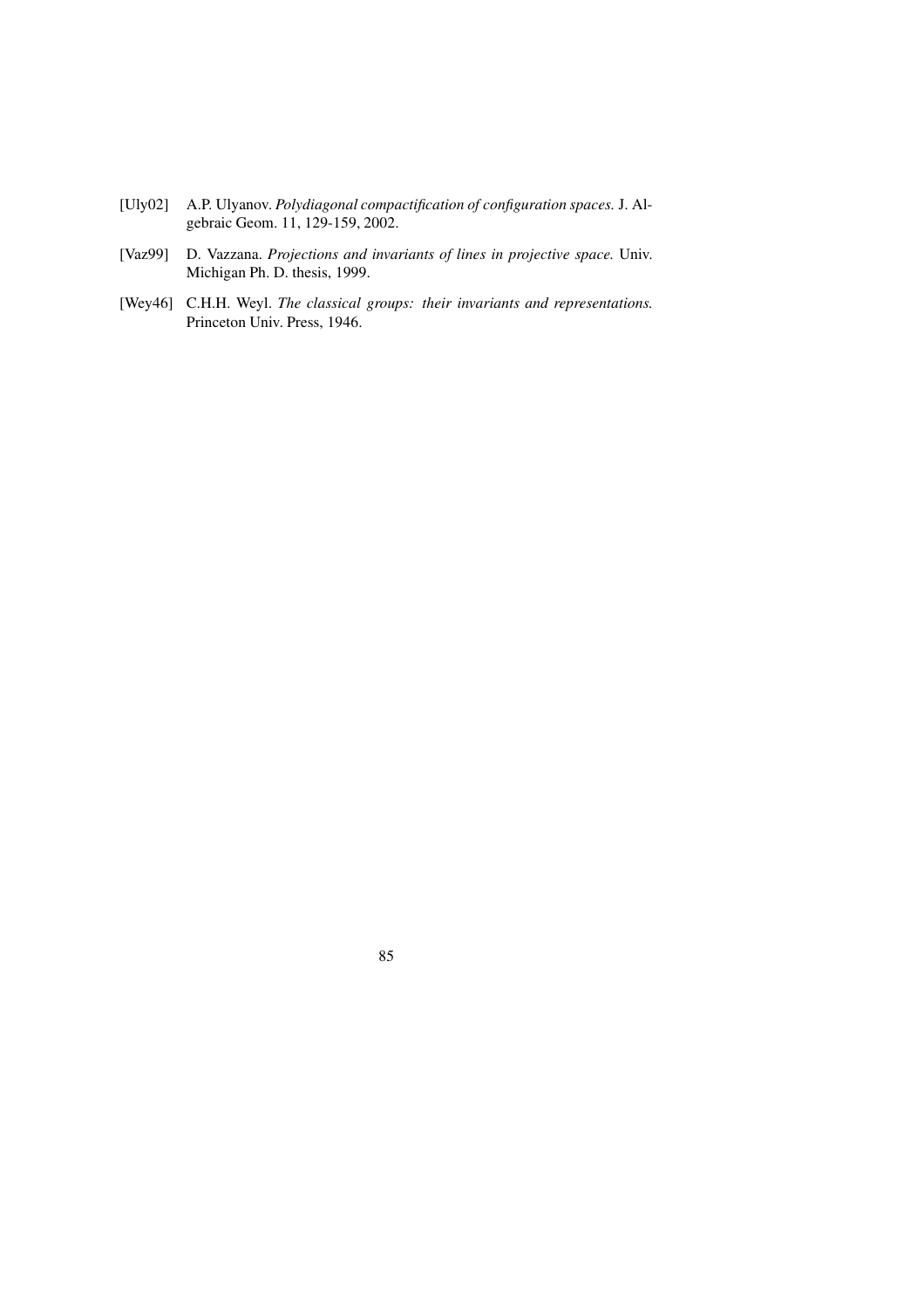- [Uly02] A.P. Ulyanov. *Polydiagonal compactification of configuration spaces.* J. Algebraic Geom. 11, 129-159, 2002.
- [Vaz99] D. Vazzana. *Projections and invariants of lines in projective space.* Univ. Michigan Ph. D. thesis, 1999.
- [Wey46] C.H.H. Weyl. *The classical groups: their invariants and representations.* Princeton Univ. Press, 1946.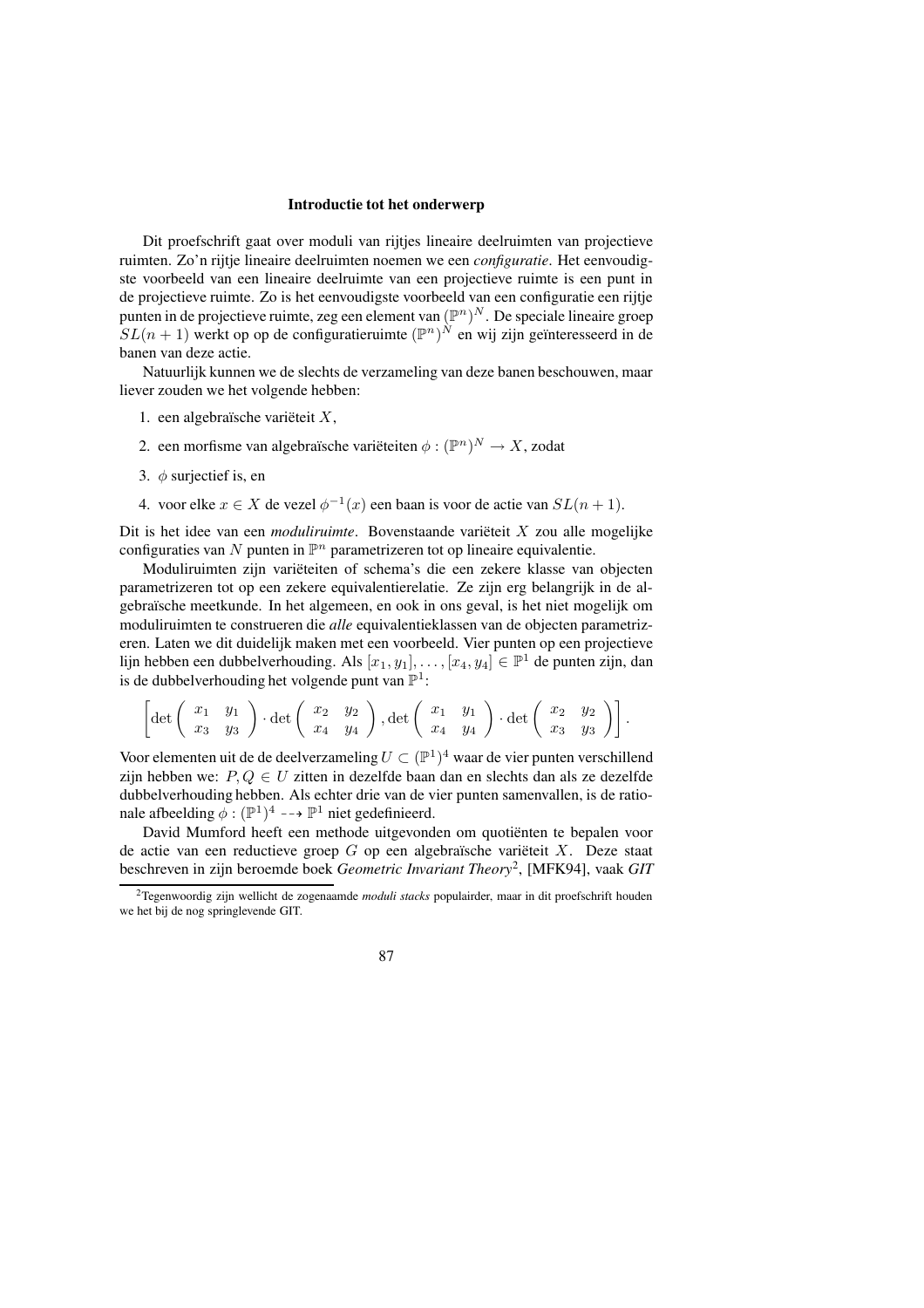#### **Introductie tot het onderwerp**

Dit proefschrift gaat over moduli van rijtjes lineaire deelruimten van projectieve ruimten. Zo'n rijtje lineaire deelruimten noemen we een *configuratie*. Het eenvoudigste voorbeeld van een lineaire deelruimte van een projectieve ruimte is een punt in de projectieve ruimte. Zo is het eenvoudigste voorbeeld van een configuratie een rijtje punten in de projectieve ruimte, zeg een element van  $(\mathbb{P}^n)^N$ . De speciale lineaire groep  $SL(n + 1)$  werkt op op de configuratieruimte  $(\mathbb{P}^n)^N$  en wij zijn geïnteresseerd in de banen van deze actie.

Natuurlijk kunnen we de slechts de verzameling van deze banen beschouwen, maar liever zouden we het volgende hebben:

- 1. een algebraïsche variëteit  $X$ ,
- 2. een morfisme van algebraïsche variëteiten  $\phi : (\mathbb{P}^n)^N \to X$ , zodat
- 3.  $\phi$  surjectief is, en
- 4. voor elke  $x \in X$  de vezel  $\phi^{-1}(x)$  een baan is voor de actie van  $SL(n + 1)$ .

Dit is het idee van een *moduliruimte*. Bovenstaande variëteit X zou alle mogelijke configuraties van N punten in  $\mathbb{P}^n$  parametrizeren tot op lineaire equivalentie.

Moduliruimten zijn variëteiten of schema's die een zekere klasse van objecten parametrizeren tot op een zekere equivalentierelatie. Ze zijn erg belangrijk in de algebra¨ısche meetkunde. In het algemeen, en ook in ons geval, is het niet mogelijk om moduliruimten te construeren die *alle* equivalentieklassen van de objecten parametrizeren. Laten we dit duidelijk maken met een voorbeeld. Vier punten op een projectieve lijn hebben een dubbelverhouding. Als  $[x_1, y_1], \ldots, [x_4, y_4] \in \mathbb{P}^1$  de punten zijn, dan is de dubbelverhouding het volgende punt van  $\mathbb{P}^1$ :

$$
\left[\det\left(\begin{array}{cc} x_1 & y_1 \\ x_3 & y_3 \end{array}\right) \cdot \det\left(\begin{array}{cc} x_2 & y_2 \\ x_4 & y_4 \end{array}\right), \det\left(\begin{array}{cc} x_1 & y_1 \\ x_4 & y_4 \end{array}\right) \cdot \det\left(\begin{array}{cc} x_2 & y_2 \\ x_3 & y_3 \end{array}\right)\right].
$$

Voor elementen uit de de deelverzameling  $U \subset (\mathbb{P}^1)^4$  waar de vier punten verschillend zijn hebben we:  $P, Q \in U$  zitten in dezelfde baan dan en slechts dan als ze dezelfde dubbelverhouding hebben. Als echter drie van de vier punten samenvallen, is de rationale afbeelding  $\phi : (\mathbb{P}^1)^4 \dashrightarrow \mathbb{P}^1$  niet gedefinieerd.

David Mumford heeft een methode uitgevonden om quotiënten te bepalen voor de actie van een reductieve groep  $G$  op een algebraïsche variëteit  $X$ . Deze staat beschreven in zijn beroemde boek *Geometric Invariant Theory*<sup>2</sup> , [MFK94], vaak *GIT*

<sup>2</sup>Tegenwoordig zijn wellicht de zogenaamde *moduli stacks* populairder, maar in dit proefschrift houden we het bij de nog springlevende GIT.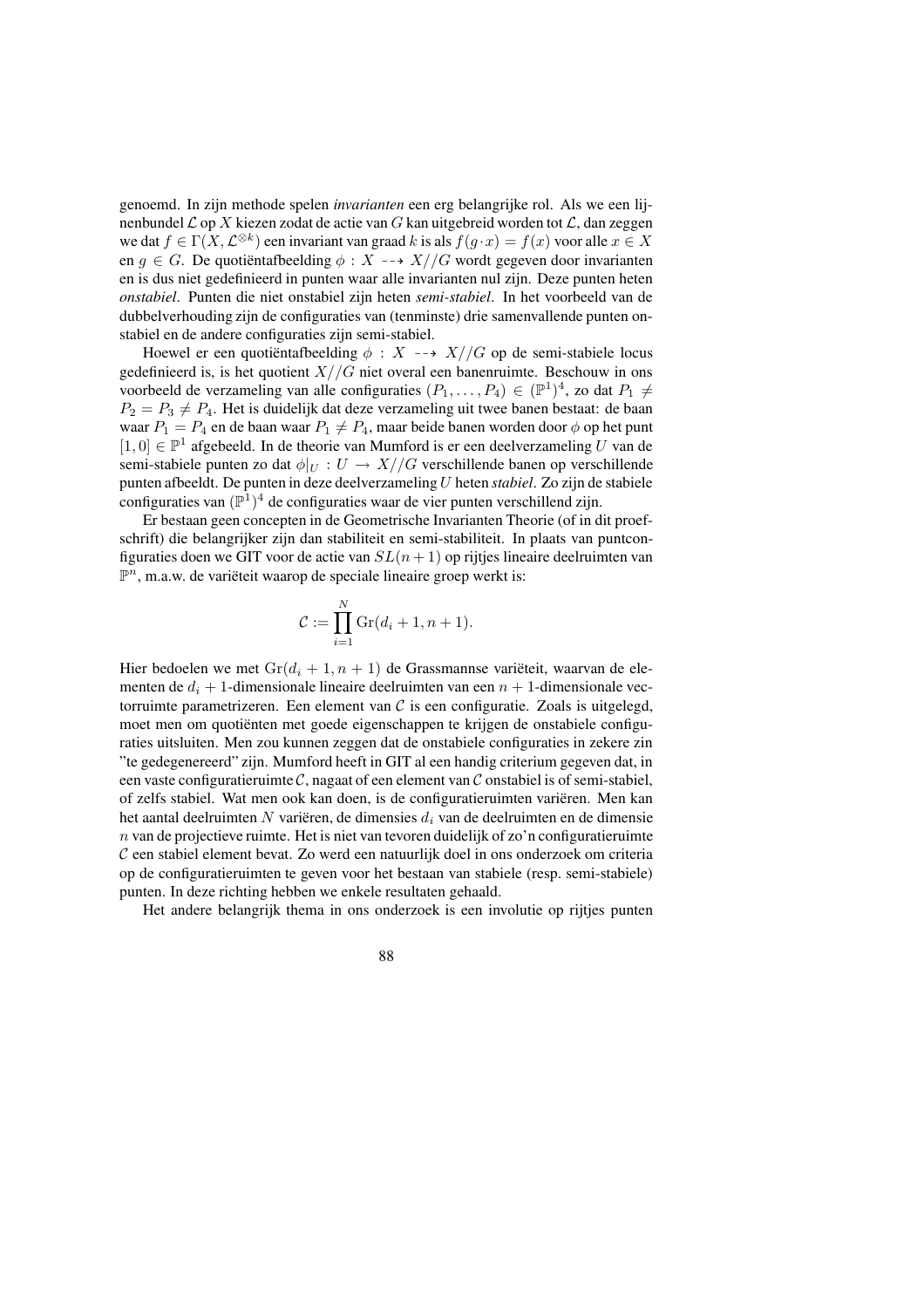genoemd. In zijn methode spelen *invarianten* een erg belangrijke rol. Als we een lijnenbundel  $\mathcal L$  op X kiezen zodat de actie van G kan uitgebreid worden tot  $\mathcal L$ , dan zeggen we dat  $f \in \Gamma(X, \mathcal{L}^{\otimes k})$  een invariant van graad k is als  $f(g \cdot x) = f(x)$  voor alle  $x \in X$ en  $g \in G$ . De quotientafbeelding  $\phi : X \dashrightarrow X//G$  wordt gegeven door invarianten en is dus niet gedefinieerd in punten waar alle invarianten nul zijn. Deze punten heten *onstabiel*. Punten die niet onstabiel zijn heten *semi-stabiel*. In het voorbeeld van de dubbelverhouding zijn de configuraties van (tenminste) drie samenvallende punten onstabiel en de andere configuraties zijn semi-stabiel.

Hoewel er een quotientafbeelding  $\phi : X \dashrightarrow X//G$  op de semi-stabiele locus gedefinieerd is, is het quotient  $X//G$  niet overal een banenruimte. Beschouw in ons voorbeeld de verzameling van alle configuraties  $(P_1, \ldots, P_4) \in (\mathbb{P}^1)^4$ , zo dat  $P_1 \neq$  $P_2 = P_3 \neq P_4$ . Het is duidelijk dat deze verzameling uit twee banen bestaat: de baan waar  $P_1 = P_4$  en de baan waar  $P_1 \neq P_4$ , maar beide banen worden door  $\phi$  op het punt [1,0] ∈  $\mathbb{P}^1$  afgebeeld. In de theorie van Mumford is er een deelverzameling U van de semi-stabiele punten zo dat  $\phi|_U : U \to X//G$  verschillende banen op verschillende punten afbeeldt. De punten in deze deelverzamelingU heten *stabiel*. Zo zijn de stabiele configuraties van  $(\mathbb{P}^{1})^{4}$  de configuraties waar de vier punten verschillend zijn.

Er bestaan geen concepten in de Geometrische Invarianten Theorie (of in dit proefschrift) die belangrijker zijn dan stabiliteit en semi-stabiliteit. In plaats van puntconfiguraties doen we GIT voor de actie van  $SL(n + 1)$  op rijtjes lineaire deelruimten van  $\mathbb{P}^n$ , m.a.w. de variëteit waarop de speciale lineaire groep werkt is:

$$
\mathcal{C} := \prod_{i=1}^N \operatorname{Gr}(d_i + 1, n + 1).
$$

Hier bedoelen we met  $Gr(d_i + 1, n + 1)$  de Grassmannse variëteit, waarvan de elementen de  $d_i + 1$ -dimensionale lineaire deelruimten van een  $n + 1$ -dimensionale vectorruimte parametrizeren. Een element van  $C$  is een configuratie. Zoals is uitgelegd, moet men om quotiënten met goede eigenschappen te krijgen de onstabiele configuraties uitsluiten. Men zou kunnen zeggen dat de onstabiele configuraties in zekere zin "te gedegenereerd" zijn. Mumford heeft in GIT al een handig criterium gegeven dat, in een vaste configuratieruimte  $\mathcal{C}$ , nagaat of een element van  $\mathcal{C}$  onstabiel is of semi-stabiel, of zelfs stabiel. Wat men ook kan doen, is de configuratieruimten varieren. Men kan het aantal deelruimten N variëren, de dimensies  $d_i$  van de deelruimten en de dimensie  $n$  van de projectieve ruimte. Het is niet van tevoren duidelijk of zo'n configuratieruimte C een stabiel element bevat. Zo werd een natuurlijk doel in ons onderzoek om criteria op de configuratieruimten te geven voor het bestaan van stabiele (resp. semi-stabiele) punten. In deze richting hebben we enkele resultaten gehaald.

Het andere belangrijk thema in ons onderzoek is een involutie op rijtjes punten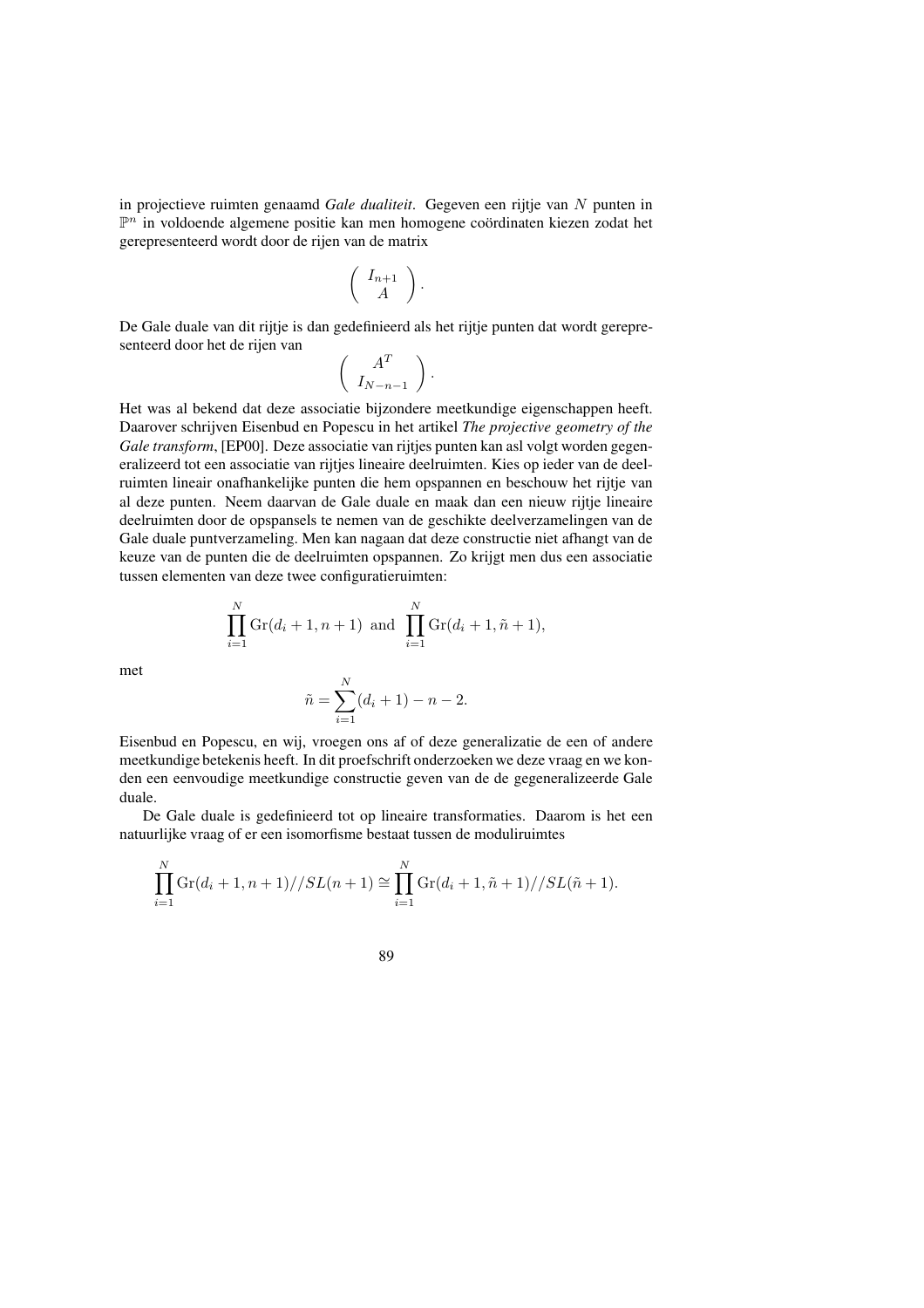in projectieve ruimten genaamd *Gale dualiteit*. Gegeven een rijtje van N punten in  $\mathbb{P}^n$  in voldoende algemene positie kan men homogene coördinaten kiezen zodat het gerepresenteerd wordt door de rijen van de matrix

$$
\left(\begin{array}{c} I_{n+1} \\ A \end{array}\right).
$$

De Gale duale van dit rijtje is dan gedefinieerd als het rijtje punten dat wordt gerepresenteerd door het de rijen van

$$
\left(\begin{array}{c} A^T \\ I_{N-n-1} \end{array}\right).
$$

Het was al bekend dat deze associatie bijzondere meetkundige eigenschappen heeft. Daarover schrijven Eisenbud en Popescu in het artikel *The projective geometry of the Gale transform*, [EP00]. Deze associatie van rijtjes punten kan asl volgt worden gegeneralizeerd tot een associatie van rijtjes lineaire deelruimten. Kies op ieder van de deelruimten lineair onafhankelijke punten die hem opspannen en beschouw het rijtje van al deze punten. Neem daarvan de Gale duale en maak dan een nieuw rijtje lineaire deelruimten door de opspansels te nemen van de geschikte deelverzamelingen van de Gale duale puntverzameling. Men kan nagaan dat deze constructie niet afhangt van de keuze van de punten die de deelruimten opspannen. Zo krijgt men dus een associatie tussen elementen van deze twee configuratieruimten:

$$
\prod_{i=1}^{N} \text{Gr}(d_i + 1, n + 1) \text{ and } \prod_{i=1}^{N} \text{Gr}(d_i + 1, \tilde{n} + 1),
$$

met

$$
\tilde{n} = \sum_{i=1}^{N} (d_i + 1) - n - 2.
$$

Eisenbud en Popescu, en wij, vroegen ons af of deze generalizatie de een of andere meetkundige betekenis heeft. In dit proefschrift onderzoeken we deze vraag en we konden een eenvoudige meetkundige constructie geven van de de gegeneralizeerde Gale duale.

De Gale duale is gedefinieerd tot op lineaire transformaties. Daarom is het een natuurlijke vraag of er een isomorfisme bestaat tussen de moduliruimtes

$$
\prod_{i=1}^{N} \text{Gr}(d_i + 1, n+1) // SL(n+1) \cong \prod_{i=1}^{N} \text{Gr}(d_i + 1, \tilde{n} + 1) // SL(\tilde{n} + 1).
$$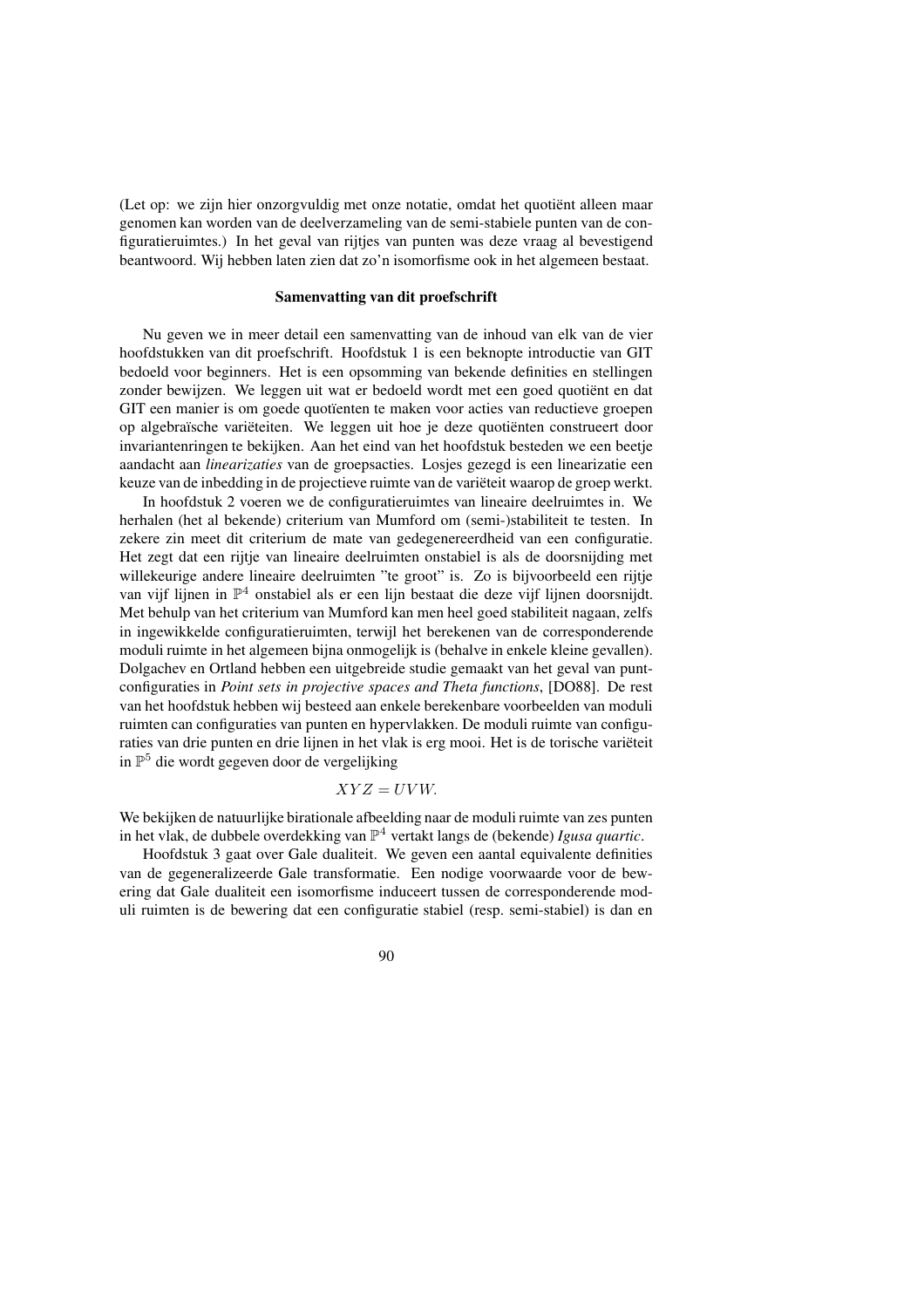(Let op: we zijn hier onzorgvuldig met onze notatie, omdat het quotient alleen maar genomen kan worden van de deelverzameling van de semi-stabiele punten van de configuratieruimtes.) In het geval van rijtjes van punten was deze vraag al bevestigend beantwoord. Wij hebben laten zien dat zo'n isomorfisme ook in het algemeen bestaat.

## **Samenvatting van dit proefschrift**

Nu geven we in meer detail een samenvatting van de inhoud van elk van de vier hoofdstukken van dit proefschrift. Hoofdstuk 1 is een beknopte introductie van GIT bedoeld voor beginners. Het is een opsomming van bekende definities en stellingen zonder bewijzen. We leggen uit wat er bedoeld wordt met een goed quotiënt en dat GIT een manier is om goede quotïenten te maken voor acties van reductieve groepen op algebraïsche variëteiten. We leggen uit hoe je deze quotiënten construeert door invariantenringen te bekijken. Aan het eind van het hoofdstuk besteden we een beetje aandacht aan *linearizaties* van de groepsacties. Losjes gezegd is een linearizatie een keuze van de inbedding in de projectieve ruimte van de variëteit waarop de groep werkt.

In hoofdstuk 2 voeren we de configuratieruimtes van lineaire deelruimtes in. We herhalen (het al bekende) criterium van Mumford om (semi-)stabiliteit te testen. In zekere zin meet dit criterium de mate van gedegenereerdheid van een configuratie. Het zegt dat een rijtje van lineaire deelruimten onstabiel is als de doorsnijding met willekeurige andere lineaire deelruimten "te groot" is. Zo is bijvoorbeeld een rijtje van vijf lijnen in P <sup>4</sup> onstabiel als er een lijn bestaat die deze vijf lijnen doorsnijdt. Met behulp van het criterium van Mumford kan men heel goed stabiliteit nagaan, zelfs in ingewikkelde configuratieruimten, terwijl het berekenen van de corresponderende moduli ruimte in het algemeen bijna onmogelijk is (behalve in enkele kleine gevallen). Dolgachev en Ortland hebben een uitgebreide studie gemaakt van het geval van puntconfiguraties in *Point sets in projective spaces and Theta functions*, [DO88]. De rest van het hoofdstuk hebben wij besteed aan enkele berekenbare voorbeelden van moduli ruimten can configuraties van punten en hypervlakken. De moduli ruimte van configuraties van drie punten en drie lijnen in het vlak is erg mooi. Het is de torische variëteit in P <sup>5</sup> die wordt gegeven door de vergelijking

$$
XYZ = UVW.
$$

We bekijken de natuurlijke birationale afbeelding naar de moduli ruimte van zes punten in het vlak, de dubbele overdekking van P <sup>4</sup> vertakt langs de (bekende) *Igusa quartic*.

Hoofdstuk 3 gaat over Gale dualiteit. We geven een aantal equivalente definities van de gegeneralizeerde Gale transformatie. Een nodige voorwaarde voor de bewering dat Gale dualiteit een isomorfisme induceert tussen de corresponderende moduli ruimten is de bewering dat een configuratie stabiel (resp. semi-stabiel) is dan en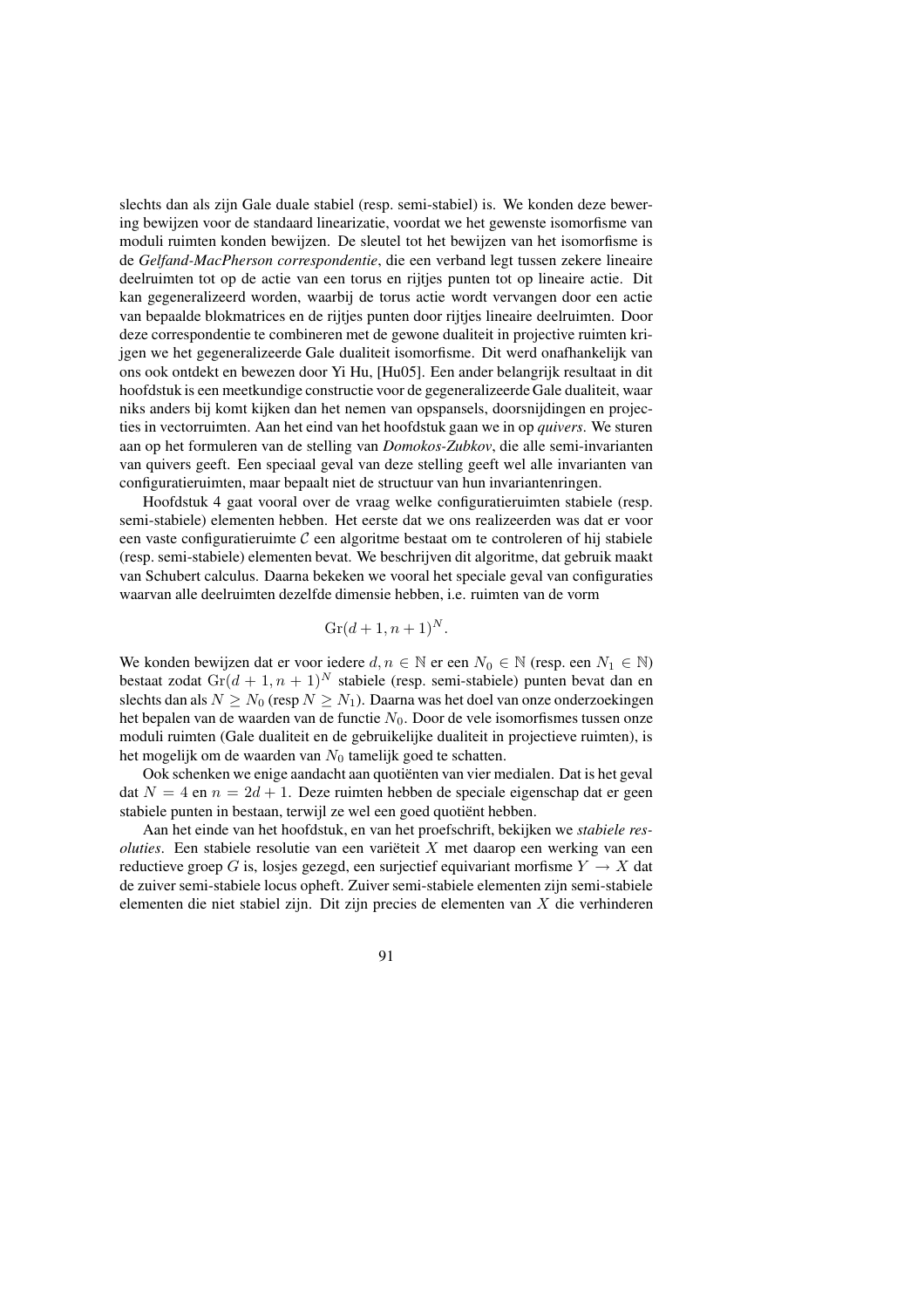slechts dan als zijn Gale duale stabiel (resp. semi-stabiel) is. We konden deze bewering bewijzen voor de standaard linearizatie, voordat we het gewenste isomorfisme van moduli ruimten konden bewijzen. De sleutel tot het bewijzen van het isomorfisme is de *Gelfand-MacPherson correspondentie*, die een verband legt tussen zekere lineaire deelruimten tot op de actie van een torus en rijtjes punten tot op lineaire actie. Dit kan gegeneralizeerd worden, waarbij de torus actie wordt vervangen door een actie van bepaalde blokmatrices en de rijtjes punten door rijtjes lineaire deelruimten. Door deze correspondentie te combineren met de gewone dualiteit in projective ruimten krijgen we het gegeneralizeerde Gale dualiteit isomorfisme. Dit werd onafhankelijk van ons ook ontdekt en bewezen door Yi Hu, [Hu05]. Een ander belangrijk resultaat in dit hoofdstuk is een meetkundige constructie voor de gegeneralizeerde Gale dualiteit, waar niks anders bij komt kijken dan het nemen van opspansels, doorsnijdingen en projecties in vectorruimten. Aan het eind van het hoofdstuk gaan we in op *quivers*. We sturen aan op het formuleren van de stelling van *Domokos-Zubkov*, die alle semi-invarianten van quivers geeft. Een speciaal geval van deze stelling geeft wel alle invarianten van configuratieruimten, maar bepaalt niet de structuur van hun invariantenringen.

Hoofdstuk 4 gaat vooral over de vraag welke configuratieruimten stabiele (resp. semi-stabiele) elementen hebben. Het eerste dat we ons realizeerden was dat er voor een vaste configuratieruimte  $\mathcal C$  een algoritme bestaat om te controleren of hij stabiele (resp. semi-stabiele) elementen bevat. We beschrijven dit algoritme, dat gebruik maakt van Schubert calculus. Daarna bekeken we vooral het speciale geval van configuraties waarvan alle deelruimten dezelfde dimensie hebben, i.e. ruimten van de vorm

$$
Gr(d+1, n+1)^N.
$$

We konden bewijzen dat er voor iedere  $d, n \in \mathbb{N}$  er een  $N_0 \in \mathbb{N}$  (resp. een  $N_1 \in \mathbb{N}$ ) bestaat zodat  $\text{Gr}(d + 1, n + 1)^N$  stabiele (resp. semi-stabiele) punten bevat dan en slechts dan als  $N \ge N_0$  (resp  $N \ge N_1$ ). Daarna was het doel van onze onderzoekingen het bepalen van de waarden van de functie  $N_0$ . Door de vele isomorfismes tussen onze moduli ruimten (Gale dualiteit en de gebruikelijke dualiteit in projectieve ruimten), is het mogelijk om de waarden van  $N_0$  tamelijk goed te schatten.

Ook schenken we enige aandacht aan quotiënten van vier medialen. Dat is het geval dat  $N = 4$  en  $n = 2d + 1$ . Deze ruimten hebben de speciale eigenschap dat er geen stabiele punten in bestaan, terwijl ze wel een goed quotiënt hebben.

Aan het einde van het hoofdstuk, en van het proefschrift, bekijken we *stabiele resoluties*. Een stabiele resolutie van een variëteit  $X$  met daarop een werking van een reductieve groep G is, losjes gezegd, een surjectief equivariant morfisme  $Y \to X$  dat de zuiver semi-stabiele locus opheft. Zuiver semi-stabiele elementen zijn semi-stabiele elementen die niet stabiel zijn. Dit zijn precies de elementen van X die verhinderen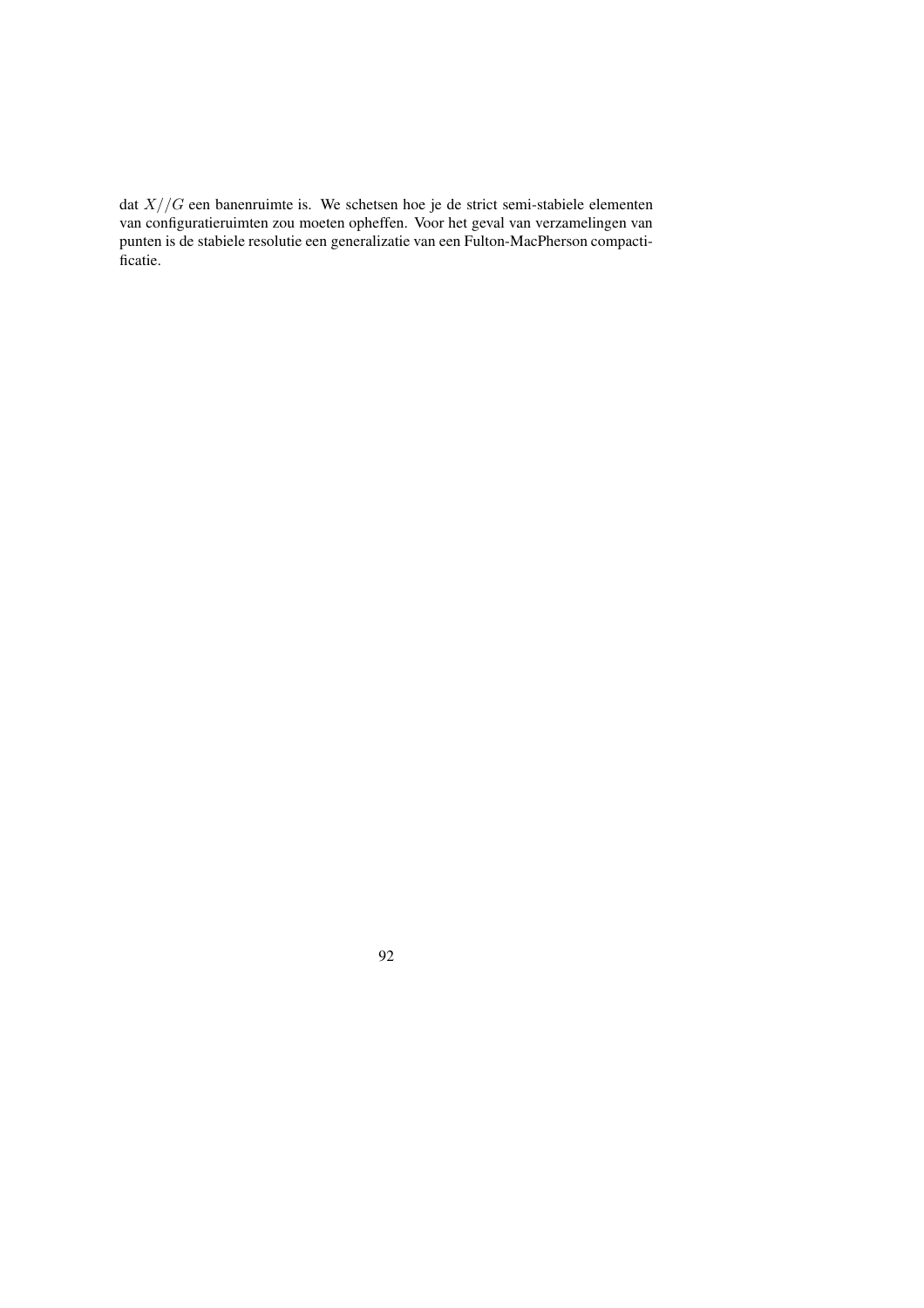dat  $X//G$  een banenruimte is. We schetsen hoe je de strict semi-stabiele elementen van configuratieruimten zou moeten opheffen. Voor het geval van verzamelingen van punten is de stabiele resolutie een generalizatie van een Fulton-MacPherson compactificatie.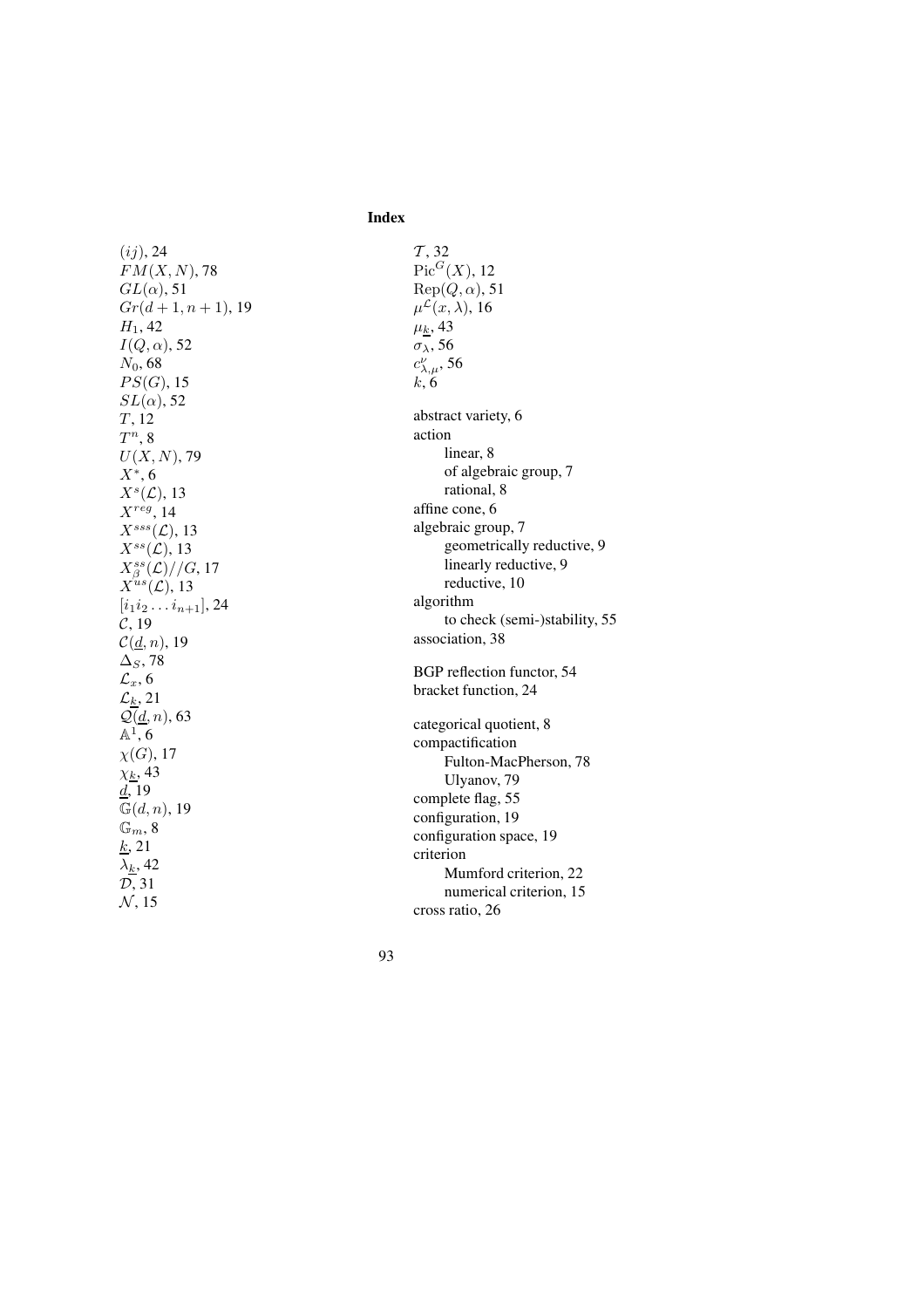**Index**

 $(ij)$ , 24  $FM(X,N), 78$  $GL(\alpha)$ , 51  $Gr(d+1, n+1)$ , 19  $H_1$ , 42  $I(Q,\alpha)$ , 52  $N_0$ , 68  $PS(G)$ , 15  $SL(\alpha)$ , 52 T , 12  $T^n, 8$  $U(X,N),$  79  $X^*$ , 6  $X^s(\mathcal{L}), 13$  $X^{reg}$ , 14  $X^{sss}(\mathcal{L}),$  13  $X^{ss}(\mathcal{L}), 13$  $X^{ss}_{\beta}(\mathcal{L})//G, 17$  $X^{us}(\mathcal{L}), 13$  $[i_1 i_2 \ldots i_{n+1}], 24$  $\mathcal{C},$  19  $\mathcal{C}(\underline{d},n)$ , 19  $\Delta_S$ , 78  $\mathcal{L}_x,$  6  $\mathcal{L}_k$ , 21  $\mathcal{Q}(\underline{d}, n)$ , 63  $\mathbb{A}^1$ , 6  $\chi(G),$  17  $\chi_{\underline{k}},$  43  $\underline{d}$ , 19  $\frac{d}{\mathbb{G}(d,n)},$  19  $\overline{\mathbb{G}_m},8$  $k$ , 21  $\lambda_k$ , 42 D , 31  $N$ , 15

 $T$ , 32  $Pic^G(X)$ , 12  $\operatorname{Rep}(Q,\alpha)$ , 51  $\mu^{\mathcal{L}}(x,\lambda)$ , 16  $\mu_{\underline{k}},$  43  $\sigma_{\lambda}$ , 56  $c_{\lambda,\mu}^{\nu}$ , 56  $k, 6$ abstract variety , 6 action linear, 8 of algebraic group, 7 rational, 8 affine cone, 6 algebraic group, 7 geometrically reducti ve, 9 linearly reductive, 9 reducti ve, 10 algorithm to check (semi-)stability , 55 association, 38 BGP reflection functor , 54 bracket function, 24 categorical quotient, 8 compactification Fulton-MacPherson, 78 Ulyanov, 79 complete flag, 55 configuration, 19 configuration space, 19 criterion Mumford criterion, 22 numerical criterion, 15 cross ratio, 26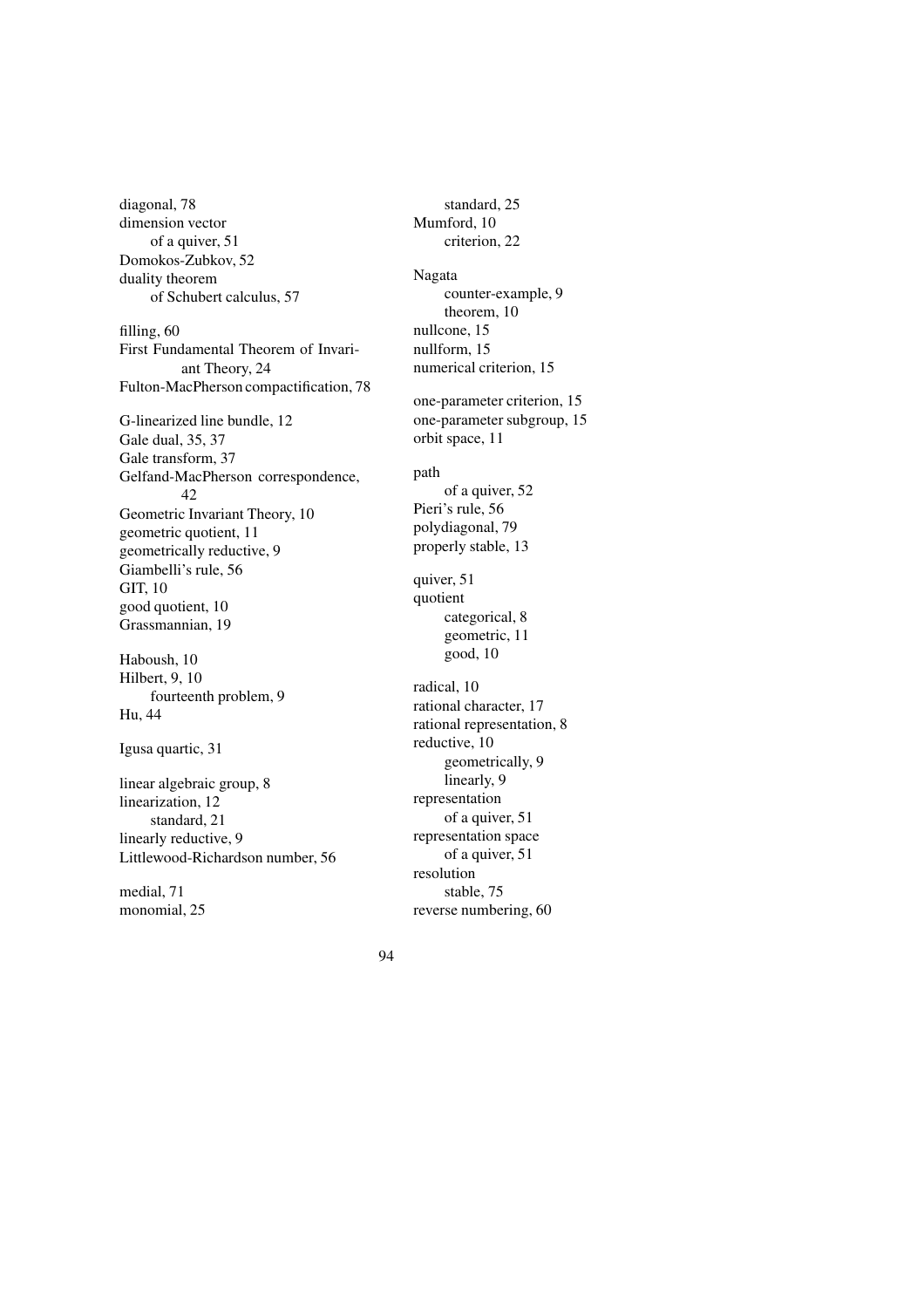diagonal, 78 dimension vector of a quiver, 51 Domokos-Zubkov, 52 duality theorem of Schubert calculus, 57 filling, 60 First Fundamental Theorem of Invariant Theory, 24 Fulton-MacPherson compactification, 78 G-linearized line bundle, 12 Gale dual, 35, 37 Gale transform, 37 Gelfand-MacPherson correspondence, 42 Geometric Invariant Theory, 10 geometric quotient, 11 geometrically reductive, 9 Giambelli's rule, 56 GIT, 10 good quotient, 10 Grassmannian, 19 Haboush, 10 Hilbert, 9, 10 fourteenth problem, 9 Hu, 44 Igusa quartic, 31 linear algebraic group, 8 linearization, 12 standard, 21 linearly reductive, 9 Littlewood-Richardson number, 56 medial, 71

monomial, 25

standard, 25 Mumford, 10 criterion, 22 Nagata counter-example, 9 theorem, 10 nullcone, 15 nullform, 15 numerical criterion, 15 one-parameter criterion, 15 one-parameter subgroup, 15 orbit space, 11 path of a quiver, 52 Pieri's rule, 56 polydiagonal, 79 properly stable, 13 quiver, 51 quotient categorical, 8 geometric, 11 good, 10 radical, 10 rational character, 17 rational representation, 8 reductive, 10 geometrically, 9 linearly, 9 representation of a quiver, 51 representation space of a quiver, 51 resolution stable, 75 reverse numbering, 60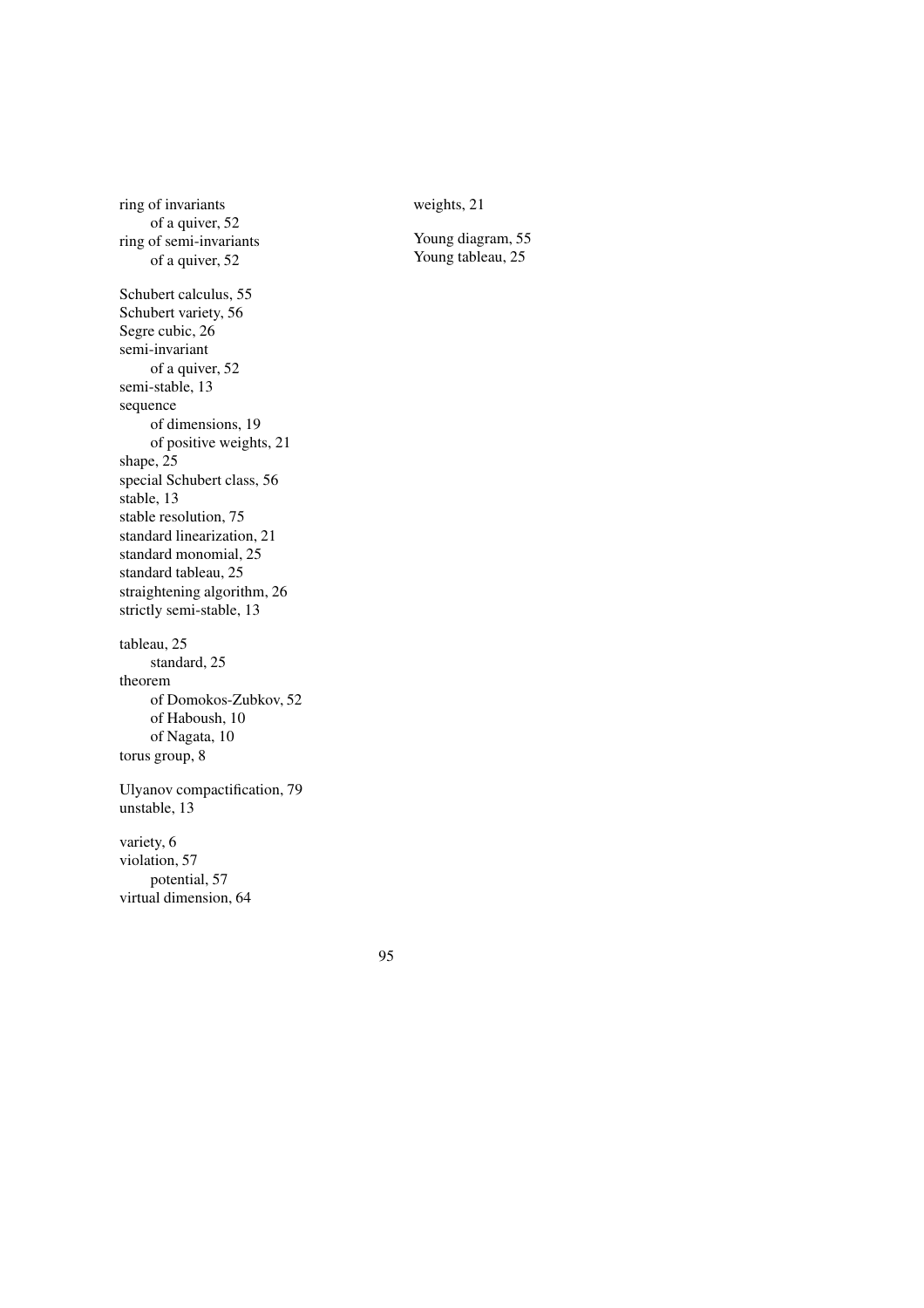weights, 21

Young diagram, 55 Young tableau, 25

ring of invariants of a quiver, 52 ring of semi-invariants of a quiver, 52 Schubert calculus, 55 Schubert variety, 56 Segre cubic, 26 semi-invariant of a quiver, 52 semi-stable, 13 sequence of dimensions, 19 of positive weights, 21 shape, 25 special Schubert class, 56 stable, 13 stable resolution, 75 standard linearization, 21 standard monomial, 25 standard tableau, 25 straightening algorithm, 26 strictly semi-stable, 13 tableau, 25 standard, 25 theorem of Domokos-Zubkov, 52 of Haboush, 10 of Nagata, 10 torus group, 8 Ulyanov compactification, 79 unstable, 13 variety, 6 violation, 57 potential, 57 virtual dimension, 64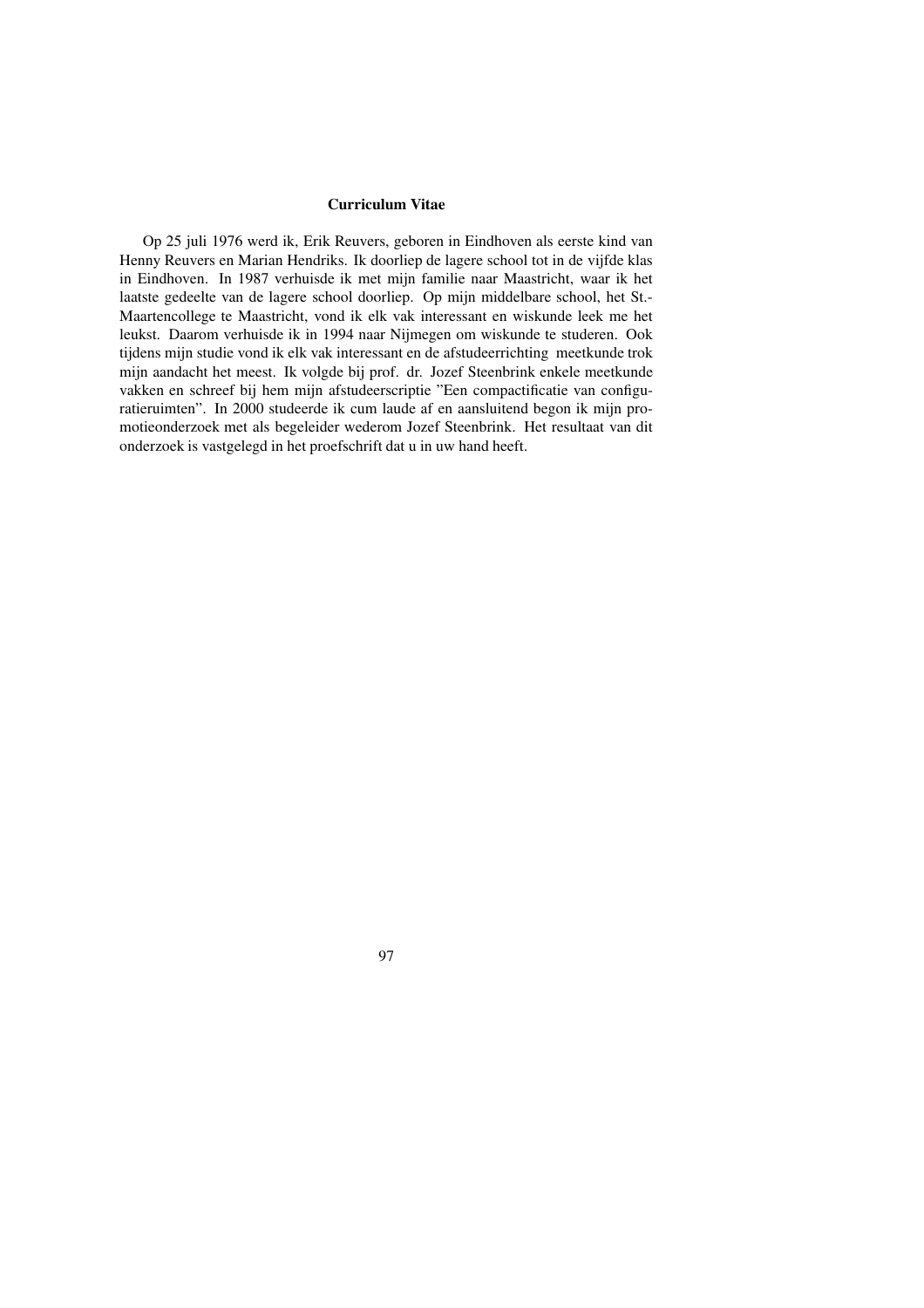# **Curriculum Vitae**

Op 25 juli 1976 werd ik, Erik Reuvers, geboren in Eindhoven als eerste kind van Henny Reuvers en Marian Hendriks. Ik doorliep de lagere school tot in de vijfde klas in Eindhoven. In 1987 verhuisde ik met mijn familie naar Maastricht, waar ik het laatste gedeelte van de lagere school doorliep. Op mijn middelbare school, het St.- Maartencollege te Maastricht, vond ik elk vak interessant en wiskunde leek me het leukst. Daarom verhuisde ik in 1994 naar Nijmegen om wiskunde te studeren. Ook tijdens mijn studie vond ik elk vak interessant en de afstudeerrichting meetkunde trok mijn aandacht het meest. Ik volgde bij prof. dr. Jozef Steenbrink enkele meetkunde vakken en schreef bij hem mijn afstudeerscriptie "Een compactificatie van configuratieruimten". In 2000 studeerde ik cum laude af en aansluitend begon ik mijn promotieonderzoek met als begeleider wederom Jozef Steenbrink. Het resultaat van dit onderzoek is vastgelegd in het proefschrift dat u in uw hand heeft.